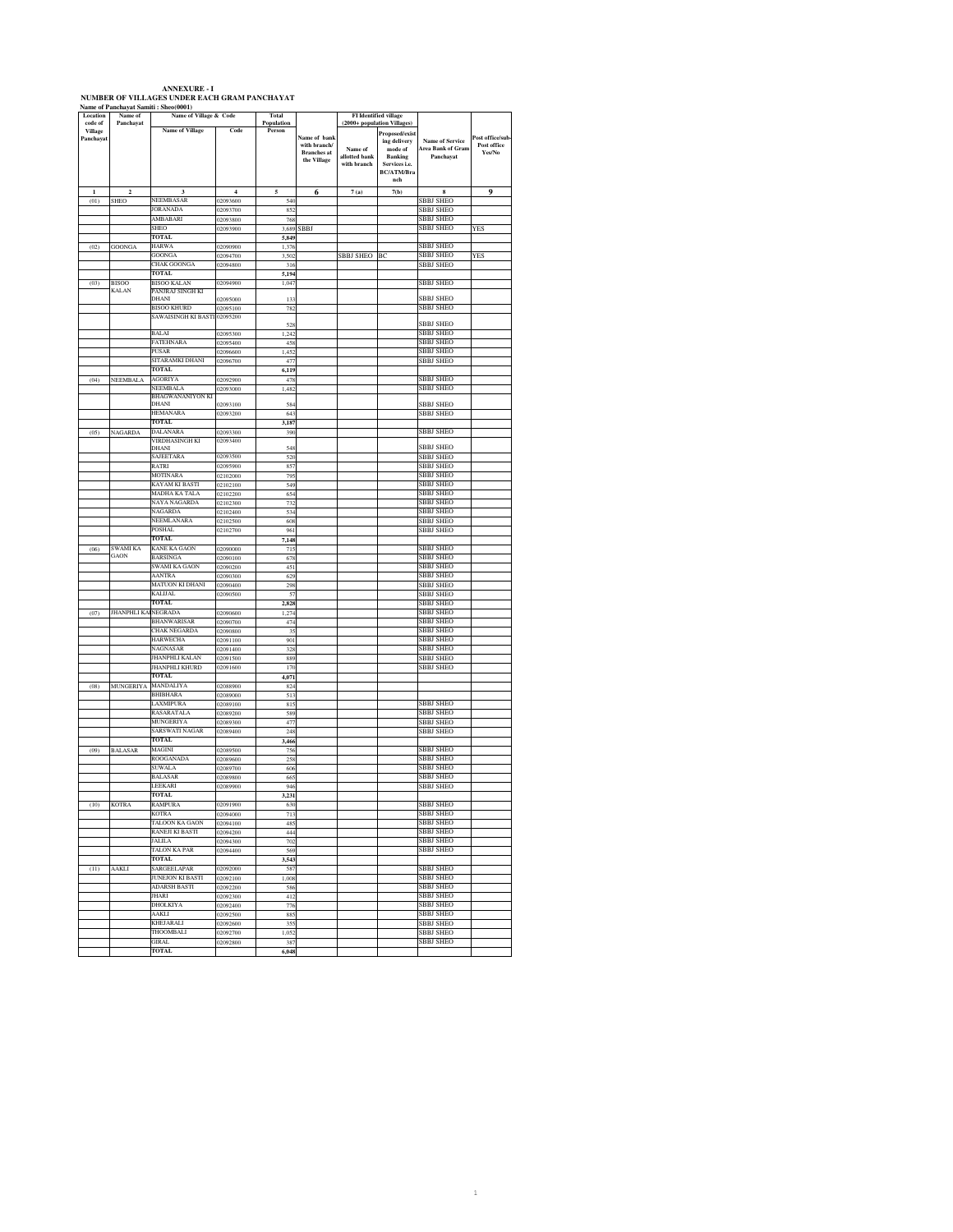| <b>ANNEXURE - I</b>                          |  |  |  |  |  |  |  |  |  |
|----------------------------------------------|--|--|--|--|--|--|--|--|--|
| NUMBER OF VILLAGES UNDER EACH GRAM PANCHAYAT |  |  |  |  |  |  |  |  |  |
| Name of Panchavat Samiti : Sheo(0001)        |  |  |  |  |  |  |  |  |  |

| ame vi<br>Location          | oannu .<br>Name of      | Name of Village & Code                |                      | Total          |                    |               | FI Identified village       |                                                    |                  |
|-----------------------------|-------------------------|---------------------------------------|----------------------|----------------|--------------------|---------------|-----------------------------|----------------------------------------------------|------------------|
| code of                     | Panchayat               |                                       |                      | Population     |                    |               | (2000+ population Villages) |                                                    |                  |
| <b>Village</b><br>Panchayat |                         | <b>Name of Village</b>                | Code                 | Person         | Name of bank       |               | Proposed/exist              |                                                    | Post office/sub- |
|                             |                         |                                       |                      |                | with branch/       | Name of       | ing delivery<br>mode of     | <b>Name of Service</b><br><b>Area Bank of Gram</b> | Post office      |
|                             |                         |                                       |                      |                | <b>Branches</b> at | allotted bank | <b>Banking</b>              | Panchayat                                          | Yes/No           |
|                             |                         |                                       |                      |                | the Village        | with branch   | Services i.e.               |                                                    |                  |
|                             |                         |                                       |                      |                |                    |               | <b>BC/ATM/Bra</b><br>nch    |                                                    |                  |
| $\mathbf{I}$                | $\overline{\mathbf{c}}$ | 3                                     | $\ddot{ }$           | 5              |                    |               | 7(b)                        | 8                                                  | $\mathbf 0$      |
| (01)                        | SHEO                    | VEEMBASAR                             | 02093600             | 540            | 6                  | 7(a)          |                             | <b>BBJ SHEO</b>                                    |                  |
|                             |                         | <b>JORANADA</b>                       | 12093700             | 852            |                    |               |                             | <b>BBJ SHEO</b>                                    |                  |
|                             |                         | AMBABARI                              | 12093800             | 768            |                    |               |                             | <b>SBBJ SHEO</b>                                   |                  |
|                             |                         | SHEO                                  | 02093900             | 3,689          | SBBJ               |               |                             | SBBJ SHEO                                          | YES              |
|                             |                         | TOTAL                                 |                      | 5,849          |                    |               |                             |                                                    |                  |
| (02)                        | <b>GOONGA</b>           | <b>HARWA</b>                          | 02090900             | 1,376          |                    |               |                             | <b>SBBJ SHEO</b>                                   |                  |
|                             |                         | GOONGA                                | 02094700             | 3,502          |                    | SBBJ SHEO     | BC                          | <b>SBBJ SHEO</b>                                   | YES              |
|                             |                         | CHAK GOONGA<br>TOTAL                  | 02094800             | 316            |                    |               |                             | <b>SBBJ SHEO</b>                                   |                  |
| (03)                        | <b>BISOO</b>            | <b>BISOO KALAN</b>                    | 02094900             | 5,194<br>1.047 |                    |               |                             | SBBJ SHEO                                          |                  |
|                             | <b>KALAN</b>            | PANJRAJ SINGH KI                      |                      |                |                    |               |                             |                                                    |                  |
|                             |                         | DHANI                                 | 02095000             | 13.            |                    |               |                             | <b>SBBJ SHEO</b>                                   |                  |
|                             |                         | <b>BISOO KHURD</b>                    | 02095100             | 782            |                    |               |                             | SBBJ SHEO                                          |                  |
|                             |                         | SAWAISINGH KI BASTI                   | 02095200             | 528            |                    |               |                             | SBBJ SHEO                                          |                  |
|                             |                         | <b>BALAI</b>                          | 02095300             | 1,242          |                    |               |                             | SBBJ SHEO                                          |                  |
|                             |                         | FATEHNARA                             | 02095400             | 458            |                    |               |                             | SBBJ SHEO                                          |                  |
|                             |                         | PUSAR                                 | 02096600             | 1,452          |                    |               |                             | SBBJ SHEO                                          |                  |
|                             |                         | SITARAMKI DHANI                       | 02096700             | 477            |                    |               |                             | SBBJ SHEO                                          |                  |
|                             |                         | <b>TOTAL</b><br><b><i>AGORIYA</i></b> |                      | 6,119          |                    |               |                             |                                                    |                  |
| (04)                        | <b>NEEMBALA</b>         | NEEMBALA                              | 02092900<br>02093000 | 478<br>1,482   |                    |               |                             | SBBJ SHEO<br>SBBJ SHEO                             |                  |
|                             |                         | BHAGWANANIYON KI                      |                      |                |                    |               |                             |                                                    |                  |
|                             |                         | DHANI                                 | 02093100             | 584            |                    |               |                             | <b>SBBJ SHEO</b>                                   |                  |
|                             |                         | <b>HEMANARA</b>                       | 02093200             | 64.            |                    |               |                             | <b>SBBJ SHEO</b>                                   |                  |
|                             |                         | <b>TOTAL</b>                          |                      | 3,187          |                    |               |                             |                                                    |                  |
| (05)                        | NAGARDA                 | DALANARA<br>VIRDHASINGH KI            | 02093300<br>02093400 | 390            |                    |               |                             | SBBJ SHEO                                          |                  |
|                             |                         | DHANI                                 |                      | 548            |                    |               |                             | <b>SBBJ SHEO</b>                                   |                  |
|                             |                         | SAJEETARA                             | 02093500             | 520            |                    |               |                             | SBBJ SHEO                                          |                  |
|                             |                         | RATRI                                 | 02095900             | 857            |                    |               |                             | SBBJ SHEO                                          |                  |
|                             |                         | MOTINARA                              | 02102000             | 795            |                    |               |                             | <b>SBBJ SHEO</b><br>SBBJ SHEO                      |                  |
|                             |                         | KAYAM KI BASTI<br>MADHA KA TALA       | 02102100<br>02102200 | 549<br>654     |                    |               |                             | SBBJ SHEO                                          |                  |
|                             |                         | NAYA NAGARDA                          | 02102300             | 732            |                    |               |                             | <b>SBBJ SHEO</b>                                   |                  |
|                             |                         | NAGARDA                               | 02102400             | 534            |                    |               |                             | <b>SBBJ SHEO</b>                                   |                  |
|                             |                         | NEEMLANARA                            | 02102500             | 608            |                    |               |                             | <b>SBBJ SHEO</b>                                   |                  |
|                             |                         | <b>POSHAL</b>                         | 02102700             | 961            |                    |               |                             | SBBJ SHEO                                          |                  |
|                             |                         | <b>TOTAL</b>                          |                      | 7,148          |                    |               |                             |                                                    |                  |
| (06)                        | SWAMI KA<br>GAON        | <b>KANE KA GAON</b>                   | 02090000             | 71             |                    |               |                             | <b>SBBJ SHEO</b>                                   |                  |
|                             |                         | <b>BARSINGA</b><br>SWAMI KA GAON      | 02090100<br>02090200 | 678<br>451     |                    |               |                             | <b>SBBJ SHEO</b><br>SBBJ SHEO                      |                  |
|                             |                         | <b>AANTRA</b>                         | 02090300             | 629            |                    |               |                             | SBBJ SHEO                                          |                  |
|                             |                         | MATUON KI DHANI                       | 02090400             | 298            |                    |               |                             | SBBJ SHEO                                          |                  |
|                             |                         | KALIJAL                               | 02090500             | 57             |                    |               |                             | <b>SBBJ SHEO</b>                                   |                  |
|                             |                         | <b>TOTAL</b>                          |                      | 2,828          |                    |               |                             | <b>SBBJ SHEO</b>                                   |                  |
| (07)                        | <b>JHANPHLI KA</b>      | <b>EGRADA</b>                         | 02090600             | 1,274          |                    |               |                             | SBBJ SHEO                                          |                  |
|                             |                         | BHANWARISAR<br><b>CHAK NEGARDA</b>    | 02090700<br>02090800 | 474<br>35      |                    |               |                             | SBBJ SHEO<br><b>SBBJ SHEO</b>                      |                  |
|                             |                         | HARWECHA                              | 02091100             | 901            |                    |               |                             | SBBJ SHEO                                          |                  |
|                             |                         | VAGNASAR                              | 02091400             | 328            |                    |               |                             | SBBJ SHEO                                          |                  |
|                             |                         | JHANPHLI KALAN                        | 02091500             | 889            |                    |               |                             | <b>SBBJ SHEO</b>                                   |                  |
|                             |                         | <b>HANPHLI KHURD</b>                  | 02091600             | 170            |                    |               |                             | SBBJ SHEO                                          |                  |
|                             |                         | TOTAL                                 |                      | 4,071          |                    |               |                             |                                                    |                  |
| (08)                        | MUNGERIYA               | MANDALIYA                             | 02088900             | 824            |                    |               |                             |                                                    |                  |
|                             |                         | BHIBHARA<br>LAXMIPURA                 | 02089000<br>02089100 | 513<br>815     |                    |               |                             | <b>SBBJ SHEO</b>                                   |                  |
|                             |                         | RASARATALA                            | 02089200             | 589            |                    |               |                             | SBBJ SHEO                                          |                  |
|                             |                         | MUNGERIYA                             | 02089300             | 47             |                    |               |                             | <b>SBBJ SHEO</b>                                   |                  |
|                             |                         | SARSWATI NAGAR                        | 02089400             | 248            |                    |               |                             | <b>SBBJ SHEO</b>                                   |                  |
|                             |                         | <b>TOTAL</b>                          |                      | 3.466          |                    |               |                             |                                                    |                  |
| (09)                        | <b>BALASAR</b>          | MAGINI<br><b>ROOGANADA</b>            | 02089500<br>02089600 | 756<br>258     |                    |               |                             | SBBJ SHEO<br><b>SBBI SHEO</b>                      |                  |
|                             |                         | SUWALA                                | 02089700             | 60             |                    |               |                             | SBBJ SHEO                                          |                  |
|                             |                         | BALASAR                               | 02089800             | 66             |                    |               |                             | SBBJ SHEO                                          |                  |
|                             |                         | LEEKARI                               | 02089900             | 946            |                    |               |                             | SBBJ SHEO                                          |                  |
|                             |                         | <b>TOTAL</b>                          |                      | 3,231          |                    |               |                             |                                                    |                  |
|                             | $(10)$ KOTRA            | RAMPURA                               | 02091900             | 630            |                    |               |                             | <b>SBBJ SHEO</b>                                   |                  |
|                             |                         | KOTRA<br>TALOON KA GAON               | 02094000<br>02094100 | 713<br>485     |                    |               |                             | <b>SBBI SHEO</b><br>SBBJ SHEO                      |                  |
|                             |                         | RANEII KI BASTI                       | 02094200             | 444            |                    |               |                             | <b>SBBJ SHEO</b>                                   |                  |
|                             |                         | <b>JALILA</b>                         | 02094300             | 702            |                    |               |                             | <b>SBBJ SHEO</b>                                   |                  |
|                             |                         | TALON KA PAR                          | 02094400             | 569            |                    |               |                             | SBBJ SHEO                                          |                  |
|                             |                         | <b>TOTAL</b>                          |                      | 3,543          |                    |               |                             |                                                    |                  |
| (11)                        | AAKLI                   | SARGEELAPAR                           | 02092000             | 587            |                    |               |                             | SBBJ SHEO                                          |                  |
|                             |                         | JUNEJON KI BASTI                      | 02092100             | 1,008          |                    |               |                             | SBBJ SHEO                                          |                  |
|                             |                         | <b>ADARSH BASTI</b><br>HARI           | 02092200             | 586<br>412     |                    |               |                             | SBBJ SHEO<br><b>SBBJ SHEO</b>                      |                  |
|                             |                         | DHOLKIYA                              | 02092300<br>02092400 | 776            |                    |               |                             | <b>SBBJ SHEO</b>                                   |                  |
|                             |                         | <b>AAKLI</b>                          | 02092500             | 885            |                    |               |                             | <b>SBBJ SHEO</b>                                   |                  |
|                             |                         | KHEJARALI                             | 02092600             | 355            |                    |               |                             | SBBJ SHEO                                          |                  |
|                             |                         | THOOMBALI                             | 02092700             | 1,052          |                    |               |                             | <b>SBBJ SHEO</b>                                   |                  |
|                             |                         | GIRAL                                 | 02092800             | 38             |                    |               |                             | SBBJ SHEO                                          |                  |
|                             |                         | TOTAL                                 |                      | 6,048          |                    |               |                             |                                                    |                  |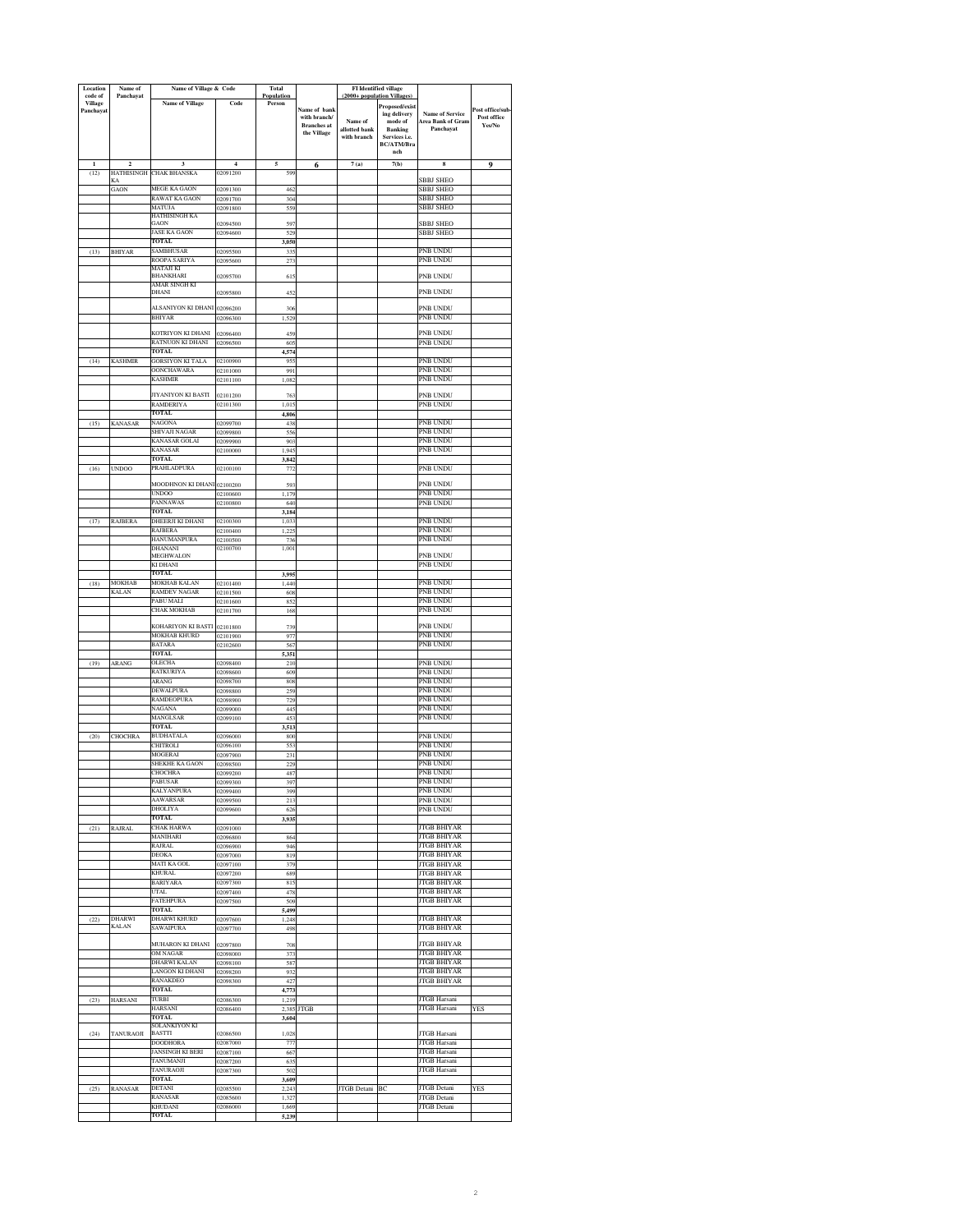| Location<br>code of         | Name of<br>Panchayat          |                                            | Name of Village & Code<br>Total<br><b>FI</b> Identified village<br>(2000+ population Villages<br>Population |                |                                    |                              |                                          |                                             |                       |
|-----------------------------|-------------------------------|--------------------------------------------|-------------------------------------------------------------------------------------------------------------|----------------|------------------------------------|------------------------------|------------------------------------------|---------------------------------------------|-----------------------|
| <b>Village</b><br>Panchayat |                               | <b>Name of Village</b>                     | Code                                                                                                        | Person         | Name of bank                       |                              | Proposed/exist                           |                                             | ost office/sub-       |
|                             |                               |                                            |                                                                                                             |                | with branch/<br><b>Branches</b> at | Name of                      | ing delivery<br>$\operatorname{mode}$ of | <b>Name of Service</b><br>Area Bank of Gram | Post office<br>Yes/No |
|                             |                               |                                            |                                                                                                             |                | the Village                        | allotted bank<br>with branch | <b>Banking</b><br>Services i.e.          | Panchayat                                   |                       |
|                             |                               |                                            |                                                                                                             |                |                                    |                              | BC/ATM/Bra<br>nch                        |                                             |                       |
| $\mathbf{1}$                | $\overline{2}$                | 3                                          | $\overline{4}$                                                                                              | 5              | 6                                  | 7(a)                         | 7(b)                                     | 8                                           | $\mathbf 0$           |
| (12)                        | HATHISINGH<br>KА              | <b>CHAK BHANSKA</b>                        | 02091200                                                                                                    | 599            |                                    |                              |                                          | <b>BBJ SHEO</b>                             |                       |
|                             | GAON                          | MEGE KA GAON                               | 02091300                                                                                                    | 46.            |                                    |                              |                                          | SBBJ SHEO                                   |                       |
|                             |                               | RAWAT KA GAON<br>MATUJA                    | 02091700<br>02091800                                                                                        | 304<br>559     |                                    |                              |                                          | <b>BBJ SHEO</b><br><b>SBBJ SHEO</b>         |                       |
|                             |                               | HATHISINGH KA<br>GAON                      | 02094500                                                                                                    | 597            |                                    |                              |                                          | SBBJ SHEO                                   |                       |
|                             |                               | JASE KA GAON                               | 02094600                                                                                                    | 529            |                                    |                              |                                          | SBBJ SHEO                                   |                       |
| (13)                        | <b>BHIYAR</b>                 | <b>TOTAL</b><br>SAMBHUSAR                  | 02095500                                                                                                    | 3,050<br>335   |                                    |                              |                                          | PNB UNDU                                    |                       |
|                             |                               | ROOPA SARIYA                               | 02095600                                                                                                    | 273            |                                    |                              |                                          | PNB UNDU                                    |                       |
|                             |                               | MATAJI KI<br>BHANKHARI                     | 02095700                                                                                                    | 615            |                                    |                              |                                          | PNB UNDU                                    |                       |
|                             |                               | AMAR SINGH KI<br>DHANI                     | 02095800                                                                                                    | 452            |                                    |                              |                                          | PNB UNDU                                    |                       |
|                             |                               | ALSANIYON KI DHANI                         | 02096200                                                                                                    | 306            |                                    |                              |                                          | PNB UNDU                                    |                       |
|                             |                               | <b>BHIYAR</b>                              | 02096300                                                                                                    | 1,529          |                                    |                              |                                          | PNB UNDU                                    |                       |
|                             |                               | KOTRIYON KI DHANI                          | 02096400                                                                                                    | 459            |                                    |                              |                                          | PNB UNDU                                    |                       |
|                             |                               | RATNUON KI DHANI<br><b>TOTAL</b>           | 02096500                                                                                                    | 605<br>4,574   |                                    |                              |                                          | PNB UNDU                                    |                       |
| (14)                        | <b>KASHMIR</b>                | <b>GORSIYON KI TALA</b>                    | 02100900                                                                                                    | 955            |                                    |                              |                                          | PNB UNDU                                    |                       |
|                             |                               | <b>OONCHAWARA</b><br><b>KASHMIR</b>        | 02101000<br>02101100                                                                                        | 991<br>1,082   |                                    |                              |                                          | PNB UNDU<br>PNB UNDU                        |                       |
|                             |                               |                                            |                                                                                                             |                |                                    |                              |                                          |                                             |                       |
|                             |                               | <b>IIYANIYON KI BASTI</b><br>RAMDERIYA     | 02101200<br>02101300                                                                                        | 763<br>1,015   |                                    |                              |                                          | PNB UNDU<br>PNB UNDU                        |                       |
|                             |                               | TOTAL<br>NAGONA                            | 02099700                                                                                                    | 4,806<br>438   |                                    |                              |                                          | PNB UNDU                                    |                       |
| (15)                        | <b>KANASAR</b>                | SHIVAJI NAGAR                              | 12099800                                                                                                    | 556            |                                    |                              |                                          | PNB UNDU                                    |                       |
|                             |                               | KANASAR GOLAI<br><b>KANASAR</b>            | 02099900<br>02100000                                                                                        | 903<br>1,945   |                                    |                              |                                          | PNB UNDU<br>PNB UNDU                        |                       |
|                             |                               | TOTAL.                                     |                                                                                                             | 3,842          |                                    |                              |                                          |                                             |                       |
| (16)                        | <b>UNDOO</b>                  | <b>PRAHLADPURA</b>                         | 02100100                                                                                                    | 772            |                                    |                              |                                          | PNB UNDU                                    |                       |
|                             |                               | MOODHNON KI DHANI<br>UNDOO                 | 02100200<br>02100600                                                                                        | 593<br>1,179   |                                    |                              |                                          | PNB UNDU<br>PNB UNDU                        |                       |
|                             |                               | PANNAWAS                                   | 02100800                                                                                                    | 640            |                                    |                              |                                          | PNB UNDU                                    |                       |
| (17)                        | <b>RAJBERA</b>                | <b>TOTAL</b><br>DHEERJI KI DHANI           | 02100300                                                                                                    | 3,184<br>1,033 |                                    |                              |                                          | PNB UNDU                                    |                       |
|                             |                               | RAJBERA                                    | 02100400                                                                                                    | 1,225          |                                    |                              |                                          | PNB UNDU                                    |                       |
|                             |                               | HANUMANPURA<br>DHANANI                     | 02100500<br>02100700                                                                                        | 736<br>1,001   |                                    |                              |                                          | PNB UNDU                                    |                       |
|                             |                               | MEGHWALON<br>KI DHANI                      |                                                                                                             |                |                                    |                              |                                          | PNB UNDU<br>PNB UNDU                        |                       |
|                             |                               | TOTAL                                      |                                                                                                             | 3,995          |                                    |                              |                                          |                                             |                       |
| (18)                        | <b>MOKHAB</b><br><b>KALAN</b> | <b>MOKHAB KALAN</b><br><b>RAMDEV NAGAR</b> | 02101400<br>02101500                                                                                        | 1,440<br>608   |                                    |                              |                                          | PNB UNDU<br>PNB UNDU                        |                       |
|                             |                               | PABU MALI                                  | 02101600                                                                                                    | 852            |                                    |                              |                                          | PNB UNDU                                    |                       |
|                             |                               | <b>CHAK MOKHAB</b>                         | 02101700                                                                                                    | 168            |                                    |                              |                                          | PNB UNDU                                    |                       |
|                             |                               | KOHARIYON KI BASTI<br>MOKHAB KHURD         | 02101800<br>02101900                                                                                        | 739<br>977     |                                    |                              |                                          | PNB UNDU<br>PNB UNDU                        |                       |
|                             |                               | <b>BATARA</b>                              | 02102600                                                                                                    | 567            |                                    |                              |                                          | PNB UNDU                                    |                       |
| (19)                        | ARANG                         | <b>TOTAL</b><br>OLECHA                     | 02098400                                                                                                    | 5.351<br>210   |                                    |                              |                                          | PNB UNDU                                    |                       |
|                             |                               | RATKURIYA                                  | 02098600                                                                                                    | 609            |                                    |                              |                                          | PNB UNDU                                    |                       |
|                             |                               | ARANG<br><b>DEWALPURA</b>                  | 02098700<br>02098800                                                                                        | 80<br>259      |                                    |                              |                                          | PNB UNDU<br>PNB UNDU                        |                       |
|                             |                               | <b>RAMDEOPURA</b>                          | 02098900                                                                                                    | 729            |                                    |                              |                                          | PNB UNDU                                    |                       |
|                             |                               | NAGANA<br>MANGLSAR                         | 02099000<br>02099100                                                                                        | 445<br>453     |                                    |                              |                                          | <b>PNB UNDU</b><br>PNB UNDU                 |                       |
|                             |                               | <b>TOTAL</b>                               |                                                                                                             | 3,513          |                                    |                              |                                          |                                             |                       |
| (20)                        | CHOCHRA                       | <b>BUDHATALA</b><br>CHITROLI               | 02096000<br>02096100                                                                                        | 800<br>553     |                                    |                              |                                          | PNB UNDU<br>PNB UNDU                        |                       |
|                             |                               | MOGERAI<br>SHEKHE KA GAON                  | 02097900<br>02098500                                                                                        | 231<br>229     |                                    |                              |                                          | PNB UNDU<br>PNB UNDU                        |                       |
|                             |                               | CHOCHRA                                    | 02099200                                                                                                    | 487            |                                    |                              |                                          | PNB UNDU                                    |                       |
|                             |                               | ABUSAR<br>KALYANPURA                       | 2099300<br>02099400                                                                                         | 59<br>399      |                                    |                              |                                          | <b>INB UINDU</b><br>PNB UNDU                |                       |
|                             |                               | <b>AAWARSAR</b>                            | 02099500                                                                                                    | 212            |                                    |                              |                                          | PNB UNDU                                    |                       |
|                             |                               | DHOLIYA<br>TOTAL.                          | 02099600                                                                                                    | 626<br>3,935   |                                    |                              |                                          | PNB UNDU                                    |                       |
| (21)                        | RAJRAL                        | <b>CHAK HARWA</b>                          | 02091000                                                                                                    |                |                                    |                              |                                          | <b>JTGB BHIYAR</b>                          |                       |
|                             |                               | MANIHARI<br>RAIRAL                         | 02096800<br>02096900                                                                                        | 864<br>946     |                                    |                              |                                          | <b>JTGB BHIYAR</b><br><b>JTGB BHIYAR</b>    |                       |
|                             |                               | DEOKA<br>MATI KA GOL                       | 02097000                                                                                                    | 819            |                                    |                              |                                          | <b>JTGB BHIYAR</b>                          |                       |
|                             |                               | <b>KHURAL</b>                              | 02097100<br>02097200                                                                                        | 379<br>689     |                                    |                              |                                          | <b>JTGB BHIYAR</b><br><b>JTGB BHIYAR</b>    |                       |
|                             |                               | <b>BARIYARA</b><br><b>UTAL</b>             | 02097300                                                                                                    | 815            |                                    |                              |                                          | <b>JTGB BHIYAR</b><br><b>JTGB BHIYAR</b>    |                       |
|                             |                               | FATEHPURA                                  | 02097400<br>02097500                                                                                        | 478<br>509     |                                    |                              |                                          | <b>JTGB BHIYAR</b>                          |                       |
| (22)                        | <b>DHARWI</b>                 | <b>TOTAL</b><br>DHARWI KHURD               | 02097600                                                                                                    | 5,499<br>1,248 |                                    |                              |                                          | <b>JTGB BHIYAR</b>                          |                       |
|                             | <b>KALAN</b>                  | SAWAIPURA                                  | 02097700                                                                                                    | 498            |                                    |                              |                                          | JTGB BHIYAR                                 |                       |
|                             |                               | MUHARON KI DHANI                           | 02097800                                                                                                    | 708            |                                    |                              |                                          | <b>JTGB BHIYAR</b>                          |                       |
|                             |                               | <b>OM NAGAR</b><br><b>DHARWI KALAN</b>     | 02098000                                                                                                    | 373            |                                    |                              |                                          | <b>JTGB BHIYAR</b><br><b>JTGB BHIYAR</b>    |                       |
|                             |                               | LANGON KI DHANI                            | 02098100<br>02098200                                                                                        | 587<br>932     |                                    |                              |                                          | <b>JTGB BHIYAR</b>                          |                       |
|                             |                               | RANAKDEO<br><b>TOTAL</b>                   | 02098300                                                                                                    | 427<br>4,773   |                                    |                              |                                          | <b>JTGB BHIYAR</b>                          |                       |
| (23)                        | <b>HARSANI</b>                | TURBI                                      | 02086300                                                                                                    | 1.219          |                                    |                              |                                          | JTGB Harsani                                |                       |
|                             |                               | HARSANI<br><b>TOTAL</b>                    | 02086400                                                                                                    | 3,604          | 2,385 JTGB                         |                              |                                          | <b>JTGB</b> Harsani                         | <b>YES</b>            |
|                             |                               | SOLANKIYON KI                              |                                                                                                             |                |                                    |                              |                                          |                                             |                       |
| (24)                        | TANURAOJI                     | <b>BASTTI</b><br><b>DOODHORA</b>           | 02086500<br>02087000                                                                                        | 1,028<br>777   |                                    |                              |                                          | <b>JTGB Harsani</b><br><b>JTGB Harsani</b>  |                       |
|                             |                               | JANSINGH KI BERI<br><b>TANUMANJI</b>       | 02087100<br>02087200                                                                                        | 667<br>635     |                                    |                              |                                          | <b>JTGB</b> Harsani<br>JTGB Harsani         |                       |
|                             |                               | <b>TANURAOJI</b>                           | 02087300                                                                                                    | 502            |                                    |                              |                                          | <b>JTGB</b> Harsani                         |                       |
| (25)                        | <b>RANASAR</b>                | <b>TOTAL</b><br>DETANI                     | 02085500                                                                                                    | 3,609<br>2,243 |                                    | JTGB Detani                  | BC                                       | <b>JTGB</b> Detani                          | <b>YES</b>            |
|                             |                               | RANASAR                                    | 02085600                                                                                                    | 1,327          |                                    |                              |                                          | JTGB Detani                                 |                       |
|                             |                               | KHUDANI<br><b>TOTAL</b>                    | 02086000                                                                                                    | 1.669<br>5.239 |                                    |                              |                                          | JTGB Detani                                 |                       |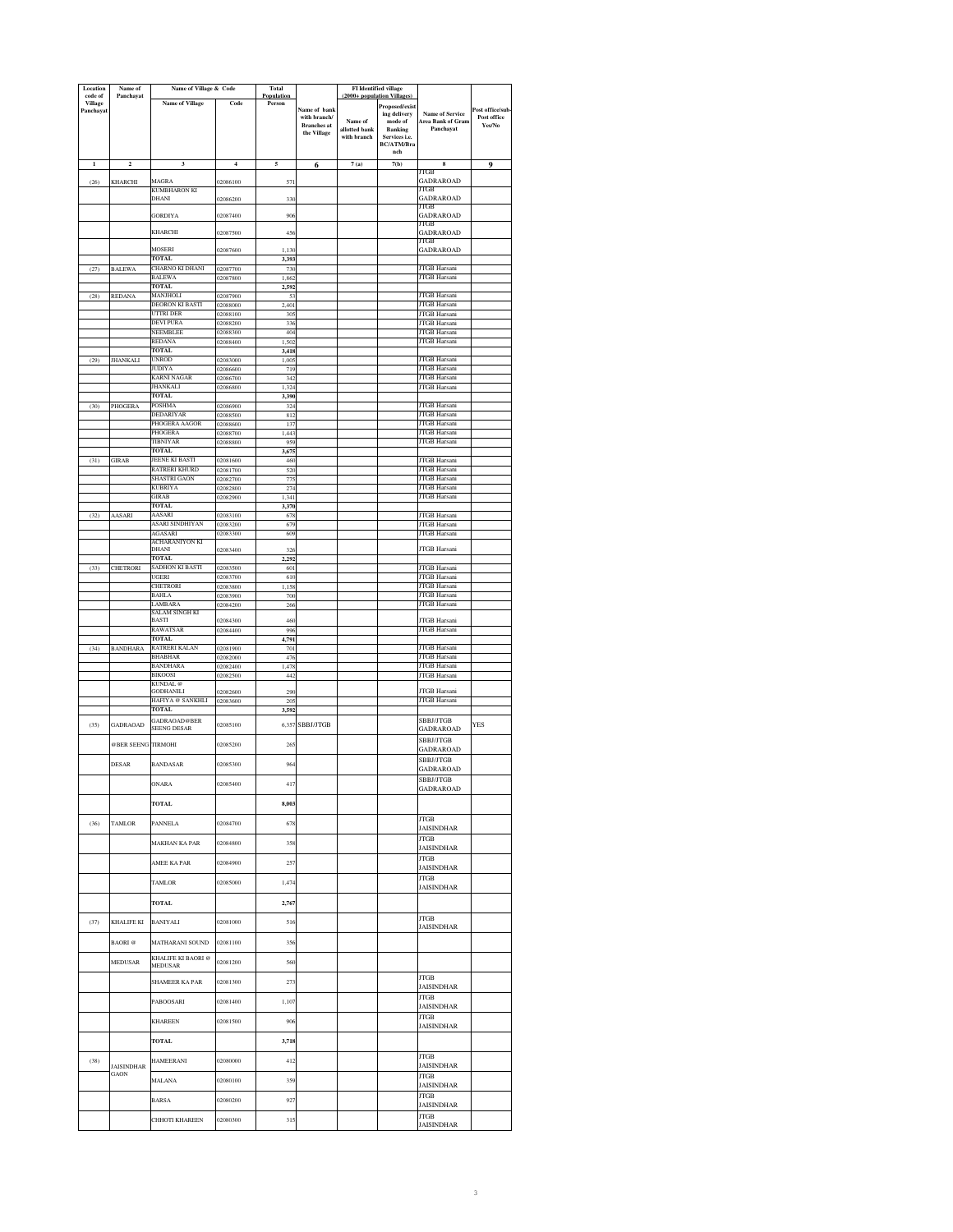| Location<br>code of         | Name of<br>Panchayat      | Name of Village & Code               |                      | Total<br>Population |                                    | FI Identified village<br>(2000+ population Villages) |                                          |                                            |                       |
|-----------------------------|---------------------------|--------------------------------------|----------------------|---------------------|------------------------------------|------------------------------------------------------|------------------------------------------|--------------------------------------------|-----------------------|
| <b>Village</b><br>Panchayat |                           | <b>Name of Village</b>               | Code                 | Person              | Name of bank                       |                                                      | <b>Proposed/exist</b>                    | <b>Name of Service</b>                     | Post office/sub       |
|                             |                           |                                      |                      |                     | with branch/<br><b>Branches</b> at | Name of                                              | ing delivery<br>$\operatorname{mode}$ of | Area Bank of Gram                          | Post office<br>Yes/No |
|                             |                           |                                      |                      |                     | the Village                        | allotted bank<br>with branch                         | <b>Banking</b><br>Services i.e.          | Panchayat                                  |                       |
|                             |                           |                                      |                      |                     |                                    |                                                      | BC/ATM/Bra<br>nch                        |                                            |                       |
| $\mathbf 1$                 | $\mathbf 2$               | $\overline{\mathbf{3}}$              | $\overline{4}$       | 5                   | 6                                  | 7(a)                                                 | 7(b)                                     | 8                                          | $\mathbf 0$           |
| (26)                        | KHARCHI                   | MAGRA                                | 02086100             | 571                 |                                    |                                                      |                                          | JTGB<br><b>GADRAROAD</b>                   |                       |
|                             |                           | KUMBHARON KI<br>DHANI                | 02086200             | 330                 |                                    |                                                      |                                          | JTGB<br>GADRAROAD                          |                       |
|                             |                           | <b>GORDIYA</b>                       | 02087400             | 906                 |                                    |                                                      |                                          | JTGB<br><b>GADRAROAD</b>                   |                       |
|                             |                           |                                      |                      |                     |                                    |                                                      |                                          | JTGB                                       |                       |
|                             |                           | KHARCHI                              | 02087500             | 456                 |                                    |                                                      |                                          | GADRAROAD<br>JTGB                          |                       |
|                             |                           | MOSERI<br><b>TOTAL</b>               | 02087600             | 1,130<br>3,393      |                                    |                                                      |                                          | <b>GADRAROAD</b>                           |                       |
| (27)                        | <b>BALEWA</b>             | CHARNO KI DHANI<br><b>BALEWA</b>     | 02087700<br>02087800 | 730<br>1,862        |                                    |                                                      |                                          | <b>JTGB</b> Harsani<br><b>JTGB</b> Harsani |                       |
|                             |                           | TOTAL.                               |                      | 2,592               |                                    |                                                      |                                          |                                            |                       |
| (28)                        | <b>REDANA</b>             | MANJHOLI<br>DEORON KI BASTI          | 02087900<br>02088000 | 53<br>2,401         |                                    |                                                      |                                          | JTGB Harsani<br><b>JTGB</b> Harsani        |                       |
|                             |                           | UTTRI DER<br>DEVI PURA               | 02088100             | 30 <sub>2</sub>     |                                    |                                                      |                                          | <b>JTGB</b> Harsani<br><b>JTGB</b> Harsani |                       |
|                             |                           | NEEMBLEE                             | 02088200<br>02088300 | 336<br>404          |                                    |                                                      |                                          | JTGB Harsani                               |                       |
|                             |                           | REDANA<br><b>TOTAL</b>               | 02088400             | 1.502<br>3.418      |                                    |                                                      |                                          | JTGB Harsani                               |                       |
| (29)                        | <b>JHANKALI</b>           | UNROD                                | 02083000             | 1,005               |                                    |                                                      |                                          | <b>JTGB</b> Harsani                        |                       |
|                             |                           | JUDIYA<br>KARNI NAGAR                | 02086600<br>02086700 | 719<br>34'          |                                    |                                                      |                                          | <b>JTGB</b> Harsani<br><b>JTGB</b> Harsani |                       |
|                             |                           | JHANKALI<br><b>TOTAL</b>             | 02086800             | 1,324<br>3,390      |                                    |                                                      |                                          | JTGB Harsani                               |                       |
| (30)                        | PHOGERA                   | <b>POSHMA</b>                        | 02086900             | 324                 |                                    |                                                      |                                          | <b>JTGB</b> Harsani                        |                       |
|                             |                           | DEDARIYAR<br>PHOGERA AAGOR           | 02088500<br>02088600 | 812<br>137          |                                    |                                                      |                                          | JTGB Harsani<br><b>JTGB Harsani</b>        |                       |
|                             |                           | PHOGERA<br><b>TIBNIYAR</b>           | 02088700<br>02088800 | 1,443<br>959        |                                    |                                                      |                                          | <b>JTGB</b> Harsani<br><b>JTGB</b> Harsani |                       |
|                             |                           | <b>TOTAL</b>                         |                      | 3,675               |                                    |                                                      |                                          |                                            |                       |
| (31)                        | <b>GIRAB</b>              | JEENE KI BASTI<br>RATRERI KHURD      | 02081600<br>12081700 | 460<br>520          |                                    |                                                      |                                          | <b>JTGB Harsani</b><br><b>JTGB Harsani</b> |                       |
|                             |                           | <b>SHASTRI GAON</b><br>KUBRIYA       | 02082700<br>02082800 | 775<br>274          |                                    |                                                      |                                          | JTGB Harsani<br><b>JTGB</b> Harsani        |                       |
|                             |                           | GIRAB                                | 02082900             | 1,341               |                                    |                                                      |                                          | JTGB Harsani                               |                       |
| (32)                        | AASARI                    | TOTAL<br>AASARI                      | 02083100             | 3,370<br>678        |                                    |                                                      |                                          | JTGB Harsani                               |                       |
|                             |                           | ASARI SINDHIYAN<br><b>AGASARI</b>    | 02083200             | 679                 |                                    |                                                      |                                          | JTGB Harsani<br><b>JTGB</b> Harsani        |                       |
|                             |                           | ACHARANIYON KI                       | 02083300             | 609                 |                                    |                                                      |                                          |                                            |                       |
|                             |                           | DHANI<br><b>TOTAL</b>                | 02083400             | 32(<br>2,292        |                                    |                                                      |                                          | JTGB Harsani                               |                       |
| (33)                        | <b>CHETRORI</b>           | SADHON KI BASTI<br>UGERI             | 02083500<br>02083700 | 601<br>610          |                                    |                                                      |                                          | JTGB Harsani<br><b>JTGB Harsani</b>        |                       |
|                             |                           | <b>HETRORI</b>                       | 02083800             | 1,158               |                                    |                                                      |                                          | <b>JTGB Harsani</b>                        |                       |
|                             |                           | BAHLA<br><b>AMBARA</b>               | 02083900<br>02084200 | 700<br>266          |                                    |                                                      |                                          | JTGB Harsani<br>JTGB Harsani               |                       |
|                             |                           | SALAM SINGH KI<br>BASTI              | 02084300             | 460                 |                                    |                                                      |                                          | <b>JTGB Harsani</b>                        |                       |
|                             |                           | RAWATSAR<br><b>TOTAL</b>             | 02084400             | 996<br>4,791        |                                    |                                                      |                                          | <b>JTGB</b> Harsani                        |                       |
| (34)                        | <b>BANDHARA</b>           | RATRERI KALAN                        | 02081900             | 701                 |                                    |                                                      |                                          | JTGB Harsani                               |                       |
|                             |                           | <b>BHABHAR</b><br>BANDHARA           | 02082000<br>02082400 | 476<br>1,478        |                                    |                                                      |                                          | <b>JTGB Harsani</b><br><b>JTGB</b> Harsani |                       |
|                             |                           | <b>BIKOOSI</b><br>KUNDAL @           | 02082500             | 442                 |                                    |                                                      |                                          | <b>JTGB</b> Harsani                        |                       |
|                             |                           | <b>GODHANILI</b><br>HAFIYA @ SANKHLI | 02082600<br>02083600 | 290<br>205          |                                    |                                                      |                                          | <b>JTGB Harsani</b><br>JTGB Harsani        |                       |
|                             |                           | TOTAL                                |                      | 3,592               |                                    |                                                      |                                          |                                            |                       |
| (35)                        | <b>GADRAOAD</b>           | GADRAOAD@BER<br><b>SEENG DESAR</b>   | 02085100             |                     | 6,357 SBBJ/JTGB                    |                                                      |                                          | <b>SBBJ/JTGB</b><br>GADRAROAD              | YES                   |
|                             | @BER SEENG                | <b>TIRMOHI</b>                       | 02085200             | 265                 |                                    |                                                      |                                          | SBBJ/JTGB                                  |                       |
|                             |                           |                                      |                      |                     |                                    |                                                      |                                          | GADRAROAD<br>SBBJ/JTGB                     |                       |
|                             | <b>DESAR</b>              | <b>BANDASAR</b>                      | 02085300             | 964                 |                                    |                                                      |                                          | <b>GADRAROAD</b>                           |                       |
|                             |                           | ONARA                                | 02085400             | 417                 |                                    |                                                      |                                          | <b>SBBJ/JTGB</b><br><b>GADRAROAD</b>       |                       |
|                             |                           | TOTAL                                |                      | 8,003               |                                    |                                                      |                                          |                                            |                       |
|                             |                           |                                      |                      |                     |                                    |                                                      |                                          | <b>JTGB</b>                                |                       |
| (36)                        | <b>TAMLOR</b>             | PANNELA                              | 02084700             | 678                 |                                    |                                                      |                                          | JAISINDHAR                                 |                       |
|                             |                           | <b>MAKHAN KA PAR</b>                 | 02084800             | 358                 |                                    |                                                      |                                          | JTGB<br><b>JAISINDHAR</b>                  |                       |
|                             |                           | AMEE KA PAR                          | 02084900             | 257                 |                                    |                                                      |                                          | <b>JTGB</b><br><b>JAISINDHAR</b>           |                       |
|                             |                           | TAMLOR                               | 02085000             | 1,474               |                                    |                                                      |                                          | <b>JTGB</b>                                |                       |
|                             |                           |                                      |                      |                     |                                    |                                                      |                                          | <b>JAISINDHAR</b>                          |                       |
|                             |                           | TOTAL                                |                      | 2,767               |                                    |                                                      |                                          |                                            |                       |
| (37)                        | KHALIFE KI                | <b>BANIYALI</b>                      | 02081000             | 516                 |                                    |                                                      |                                          | <b>JTGB</b><br><b>JAISINDHAR</b>           |                       |
|                             | <b>BAORI</b> <sup>@</sup> | MATHARANI SOUND                      | 02081100             | 356                 |                                    |                                                      |                                          |                                            |                       |
|                             | <b>MEDUSAR</b>            | KHALIFE KI BAORI @                   |                      |                     |                                    |                                                      |                                          |                                            |                       |
|                             |                           | MEDUSAR                              | 02081200             | 560                 |                                    |                                                      |                                          |                                            |                       |
|                             |                           | SHAMEER KA PAR                       | 02081300             | 273                 |                                    |                                                      |                                          | <b>JTGB</b><br>JAISINDHAR                  |                       |
|                             |                           | PABOOSARI                            | 02081400             | 1,107               |                                    |                                                      |                                          | <b>JTGB</b><br><b>JAISINDHAR</b>           |                       |
|                             |                           | <b>KHAREEN</b>                       | 02081500             | 906                 |                                    |                                                      |                                          | JTGB                                       |                       |
|                             |                           |                                      |                      |                     |                                    |                                                      |                                          | JAISINDHAR                                 |                       |
|                             |                           | <b>TOTAL</b>                         |                      | 3,718               |                                    |                                                      |                                          |                                            |                       |
| (38)                        | <b>JAISINDHAR</b>         | <b>HAMEERANI</b>                     | 02080000             | 412                 |                                    |                                                      |                                          | JTGB<br><b>JAISINDHAR</b>                  |                       |
|                             | <b>GAON</b>               | <b>MALANA</b>                        | 02080100             | 359                 |                                    |                                                      |                                          | <b>JTGB</b>                                |                       |
|                             |                           |                                      |                      |                     |                                    |                                                      |                                          | <b>JAISINDHAR</b><br>JTGB                  |                       |
|                             |                           | <b>BARSA</b>                         | 02080200             | 927                 |                                    |                                                      |                                          | JAISINDHAR                                 |                       |
|                             |                           | CHHOTI KHAREEN                       | 02080300             | 315                 |                                    |                                                      |                                          | <b>JTGB</b><br><b>JAISINDHAR</b>           |                       |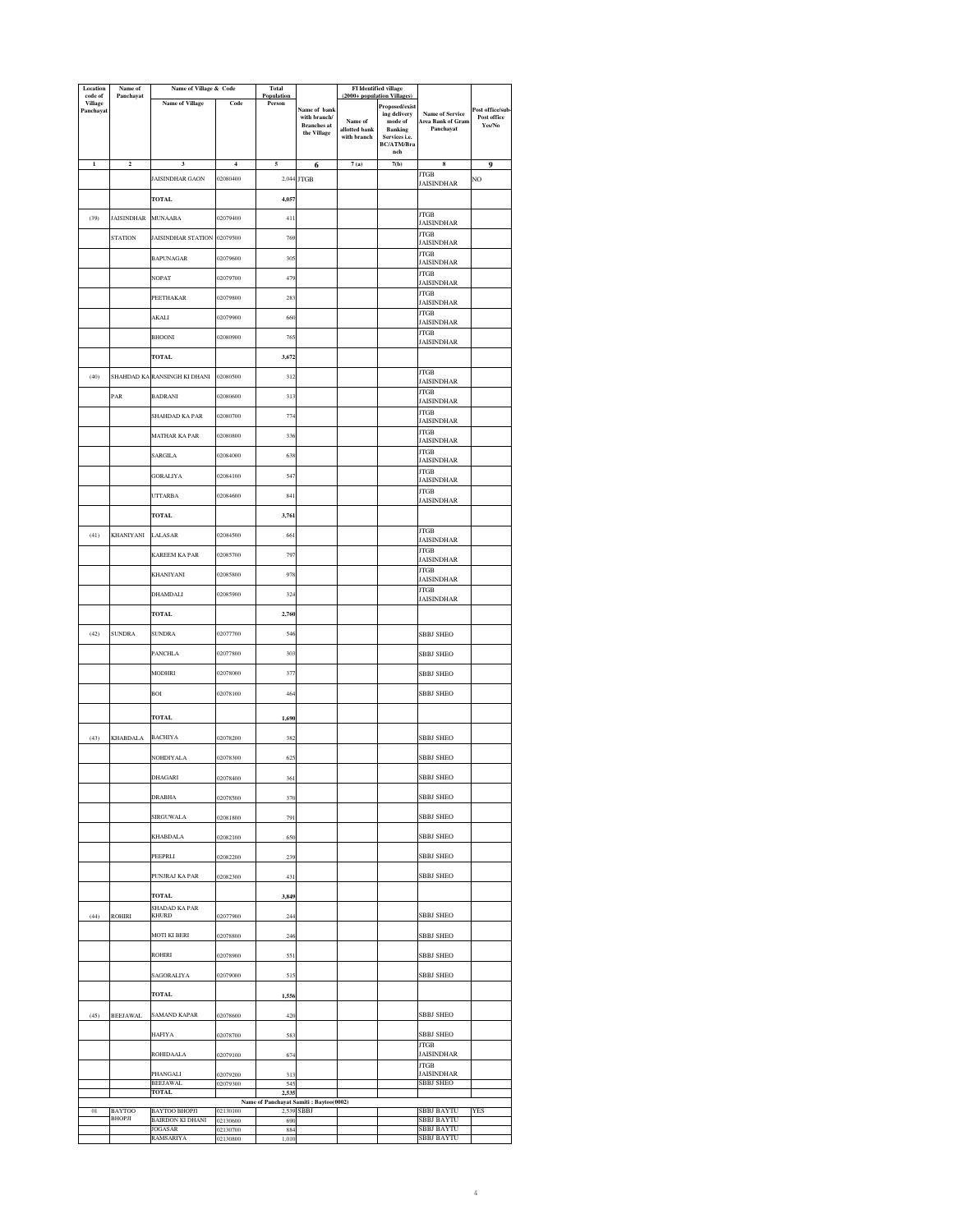| Location<br>code of         | Name of<br>Panchayat | Name of Village & Code             |                         | <b>Total</b><br>Population |                                                      | <b>FI</b> Identified village<br>(2000+ population Villages |                                 |                                             |                  |
|-----------------------------|----------------------|------------------------------------|-------------------------|----------------------------|------------------------------------------------------|------------------------------------------------------------|---------------------------------|---------------------------------------------|------------------|
| <b>Village</b><br>Panchayat |                      | <b>Name of Village</b>             | Code                    | Person                     | Name of bank                                         |                                                            | Proposed/exist                  |                                             | Post office/sub  |
|                             |                      |                                    |                         |                            | with branch/                                         | Name of                                                    | ing delivery<br>mode of         | <b>Name of Service</b><br>Area Bank of Gram | Post office      |
|                             |                      |                                    |                         |                            | <b>Branches</b> at<br>the Village                    | allotted bank<br>with branch                               | <b>Banking</b><br>Services i.e. | Panchayat                                   | ${\bf Yes/No}$   |
|                             |                      |                                    |                         |                            |                                                      |                                                            | BC/ATM/Bra                      |                                             |                  |
| $\mathbf 1$                 | $\mathbf 2$          | $\overline{\mathbf{3}}$            | $\overline{\mathbf{4}}$ | 5                          |                                                      | 7(a)                                                       | nch<br>7(b)                     | 8                                           |                  |
|                             |                      |                                    |                         |                            | 6                                                    |                                                            |                                 | <b>JTGB</b>                                 | $\boldsymbol{9}$ |
|                             |                      | JAISINDHAR GAON                    | 02080400                |                            | 2,044 JTGB                                           |                                                            |                                 | JAISINDHAR                                  | NO               |
|                             |                      | <b>TOTAL</b>                       |                         | 4,057                      |                                                      |                                                            |                                 |                                             |                  |
| (39)                        | <b>JAISINDHAR</b>    | <b>MUNAABA</b>                     | 02079400                | 411                        |                                                      |                                                            |                                 | <b>JTGB</b>                                 |                  |
|                             |                      |                                    |                         |                            |                                                      |                                                            |                                 | <b>JAISINDHAR</b><br><b>JTGB</b>            |                  |
|                             | <b>STATION</b>       | <b>JAISINDHAR STATION</b>          | 02079500                | 769                        |                                                      |                                                            |                                 | <b>JAISINDHAR</b>                           |                  |
|                             |                      | <b>BAPUNAGAR</b>                   | 02079600                | 305                        |                                                      |                                                            |                                 | JTGB<br>JAISINDHAR                          |                  |
|                             |                      | NOPAT                              | 02079700                | 479                        |                                                      |                                                            |                                 | <b>JTGB</b>                                 |                  |
|                             |                      |                                    |                         |                            |                                                      |                                                            |                                 | <b>JAISINDHAR</b>                           |                  |
|                             |                      | PEETHAKAR                          | 02079800                | 283                        |                                                      |                                                            |                                 | <b>JTGB</b><br>JAISINDHAR                   |                  |
|                             |                      | <b>AKALI</b>                       | 02079900                | 660                        |                                                      |                                                            |                                 | <b>JTGB</b>                                 |                  |
|                             |                      |                                    |                         |                            |                                                      |                                                            |                                 | <b>JAISINDHAR</b><br><b>JTGB</b>            |                  |
|                             |                      | <b>BHOONI</b>                      | 02080900                | 765                        |                                                      |                                                            |                                 | JAISINDHAR                                  |                  |
|                             |                      | <b>TOTAL</b>                       |                         | 3,672                      |                                                      |                                                            |                                 |                                             |                  |
|                             |                      |                                    | 02080500                | 312                        |                                                      |                                                            |                                 | JTGB                                        |                  |
| (40)                        |                      | SHAHDAD KA RANSINGH KI DHANI       |                         |                            |                                                      |                                                            |                                 | JAISINDHAR                                  |                  |
|                             | PAR                  | <b>BADRANI</b>                     | 02080600                | 313                        |                                                      |                                                            |                                 | <b>JTGB</b><br><b>JAISINDHAR</b>            |                  |
|                             |                      | <b>SHAHDAD KA PAR</b>              | 02080700                | 774                        |                                                      |                                                            |                                 | <b>JTGB</b>                                 |                  |
|                             |                      |                                    |                         |                            |                                                      |                                                            |                                 | JAISINDHAR<br><b>JTGB</b>                   |                  |
|                             |                      | MATHAR KA PAR                      | 02080800                | 336                        |                                                      |                                                            |                                 | <b>JAISINDHAR</b>                           |                  |
|                             |                      | SARGILA                            | 02084000                | 638                        |                                                      |                                                            |                                 | <b>JTGB</b>                                 |                  |
|                             |                      |                                    |                         |                            |                                                      |                                                            |                                 | JAISINDHAR<br><b>JTGB</b>                   |                  |
|                             |                      | <b>GORALIYA</b>                    | 02084100                | 547                        |                                                      |                                                            |                                 | <b>JAISINDHAR</b>                           |                  |
|                             |                      | <b>UTTARBA</b>                     | 02084600                | 841                        |                                                      |                                                            |                                 | <b>JTGB</b><br>JAISINDHAR                   |                  |
|                             |                      | TOTAL                              |                         | 3,761                      |                                                      |                                                            |                                 |                                             |                  |
|                             |                      |                                    |                         |                            |                                                      |                                                            |                                 | <b>JTGB</b>                                 |                  |
| (41)                        | KHANIYANI            | LALASAR                            | 02084500                | 661                        |                                                      |                                                            |                                 | <b>JAISINDHAR</b>                           |                  |
|                             |                      | KAREEM KA PAR                      | 02085700                | 797                        |                                                      |                                                            |                                 | <b>JTGB</b><br>JAISINDHAR                   |                  |
|                             |                      |                                    |                         | 978                        |                                                      |                                                            |                                 | <b>JTGB</b>                                 |                  |
|                             |                      | <b>KHANIYANI</b>                   | 02085800                |                            |                                                      |                                                            |                                 | <b>JAISINDHAR</b>                           |                  |
|                             |                      | DHAMDALI                           | 02085900                | 324                        |                                                      |                                                            |                                 | <b>JTGB</b><br><b>JAISINDHAR</b>            |                  |
|                             |                      | TOTAL                              |                         | 2,760                      |                                                      |                                                            |                                 |                                             |                  |
|                             |                      |                                    |                         |                            |                                                      |                                                            |                                 |                                             |                  |
| (42)                        | <b>SUNDRA</b>        | <b>SUNDRA</b>                      | 02077700                | 546                        |                                                      |                                                            |                                 | <b>SBBJ SHEO</b>                            |                  |
|                             |                      | <b>PANCHLA</b>                     | 02077800                | 303                        |                                                      |                                                            |                                 | <b>SBBJ SHEO</b>                            |                  |
|                             |                      |                                    |                         |                            |                                                      |                                                            |                                 |                                             |                  |
|                             |                      | MODHRI                             | 02078000                | 37'                        |                                                      |                                                            |                                 | <b>SBBJ SHEO</b>                            |                  |
|                             |                      | BOI                                | 02078100                | 464                        |                                                      |                                                            |                                 | <b>SBBJ SHEO</b>                            |                  |
|                             |                      |                                    |                         |                            |                                                      |                                                            |                                 |                                             |                  |
|                             |                      | TOTAL                              |                         | 1,690                      |                                                      |                                                            |                                 |                                             |                  |
| (43)                        | <b>KHABDALA</b>      | <b>BACHIYA</b>                     | 02078200                | 382                        |                                                      |                                                            |                                 | <b>SBBJ SHEO</b>                            |                  |
|                             |                      |                                    |                         |                            |                                                      |                                                            |                                 |                                             |                  |
|                             |                      | NOHDIYALA                          | 02078300                | 62                         |                                                      |                                                            |                                 | SBBJ SHEO                                   |                  |
|                             |                      | <b>DHAGARI</b>                     | 02078400                | 361                        |                                                      |                                                            |                                 | <b>SBBJ SHEO</b>                            |                  |
|                             |                      | <b>DRABHA</b>                      | 02078500                | 370                        |                                                      |                                                            |                                 | SBBJ SHEO                                   |                  |
|                             |                      |                                    |                         |                            |                                                      |                                                            |                                 |                                             |                  |
|                             |                      | <b>SIRGUWALA</b>                   | 02081800                | 791                        |                                                      |                                                            |                                 | <b>SBBJ SHEO</b>                            |                  |
|                             |                      | KHABDALA                           | 02082100                | 650                        |                                                      |                                                            |                                 | <b>SBBJ SHEO</b>                            |                  |
|                             |                      | PEEPRLI                            | 02082200                | 239                        |                                                      |                                                            |                                 | <b>SBBJ SHEO</b>                            |                  |
|                             |                      |                                    |                         |                            |                                                      |                                                            |                                 |                                             |                  |
|                             |                      | PUNJRAJ KA PAR                     | 02082300                | 431                        |                                                      |                                                            |                                 | <b>SBBJ SHEO</b>                            |                  |
|                             |                      | <b>TOTAL</b>                       |                         | 3,849                      |                                                      |                                                            |                                 |                                             |                  |
|                             |                      | <b>SHADAD KA PAR</b>               |                         |                            |                                                      |                                                            |                                 |                                             |                  |
| (44)                        | <b>ROHIRI</b>        | <b>KHURD</b>                       | 02077900                | 244                        |                                                      |                                                            |                                 | <b>SBBJ SHEO</b>                            |                  |
|                             |                      | <b>MOTI KI BERI</b>                | 02078800                | 246                        |                                                      |                                                            |                                 | <b>SBBJ SHEO</b>                            |                  |
|                             |                      | ROHIRI                             | 02078900                | 551                        |                                                      |                                                            |                                 | SBBJ SHEO                                   |                  |
|                             |                      |                                    |                         |                            |                                                      |                                                            |                                 |                                             |                  |
|                             |                      | SAGORALIYA                         | 02079000                | 515                        |                                                      |                                                            |                                 | <b>SBBJ SHEO</b>                            |                  |
|                             |                      | <b>TOTAL</b>                       |                         | 1,556                      |                                                      |                                                            |                                 |                                             |                  |
|                             |                      | SAMAND KAPAR                       | 02078600                | 420                        |                                                      |                                                            |                                 | <b>SBBJ SHEO</b>                            |                  |
| (45)                        | <b>BEEJAWAL</b>      |                                    |                         |                            |                                                      |                                                            |                                 |                                             |                  |
|                             |                      | <b>HAFIYA</b>                      | 02078700                | 583                        |                                                      |                                                            |                                 | <b>SBBJ SHEO</b>                            |                  |
|                             |                      | <b>ROHIDAALA</b>                   | 02079100                | 674                        |                                                      |                                                            |                                 | <b>JTGB</b><br><b>JAISINDHAR</b>            |                  |
|                             |                      |                                    |                         |                            |                                                      |                                                            |                                 | <b>JTGB</b>                                 |                  |
|                             |                      | PHANGALI<br><b>BEEJAWAL</b>        | 02079200<br>02079300    | 313<br>545                 |                                                      |                                                            |                                 | <b>JAISINDHAR</b><br><b>SBBJ SHEO</b>       |                  |
|                             |                      | <b>TOTAL</b>                       |                         | 2.535                      |                                                      |                                                            |                                 |                                             |                  |
| 01                          | <b>BAYTOO</b>        | <b>BAYTOO BHOPJI</b>               | 02130100                |                            | Name of Panchayat Samiti: Baytoo(0002)<br>2,539 SBBJ |                                                            |                                 | <b>SBBJ BAYTU</b>                           | YES              |
|                             | <b>BHOPJI</b>        | <b>BAIRDON KI DHANI</b><br>JOGASAR | 02130600<br>02130700    | 690<br>884                 |                                                      |                                                            |                                 | <b>SBBJ BAYTU</b><br><b>SBBJ BAYTU</b>      |                  |
|                             |                      | RAMSARIYA                          | 02130800                | 1,010                      |                                                      |                                                            |                                 | <b>SBBJ BAYTU</b>                           |                  |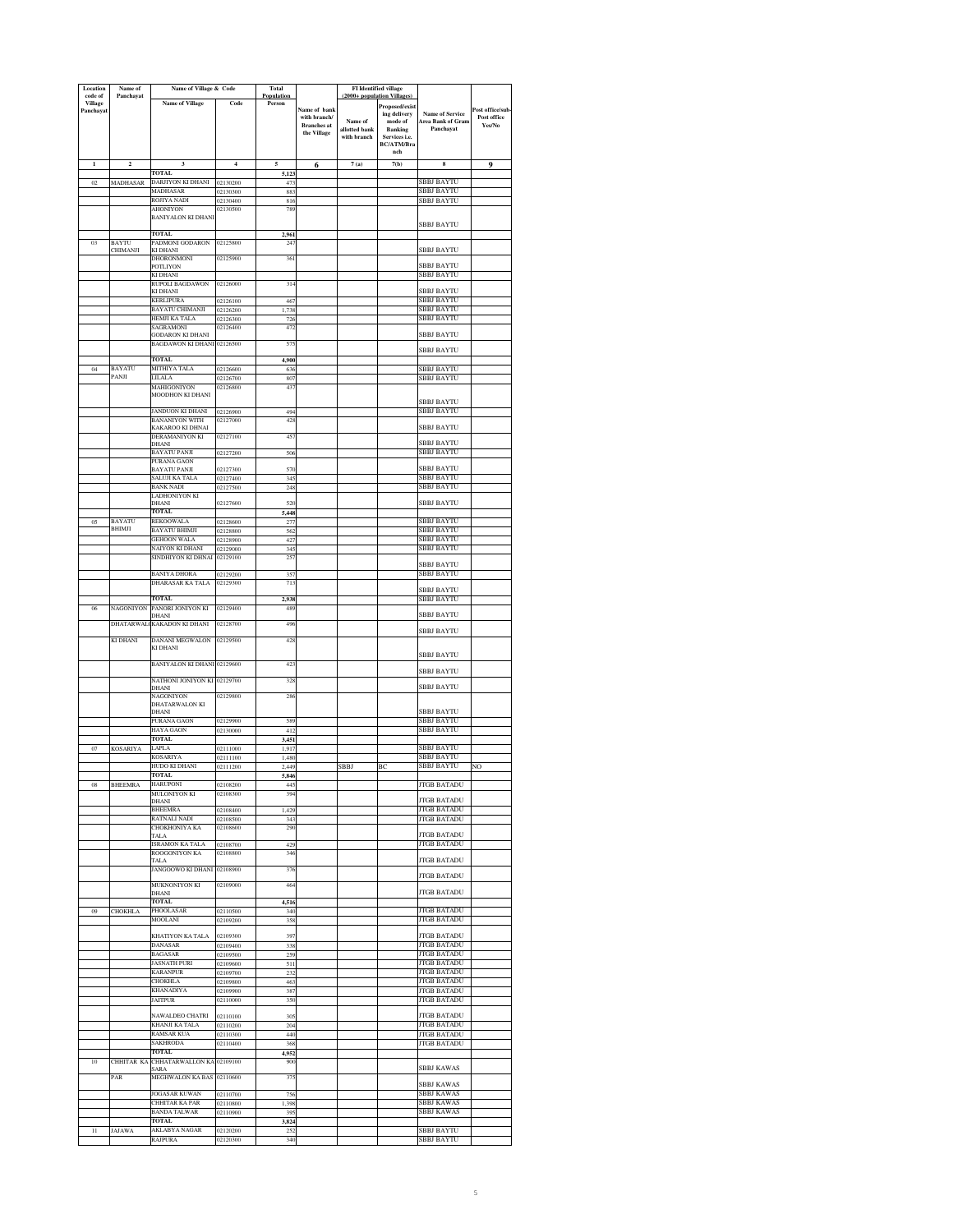| Location<br>code of | Name of<br>Panchayat    | Name of Village & Code                                |                      | <b>Total</b><br>Population |                                   | <b>FI</b> Identified village<br>(2000+ population Villages) |                             |                                             |                                |
|---------------------|-------------------------|-------------------------------------------------------|----------------------|----------------------------|-----------------------------------|-------------------------------------------------------------|-----------------------------|---------------------------------------------|--------------------------------|
| Village             |                         | <b>Name of Village</b>                                | Code                 | Person                     |                                   |                                                             | Proposed/exist              |                                             |                                |
| Panchayat           |                         |                                                       |                      |                            | Name of bank<br>with branch/      | Name of                                                     | ing delivery<br>mode of     | <b>Name of Service</b><br>Area Bank of Gram | Post office/sub<br>Post office |
|                     |                         |                                                       |                      |                            | <b>Branches</b> at<br>the Village | allotted bank                                               | <b>Banking</b>              | Panchavat                                   | Yes/No                         |
|                     |                         |                                                       |                      |                            |                                   | with branch                                                 | Services i.e.<br>BC/ATM/Bra |                                             |                                |
|                     |                         |                                                       |                      |                            |                                   |                                                             | nch                         |                                             |                                |
| $\mathbf{I}$        | $\overline{\mathbf{c}}$ | $\overline{\mathbf{3}}$<br><b>TOTAL</b>               | $\overline{4}$       | 5                          | 6                                 | 7(a)                                                        | 7(b)                        | $\bf{8}$                                    | $\boldsymbol{9}$               |
| 02                  | <b>MADHASAR</b>         | DARJIYON KI DHANI                                     | 02130200             | 5,123<br>473               |                                   |                                                             |                             | BBJ BAYTU                                   |                                |
|                     |                         | <b>MADHASAR</b>                                       | 02130300             | 883                        |                                   |                                                             |                             | SBBJ BAYTU                                  |                                |
|                     |                         | ROJIYA NADI<br>AHONIYON                               | 02130400<br>02130500 | 816<br>789                 |                                   |                                                             |                             | <b>SBBJ BAYTU</b>                           |                                |
|                     |                         | <b>BANIYALON KI DHANI</b>                             |                      |                            |                                   |                                                             |                             | <b>SBBJ BAYTU</b>                           |                                |
|                     |                         | <b>TOTAL</b>                                          |                      | 2.961                      |                                   |                                                             |                             |                                             |                                |
| 0 <sub>3</sub>      | BAYTU<br>CHIMANJI       | PADMONI GODARON<br>KI DHANI                           | 02125800             | 24'                        |                                   |                                                             |                             | <b>SBBJ BAYTU</b>                           |                                |
|                     |                         | DHORONMONI                                            | 02125900             | 361                        |                                   |                                                             |                             |                                             |                                |
|                     |                         | <b>POTLIYON</b><br>KI DHANI                           |                      |                            |                                   |                                                             |                             | SBBJ BAYTU<br><b>SBBJ BAYTU</b>             |                                |
|                     |                         | <b>RUPOLI BAGDAWON</b>                                | 02126000             | 314                        |                                   |                                                             |                             | SBBJ BAYTU                                  |                                |
|                     |                         | KI DHANI<br>KERLIPURA                                 | 02126100             | 467                        |                                   |                                                             |                             | <b>SBBJ BAYTU</b>                           |                                |
|                     |                         | BAYATU CHIMANJI                                       | 02126200             | 1,738                      |                                   |                                                             |                             | SBBJ BAYTU                                  |                                |
|                     |                         | HEMJI KA TALA<br>SAGRAMONI                            | 02126300<br>02126400 | 726<br>472                 |                                   |                                                             |                             | SBBJ BAYTU                                  |                                |
|                     |                         | <b>GODARON KI DHANI</b><br>BAGDAWON KI DHANI 02126500 |                      | 575                        |                                   |                                                             |                             | SBBJ BAYTU                                  |                                |
|                     |                         |                                                       |                      |                            |                                   |                                                             |                             | <b>SBBJ BAYTU</b>                           |                                |
| 04                  | BAYATU                  | <b>TOTAL</b><br>MITHIYA TALA                          | 02126600             | 4,900<br>636               |                                   |                                                             |                             | SBBJ BAYTU                                  |                                |
|                     | PANJI                   | LILALA                                                | 02126700             | 807                        |                                   |                                                             |                             | SBBJ BAYTU                                  |                                |
|                     |                         | MAHIGONIYON<br><b>MOODHON KI DHANI</b>                | 02126800             | 437                        |                                   |                                                             |                             |                                             |                                |
|                     |                         | JANDUON KI DHANI                                      | 02126900             | 494                        |                                   |                                                             |                             | <b>SBBI BAYTU</b><br>SBBJ BAYTU             |                                |
|                     |                         | BANANIYON WITH                                        | 02127000             | 42                         |                                   |                                                             |                             |                                             |                                |
|                     |                         | KAKAROO KI DHNAI<br>DERAMANIYON KI                    | 02127100             | 457                        |                                   |                                                             |                             | SBBJ BAYTU                                  |                                |
|                     |                         | DHANI                                                 |                      |                            |                                   |                                                             |                             | <b>SBBJ BAYTU</b>                           |                                |
|                     |                         | <b>BAYATU PANJI</b><br>PURANA GAON                    | 02127200             | 506                        |                                   |                                                             |                             | SBBJ BAYTU                                  |                                |
|                     |                         | <b>BAYATU PANJI</b>                                   | 02127300             | 570                        |                                   |                                                             |                             | SBBJ BAYTU<br>SBBJ BAYTU                    |                                |
|                     |                         | SALUJI KA TALA<br><b>BANK NADI</b>                    | 02127400<br>02127500 | 34:<br>248                 |                                   |                                                             |                             | SBBJ BAYTU                                  |                                |
|                     |                         | LADHONIYON KI<br>DHANI                                | 02127600             | 520                        |                                   |                                                             |                             | <b>SBBJ BAYTU</b>                           |                                |
|                     |                         | <b>TOTAL</b>                                          |                      | 5,448                      |                                   |                                                             |                             |                                             |                                |
| 05                  | BAYATU<br>BHIMJI        | <b>REKOOWALA</b><br>BAYATU BHIMJI                     | 02128600<br>02128800 | 277<br>562                 |                                   |                                                             |                             | <b>SBBI BAYTU</b><br>SBBJ BAYTU             |                                |
|                     |                         | GEHOON WALA                                           | 02128900             | 427                        |                                   |                                                             |                             | SBBJ BAYTU                                  |                                |
|                     |                         | NAIYON KI DHANI<br>SINDHIYON KI DHNAI                 | 02129000<br>02129100 | 345<br>257                 |                                   |                                                             |                             | SBBJ BAYTU                                  |                                |
|                     |                         |                                                       |                      |                            |                                   |                                                             |                             | <b>SBBJ BAYTU</b><br>SBBJ BAYTU             |                                |
|                     |                         | <b>BANIYA DHORA</b><br>DHARASAR KA TALA               | 02129200<br>02129300 | 357<br>713                 |                                   |                                                             |                             |                                             |                                |
|                     |                         | <b>TOTAL</b>                                          |                      | 2,938                      |                                   |                                                             |                             | SBBJ BAYTU<br>SBBJ BAYTU                    |                                |
| 06                  | NAGONIYON               | PANORI JONIYON KI                                     | 02129400             | 489                        |                                   |                                                             |                             |                                             |                                |
|                     |                         | DHANI<br>DHATARWAL (KAKADON KI DHANI                  | 02128700             | 496                        |                                   |                                                             |                             | SBBJ BAYTU                                  |                                |
|                     | KI DHANI                | DANANI MEGWALON                                       | 02129500             | 428                        |                                   |                                                             |                             | SBBJ BAYTU                                  |                                |
|                     |                         | KI DHANI                                              |                      |                            |                                   |                                                             |                             | SBBJ BAYTU                                  |                                |
|                     |                         | BANIYALON KI DHANI 02129600                           |                      | 423                        |                                   |                                                             |                             |                                             |                                |
|                     |                         | NATHONI JONIYON KI 02129700                           |                      | 328                        |                                   |                                                             |                             | SBBJ BAYTU                                  |                                |
|                     |                         | DHANI<br>NAGONIYON                                    | 02129800             | 286                        |                                   |                                                             |                             | SBBJ BAYTU                                  |                                |
|                     |                         | DHATARWALON KI<br>DHANI                               |                      |                            |                                   |                                                             |                             | <b>SBBJ BAYTU</b>                           |                                |
|                     |                         | PURANA GAON                                           | 02129900             | 589                        |                                   |                                                             |                             | SBBJ BAYTU                                  |                                |
|                     |                         | HAYA GAON<br>TOTAL                                    | 02130000             | 41.<br>3,451               |                                   |                                                             |                             | SBBJ BAYTU                                  |                                |
| 07                  | <b>KOSARIYA</b>         | <b>APLA</b>                                           | 02111000             | 1,917                      |                                   |                                                             |                             | SBBJ BAYTU                                  |                                |
|                     |                         | KOSARIYA<br>HUDO KI DHANI                             | 02111100             | 1,480                      |                                   |                                                             |                             | SBBJ BAYTU<br>SBBI BAYTU                    |                                |
|                     |                         | TOTAL                                                 | 02111200             | 2,449<br>5,846             |                                   | SBBJ                                                        | BC                          |                                             | NO                             |
| 08                  | <b>BHEEMRA</b>          | <b>HARUPONI</b>                                       | 02108200             | 445                        |                                   |                                                             |                             | JTGB BATADU                                 |                                |
|                     |                         | MULONIYON KI<br>DHANI                                 | 02108300             | 394                        |                                   |                                                             |                             | <b>JTGB BATADU</b>                          |                                |
|                     |                         | <b>BHEEMRA</b><br>RATNALI NADI                        | 02108400<br>02108500 | 1,429<br>343               |                                   |                                                             |                             | JTGB BATADU<br>JTGB BATADU                  |                                |
|                     |                         | CHOKHONIYA KA                                         | 02108600             | 290                        |                                   |                                                             |                             |                                             |                                |
|                     |                         | <b>TALA</b><br>ISRAMON KA TALA                        | 02108700             | 429                        |                                   |                                                             |                             | <b>JTGB BATADU</b><br><b>JTGB BATADU</b>    |                                |
|                     |                         | ROOGONIYON KA<br>TALA                                 | 02108800             | 346                        |                                   |                                                             |                             | <b>JTGB BATADU</b>                          |                                |
|                     |                         | JANGOOWO KI DHANI                                     | 02108900             | 376                        |                                   |                                                             |                             |                                             |                                |
|                     |                         | MUKNONIYON KI                                         | 02109000             | 464                        |                                   |                                                             |                             | <b>JTGB BATADU</b>                          |                                |
|                     |                         | DHANI<br><b>TOTAL</b>                                 |                      | 4,516                      |                                   |                                                             |                             | JTGB BATADU                                 |                                |
| 09                  | <b>CHOKHLA</b>          | PHOOLASAR                                             | 02110500             | 340                        |                                   |                                                             |                             | <b>JTGB BATADU</b>                          |                                |
|                     |                         | MOOLANI                                               | 02109200             | 358                        |                                   |                                                             |                             | <b>JTGB BATADU</b>                          |                                |
|                     |                         | KHATIYON KA TALA<br><b>DANASAR</b>                    | 02109300<br>02109400 | 397<br>338                 |                                   |                                                             |                             | <b>JTGB BATADU</b><br><b>JTGB BATADU</b>    |                                |
|                     |                         | <b>BAGASAR</b>                                        | 02109500             | 259                        |                                   |                                                             |                             | <b>JTGB BATADU</b>                          |                                |
|                     |                         | <b>JASNATH PURI</b><br>KARANPUR                       | 02109600<br>02109700 | 511<br>232                 |                                   |                                                             |                             | <b>JTGB BATADU</b><br><b>JTGB BATADU</b>    |                                |
|                     |                         | CHOKHLA                                               | 02109800             | 463                        |                                   |                                                             |                             | <b>JTGB BATADU</b>                          |                                |
|                     |                         | KHANADIYA<br><b>JAITPUR</b>                           | 02109900<br>02110000 | 387<br>350                 |                                   |                                                             |                             | <b>JTGB BATADU</b><br>JTGB BATADU           |                                |
|                     |                         | <b>NAWALDEO CHATRI</b>                                |                      |                            |                                   |                                                             |                             |                                             |                                |
|                     |                         | KHANJI KA TALA                                        | 02110100<br>02110200 | 305<br>204                 |                                   |                                                             |                             | <b>JTGB BATADU</b><br><b>JTGB BATADU</b>    |                                |
|                     |                         | <b>RAMSAR KUA</b>                                     | 02110300             | 440                        |                                   |                                                             |                             | <b>JTGB BATADU</b>                          |                                |
|                     |                         | SAKHRODA<br><b>TOTAL</b>                              | 02110400             | 368<br>4,952               |                                   |                                                             |                             | <b>JTGB BATADU</b>                          |                                |
| 10                  | CHHITAR KA              | CHHATARWALLON KA<br>SARA                              | 02109100             | 900                        |                                   |                                                             |                             | <b>SBBJ KAWAS</b>                           |                                |
|                     | PAR                     | MEGHWALON KA BAS                                      | 02110600             | 375                        |                                   |                                                             |                             | SBBJ KAWAS                                  |                                |
|                     |                         | <b>IOGASAR KUWAN</b>                                  | 02110700             | 756                        |                                   |                                                             |                             | SBBJ KAWAS                                  |                                |
|                     |                         | CHHITAR KA PAR<br><b>BANDA TALWAR</b>                 | 02110800<br>02110900 | 1,398<br>395               |                                   |                                                             |                             | SBBJ KAWAS<br>SBBJ KAWAS                    |                                |
|                     |                         | <b>TOTAL</b>                                          |                      | 3,824                      |                                   |                                                             |                             |                                             |                                |
| 11                  | <b>JAJAWA</b>           | AKLABYA NAGAR<br>RAJPURA                              | 02120200<br>02120300 | 252<br>340                 |                                   |                                                             |                             | SBBJ BAYTU<br>SBBJ BAYTU                    |                                |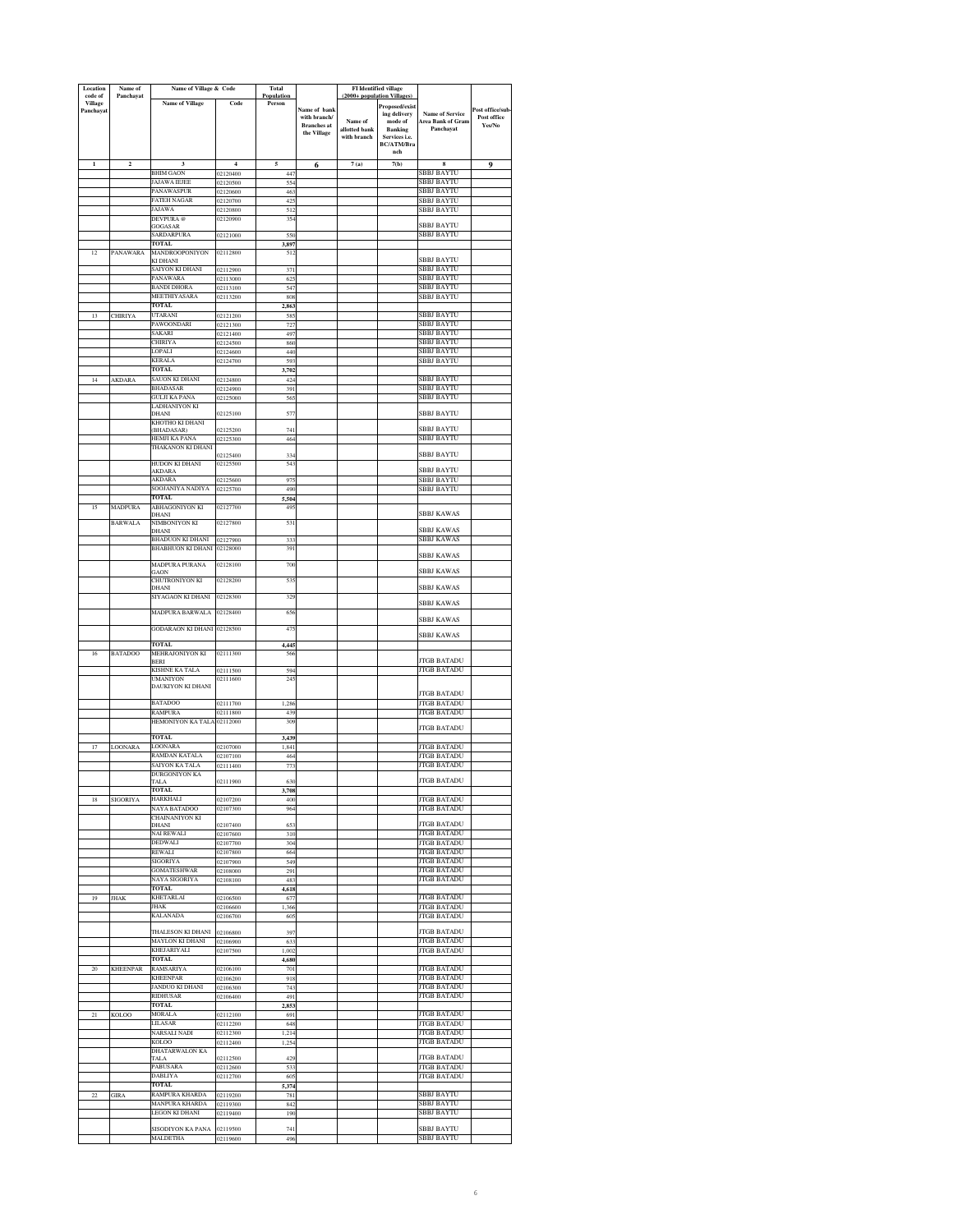| Location<br>code of | Name of<br>Panchayat    | Name of Village & Code                |                      | <b>Total</b><br>Population |                                   | (2000+ population Villages | <b>FI</b> Identified village |                                             |                                 |
|---------------------|-------------------------|---------------------------------------|----------------------|----------------------------|-----------------------------------|----------------------------|------------------------------|---------------------------------------------|---------------------------------|
| <b>Village</b>      |                         | <b>Name of Village</b>                | Code                 | Person                     |                                   |                            | Proposed/exist               |                                             |                                 |
| Panchayat           |                         |                                       |                      |                            | Name of bank<br>with branch/      | Name of                    | ing delivery<br>mode of      | <b>Name of Service</b><br>Area Bank of Gram | Post office/sub-<br>Post office |
|                     |                         |                                       |                      |                            | <b>Branches</b> at<br>the Village | allotted bank              | <b>Banking</b>               | Panchavat                                   | Yes/No                          |
|                     |                         |                                       |                      |                            |                                   | with branch                | Services i.e.<br>BC/ATM/Bra  |                                             |                                 |
|                     |                         |                                       |                      |                            |                                   |                            | nch                          |                                             |                                 |
| $\mathbf{1}$        | $\overline{\mathbf{c}}$ | 3                                     | $\overline{4}$       | 5                          | 6                                 | 7(a)                       | 7(b)                         | $\bf{8}$                                    | 9                               |
|                     |                         | <b>BHIM GAON</b><br>JAJAWA IEJEE      | 02120400<br>02120500 | 441<br>554                 |                                   |                            |                              | SBBJ BAYTU<br>SBBJ BAYTU                    |                                 |
|                     |                         | PANAWASPUR                            | 02120600             | 463                        |                                   |                            |                              | SBBJ BAYTU                                  |                                 |
|                     |                         | <b>FATEH NAGAR</b>                    | 02120700             | 425                        |                                   |                            |                              | SBBJ BAYTU                                  |                                 |
|                     |                         | JAJAWA<br><b>DEVPURA</b> @            | 02120800<br>02120900 | 51.<br>354                 |                                   |                            |                              | <b>SBBJ BAYTU</b>                           |                                 |
|                     |                         | GOGASAR                               |                      |                            |                                   |                            |                              | SBBJ BAYTU                                  |                                 |
|                     |                         | SARDARPURA<br>TOTAL                   | 02121000             | 550<br>3,897               |                                   |                            |                              | SBBJ BAYTU                                  |                                 |
| 12                  | <b>PANAWARA</b>         | MANDROOPONIYON                        | 02112800             | 512                        |                                   |                            |                              |                                             |                                 |
|                     |                         | KI DHANI<br>SAIYON KI DHANI           | 02112900             | 371                        |                                   |                            |                              | <b>SBBJ BAYTU</b><br>SBBJ BAYTU             |                                 |
|                     |                         | PANAWARA                              | 02113000             | 62:                        |                                   |                            |                              | SBBJ BAYTU                                  |                                 |
|                     |                         | <b>BANDI DHORA</b>                    | 02113100             | 547                        |                                   |                            |                              | SBBJ BAYTU                                  |                                 |
|                     |                         | MEETHIYASARA<br><b>TOTAL</b>          | 02113200             | 808<br>2,863               |                                   |                            |                              | SBBJ BAYTU                                  |                                 |
| 13                  | <b>CHIRIYA</b>          | UTARANI                               | 02121200             | 585                        |                                   |                            |                              | SBBJ BAYTU                                  |                                 |
|                     |                         | PAWOONDARI<br>SAKARI                  | 02121300             | 727<br>497                 |                                   |                            |                              | <b>BBJ BAYTU</b><br>SBBJ BAYTU              |                                 |
|                     |                         | <b>CHIRIYA</b>                        | 02121400<br>02124500 | 860                        |                                   |                            |                              | BBJ BAYTU                                   |                                 |
|                     |                         | LOPALI                                | 02124600             | 440                        |                                   |                            |                              | <b>BBJ BAYTU</b>                            |                                 |
|                     |                         | <b>KERALA</b><br><b>TOTAL</b>         | 02124700             | 593                        |                                   |                            |                              | SBBJ BAYTU                                  |                                 |
| 14                  | AKDARA                  | SAUON KI DHANI                        | 02124800             | 3,702<br>424               |                                   |                            |                              | <b>SBBJ BAYTU</b>                           |                                 |
|                     |                         | <b>BHADASAR</b>                       | 02124900             | 391                        |                                   |                            |                              | SBBJ BAYTU                                  |                                 |
|                     |                         | GULJI KA PANA<br>LADHANIYON KI        | 02125000             | 565                        |                                   |                            |                              | SBBJ BAYTU                                  |                                 |
|                     |                         | DHANI                                 | 02125100             | 577                        |                                   |                            |                              | SBBJ BAYTU                                  |                                 |
|                     |                         | KHOTHO KI DHANI<br>(BHADASAR)         | 02125200             | 74                         |                                   |                            |                              | <b>SBBJ BAYTU</b>                           |                                 |
|                     |                         | HEMJI KA PANA                         | 02125300             | 464                        |                                   |                            |                              | <b>SBBJ BAYTU</b>                           |                                 |
|                     |                         | THAKANON KI DHANI                     | 02125400             | 334                        |                                   |                            |                              | SBBJ BAYTU                                  |                                 |
|                     |                         | HUDON KI DHANI                        | 02125500             | 54                         |                                   |                            |                              |                                             |                                 |
|                     |                         | AKDARA<br>AKDARA                      | 02125600             | 97:                        |                                   |                            |                              | SBBJ BAYTU<br>SBBJ BAYTU                    |                                 |
|                     |                         | SOOJANIYA NADIYA                      | 02125700             | 490                        |                                   |                            |                              | SBBJ BAYTU                                  |                                 |
| 15                  | <b>MADPURA</b>          | TOTAL<br><b>ABHAGONIYON KI</b>        | 02127700             | 5,504<br>49:               |                                   |                            |                              |                                             |                                 |
|                     |                         | DHANI                                 |                      |                            |                                   |                            |                              | <b>SBBJ KAWAS</b>                           |                                 |
|                     | <b>BARWALA</b>          | NIMBONIYON KI<br>DHANI                | 02127800             | 531                        |                                   |                            |                              | <b>SBBJ KAWAS</b>                           |                                 |
|                     |                         | <b>BHADUON KI DHANI</b>               | 02127900             | 333                        |                                   |                            |                              | <b>SBBJ KAWAS</b>                           |                                 |
|                     |                         | <b>BHABHUON KI DHANI</b>              | 02128000             | 391                        |                                   |                            |                              | <b>SBBJ KAWAS</b>                           |                                 |
|                     |                         | MADPURA PURANA                        | 02128100             | 700                        |                                   |                            |                              |                                             |                                 |
|                     |                         | GAON<br>CHUTRONIYON KI                | 02128200             | 53.                        |                                   |                            |                              | <b>SBBJ KAWAS</b>                           |                                 |
|                     |                         | DHANI                                 |                      |                            |                                   |                            |                              | <b>SBBJ KAWAS</b>                           |                                 |
|                     |                         | SIYAGAON KI DHANI                     | 02128300             | 329                        |                                   |                            |                              | SBBJ KAWAS                                  |                                 |
|                     |                         | MADPURA BARWALA                       | 02128400             | 656                        |                                   |                            |                              |                                             |                                 |
|                     |                         | GODARAON KI DHANI 02128500            |                      | 47:                        |                                   |                            |                              | SBBJ KAWAS                                  |                                 |
|                     |                         |                                       |                      |                            |                                   |                            |                              | SBBJ KAWAS                                  |                                 |
| 16                  | <b>BATADOO</b>          | <b>TOTAL</b><br>MEHRAJONIYON KI       | 02111300             | 4.445<br>560               |                                   |                            |                              |                                             |                                 |
|                     |                         | <b>BERI</b>                           |                      |                            |                                   |                            |                              | <b>TGB BATADU</b>                           |                                 |
|                     |                         | KISHNE KA TALA<br><b>UMANIYON</b>     | 02111500<br>02111600 | 594<br>245                 |                                   |                            |                              | <b>JTGB BATADU</b>                          |                                 |
|                     |                         | DAUKIYON KI DHANI                     |                      |                            |                                   |                            |                              |                                             |                                 |
|                     |                         | <b>BATADOO</b>                        | 02111700             | 1,286                      |                                   |                            |                              | <b>JTGB BATADU</b><br><b>JTGB BATADU</b>    |                                 |
|                     |                         | <b>RAMPURA</b>                        | 02111800             | 439                        |                                   |                            |                              | <b>JTGB BATADU</b>                          |                                 |
|                     |                         | HEMONIYON KA TALA                     | 02112000             | 309                        |                                   |                            |                              | <b>JTGB BATADU</b>                          |                                 |
|                     |                         | <b>TOTAL</b>                          |                      | 3,439                      |                                   |                            |                              |                                             |                                 |
| 17                  | <b>LOONARA</b>          | LOONARA                               | 02107000             | 1.84                       |                                   |                            |                              | <b>JTGB BATADU</b>                          |                                 |
|                     |                         | RAMDAN KATALA<br>SAIYON KA TALA       | 02107100<br>02111400 | 464<br>77.                 |                                   |                            |                              | <b>JTGB BATADU</b><br><b>JTGB BATADU</b>    |                                 |
|                     |                         | <b>DURGONIYON KA</b>                  |                      |                            |                                   |                            |                              |                                             |                                 |
|                     |                         | TOTAL                                 |                      | 631<br>3,708               |                                   |                            |                              | <b>TGB BATADI</b>                           |                                 |
| 18                  | <b>SIGORIYA</b>         | HARKHALI                              | 02107200             | 400                        |                                   |                            |                              | <b>ITGB BATADU</b>                          |                                 |
|                     |                         | NAYA BATADOO<br><b>CHAINANIYON KI</b> | 02107300             | 964                        |                                   |                            |                              | <b>JTGB BATADU</b>                          |                                 |
|                     |                         | DHANI                                 | 02107400             | 653                        |                                   |                            |                              | <b>JTGB BATADU</b>                          |                                 |
|                     |                         | NAI REWALI<br><b>DEDWALI</b>          | 02107600<br>02107700 | 310<br>304                 |                                   |                            |                              | <b>JTGB BATADU</b><br><b>JTGB BATADU</b>    |                                 |
|                     |                         | REWALI                                | 02107800             | 664                        |                                   |                            |                              | <b>JTGB BATADU</b>                          |                                 |
|                     |                         | SIGORIYA                              | 02107900             | 549                        |                                   |                            |                              | <b>JTGB BATADU</b>                          |                                 |
|                     |                         | <b>GOMATESHWAR</b><br>NAYA SIGORIYA   | 02108000<br>02108100 | 291<br>483                 |                                   |                            |                              | <b>JTGB BATADU</b><br><b>JTGB BATADU</b>    |                                 |
|                     |                         | <b>TOTAL</b>                          |                      | 4,618                      |                                   |                            |                              |                                             |                                 |
| 19                  | <b>JHAK</b>             | KHETARLAI<br><b>JHAK</b>              | 02106500             | 677                        |                                   |                            |                              | <b>JTGB BATADU</b>                          |                                 |
|                     |                         | KALANADA                              | 02106600<br>02106700 | 1,366<br>605               |                                   |                            |                              | <b>JTGB BATADU</b><br><b>JTGB BATADU</b>    |                                 |
|                     |                         |                                       |                      |                            |                                   |                            |                              |                                             |                                 |
|                     |                         | THALESON KI DHANI<br>MAYLON KI DHANI  | 02106800<br>02106900 | 397<br>633                 |                                   |                            |                              | <b>JTGB BATADU</b><br><b>JTGB BATADU</b>    |                                 |
|                     |                         | <b>KHEJARIYALI</b>                    | 02107500             | 1,002                      |                                   |                            |                              | <b>JTGB BATADU</b>                          |                                 |
|                     |                         | <b>TOTAL</b><br>RAMSARIYA             |                      | 4,680                      |                                   |                            |                              | <b>JTGB BATADU</b>                          |                                 |
| $20\,$              | KHEENPAR                | <b>KHEENPAR</b>                       | 02106100<br>02106200 | 701<br>918                 |                                   |                            |                              | <b>JTGB BATADU</b>                          |                                 |
|                     |                         | JANDUO KI DHANI                       | 02106300             | 743                        |                                   |                            |                              | <b>JTGB BATADU</b>                          |                                 |
|                     |                         | RIDHUSAR<br><b>TOTAL</b>              | 02106400             | 491<br>2,853               |                                   |                            |                              | <b>JTGB BATADU</b>                          |                                 |
| $^{21}$             | KOLOO                   | MORALA                                | 02112100             | 691                        |                                   |                            |                              | <b>JTGB BATADU</b>                          |                                 |
|                     |                         | LILASAR                               | 02112200             | 648                        |                                   |                            |                              | <b>JTGB BATADU</b>                          |                                 |
|                     |                         | NARSALI NADI<br>KOLOO                 | 02112300<br>02112400 | 1,214<br>1,254             |                                   |                            |                              | JTGB BATADU<br>JTGB BATADU                  |                                 |
|                     |                         | DHATARWALON KA                        |                      |                            |                                   |                            |                              |                                             |                                 |
|                     |                         | TALA<br><b>PABUSARA</b>               | 02112500<br>02112600 | 429                        |                                   |                            |                              | <b>JTGB BATADU</b><br><b>JTGB BATADU</b>    |                                 |
|                     |                         | DABLIYA                               | 02112700             | 533<br>605                 |                                   |                            |                              | <b>JTGB BATADU</b>                          |                                 |
|                     |                         | <b>TOTAL</b>                          |                      | 5,374                      |                                   |                            |                              |                                             |                                 |
| $22\,$              | GIRA                    | RAMPURA KHARDA<br>MANPURA KHARDA      | 02119200<br>02119300 | 781<br>842                 |                                   |                            |                              | SBBJ BAYTU<br>SBBJ BAYTU                    |                                 |
|                     |                         | LEGON KI DHANI                        | 02119400             | 190                        |                                   |                            |                              | <b>SBBJ BAYTU</b>                           |                                 |
|                     |                         | SISODIYON KA PANA                     | 02119500             | 741                        |                                   |                            |                              | SBBJ BAYTU                                  |                                 |
|                     |                         | MALDETHA                              | 02119600             | 496                        |                                   |                            |                              | SBBJ BAYTU                                  |                                 |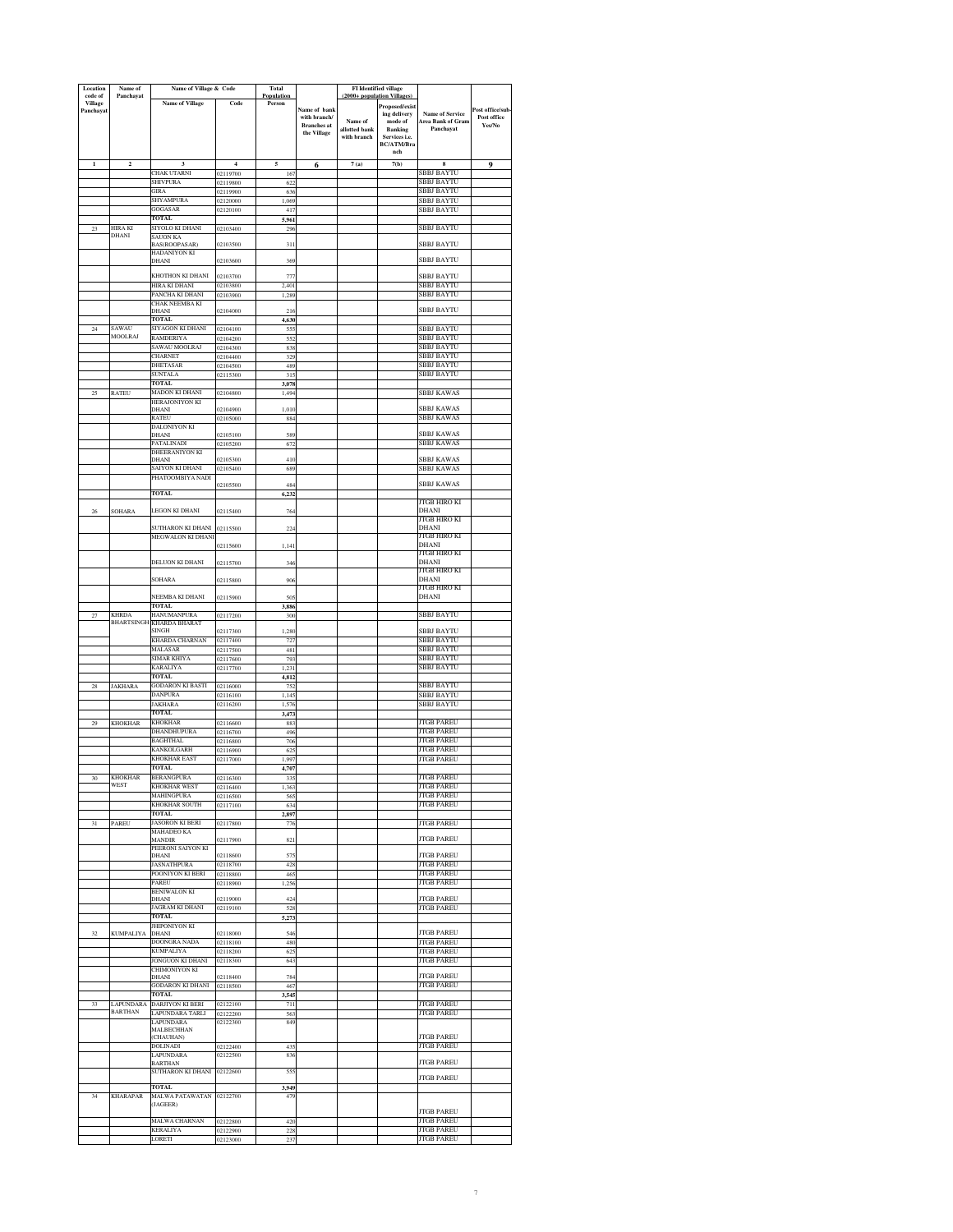| Location<br>code of | Name of<br>Panchayat              | Name of Village & Code                      |                            | <b>Total</b><br>Population |                                   | FI Identified village<br>(2000+ population Villages) |                             |                                             |                                |
|---------------------|-----------------------------------|---------------------------------------------|----------------------------|----------------------------|-----------------------------------|------------------------------------------------------|-----------------------------|---------------------------------------------|--------------------------------|
| Village             |                                   | <b>Name of Village</b>                      | Code                       | Person                     |                                   |                                                      | Proposed/exist              |                                             |                                |
| Panchayat           |                                   |                                             |                            |                            | Name of bank<br>with branch/      | Name of                                              | ing delivery<br>mode of     | <b>Name of Service</b><br>Area Bank of Gram | Post office/sub<br>Post office |
|                     |                                   |                                             |                            |                            | <b>Branches</b> at<br>the Village | allotted bank                                        | <b>Banking</b>              | Panchavat                                   | Yes/No                         |
|                     |                                   |                                             |                            |                            |                                   | with branch                                          | Services i.e.<br>BC/ATM/Bra |                                             |                                |
|                     |                                   |                                             |                            |                            |                                   |                                                      | nch                         |                                             |                                |
| $\mathbf{I}$        | $\mathbf 2$                       | 3<br>CHAK UTARNI                            | $\overline{4}$<br>02119700 | 5<br>167                   | 6                                 | 7(a)                                                 | 7(b)                        | 8<br>SBBJ BAYTU                             | 9                              |
|                     |                                   | SHIVPURA                                    | 02119800                   | 622                        |                                   |                                                      |                             | SBBJ BAYTU                                  |                                |
|                     |                                   | GIRA<br>SHYAMPURA                           | 02119900<br>02120000       | 636<br>1.069               |                                   |                                                      |                             | SBBJ BAYTU<br>SBBJ BAYTU                    |                                |
|                     |                                   | GOGASAR                                     | 02120100                   | 411                        |                                   |                                                      |                             | <b>SBBJ BAYTU</b>                           |                                |
| 23                  | HIRA KI                           | <b>TOTAL</b><br>SIYOLO KI DHANI             | 02103400                   | 5,961<br>296               |                                   |                                                      |                             | SBBJ BAYTU                                  |                                |
|                     | DHANI                             | SAUON KA                                    |                            |                            |                                   |                                                      |                             |                                             |                                |
|                     |                                   | BAS(ROOPASAR)<br>HADANIYON KI               | 02103500                   | 311                        |                                   |                                                      |                             | SBBJ BAYTU                                  |                                |
|                     |                                   | DHANI                                       | 02103600                   | 369                        |                                   |                                                      |                             | SBBJ BAYTU                                  |                                |
|                     |                                   | KHOTHON KI DHANI<br>HIRA KI DHANI           | 02103700<br>02103800       | 77'<br>2.401               |                                   |                                                      |                             | <b>SBBJ BAYTU</b><br>SBBJ BAYTU             |                                |
|                     |                                   | PANCHA KI DHANI                             | 02103900                   | 1.289                      |                                   |                                                      |                             | SBBJ BAYTU                                  |                                |
|                     |                                   | CHAK NEEMBA KI<br>DHANI                     | 02104000                   | 216                        |                                   |                                                      |                             | SBBJ BAYTU                                  |                                |
|                     | SAWAU                             | <b>TOTAL</b><br>SIYAGON KI DHANI            |                            | 4,630                      |                                   |                                                      |                             | <b>BBJ BAYTU</b>                            |                                |
| 24                  | <b>MOOLRAJ</b>                    | RAMDERIYA                                   | 02104100<br>02104200       | 555<br>552                 |                                   |                                                      |                             | SBBJ BAYTU                                  |                                |
|                     |                                   | SAWAU MOOLRAJ<br>CHARNET                    | 02104300                   | 838                        |                                   |                                                      |                             | SBBJ BAYTU<br><b>SBBJ BAYTU</b>             |                                |
|                     |                                   | DHETASAR                                    | 02104400<br>02104500       | 329<br>489                 |                                   |                                                      |                             | SBBJ BAYTU                                  |                                |
|                     |                                   | SUNTALA<br>TOTAL                            | 02115300                   | 315                        |                                   |                                                      |                             | SBBJ BAYTU                                  |                                |
| 25                  | <b>RATEU</b>                      | MADON KI DHANI                              | 02104800                   | 3,078<br>1,494             |                                   |                                                      |                             | SBBJ KAWAS                                  |                                |
|                     |                                   | HERAJONIYON KI<br>DHANI                     | 02104900                   | 1,010                      |                                   |                                                      |                             | SBBJ KAWAS                                  |                                |
|                     |                                   | RATEU<br>DALONIYON KI                       | 02105000                   | 884                        |                                   |                                                      |                             | SBBJ KAWAS                                  |                                |
|                     |                                   | DHANI                                       | 02105100                   | 589                        |                                   |                                                      |                             | SBBJ KAWAS                                  |                                |
|                     |                                   | PATALINADI<br>DHEERANIYON KI                | 02105200                   | 672                        |                                   |                                                      |                             | SBBJ KAWAS                                  |                                |
|                     |                                   | DHANI<br>SAIYON KI DHANI                    | 02105300<br>02105400       | 410<br>689                 |                                   |                                                      |                             | SBBJ KAWAS<br>SBBJ KAWAS                    |                                |
|                     |                                   | PHATOOMBIYA NADI                            |                            |                            |                                   |                                                      |                             |                                             |                                |
|                     |                                   | TOTAL                                       | 02105500                   | 484<br>6,232               |                                   |                                                      |                             | <b>SBBJ KAWAS</b>                           |                                |
| 26                  | <b>SOHARA</b>                     | LEGON KI DHANI                              | 02115400                   | 764                        |                                   |                                                      |                             | JTGB HIRO KI<br>DHANI                       |                                |
|                     |                                   |                                             |                            |                            |                                   |                                                      |                             | JTGB HIRO KI                                |                                |
|                     |                                   | SUTHARON KI DHANI<br>MEGWALON KI DHANI      | 02115500                   | 224                        |                                   |                                                      |                             | <b>DHANI</b><br>JTGB HIRO KI                |                                |
|                     |                                   |                                             | 02115600                   | 1,141                      |                                   |                                                      |                             | DHANI<br>JTGB HIRO KI                       |                                |
|                     |                                   | DELUON KI DHANI                             | 02115700                   | 346                        |                                   |                                                      |                             | DHANI                                       |                                |
|                     |                                   | SOHARA                                      | 02115800                   | 906                        |                                   |                                                      |                             | JTGB HIRO KI<br><b>DHANI</b>                |                                |
|                     |                                   | NEEMBA KI DHANI                             | 02115900                   | 505                        |                                   |                                                      |                             | JTGB HIRO KI<br>DHANI                       |                                |
|                     |                                   | TOTAL                                       |                            | 3,886                      |                                   |                                                      |                             |                                             |                                |
| 27                  | <b>KHRDA</b><br><b>BHARTSINGH</b> | <b>HANUMANPURA</b><br>KHARDA BHARAT         | 02117200                   | 300                        |                                   |                                                      |                             | SBBJ BAYTU                                  |                                |
|                     |                                   | <b>SINGH</b><br>KHARDA CHARNAN              | 02117300                   | 1,280                      |                                   |                                                      |                             | SBBJ BAYTU<br>SBBJ BAYTU                    |                                |
|                     |                                   | MALASAR                                     | 02117400<br>02117500       | 727<br>481                 |                                   |                                                      |                             | SBBJ BAYTU                                  |                                |
|                     |                                   | SIMAR KHIYA<br>KARALIYA                     | 02117600<br>02117700       | 793<br>1,231               |                                   |                                                      |                             | SBBJ BAYTU<br>SBBJ BAYTU                    |                                |
|                     |                                   | <b>TOTAL</b>                                |                            | 4,812                      |                                   |                                                      |                             |                                             |                                |
| 28                  | <b>JAKHARA</b>                    | <b>GODARON KI BASTI</b><br><b>DANPURA</b>   | 02116000<br>02116100       | 752<br>1.14                |                                   |                                                      |                             | SBBJ BAYTU<br><b>SBBJ BAYTU</b>             |                                |
|                     |                                   | JAKHARA                                     | 02116200                   | 1,576                      |                                   |                                                      |                             | SBBJ BAYTU                                  |                                |
| $29\,$              | <b>KHOKHAR</b>                    | TOTAL.<br><b>KHOKHAR</b>                    | 02116600                   | 3,47<br>883                |                                   |                                                      |                             | <b>JTGB PAREU</b>                           |                                |
|                     |                                   | DHANDHUPURA                                 | 02116700                   | 496                        |                                   |                                                      |                             | JTGB PAREU                                  |                                |
|                     |                                   | <b>BAGHTHAL</b><br>KANKOLGARH               | 02116800<br>02116900       | 706<br>625                 |                                   |                                                      |                             | <b>JTGB PAREU</b><br><b>JTGB PAREU</b>      |                                |
|                     |                                   | <b>KHOKHAR EAST</b>                         | 02117000                   | 1,997                      |                                   |                                                      |                             | <b>JTGB PAREU</b>                           |                                |
| 30                  | <b>KHOKHAR</b>                    | TOTAL<br><b>BERANGPURA</b>                  | 02116300                   | 4,707<br>335               |                                   |                                                      |                             | <b>JTGB PAREU</b>                           |                                |
|                     | WEST                              | KHOKHAR WEST                                | 02116400                   | 1,363                      |                                   |                                                      |                             | <b>JTGB PAREU</b>                           |                                |
|                     |                                   | MAHINGPURA<br>KHOKHAR SOUTH                 | 02116500<br>02117100       | 565<br>634                 |                                   |                                                      |                             | <b>JTGB PAREU</b><br><b>JTGB PAREU</b>      |                                |
|                     |                                   | <b>TOTAL</b>                                |                            | 2,897                      |                                   |                                                      |                             |                                             |                                |
| 31                  | PAREU                             | <b>JASORON KI BERI</b><br><b>MAHADEO KA</b> | 02117800                   | 776                        |                                   |                                                      |                             | JTGB PAREU                                  |                                |
|                     |                                   | MANDIR<br>PEERONI SAIYON KI                 | 02117900                   | 821                        |                                   |                                                      |                             | <b>JTGB PAREU</b>                           |                                |
|                     |                                   | DHANI<br><b>JASNATHPURA</b>                 | 02118600<br>02118700       | 575<br>428                 |                                   |                                                      |                             | JTGB PAREU<br>JTGB PAREU                    |                                |
|                     |                                   | POONIYON KI BERI                            | 02118800                   | 465                        |                                   |                                                      |                             | <b>JTGB PAREU</b>                           |                                |
|                     |                                   | PAREU<br>BENIWALON KI                       | 02118900                   | 1,256                      |                                   |                                                      |                             | <b>JTGB PAREU</b>                           |                                |
|                     |                                   | DHANI<br>JAGRAM KI DHANI                    | 02119000<br>02119100       | 424<br>528                 |                                   |                                                      |                             | <b>JTGB PAREU</b><br>JTGB PAREU             |                                |
|                     |                                   | <b>TOTAL</b>                                |                            | 5,273                      |                                   |                                                      |                             |                                             |                                |
| 32                  | <b>KUMPALIYA</b>                  | JHIPONIYON KI<br>DHANI                      | 02118000                   | 546                        |                                   |                                                      |                             | <b>JTGB PAREU</b>                           |                                |
|                     |                                   | DOONGRA NADA                                | 02118100                   | 480                        |                                   |                                                      |                             | <b>JTGB PAREU</b><br><b>JTGB PAREU</b>      |                                |
|                     |                                   | <b>KUMPALIYA</b><br>JONGUON KI DHANI        | 02118200<br>02118300       | 62:<br>643                 |                                   |                                                      |                             | <b>JTGB PAREU</b>                           |                                |
|                     |                                   | CHIMONIYON KI<br>DHANI                      | 02118400                   | 784                        |                                   |                                                      |                             | <b>JTGB PAREU</b>                           |                                |
|                     |                                   | GODARON KI DHANI                            | 02118500                   | 467                        |                                   |                                                      |                             | <b>JTGB PAREU</b>                           |                                |
| 33                  | <b>LAPUNDARA</b>                  | <b>TOTAL</b><br><b>DARJIYON KI BERI</b>     | 02122100                   | 3,545<br>711               |                                   |                                                      |                             | <b>JTGB PAREU</b>                           |                                |
|                     | <b>BARTHAN</b>                    | LAPUNDARA TARLI                             | 02122200                   | 563                        |                                   |                                                      |                             | <b>JTGB PAREU</b>                           |                                |
|                     |                                   | LAPUNDARA<br>MALBECHHAN                     | 02122300                   | 849                        |                                   |                                                      |                             |                                             |                                |
|                     |                                   | (CHAUHAN)<br>DOLINADI                       | 02122400                   | 435                        |                                   |                                                      |                             | JTGB PAREU<br><b>JTGB PAREU</b>             |                                |
|                     |                                   | LAPUNDARA<br><b>BARTHAN</b>                 | 02122500                   | 836                        |                                   |                                                      |                             | <b>JTGB PAREU</b>                           |                                |
|                     |                                   | SUTHARON KI DHANI                           | 02122600                   | 555                        |                                   |                                                      |                             | <b>JTGB PAREU</b>                           |                                |
|                     |                                   | <b>TOTAL</b>                                |                            | 3,949                      |                                   |                                                      |                             |                                             |                                |
| 34                  | <b>KHARAPAR</b>                   | MALWA PATAWATAN 02122700<br>(JAGEER)        |                            | 479                        |                                   |                                                      |                             |                                             |                                |
|                     |                                   | MALWA CHARNAN                               | 02122800                   | 420                        |                                   |                                                      |                             | <b>JTGB PAREU</b><br><b>JTGB PAREU</b>      |                                |
|                     |                                   | KERALIYA                                    | 02122900                   | 225                        |                                   |                                                      |                             | <b>JTGB PAREU</b>                           |                                |
|                     |                                   | LORETI                                      | 02123000                   | 237                        |                                   |                                                      |                             | <b>JTGB PAREU</b>                           |                                |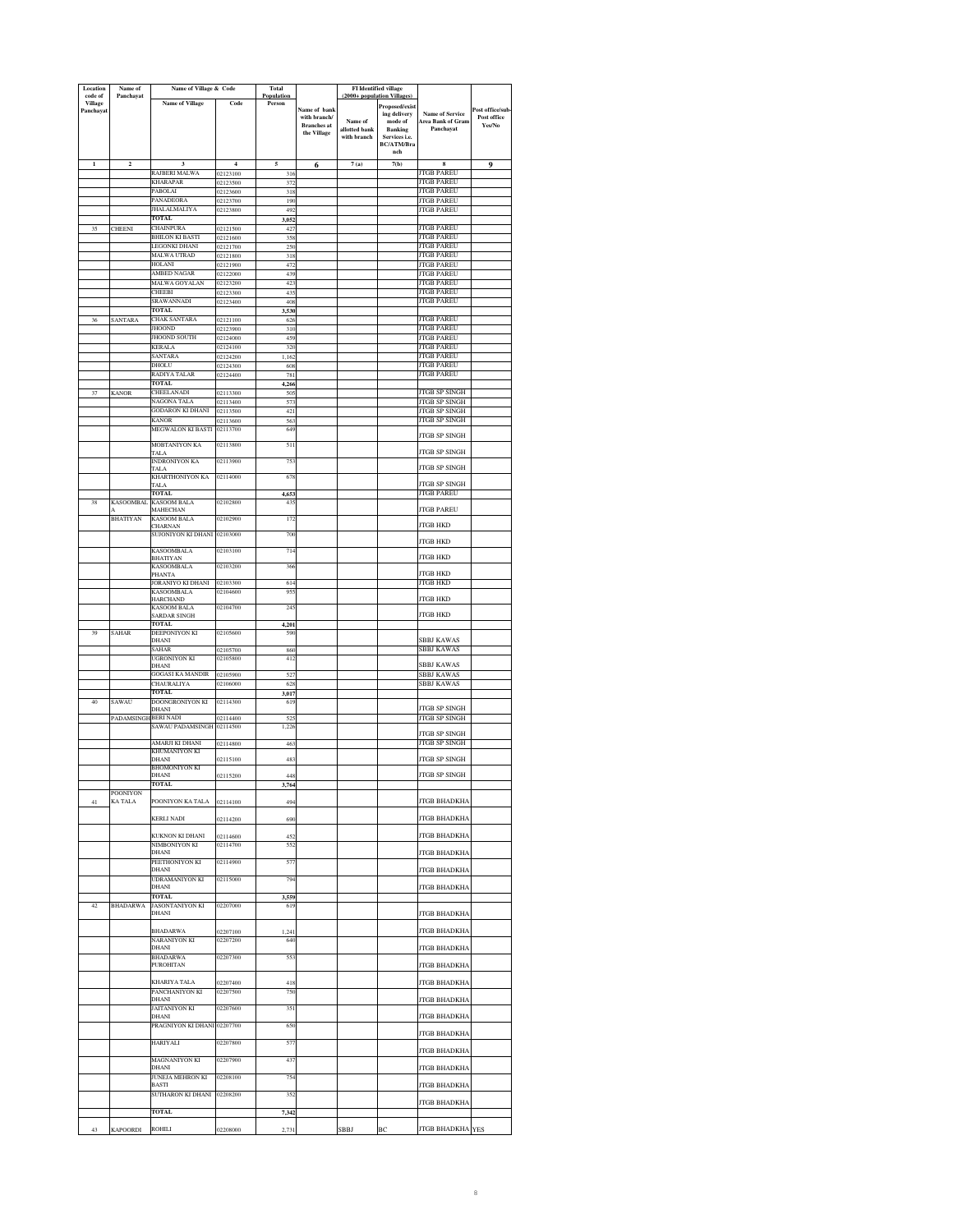| Location<br>code of         | Name of<br>Panchayat       | Name of Village & Code                  |                      | Total<br>Population |                                    | (2000+ population Villages   | <b>FI</b> Identified village             |                                              |                       |
|-----------------------------|----------------------------|-----------------------------------------|----------------------|---------------------|------------------------------------|------------------------------|------------------------------------------|----------------------------------------------|-----------------------|
| <b>Village</b><br>Panchayat |                            | <b>Name of Village</b>                  | Code                 | Person              | Name of bank                       |                              | <b>Proposed/exist</b>                    | <b>Name of Service</b>                       | ost office/sub-       |
|                             |                            |                                         |                      |                     | with branch/<br><b>Branches</b> at | Name of                      | ing delivery<br>$\operatorname{mode}$ of | Area Bank of Gram                            | Post office<br>Yes/No |
|                             |                            |                                         |                      |                     | the Village                        | allotted bank<br>with branch | <b>Banking</b><br>Services i.e.          | Panchayat                                    |                       |
|                             |                            |                                         |                      |                     |                                    |                              | BC/ATM/Bra<br>nch                        |                                              |                       |
| $\mathbf{1}$                | $\overline{\mathbf{c}}$    |                                         | $\overline{4}$       | 5                   | 6                                  | 7(a)                         | 7(b)                                     | 8                                            | $\mathbf 0$           |
|                             |                            | RAJBERI MALWA<br><b>KHARAPAR</b>        | 02123100<br>02123500 | 316<br>372          |                                    |                              |                                          | <b>JTGB PAREU</b><br><b>JTGB PAREU</b>       |                       |
|                             |                            | PABOLAI                                 | 02123600             | 318                 |                                    |                              |                                          | <b>JTGB PAREU</b>                            |                       |
|                             |                            | PANADEORA<br>JHALALMALIYA               | 02123700<br>02123800 | 190<br>492          |                                    |                              |                                          | <b>JTGB PAREU</b><br><b>JTGB PAREU</b>       |                       |
| 35                          | <b>CHEENI</b>              | TOTAL<br><b>CHAINPURA</b>               | 02121500             | 3,052<br>427        |                                    |                              |                                          | <b>JTGB PAREU</b>                            |                       |
|                             |                            | <b>BHILON KI BASTI</b>                  | 02121600             | 358                 |                                    |                              |                                          | <b>JTGB PAREU</b>                            |                       |
|                             |                            | LEGONKI DHANI<br>MALWA UTRAD            | 02121700<br>02121800 | 250<br>318          |                                    |                              |                                          | <b>JTGB PAREU</b><br><b>JTGB PAREU</b>       |                       |
|                             |                            | HOLANI                                  | 02121900             | 472                 |                                    |                              |                                          | <b>JTGB PAREU</b>                            |                       |
|                             |                            | AMBED NAGAR<br>MALWA GOYALAN            | 02122000<br>02123200 | 439<br>423          |                                    |                              |                                          | <b>JTGB PAREU</b><br><b>JTGB PAREU</b>       |                       |
|                             |                            | CHEEBI<br>SRAWANNADI                    | 02123300             | 435                 |                                    |                              |                                          | <b>ITGB PAREU</b><br><b>JTGB PAREU</b>       |                       |
|                             |                            | <b>TOTAL</b>                            | 02123400             | 408<br>,530         |                                    |                              |                                          |                                              |                       |
| 36                          | SANTARA                    | CHAK SANTARA<br><b>JHOOND</b>           | 02121100<br>02123900 | 626<br>310          |                                    |                              |                                          | <b>JTGB PAREU</b><br><b>JTGB PAREU</b>       |                       |
|                             |                            | JHOOND SOUTH                            | 02124000             | 459                 |                                    |                              |                                          | <b>JTGB PAREU</b>                            |                       |
|                             |                            | <b>KERALA</b><br><b>SANTARA</b>         | 02124100<br>02124200 | 320<br>1,162        |                                    |                              |                                          | <b>JTGB PAREU</b><br><b>JTGB PAREU</b>       |                       |
|                             |                            | DHOLU                                   | 02124300             | 608                 |                                    |                              |                                          | <b>JTGB PAREU</b>                            |                       |
|                             |                            | RADIYA TALAR<br><b>TOTAL</b>            | 02124400             | 781<br>4.266        |                                    |                              |                                          | <b>JTGB PAREU</b>                            |                       |
|                             | <b>KANOR</b>               | CHEELANADI<br>NAGONA TALA               | 02113300             | 505                 |                                    |                              |                                          | <b>JTGB SP SINGH</b><br><b>ITGB SP SINGH</b> |                       |
|                             |                            | <b>GODARON KI DHANI</b>                 | 02113400<br>02113500 | 573<br>421          |                                    |                              |                                          | JTGB SP SINGH                                |                       |
|                             |                            | KANOR<br>MEGWALON KI BASTI              | 02113600<br>02113700 | 56.<br>649          |                                    |                              |                                          | JTGB SP SINGH                                |                       |
|                             |                            | <b>MOBTANIYON KA</b>                    | 02113800             |                     |                                    |                              |                                          | <b>JTGB SP SINGH</b>                         |                       |
|                             |                            | TALA                                    |                      | 511                 |                                    |                              |                                          | JTGB SP SINGH                                |                       |
|                             |                            | INDRONIYON KA<br>TALA                   | 02113900             | 753                 |                                    |                              |                                          | JTGB SP SINGH                                |                       |
|                             |                            | <b>KHARTHONIYON KA</b><br>TALA          | 02114000             | 678                 |                                    |                              |                                          | <b>ITGB SP SINGH</b>                         |                       |
| 38                          | <b>KASOOMBAL</b>           | <b>TOTAL</b><br>KASOOM BALA             | 02102800             | 4,653<br>43:        |                                    |                              |                                          | <b>JTGB PAREU</b>                            |                       |
|                             |                            | MAHECHAN                                |                      |                     |                                    |                              |                                          | <b>JTGB PAREU</b>                            |                       |
|                             | <b>BHATIYAN</b>            | <b>KASOOM BALA</b><br>CHARNAN           | 02102900             | 172                 |                                    |                              |                                          | <b>ITGB HKD</b>                              |                       |
|                             |                            | SUJONIYON KI DHANI                      | 02103000             | 700                 |                                    |                              |                                          | <b>JTGB HKD</b>                              |                       |
|                             |                            | <b>KASOOMBALA</b><br><b>BHATIYAN</b>    | 02103100             | 714                 |                                    |                              |                                          | JTGB HKD                                     |                       |
|                             |                            | <b>KASOOMBALA</b><br>PHANTA             | 02103200             | 366                 |                                    |                              |                                          | JTGB HKD                                     |                       |
|                             |                            | JORANIYO KI DHANI                       | 02103300             | 614                 |                                    |                              |                                          | JTGB HKD                                     |                       |
|                             |                            | <b>KASOOMBALA</b><br><b>HARCHAND</b>    | 02104600             | 955                 |                                    |                              |                                          | JTGB HKD                                     |                       |
|                             |                            | <b>KASOOM BALA</b><br>SARDAR SINGH      | 02104700             | 24:                 |                                    |                              |                                          | <b>ITGB HKD</b>                              |                       |
|                             |                            | TOTAL                                   |                      | 4,201               |                                    |                              |                                          |                                              |                       |
| 39                          | SAHAR                      | DEEPONIYON KI<br>DHANI                  | 02105600             | 590                 |                                    |                              |                                          | <b>SBBJ KAWAS</b>                            |                       |
|                             |                            | SAHAR<br>UGRONIYON KI                   | 02105700<br>02105800 | 860<br>412          |                                    |                              |                                          | SBBJ KAWAS                                   |                       |
|                             |                            | <b>DHANI</b><br><b>GOGASI KA MANDIR</b> | 02105900             | 527                 |                                    |                              |                                          | <b>BBJ KAWAS</b><br>SBBJ KAWAS               |                       |
|                             |                            | CHAURALIYA                              | 02106000             | 628                 |                                    |                              |                                          | <b>SBBJ KAWAS</b>                            |                       |
| 40                          | SAWAU                      | TOTAL<br>DOONGRONIYON KI                | 02114300             | 3,017<br>619        |                                    |                              |                                          |                                              |                       |
|                             |                            | DHANI                                   |                      | 525                 |                                    |                              |                                          | <b>ITGB SP SINGH</b>                         |                       |
|                             | PADAMSINGH BERI NADI       | SAWAU PADAMSINGH                        | 02114400<br>02114500 | 1,226               |                                    |                              |                                          | JTGB SP SINGH                                |                       |
|                             |                            | AMARJI KI DHANI                         | 02114800             | 463                 |                                    |                              |                                          | <b>JTGB SP SINGH</b><br>JTGB SP SINGH        |                       |
|                             |                            | KHUMANIYON KI<br>DHANI                  | 02115100             | 483                 |                                    |                              |                                          | <b>JTGB SP SINGH</b>                         |                       |
|                             |                            | BHOMONIYON KI<br>DHANI                  | 02115200             | 448                 |                                    |                              |                                          | <b>JTGB SP SINGH</b>                         |                       |
|                             |                            | <b>TOTAL</b>                            |                      | 3,764               |                                    |                              |                                          |                                              |                       |
| 41                          | <b>POONIYON</b><br>KA TALA | POONIYON KA TALA                        | 02114100             | 494                 |                                    |                              |                                          | <b>JTGB BHADKHA</b>                          |                       |
|                             |                            | <b>KERLI NADI</b>                       | 02114200             | 690                 |                                    |                              |                                          | <b>JTGB BHADKHA</b>                          |                       |
|                             |                            |                                         |                      |                     |                                    |                              |                                          |                                              |                       |
|                             |                            | KUKNON KI DHANI<br>NIMBONIYON KI        | 02114600<br>02114700 | 452<br>552          |                                    |                              |                                          | <b>JTGB BHADKHA</b>                          |                       |
|                             |                            | <b>DHANI</b><br>PEETHONIYON KI          | 02114900             | 577                 |                                    |                              |                                          | JTGB BHADKHA                                 |                       |
|                             |                            | DHANI                                   |                      |                     |                                    |                              |                                          | <b>JTGB BHADKHA</b>                          |                       |
|                             |                            | <b>UDRAMANIYON KI</b><br>DHANI          | 02115000             | 794                 |                                    |                              |                                          | <b>JTGB BHADKHA</b>                          |                       |
| 42                          | <b>BHADARWA</b>            | <b>TOTAL</b><br>JASONTANIYON KI         | 02207000             | 3,559<br>619        |                                    |                              |                                          |                                              |                       |
|                             |                            | DHANI                                   |                      |                     |                                    |                              |                                          | <b>JTGB BHADKHA</b>                          |                       |
|                             |                            | <b>BHADARWA</b>                         | 02207100             | 1,241               |                                    |                              |                                          | <b>JTGB BHADKHA</b>                          |                       |
|                             |                            | <b>NARANIYON KI</b><br>DHANI            | 02207200             | 640                 |                                    |                              |                                          | <b>JTGB BHADKHA</b>                          |                       |
|                             |                            | <b>BHADARWA</b><br><b>PUROHITAN</b>     | 02207300             | 553                 |                                    |                              |                                          |                                              |                       |
|                             |                            |                                         |                      |                     |                                    |                              |                                          | JTGB BHADKHA                                 |                       |
|                             |                            | KHARIYA TALA<br>PANCHANIYON KI          | 02207400<br>02207500 | 418<br>750          |                                    |                              |                                          | <b>JTGB BHADKHA</b>                          |                       |
|                             |                            | DHANI                                   |                      |                     |                                    |                              |                                          | <b>JTGB BHADKHA</b>                          |                       |
|                             |                            | JAITANIYON KI<br>DHANI                  | 02207600             | 351                 |                                    |                              |                                          | JTGB BHADKHA                                 |                       |
|                             |                            | PRAGNIYON KI DHANI 02207700             |                      | 650                 |                                    |                              |                                          | <b>JTGB BHADKHA</b>                          |                       |
|                             |                            | <b>HARIYALI</b>                         | 02207800             | 57                  |                                    |                              |                                          | <b>JTGB BHADKHA</b>                          |                       |
|                             |                            | MAGNANIYON KI                           | 02207900             | 437                 |                                    |                              |                                          |                                              |                       |
|                             |                            | DHANI<br>JUNEJA MEHRON KI               | 02208100             | 754                 |                                    |                              |                                          | <b>JTGB BHADKHA</b>                          |                       |
|                             |                            | <b>BASTI</b><br>SUTHARON KI DHANI       | 02208200             | 352                 |                                    |                              |                                          | <b>JTGB BHADKHA</b>                          |                       |
|                             |                            |                                         |                      |                     |                                    |                              |                                          | <b>JTGB BHADKHA</b>                          |                       |
|                             |                            | TOTAL                                   |                      | 7,342               |                                    |                              |                                          |                                              |                       |
| 43                          | <b>KAPOORDI</b>            | <b>ROHILI</b>                           | 02208000             | 2,731               |                                    | SBBJ                         | ВC                                       | JTGB BHADKHA YES                             |                       |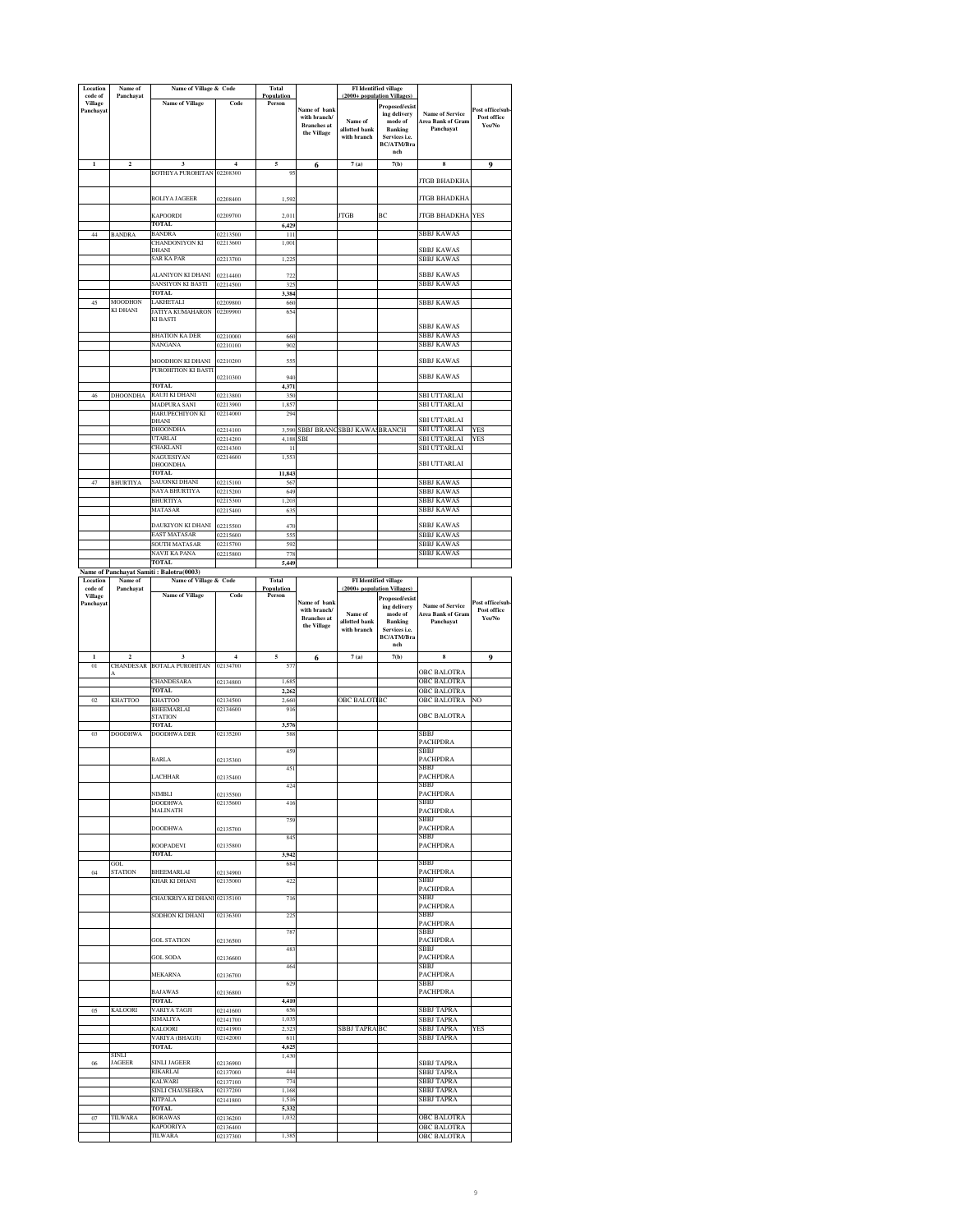|                           | Name of                     | Name of Village & Code                                            |                      | Total                |                                   |                           | <b>FI</b> Identified village                  |                                                    |                                 |
|---------------------------|-----------------------------|-------------------------------------------------------------------|----------------------|----------------------|-----------------------------------|---------------------------|-----------------------------------------------|----------------------------------------------------|---------------------------------|
| code of<br><b>Village</b> | Panchayat                   | <b>Name of Village</b>                                            | Code                 | Population<br>Person |                                   |                           | (2000+ population Villages)<br>Proposed/exist |                                                    |                                 |
| Panchavat                 |                             |                                                                   |                      |                      | Name of bank<br>with branch/      | Name of                   | ing delivery<br>mode of                       | <b>Name of Service</b><br><b>Area Bank of Gram</b> | Post office/sub-<br>Post office |
|                           |                             |                                                                   |                      |                      | <b>Branches</b> at<br>the Village | allotted bank             | Banking                                       | Panchayat                                          | Yes/No                          |
|                           |                             |                                                                   |                      |                      |                                   | with branch               | Services i.e.<br><b>BC/ATM/Bra</b>            |                                                    |                                 |
|                           |                             |                                                                   |                      |                      |                                   |                           | nch                                           |                                                    |                                 |
|                           | $\overline{\mathbf{c}}$     | 3<br>BOTHIYA PUROHITAN 02208300                                   | 4                    | 5<br>9.              | 6                                 | 7(a)                      | 7(b)                                          | 8                                                  | 9                               |
|                           |                             |                                                                   |                      |                      |                                   |                           |                                               | <b>JTGB BHADKHA</b>                                |                                 |
|                           |                             | BOLIYA JAGEER                                                     | 02208400             | 1,592                |                                   |                           |                                               | JTGB BHADKHA                                       |                                 |
|                           |                             |                                                                   |                      |                      |                                   |                           |                                               |                                                    |                                 |
|                           |                             | KAPOORDI<br>TOTAL                                                 | 02209700             | 2.011<br>6,429       |                                   | <b>TGB</b>                | ВC                                            | <b>JTGB BHADKHA</b>                                | <b>YES</b>                      |
| 44                        | <b>BANDRA</b>               | BANDRA                                                            | 12213500             | 111                  |                                   |                           |                                               | SBBJ KAWAS                                         |                                 |
|                           |                             | CHANDONIYON KI<br>DHANI                                           | 02213600             | 1,00                 |                                   |                           |                                               | SBBJ KAWAS                                         |                                 |
|                           |                             | SAR KA PAR                                                        | 02213700             | 1,22                 |                                   |                           |                                               | SBBJ KAWAS                                         |                                 |
|                           |                             | ALANIYON KI DHANI                                                 | 02214400             | 72.                  |                                   |                           |                                               | <b>SBBJ KAWAS</b>                                  |                                 |
|                           |                             | <b>SANSIYON KI BASTI</b><br><b>TOTAL</b>                          | 02214500             | 325<br>3,384         |                                   |                           |                                               | SBBJ KAWAS                                         |                                 |
| 45                        | MOODHON                     | LAKHETALI                                                         | 02209800             | 660                  |                                   |                           |                                               | SBBJ KAWAS                                         |                                 |
|                           | KI DHANI                    | JATIYA KUMAHARON<br>KI BASTI                                      | 02209900             | 654                  |                                   |                           |                                               |                                                    |                                 |
|                           |                             |                                                                   |                      |                      |                                   |                           |                                               | <b>SBBJ KAWAS</b>                                  |                                 |
|                           |                             | BHATION KA DER<br>NANGANA                                         | 02210000<br>02210100 | 660<br>902           |                                   |                           |                                               | SBBJ KAWAS<br>SBBJ KAWAS                           |                                 |
|                           |                             | <b>MOODHON KI DHANI</b>                                           | 02210200             | 555                  |                                   |                           |                                               | SBBJ KAWAS                                         |                                 |
|                           |                             | PUROHITION KI BASTI                                               |                      |                      |                                   |                           |                                               |                                                    |                                 |
|                           |                             | TOTAL                                                             | 02210300             | 940<br>4,371         |                                   |                           |                                               | <b>SBBJ KAWAS</b>                                  |                                 |
| 46                        | DHOONDHA                    | RAUJI KI DHANI                                                    | 02213800             | 350                  |                                   |                           |                                               | SBI UTTARLAI                                       |                                 |
|                           |                             | MADPURA SANI<br>HARUPECHIYON KI                                   | 02213900<br>02214000 | 1.857<br>294         |                                   |                           |                                               | SBI UTTARLAI                                       |                                 |
|                           |                             | DHANI<br>DHOONDHA                                                 | 02214100             | 3,590                | <b>SBBJ BRANC</b>                 | <b>SBBJ KAWA BRANCH</b>   |                                               | <b>SBI UTTARLAI</b><br><b>SBI UTTARLAI</b>         | <b>YES</b>                      |
|                           |                             | UTARLAI                                                           | 02214200             | 4,188                | SBI                               |                           |                                               | SBI UTTARLAI                                       | YES                             |
|                           |                             | <b>HAKLANI</b><br>NAGUESIYAN                                      | 02214300<br>02214600 | $\mathbf{I}$<br>1,55 |                                   |                           |                                               | SBI UTTARLAI                                       |                                 |
|                           |                             | DHOONDHA<br>TOTAL.                                                |                      |                      |                                   |                           |                                               | SBI UTTARLAI                                       |                                 |
| 47                        | <b>BHURTIYA</b>             | SAUONKI DHANI                                                     | 02215100             | 11,843<br>567        |                                   |                           |                                               | SBBJ KAWAS                                         |                                 |
|                           |                             | NAYA BHURTIYA<br>BHURTIYA                                         | 02215200<br>02215300 | 649<br>1,203         |                                   |                           |                                               | <b>SBBJ KAWAS</b><br><b>SBBJ KAWAS</b>             |                                 |
|                           |                             | MATASAR                                                           | 02215400             | 63                   |                                   |                           |                                               | SBBJ KAWAS                                         |                                 |
|                           |                             | DAUKIYON KI DHANI                                                 | 02215500             | 470                  |                                   |                           |                                               | <b>SBBJ KAWAS</b>                                  |                                 |
|                           |                             | EAST MATASAR                                                      | 02215600             | 555                  |                                   |                           |                                               | <b>SBBJ KAWAS</b>                                  |                                 |
|                           |                             | SOUTH MATASAR<br>NAVJI KA PANA                                    | 02215700<br>02215800 | 592<br>778           |                                   |                           |                                               | <b>SBBJ KAWAS</b><br>SBBJ KAWAS                    |                                 |
|                           |                             | <b>TOTAL</b>                                                      |                      | 5,449                |                                   |                           |                                               |                                                    |                                 |
| Location                  | Name of                     | Name of Panchayat Samiti: Balotra(0003)<br>Name of Village & Code |                      | <b>Total</b>         |                                   |                           | <b>FI</b> Identified village                  |                                                    |                                 |
| code of<br><b>Village</b> | Panchayat                   | <b>Name of Village</b>                                            | Code                 | Population<br>Person |                                   | (2000+ population Village | Proposed/exist                                |                                                    |                                 |
| Panchayat                 |                             |                                                                   |                      |                      | Name of bank<br>with branch/      |                           | ing delivery                                  | <b>Name of Service</b>                             | Post office/sub<br>Post office  |
|                           |                             |                                                                   |                      |                      | <b>Branches</b> at                | Name of<br>allotted bank  | mode of<br><b>Banking</b>                     | <b>Area Bank of Gram</b><br>Panchayat              | Yes/No                          |
|                           |                             |                                                                   |                      |                      | the Village                       | with branch               | Services i.e.<br>BC/ATM/Bra                   |                                                    |                                 |
|                           |                             |                                                                   |                      |                      |                                   |                           | nch                                           |                                                    |                                 |
| $\mathbf{1}$<br>01        | $\overline{2}$<br>CHANDESAR | <b>BOTALA PUROHITAN</b>                                           | $\overline{4}$       | 5                    | 6                                 | 7(a)                      | 7(b)                                          | 8                                                  |                                 |
|                           |                             |                                                                   |                      |                      |                                   |                           |                                               |                                                    | 9                               |
|                           |                             |                                                                   | 02134700             | 57                   |                                   |                           |                                               | OBC BALOTRA                                        |                                 |
| $_{02}$                   |                             | CHANDESARA                                                        | 02134800             | 1,68                 |                                   |                           |                                               | OBC BALOTRA<br>OBC BALOTRA                         |                                 |
|                           | <b>KHATTOO</b>              | <b>TOTAL</b><br>KHATTOO                                           | 02134500             | 2,262<br>2,660       |                                   | <b>OBC BALOT</b>          | BC                                            | OBC BALOTRA                                        | NO                              |
|                           |                             | BHEEMARLAI<br><b>STATION</b>                                      | 02134600             | 91                   |                                   |                           |                                               | OBC BALOTRA                                        |                                 |
|                           |                             | TOTAL                                                             |                      | 3,576                |                                   |                           |                                               |                                                    |                                 |
| 03                        | <b>DOODHWA</b>              | <b>DOODHWA DER</b>                                                | 02135200             | 588                  |                                   |                           |                                               | SBBJ<br>PACHPDRA                                   |                                 |
|                           |                             | <b>BARLA</b>                                                      | 02135300             | 459                  |                                   |                           |                                               | SBBJ<br><b>PACHPDRA</b>                            |                                 |
|                           |                             |                                                                   |                      | 45.                  |                                   |                           |                                               | SBBJ                                               |                                 |
|                           |                             | LACHHAR                                                           | 02135400             | 424                  |                                   |                           |                                               | <b>PACHPDRA</b><br>SBBJ                            |                                 |
|                           |                             | NIMBLI<br>DOODHWA                                                 | 02135500             |                      |                                   |                           |                                               | <b>PACHPDRA</b>                                    |                                 |
|                           |                             | MALINATH                                                          | 02135600             | 416                  |                                   |                           |                                               | SBBJ<br><b>PACHPDRA</b>                            |                                 |
|                           |                             | <b>DOODHWA</b>                                                    | 02135700             | 759                  |                                   |                           |                                               | SBBJ<br><b>PACHPDRA</b>                            |                                 |
|                           |                             |                                                                   |                      | 845                  |                                   |                           |                                               | SBBJ                                               |                                 |
|                           |                             | ROOPADEVI<br>TOTAL                                                | 02135800             | 3,942                |                                   |                           |                                               | <b>PACHPDRA</b>                                    |                                 |
| 04                        | GOL<br><b>STATION</b>       | <b>BHEEMARLAI</b>                                                 | 02134900             | 68                   |                                   |                           |                                               | SBBJ<br><b>PACHPDRA</b>                            |                                 |
|                           |                             | KHAR KI DHANI                                                     | 02135000             | 422                  |                                   |                           |                                               | SBBJ                                               |                                 |
|                           |                             | CHAUKRIYA KI DHANI 02135100                                       |                      | 716                  |                                   |                           |                                               | <b>PACHPDRA</b><br>SBBJ                            |                                 |
|                           |                             | SODHON KI DHANI                                                   | 02136300             | 22:                  |                                   |                           |                                               | <b>PACHPDRA</b><br>SBBJ                            |                                 |
|                           |                             |                                                                   |                      |                      |                                   |                           |                                               | <b>PACHPDRA</b>                                    |                                 |
|                           |                             | <b>GOL STATION</b>                                                | 02136500             | 787                  |                                   |                           |                                               | SBBJ<br><b>PACHPDRA</b>                            |                                 |
|                           |                             | <b>GOL SODA</b>                                                   | 02136600             | 48.                  |                                   |                           |                                               | SBBJ<br>PACHPDRA                                   |                                 |
|                           |                             |                                                                   |                      | 464                  |                                   |                           |                                               | SBBJ                                               |                                 |
|                           |                             | MEKARNA                                                           | 02136700             | 629                  |                                   |                           |                                               | <b>PACHPDRA</b><br>SBBJ                            |                                 |
|                           |                             | <b>BAJAWAS</b><br><b>TOTAL</b>                                    | 02136800             | 4,410                |                                   |                           |                                               | <b>PACHPDRA</b>                                    |                                 |
| 05                        | <b>KALOORI</b>              | VARIYA TAGJI                                                      | 02141600             | 656                  |                                   |                           |                                               | <b>SBBJ TAPRA</b>                                  |                                 |
|                           |                             | SIMALIYA<br>KALOORI                                               | 02141700<br>02141900 | 1.03:<br>2,323       |                                   | <b>SBBJ TAPRA BC</b>      |                                               | <b>SBBJ TAPRA</b><br><b>SBBJ TAPRA</b>             | YES                             |
|                           |                             | VARIYA (BHAGJI)                                                   | 02142000             | 611                  |                                   |                           |                                               | <b>SBBJ TAPRA</b>                                  |                                 |
|                           | SINLI                       | <b>TOTAL</b>                                                      |                      | 4,625<br>1.430       |                                   |                           |                                               |                                                    |                                 |
| 06                        | <b>JAGEER</b>               | <b>SINLI JAGEER</b>                                               | 02136900             |                      |                                   |                           |                                               | <b>SBBJ TAPRA</b>                                  |                                 |
|                           |                             | RIKARLAI<br><b>KALWARI</b>                                        | 02137000<br>02137100 | 444<br>774           |                                   |                           |                                               | SBBJ TAPRA<br><b>SBBJ TAPRA</b>                    |                                 |
|                           |                             | SINLI CHAUSEERA<br><b>KITPALA</b>                                 | 02137200             | 1,168<br>1,516       |                                   |                           |                                               | <b>SBBJ TAPRA</b><br><b>SBBJ TAPRA</b>             |                                 |
|                           |                             | <b>TOTAL</b>                                                      | 02141800             | 5,332                |                                   |                           |                                               |                                                    |                                 |
| 07                        | TILWARA                     | <b>BORAWAS</b><br><b>KAPOORIYA</b>                                | 02136200<br>02136400 | 1,032                |                                   |                           |                                               | <b>OBC BALOTRA</b><br><b>OBC BALOTRA</b>           |                                 |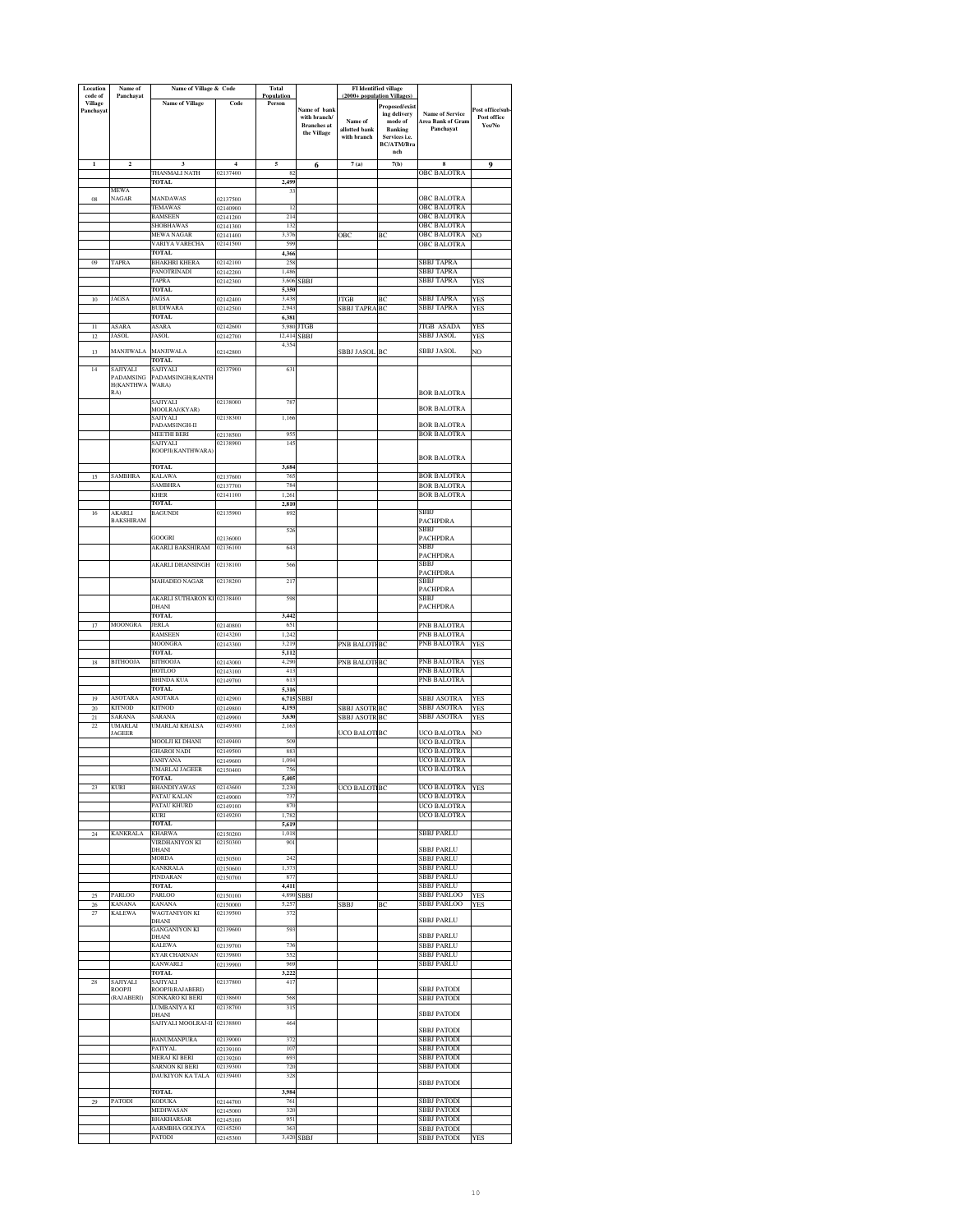| Location<br>code of   | Name of<br>Panchayat            | Name of Village & Code                |                            | <b>Total</b><br>Population |                                   | (2000+ population Villages       | FI Identified village              |                                             |                                |
|-----------------------|---------------------------------|---------------------------------------|----------------------------|----------------------------|-----------------------------------|----------------------------------|------------------------------------|---------------------------------------------|--------------------------------|
| <b>Village</b>        |                                 | <b>Name of Village</b>                | Code                       | Person                     |                                   |                                  | Proposed/exist                     |                                             |                                |
| Panchavat             |                                 |                                       |                            |                            | Name of bank<br>with branch/      | Name of                          | ing delivery<br>mode of            | <b>Name of Service</b><br>Area Bank of Gram | ost office/sub-<br>Post office |
|                       |                                 |                                       |                            |                            | <b>Branches</b> at<br>the Village | allotted bank                    | <b>Banking</b>                     | Panchavat                                   | Yes/No                         |
|                       |                                 |                                       |                            |                            |                                   | with branch                      | Services i.e.<br><b>BC/ATM/Bra</b> |                                             |                                |
|                       |                                 |                                       |                            |                            |                                   |                                  | nch                                |                                             |                                |
| $\mathbf{1}$          | $\overline{\mathbf{c}}$         | 3<br>THANMALI NATH                    | $\overline{4}$<br>02137400 | 5<br>8                     | 6                                 | 7(a)                             | 7(b)                               | $\bf{8}$<br><b>OBC BALOTRA</b>              | 9                              |
|                       |                                 | TOTAL                                 |                            | 2,499                      |                                   |                                  |                                    |                                             |                                |
| 08                    | MEWA<br><b>NAGAR</b>            | <b>MANDAWAS</b>                       | 02137500                   | 33                         |                                   |                                  |                                    | <b>OBC BALOTRA</b>                          |                                |
|                       |                                 | <b>TEMAWAS</b>                        | 02140900                   | 12                         |                                   |                                  |                                    | <b>OBC BALOTRA</b>                          |                                |
|                       |                                 | BAMSEEN<br>SHOBHAWAS                  | 02141200<br>02141300       | 214<br>132                 |                                   |                                  |                                    | <b>OBC BALOTRA</b><br>OBC BALOTRA           |                                |
|                       |                                 | <b>MEWA NAGAR</b>                     | 02141400                   | 3.376                      |                                   | OBC                              | BC                                 | <b>OBC BALOTRA</b>                          | NO                             |
|                       |                                 | VARIYA VARECHA<br><b>TOTAL</b>        | 02141500                   | 599<br>4.366               |                                   |                                  |                                    | OBC BALOTRA                                 |                                |
| 09                    | <b>TAPRA</b>                    | <b>BHAKHRI KHERA</b>                  | 02142100                   | 258                        |                                   |                                  |                                    | SBBJ TAPRA                                  |                                |
|                       |                                 | PANOTRINADI<br>TAPRA                  | 02142200<br>02142300       | 1,486<br>3,606             | <b>SBBJ</b>                       |                                  |                                    | SBBJ TAPRA<br>SBBJ TAPRA                    | YES                            |
|                       |                                 | <b>TOTAL</b>                          |                            | 5,350                      |                                   |                                  |                                    |                                             |                                |
| 10                    | JAGSA                           | JAGSA<br><b>BUDIWARA</b>              | 02142400<br>02142500       | 3,438<br>2,943             |                                   | <b>JTGB</b><br><b>SBBJ TAPRA</b> | BC<br>BC                           | SBBJ TAPRA<br>SBBJ TAPRA                    | YES<br>YES                     |
|                       |                                 | <b>TOTAL</b>                          |                            | 6,381                      |                                   |                                  |                                    |                                             |                                |
| $\overline{11}$<br>12 | ASARA<br><b>JASOL</b>           | ASARA<br>JASOL                        | 02142600<br>02142700       | 5,980<br>12,414            | <b>JTGB</b><br>SBB <sub>J</sub>   |                                  |                                    | JTGB ASADA<br>SBBJ JASOL                    | <b>YES</b><br>YES              |
|                       |                                 |                                       |                            | 4,354                      |                                   |                                  |                                    |                                             |                                |
| 13                    | <b>MANJIWALA</b>                | MANJIWALA<br>TOTAL                    | 02142800                   |                            |                                   | SBBJ JASOL                       | BC                                 | SBBJ JASOL                                  | NO                             |
| 14                    | <b>SAJIYALI</b><br>PADAMSING    | SAJIYALI<br>PADAMSINGH(KANTH          | 02137900                   | 63                         |                                   |                                  |                                    |                                             |                                |
|                       | H(KANTHWA                       | WARA)                                 |                            |                            |                                   |                                  |                                    |                                             |                                |
|                       | RA)                             | SAJIYALI                              | 02138000                   | 78'                        |                                   |                                  |                                    | <b>BOR BALOTRA</b>                          |                                |
|                       |                                 | MOOLRAJ(KYAR)<br>SAJIYALI             | 02138300                   | 1,166                      |                                   |                                  |                                    | <b>BOR BALOTRA</b>                          |                                |
|                       |                                 | PADAMSINGH-II                         |                            |                            |                                   |                                  |                                    | <b>BOR BALOTRA</b>                          |                                |
|                       |                                 | MEETHI BERI<br>SAJIYALI               | 02138500<br>02138900       | 95<br>14                   |                                   |                                  |                                    | BOR BALOTRA                                 |                                |
|                       |                                 | ROOPJI(KANTHWARA)                     |                            |                            |                                   |                                  |                                    | <b>BOR BALOTRA</b>                          |                                |
|                       |                                 | TOTAL                                 |                            | 3,684                      |                                   |                                  |                                    |                                             |                                |
| 15                    | SAMBHRA                         | KALAWA<br><b>SAMBHRA</b>              | 02137600<br>02137700       | 76<br>784                  |                                   |                                  |                                    | <b>BOR BALOTRA</b><br><b>BOR BALOTRA</b>    |                                |
|                       |                                 | <b>KHER</b>                           | 02141100                   | 1,261                      |                                   |                                  |                                    | <b>BOR BALOTRA</b>                          |                                |
| 16                    | AKARLI                          | <b>TOTAL</b><br><b>BAGUNDI</b>        | 02135900                   | 2,810<br>892               |                                   |                                  |                                    | SBBI                                        |                                |
|                       | <b>BAKSHIRAM</b>                |                                       |                            |                            |                                   |                                  |                                    | PACHPDRA<br>SBBJ                            |                                |
|                       |                                 | GOOGRI                                | 2136000                    | 52 <sub>0</sub>            |                                   |                                  |                                    | PACHPDRA                                    |                                |
|                       |                                 | AKARLI BAKSHIRAM                      | 02136100                   | 643                        |                                   |                                  |                                    | SBBJ<br>PACHPDRA                            |                                |
|                       |                                 | AKARLI DHANSINGH                      | 02138100                   | 566                        |                                   |                                  |                                    | SBBJ                                        |                                |
|                       |                                 | <b>MAHADEO NAGAR</b>                  | 02138200                   | 21'                        |                                   |                                  |                                    | PACHPDRA<br>SBBJ                            |                                |
|                       |                                 | AKARLI SUTHARON KI 02138400           |                            | 598                        |                                   |                                  |                                    | PACHPDRA<br>SBBJ                            |                                |
|                       |                                 | DHANI                                 |                            |                            |                                   |                                  |                                    | PACHPDRA                                    |                                |
| 17                    | <b>MOONGRA</b>                  | <b>TOTAL</b><br>JERLA                 | 02140800                   | 3,442<br>651               |                                   |                                  |                                    | PNB BALOTRA                                 |                                |
|                       |                                 | RAMSEEN                               | 02143200                   | 1,242                      |                                   |                                  |                                    | PNB BALOTRA                                 |                                |
|                       |                                 | MOONGRA<br><b>TOTAL</b>               | 02143300                   | 3,219<br>5,112             |                                   | PNB BALOT                        | BC                                 | PNB BALOTRA                                 | <b>YES</b>                     |
| 18                    | <b>BITHOOJA</b>                 | <b>BITHOOJA</b>                       | 02143000                   | 4,290                      |                                   | PNB BALOTI                       | BC                                 | PNB BALOTRA                                 | <b>YES</b>                     |
|                       |                                 | HOTLOO<br>BHINDA KUA                  | 02143100<br>02149700       | 413<br>613                 |                                   |                                  |                                    | PNB BALOTRA<br>PNB BALOTRA                  |                                |
|                       |                                 | TOTAL.                                |                            | 5,316                      |                                   |                                  |                                    |                                             |                                |
| 19<br>$\overline{20}$ | <b>ASOTARA</b><br><b>KITNOD</b> | <b>ASOTARA</b><br><b>KITNOD</b>       | 02142900<br>02149800       | 6,715<br>4,193             | SBBJ                              | SBBJ ASOTR                       | BC                                 | SBBJ ASOTRA<br>SBBJ ASOTRA                  | <b>YES</b><br>YES              |
| 21                    | SARANA                          | SARANA                                | 02149900                   | 3,630                      |                                   | SBBJ ASOTR BC                    |                                    | SBBJ ASOTRA                                 | YES                            |
| 22                    | UMARLAI<br><b>JAGEER</b>        | UMARLAI KHALSA                        | 02149300                   | 2,163                      |                                   | UCO BALOT                        | BC                                 | UCO BALOTRA                                 | NO                             |
|                       |                                 | MOOLJI KI DHANI                       | 02149400                   | 509                        |                                   |                                  |                                    | UCO BALOTRA                                 |                                |
|                       |                                 | <b>GHAROI NADI</b><br><b>JANIYANA</b> | 02149500<br>02149600       | 883<br>1,094               |                                   |                                  |                                    | <b>UCO BALOTRA</b><br>UCO BALOTRA           |                                |
|                       |                                 | <b>UMARLAI JAGEER</b>                 | 02150400                   | 75                         |                                   |                                  |                                    | UCO BALOTRA                                 |                                |
| 23                    | <b>KURI</b>                     | <b>TOTAL</b><br><b>BHANDIYAWAS</b>    | 02143600                   | 5,405<br>2,230             |                                   | UCO BALOT BC                     |                                    | UCO BALOTRA                                 | YES                            |
|                       |                                 | PATAU KALAN<br>PATAU KHURD            | 02149000                   | 737<br>870                 |                                   |                                  |                                    | UCO BALOTRA                                 |                                |
|                       |                                 | KURI                                  | 02149100<br>02149200       | 1,782                      |                                   |                                  |                                    | UCO BALOTRA<br>UCO BALOTRA                  |                                |
|                       | <b>KANKRALA</b>                 | TOTAL<br><b>KHARWA</b>                |                            | 5,619<br>1,018             |                                   |                                  |                                    | <b>SBBJ PARLU</b>                           |                                |
| $\sqrt{24}$           |                                 | VIRDHANIYON KI                        | 02150200<br>02150300       | 901                        |                                   |                                  |                                    |                                             |                                |
|                       |                                 | DHANI<br><b>MORDA</b>                 | 02150500                   | 242                        |                                   |                                  |                                    | <b>SBBJ PARLU</b><br><b>SBBJ PARLU</b>      |                                |
|                       |                                 | <b>KANKRALA</b>                       | 02150600                   | 1,373                      |                                   |                                  |                                    | <b>SBBJ PARLU</b>                           |                                |
|                       |                                 | PINDARAN<br>TOTAL                     | 02150700                   | 87<br>4,411                |                                   |                                  |                                    | <b>SBBJ PARLU</b><br>SBBJ PARLU             |                                |
| 25                    | PARLOO                          | PARLOO                                | 02150100                   | 4,890                      | SBBJ                              |                                  |                                    | SBBJ PARLOO                                 | <b>YES</b>                     |
| $26\,$<br>27          | <b>KANANA</b><br><b>KALEWA</b>  | <b>KANANA</b><br>WAGTANIYON KI        | 02150000<br>02139500       | 5,257<br>372               |                                   | SBBJ                             | ВC                                 | <b>SBBJ PARLOO</b>                          | YES                            |
|                       |                                 | DHANI<br><b>GANGANIYON KI</b>         | 02139600                   | 593                        |                                   |                                  |                                    | <b>SBBJ PARLU</b>                           |                                |
|                       |                                 | DHANI<br>KALEWA                       |                            | 736                        |                                   |                                  |                                    | <b>SBBJ PARLU</b><br>SBBJ PARLU             |                                |
|                       |                                 | <b>KYAR CHARNAN</b>                   | 02139700<br>02139800       | 55.                        |                                   |                                  |                                    | <b>SBBJ PARLU</b>                           |                                |
|                       |                                 | <b>KANWARLI</b><br>TOTAL              | 02139900                   | 969<br>3,222               |                                   |                                  |                                    | SBBJ PARLU                                  |                                |
| 28                    | SAJIYALI                        | SAJIYALI                              | 02137800                   | 41'                        |                                   |                                  |                                    |                                             |                                |
|                       | ROOPJI<br>(RAJABERI)            | ROOPJI(RAJABERI)<br>SONKARO KI BERI   | 02138600                   | 568                        |                                   |                                  |                                    | <b>SBBJ PATODI</b><br><b>SBBJ PATODI</b>    |                                |
|                       |                                 | LUMBANIYA KI<br>DHANI                 | 02138700                   | 315                        |                                   |                                  |                                    | <b>SBBJ PATODI</b>                          |                                |
|                       |                                 | SAJIYALI MOOLRAJ-II 02138800          |                            | 464                        |                                   |                                  |                                    |                                             |                                |
|                       |                                 | <b>HANUMANPURA</b>                    | 02139000                   | 372                        |                                   |                                  |                                    | <b>SBBJ PATODI</b><br><b>SBBJ PATODI</b>    |                                |
|                       |                                 | PATIYAL<br><b>MERAJ KI BERI</b>       | 02139100                   | 107<br>693                 |                                   |                                  |                                    | <b>SBBJ PATODI</b><br>SBBJ PATODI           |                                |
|                       |                                 | SARNON KI BERI                        | 02139200<br>02139300       | 720                        |                                   |                                  |                                    | <b>SBBJ PATODI</b>                          |                                |
|                       |                                 | DAUKIYON KA TALA                      | 02139400                   | 328                        |                                   |                                  |                                    | <b>SBBJ PATODI</b>                          |                                |
|                       |                                 | <b>TOTAL</b>                          |                            | 3,984                      |                                   |                                  |                                    |                                             |                                |
| 29                    | <b>PATODI</b>                   | KODUKA<br>MEDIWASAN                   | 02144700<br>02145000       | 761<br>320                 |                                   |                                  |                                    | <b>SBBJ PATODI</b><br><b>SBBJ PATODI</b>    |                                |
|                       |                                 | <b>BHAKHARSAR</b>                     | 02145100                   | 951                        |                                   |                                  |                                    | <b>SBBJ PATODI</b>                          |                                |
|                       |                                 | AARMBHA GOLIYA<br>PATODI              | 02145200<br>02145300       | 36:                        | 3,420 SBBJ                        |                                  |                                    | SBBJ PATODI<br><b>SBBJ PATODI</b>           | <b>YES</b>                     |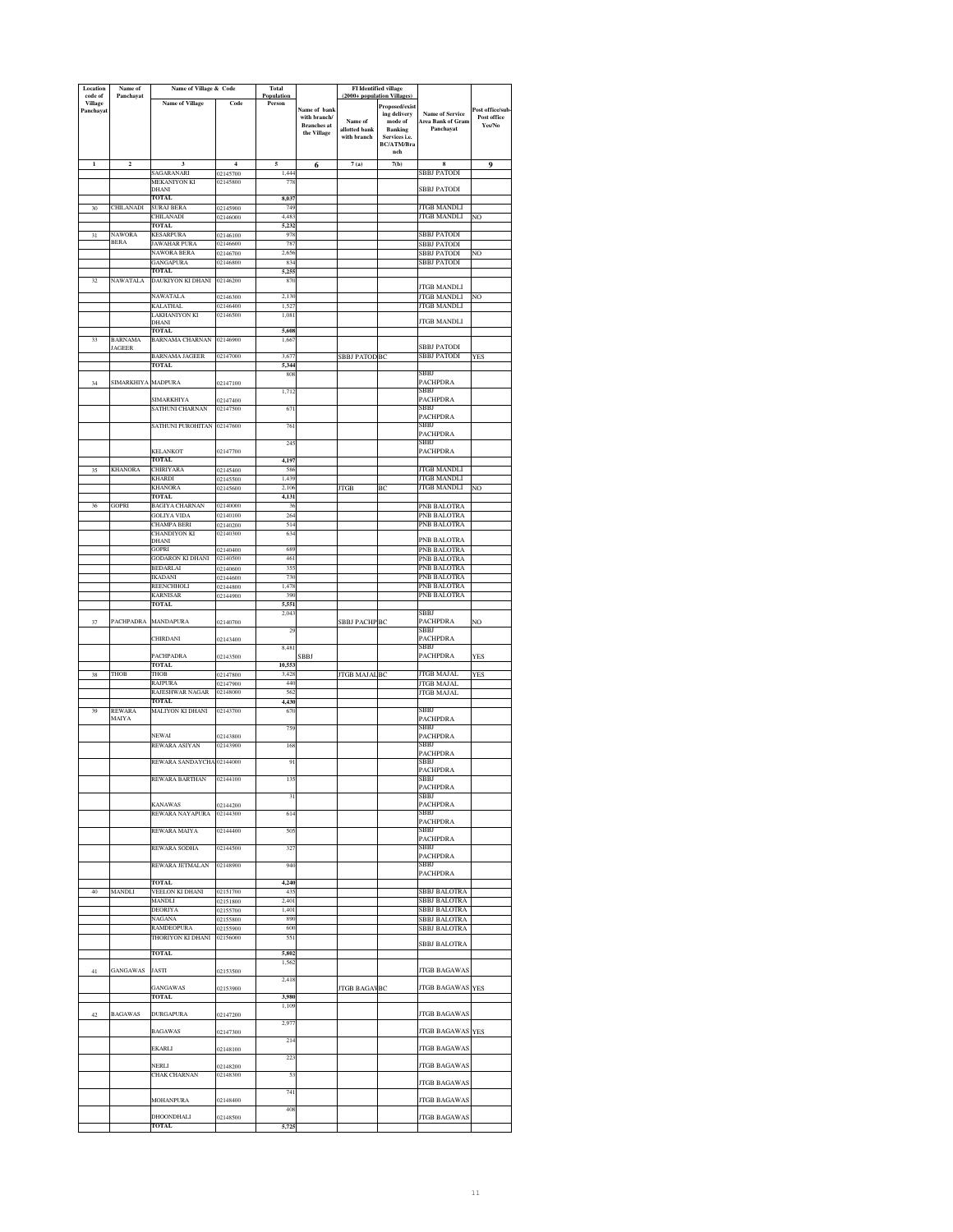| Location<br>code of         | Name of<br>Panchayat            | Name of Village & Code                      |                      | Total<br>Population      |                                    |                              | <b>FI</b> Identified village<br>(2000+ population Villages) |                                                    |                       |
|-----------------------------|---------------------------------|---------------------------------------------|----------------------|--------------------------|------------------------------------|------------------------------|-------------------------------------------------------------|----------------------------------------------------|-----------------------|
| <b>Village</b><br>Panchayat |                                 | Name of Village                             | Code                 | Person                   | Name of bank                       |                              | Proposed/exist                                              |                                                    | Post office/sub-      |
|                             |                                 |                                             |                      |                          | with branch/<br><b>Branches</b> at | Name of                      | ing delivery<br>mode of                                     | <b>Name of Service</b><br><b>Area Bank of Gram</b> | Post office<br>Yes/No |
|                             |                                 |                                             |                      |                          | the Village                        | allotted bank<br>with branch | <b>Banking</b><br>Services i.e.                             | Panchayat                                          |                       |
|                             |                                 |                                             |                      |                          |                                    |                              | BC/ATM/Bra<br>nch                                           |                                                    |                       |
| 1                           | $\mathbf 2$                     | 3<br>SAGARANARI                             | $\overline{4}$       | 5<br>1.444               | 6                                  | 7(a)                         | 7(b)                                                        | 8                                                  | 9                     |
|                             |                                 | MEKANIYON KI                                | 02145700<br>02145800 | 778                      |                                    |                              |                                                             | SBBJ PATODI                                        |                       |
|                             |                                 | DHANI<br><b>TOTAL</b>                       |                      | 8,03                     |                                    |                              |                                                             | SBBJ PATODI                                        |                       |
| $30\,$                      | CHILANADI                       | <b>SURAJ BERA</b><br>CHILANADI              | 02145900<br>02146000 | 749<br>4,48              |                                    |                              |                                                             | <b>JTGB MANDLI</b><br>JTGB MANDLI                  | ŃО                    |
|                             |                                 | TOTAL                                       |                      | 5,232                    |                                    |                              |                                                             |                                                    |                       |
| 31                          | NAWORA<br><b>BERA</b>           | <b>KESARPURA</b><br>JAWAHAR PURA            | 02146100<br>02146600 | 978<br>78                |                                    |                              |                                                             | <b>BBJ PATODI</b><br>SBBJ PATODI                   |                       |
|                             |                                 | NAWORA BERA<br>GANGAPURA                    | 02146700<br>02146800 | 2,656<br>834             |                                    |                              |                                                             | SBBJ PATODI<br><b>BBJ PATODI</b>                   | NO                    |
|                             |                                 | TOTAL                                       |                      | 5.25                     |                                    |                              |                                                             |                                                    |                       |
| 32                          | <b>NAWATALA</b>                 | DAUKIYON KI DHANI                           | 02146200             | 870                      |                                    |                              |                                                             | <b>JTGB MANDLI</b>                                 |                       |
|                             |                                 | NAWATALA<br>KALATHAL                        | 02146300<br>02146400 | 2.130<br>1,52            |                                    |                              |                                                             | <b>JTGB MANDLI</b><br><b>JTGB MANDLI</b>           | NO                    |
|                             |                                 | LAKHANIYON KI<br>DHANI                      | 02146500             | 1,081                    |                                    |                              |                                                             | <b>JTGB MANDLI</b>                                 |                       |
|                             |                                 | <b>TOTAL</b>                                |                      | 5,608                    |                                    |                              |                                                             |                                                    |                       |
| 33                          | <b>BARNAMA</b><br><b>JAGEER</b> | <b>BARNAMA CHARNAN</b>                      | 02146900             | 1,667                    |                                    |                              |                                                             | <b>BBJ PATODI</b>                                  |                       |
|                             |                                 | <b>BARNAMA JAGEER</b><br><b>TOTAL</b>       | 02147000             | 3,67<br>5.344            |                                    | <b>SBBJ PATOD</b>            | BC                                                          | <b>SBBJ PATODI</b>                                 | YES                   |
|                             |                                 |                                             |                      | 808                      |                                    |                              |                                                             | SBBJ                                               |                       |
| 34                          | <b>SIMARKHIYA</b>               | <b>MADPURA</b>                              | 02147100             | 1,712                    |                                    |                              |                                                             | PACHPDRA<br>SBBJ                                   |                       |
|                             |                                 | <b>SIMARKHIYA</b><br><b>SATHUNI CHARNAN</b> | 02147400<br>02147500 | 671                      |                                    |                              |                                                             | PACHPDRA<br>SBBJ                                   |                       |
|                             |                                 | SATHUNI PUROHITAN                           | 02147600             | 761                      |                                    |                              |                                                             | PACHPDRA<br>SBBJ                                   |                       |
|                             |                                 |                                             |                      |                          |                                    |                              |                                                             | PACHPDRA                                           |                       |
|                             |                                 | <b>KELANKOT</b>                             | 02147700             | 24:                      |                                    |                              |                                                             | SBBJ<br>PACHPDRA                                   |                       |
| 35                          | <b>KHANORA</b>                  | <b>TOTAL</b><br><b>CHIRIYARA</b>            | 02145400             | 4.197<br>586             |                                    |                              |                                                             | JTGB MANDLI                                        |                       |
|                             |                                 | KHARDI                                      | 02145500             | 1,439                    |                                    |                              |                                                             | <b>JTGB MANDLI</b>                                 |                       |
|                             |                                 | <b>KHANORA</b><br>TOTAL                     | 02145600             | 2.10<br>4,131            |                                    | <b>JTGB</b>                  | ВC                                                          | <b>JTGB MANDLI</b>                                 | NO                    |
| 36                          | <b>GOPRI</b>                    | <b>BAGIYA CHARNAN</b><br>GOLIYA VIDA        | 02140000<br>02140100 | 36<br>264                |                                    |                              |                                                             | PNB BALOTRA<br>PNB BALOTRA                         |                       |
|                             |                                 | CHAMPA BERI                                 | 02140200             | 514                      |                                    |                              |                                                             | PNB BALOTRA                                        |                       |
|                             |                                 | <b>CHANDIYON KI</b><br>DHANI                | 02140300             | 634                      |                                    |                              |                                                             | PNB BALOTRA                                        |                       |
|                             |                                 | <b>GOPRI</b><br><b>GODARON KI DHANI</b>     | 02140400<br>02140500 | 689<br>461               |                                    |                              |                                                             | PNB BALOTRA<br>PNB BALOTRA                         |                       |
|                             |                                 | <b>BEDARLAI</b>                             | 02140600             | 355                      |                                    |                              |                                                             | PNB BALOTRA                                        |                       |
|                             |                                 | IKADANI<br>REENCHHOLI                       | 02144600<br>02144800 | 730<br>1,478             |                                    |                              |                                                             | PNB BALOTRA<br>PNB BALOTRA                         |                       |
|                             |                                 | <b>KARNISAR</b><br>TOTAL                    | 02144900             | 390<br>5,551             |                                    |                              |                                                             | PNB BALOTRA                                        |                       |
|                             |                                 |                                             |                      | 2,043                    |                                    |                              |                                                             | SBBJ                                               |                       |
| 37                          | PACHPADRA                       | MANDAPURA                                   | 02140700             | 29                       |                                    | <b>SBBJ PACHPBC</b>          |                                                             | PACHPDRA<br>SBBJ                                   | ŃО                    |
|                             |                                 | CHIRDANI                                    | 02143400             | 8,481                    |                                    |                              |                                                             | PACHPDRA<br>SBBJ                                   |                       |
|                             |                                 | PACHPADRA<br>TOTAL                          | 02143500             | 10.55.                   | SBBJ                               |                              |                                                             | PACHPDRA                                           | YES                   |
| 38                          | THOB                            | <b>THOB</b>                                 | 02147800             | 3,42                     |                                    | <b>JTGB MAJAL BC</b>         |                                                             | JTGB MAJAL                                         | YES                   |
|                             |                                 | RAJPURA<br>RAJESHWAR NAGAR                  | 02147900<br>02148000 | 440<br>562               |                                    |                              |                                                             | <b>JTGB MAJAL</b><br>JTGB MAJAL                    |                       |
| 39                          | REWARA                          | <b>TOTAL</b><br>MALIYON KI DHANI            | 02143700             | 4,430<br>67              |                                    |                              |                                                             | SBBJ                                               |                       |
|                             | MAIYA                           |                                             |                      |                          |                                    |                              |                                                             | <b>PACHPDRA</b>                                    |                       |
|                             |                                 | NEWAI                                       | 02143800             | 759                      |                                    |                              |                                                             | SBBJ<br>PACHPDRA                                   |                       |
|                             |                                 | REWARA ASIYAN                               | 02143900             | 168                      |                                    |                              |                                                             | SBBJ<br>PACHPDRA                                   |                       |
|                             |                                 | REWARA SANDAYCHA                            | 02144000             | 91                       |                                    |                              |                                                             | SBBJ<br>PACHPDRA                                   |                       |
|                             |                                 |                                             |                      |                          |                                    |                              |                                                             |                                                    |                       |
|                             |                                 |                                             |                      | 31                       |                                    |                              |                                                             | <b>PACHPDRA</b><br>SBBJ                            |                       |
|                             |                                 | KANAWAS<br>REWARA NAYAPURA                  | 02144200<br>02144300 | 614                      |                                    |                              |                                                             | PACHPDRA<br>SBBJ                                   |                       |
|                             |                                 | REWARA MAIYA                                | 02144400             | 50                       |                                    |                              |                                                             | PACHPDRA<br>SBBJ                                   |                       |
|                             |                                 |                                             |                      |                          |                                    |                              |                                                             | PACHPDRA                                           |                       |
|                             |                                 | REWARA SODHA                                | 02144500             | 327                      |                                    |                              |                                                             | SBBI<br><b>PACHPDRA</b>                            |                       |
|                             |                                 | REWARA JETMALAN                             | 02148900             | 940                      |                                    |                              |                                                             | SBBJ<br>PACHPDRA                                   |                       |
| 40                          | <b>MANDLI</b>                   | TOTAL.<br>VEELON KI DHANI                   | 02151700             | 4.240<br>43 <sup>2</sup> |                                    |                              |                                                             |                                                    |                       |
|                             |                                 | <b>MANDLI</b>                               | 02151800             | 2,401                    |                                    |                              |                                                             | <b>SBBJ BALOTRA</b><br><b>SBBJ BALOTRA</b>         |                       |
|                             |                                 | <b>DEORIYA</b><br>NAGANA                    | 02155700<br>02155800 | 1,401<br>890             |                                    |                              |                                                             | <b>SBBJ BALOTRA</b><br>SBBJ BALOTRA                |                       |
|                             |                                 | RAMDEOPURA                                  | 02155900             | 600                      |                                    |                              |                                                             | <b>SBBJ BALOTRA</b>                                |                       |
|                             |                                 | THORIYON KI DHANI                           | 02156000             | 551                      |                                    |                              |                                                             | <b>SBBJ BALOTRA</b>                                |                       |
|                             |                                 | TOTAL                                       |                      | 5,802<br>1,562           |                                    |                              |                                                             |                                                    |                       |
| 41                          | <b>GANGAWAS</b>                 | <b>JASTI</b>                                | 02153500             | 2.418                    |                                    |                              |                                                             | <b>JTGB BAGAWAS</b>                                |                       |
|                             |                                 | GANGAWAS<br>TOTAL                           | 02153900             | 3.980                    |                                    | <b>JTGB BAGAVBC</b>          |                                                             | JTGB BAGAWAS YES                                   |                       |
|                             |                                 |                                             |                      | 1,109                    |                                    |                              |                                                             |                                                    |                       |
| 42                          | <b>BAGAWAS</b>                  | <b>DURGAPURA</b>                            | 02147200             | 2,97                     |                                    |                              |                                                             | <b>JTGB BAGAWAS</b>                                |                       |
|                             |                                 | <b>BAGAWAS</b>                              | 02147300             | 214                      |                                    |                              |                                                             | JTGB BAGAWAS YES                                   |                       |
|                             |                                 | EKARLI                                      | 02148100             | 223                      |                                    |                              |                                                             | <b>JTGB BAGAWAS</b>                                |                       |
|                             |                                 | NERLI                                       | 02148200             |                          |                                    |                              |                                                             | <b>JTGB BAGAWAS</b>                                |                       |
|                             |                                 | CHAK CHARNAN                                | 02148300             | 53                       |                                    |                              |                                                             | <b>JTGB BAGAWAS</b>                                |                       |
|                             |                                 | MOHANPURA                                   | 02148400             | 741                      |                                    |                              |                                                             | <b>JTGB BAGAWAS</b>                                |                       |
|                             |                                 | DHOONDHALI                                  |                      | 408                      |                                    |                              |                                                             | <b>ITGB BAGAWAS</b>                                |                       |
|                             |                                 | TOTAL                                       | 02148500             | 5,725                    |                                    |                              |                                                             |                                                    |                       |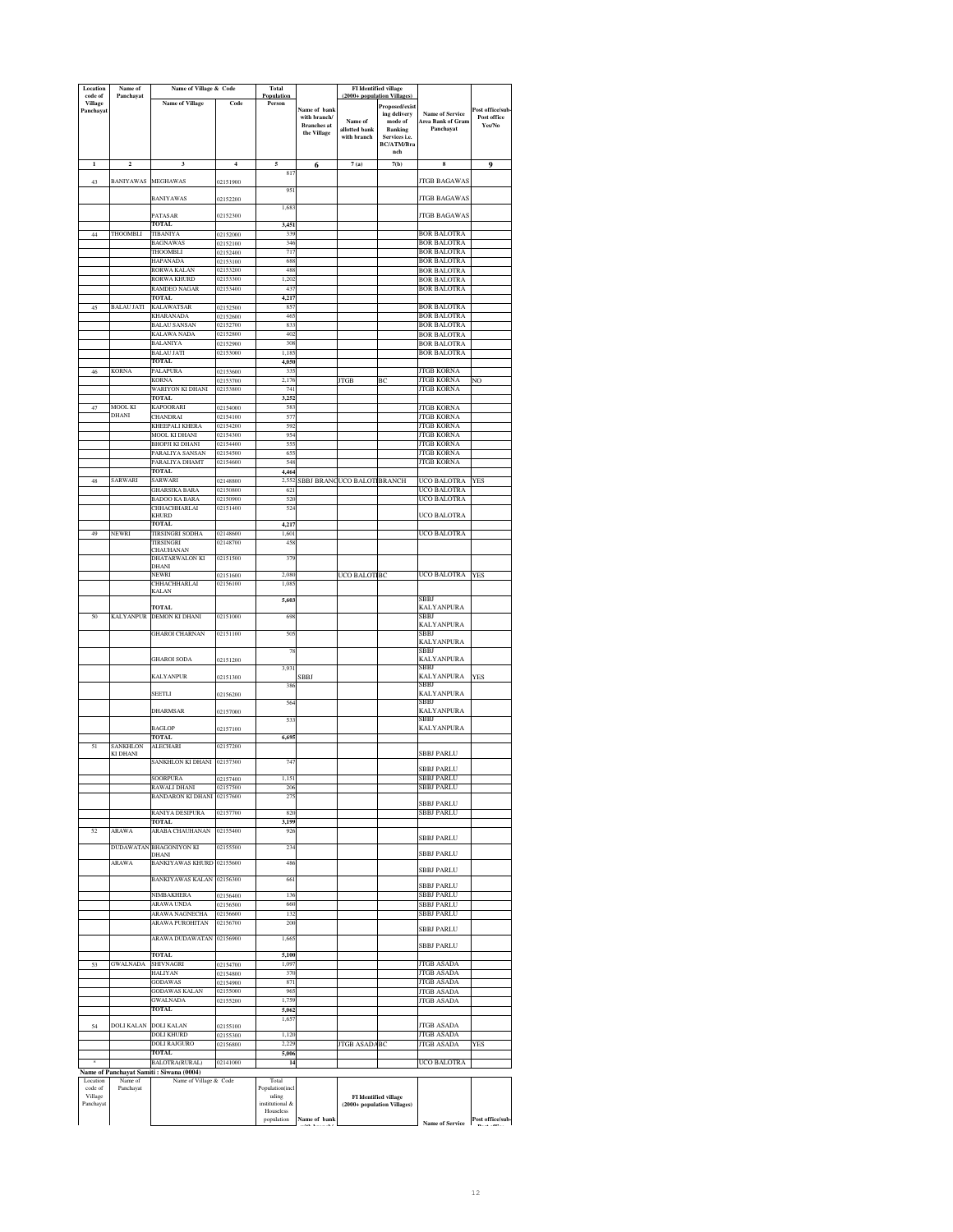| Location<br>code of         | Name of<br>Panchayat    | Name of Village & Code                                            |                      | Total<br>Population      |                                   | (2000+ population Villages   | FI Identified village                                       |                                             |                  |
|-----------------------------|-------------------------|-------------------------------------------------------------------|----------------------|--------------------------|-----------------------------------|------------------------------|-------------------------------------------------------------|---------------------------------------------|------------------|
| <b>Village</b><br>Panchayat |                         | <b>Name of Village</b>                                            | Code                 | Person                   | Name of bank                      |                              | Proposed/exist                                              |                                             | Post office/sub  |
|                             |                         |                                                                   |                      |                          | with branch/                      | Name of                      | ing delivery<br>$\operatorname{mode}$ of                    | <b>Name of Service</b><br>Area Bank of Gram | Post office      |
|                             |                         |                                                                   |                      |                          | <b>Branches</b> at<br>the Village | allotted bank<br>with branch | <b>Banking</b><br>Services i.e.                             | Panchayat                                   | Yes/No           |
|                             |                         |                                                                   |                      |                          |                                   |                              | BC/ATM/Bra                                                  |                                             |                  |
| $\mathbf{1}$                | $\overline{\mathbf{c}}$ | 3                                                                 | $\overline{4}$       | 5                        | 6                                 | 7(a)                         | nch<br>7(b)                                                 | 8                                           | 9                |
|                             |                         |                                                                   |                      | 81                       |                                   |                              |                                                             |                                             |                  |
| 43                          | <b>BANIYAWAS</b>        | <b>MEGHAWAS</b>                                                   | 02151900             | 951                      |                                   |                              |                                                             | JTGB BAGAWAS                                |                  |
|                             |                         | <b>BANIYAWAS</b>                                                  | 02152200             |                          |                                   |                              |                                                             | JTGB BAGAWAS                                |                  |
|                             |                         | PATASAR                                                           | 02152300             | 1,68                     |                                   |                              |                                                             | <b>JTGB BAGAWAS</b>                         |                  |
|                             |                         | TOTAL                                                             |                      | 3,451                    |                                   |                              |                                                             |                                             |                  |
| 44                          | THOOMBLI                | TIBANIYA<br><b>BAGNAWAS</b>                                       | 02152000<br>02152100 | 339<br>346               |                                   |                              |                                                             | <b>BOR BALOTRA</b><br><b>BOR BALOTRA</b>    |                  |
|                             |                         | THOOMBLI                                                          | 02152400             | 717                      |                                   |                              |                                                             | <b>BOR BALOTRA</b>                          |                  |
|                             |                         | HAPANADA<br>RORWA KALAN                                           | 02153100<br>02153200 | 68<br>488                |                                   |                              |                                                             | <b>BOR BALOTRA</b><br><b>BOR BALOTRA</b>    |                  |
|                             |                         | RORWA KHURD                                                       | 02153300             | 1,202                    |                                   |                              |                                                             | BOR BALOTRA                                 |                  |
|                             |                         | RAMDEO NAGAR<br>TOTAL.                                            | 02153400             | 437                      |                                   |                              |                                                             | BOR BALOTRA                                 |                  |
| 45                          | <b>BALAU JATI</b>       | KALAWATSAR                                                        | 02152500             | 4,217<br>857             |                                   |                              |                                                             | <b>BOR BALOTRA</b>                          |                  |
|                             |                         | <b>KHARANADA</b>                                                  | 02152600             | 46                       |                                   |                              |                                                             | BOR BALOTRA                                 |                  |
|                             |                         | <b>BALAU SANSAN</b><br>KALAWA NADA                                | 02152700<br>02152800 | 83<br>402                |                                   |                              |                                                             | <b>BOR BALOTRA</b><br><b>BOR BALOTRA</b>    |                  |
|                             |                         | BALANIYA                                                          | 02152900             | 308                      |                                   |                              |                                                             | <b>BOR BALOTRA</b>                          |                  |
|                             |                         | <b>BALAU JATI</b>                                                 | 02153000             | 1,18                     |                                   |                              |                                                             | <b>BOR BALOTRA</b>                          |                  |
| 46                          | <b>KORNA</b>            | <b>TOTAL</b><br>PALAPURA                                          | 02153600             | 4,050<br>33              |                                   |                              |                                                             | <b>JTGB KORNA</b>                           |                  |
|                             |                         | KORNA                                                             | 02153700             | 2,176                    |                                   | JTGB                         | BC                                                          | <b>JTGB KORNA</b>                           | NO               |
|                             |                         | WARIYON KI DHANI<br>TOTAL                                         | 02153800             | 741<br>3.252             |                                   |                              |                                                             | JTGB KORNA                                  |                  |
| 47                          | <b>MOOL KI</b>          | KAPOORARI                                                         | 02154000             | 583                      |                                   |                              |                                                             | <b>JTGB KORNA</b>                           |                  |
|                             | DHANI                   | CHANDRAI<br>KHEEPALI KHERA                                        | 02154100<br>02154200 | 577<br>592               |                                   |                              |                                                             | <b>JTGB KORNA</b><br><b>JTGB KORNA</b>      |                  |
|                             |                         | MOOL KI DHANI                                                     | 02154300             | 954                      |                                   |                              |                                                             | <b>JTGB KORNA</b>                           |                  |
|                             |                         | BHOPJI KI DHANI                                                   | 02154400             | 555                      |                                   |                              |                                                             | <b>JTGB KORNA</b>                           |                  |
|                             |                         | PARALIYA SANSAN<br>PARALIYA DHAMT                                 | 02154500<br>02154600 | 655<br>548               |                                   |                              |                                                             | <b>JTGB KORNA</b><br><b>ITGB KORNA</b>      |                  |
|                             |                         | <b>TOTAL</b>                                                      |                      | 4,464                    |                                   |                              |                                                             |                                             |                  |
| 48                          | <b>SARWARI</b>          | SARWARI<br>GHARSIKA BARA                                          | 02148800<br>02150800 | 2.552<br>621             |                                   | SBBJ BRANCUCO BALOT          | <b>BRANCH</b>                                               | UCO BALOTRA<br>UCO BALOTRA                  | YES              |
|                             |                         | <b>BADOO KA BARA</b>                                              | 02150900             | 520                      |                                   |                              |                                                             | <b>UCO BALOTRA</b>                          |                  |
|                             |                         | CHHACHHARLAI<br><b>KHURD</b>                                      | 02151400             | 524                      |                                   |                              |                                                             | UCO BALOTRA                                 |                  |
|                             |                         | <b>TOTAL</b>                                                      |                      | 4,217                    |                                   |                              |                                                             |                                             |                  |
| 49                          | <b>NEWRI</b>            | <b>TIRSINGRI SODHA</b>                                            | 02148600             | 1,601                    |                                   |                              |                                                             | UCO BALOTRA                                 |                  |
|                             |                         | TIRSINGRI<br>CHAUHANAN                                            | 02148700             | 458                      |                                   |                              |                                                             |                                             |                  |
|                             |                         | DHATARWALON KI<br>DHANI                                           | 02151500             | 379                      |                                   |                              |                                                             |                                             |                  |
|                             |                         | NEWRI                                                             | 02151600             | 2,080                    |                                   | UCO BALOT                    | BC                                                          | UCO BALOTRA                                 | <b>YES</b>       |
|                             |                         | CHHACHHARLAI<br>KALAN                                             | 02156100             | 1,08                     |                                   |                              |                                                             |                                             |                  |
|                             |                         |                                                                   |                      | 5,60                     |                                   |                              |                                                             | SBBI                                        |                  |
| 50                          |                         | <b>TOTAL</b><br>KALYANPUR DEMON KI DHANI                          | 02151000             | 698                      |                                   |                              |                                                             | <b>KALYANPURA</b><br>SBBJ                   |                  |
|                             |                         |                                                                   |                      |                          |                                   |                              |                                                             | KALYANPURA                                  |                  |
|                             |                         | <b>GHAROI CHARNAN</b>                                             | 02151100             | 505                      |                                   |                              |                                                             | SBBJ<br><b>KALYANPURA</b>                   |                  |
|                             |                         |                                                                   |                      | 71                       |                                   |                              |                                                             | SBBJ                                        |                  |
|                             |                         | <b>GHAROI SODA</b>                                                | 02151200             | 3,931                    |                                   |                              |                                                             | <b>KALYANPURA</b><br>SBBJ                   |                  |
|                             |                         | <b>KALYANPUR</b>                                                  | 02151300             |                          | SBBJ                              |                              |                                                             | KALYANPURA                                  | <b>YES</b>       |
|                             |                         | SEETLI                                                            | 02156200             | 386                      |                                   |                              |                                                             | SBBJ<br><b>KALYANPURA</b>                   |                  |
|                             |                         |                                                                   |                      | 564                      |                                   |                              |                                                             | SBBJ                                        |                  |
|                             |                         | <b>DHARMSAR</b>                                                   | 02157000             | 53                       |                                   |                              |                                                             | KALYANPURA<br>SBBJ                          |                  |
|                             |                         | <b>BAGLOP</b>                                                     | 02157100             |                          |                                   |                              |                                                             | <b>KALYANPURA</b>                           |                  |
| 51                          | <b>SANKHLON</b>         | TOTAL<br><b>ALECHARI</b>                                          | 02157200             | 6,69                     |                                   |                              |                                                             |                                             |                  |
|                             | KI DHANI                |                                                                   |                      |                          |                                   |                              |                                                             | SBBJ PARLU                                  |                  |
|                             |                         | SANKHLON KI DHANI 02157300                                        |                      | 74'                      |                                   |                              |                                                             | <b>SBBJ PARLU</b>                           |                  |
|                             |                         | <b>SOORPURA</b>                                                   | 02157400             | 1,151                    |                                   |                              |                                                             | SBBJ PARLU                                  |                  |
|                             |                         | RAWALI DHANI<br><b>BANDARON KI DHANI</b>                          | 02157500<br>02157600 | 20 <sub>0</sub><br>27:   |                                   |                              |                                                             | SBBJ PARLU                                  |                  |
|                             |                         |                                                                   |                      |                          |                                   |                              |                                                             | <b>SBBJ PARLU</b>                           |                  |
|                             |                         | RANIYA DESIPURA<br><b>TOTAL</b>                                   | 02157700             | 820<br>3,199             |                                   |                              |                                                             | <b>SBBJ PARLU</b>                           |                  |
| 52                          | ARAWA                   | ARABA CHAUHANAN                                                   | 02155400             | 92(                      |                                   |                              |                                                             | SBBJ PARLU                                  |                  |
|                             |                         | DUDAWATAN BHAGONIYON KI                                           | 02155500             | 234                      |                                   |                              |                                                             |                                             |                  |
|                             | ARAWA                   | DHANI<br><b>BANKIYAWAS KHURD</b>                                  | 02155600             | 486                      |                                   |                              |                                                             | <b>SBBJ PARLU</b>                           |                  |
|                             |                         |                                                                   |                      |                          |                                   |                              |                                                             | <b>SBBJ PARLU</b>                           |                  |
|                             |                         | <b>BANKIYAWAS KALAN</b>                                           | 02156300             | 661                      |                                   |                              |                                                             | SBBJ PARLU                                  |                  |
|                             |                         | <b>NIMBAKHERA</b>                                                 | 02156400             | 136                      |                                   |                              |                                                             | <b>SBBJ PARLU</b>                           |                  |
|                             |                         | <b>ARAWA UNDA</b><br>ARAWA NAGNECHA                               | 02156500<br>02156600 | 660<br>132               |                                   |                              |                                                             | <b>SBBJ PARLU</b><br>SBBJ PARLU             |                  |
|                             |                         | <b>ARAWA PUROHITAN</b>                                            | 02156700             | 200                      |                                   |                              |                                                             |                                             |                  |
|                             |                         | ARAWA DUDAWATAN                                                   | 02156900             | 1,66                     |                                   |                              |                                                             | <b>SBBJ PARLU</b>                           |                  |
|                             |                         |                                                                   |                      |                          |                                   |                              |                                                             | SBBJ PARLU                                  |                  |
| 53                          | <b>GWALNADA</b>         | <b>TOTAL</b><br>SHIVNAGRI                                         | 02154700             | 5,100<br>1,09            |                                   |                              |                                                             | <b>JTGB ASADA</b>                           |                  |
|                             |                         | HALIYAN                                                           | 12154800             | 370                      |                                   |                              |                                                             | <b>JTGB ASADA</b>                           |                  |
|                             |                         | <b>GODAWAS</b><br>GODAWAS KALAN                                   | 02154900<br>02155000 | 871<br>965               |                                   |                              |                                                             | <b>JTGB ASADA</b><br><b>JTGB ASADA</b>      |                  |
|                             |                         | <b>GWALNADA</b>                                                   | 02155200             | 1.759                    |                                   |                              |                                                             | JTGB ASADA                                  |                  |
|                             |                         | <b>TOTAL</b>                                                      |                      | 5,062<br>1.65            |                                   |                              |                                                             |                                             |                  |
| 54                          | DOLI KALAN              | <b>DOLI KALAN</b>                                                 | 02155100             |                          |                                   |                              |                                                             | <b>JTGB ASADA</b>                           |                  |
|                             |                         | DOLI KHURD                                                        | 02155300             | 1.120                    |                                   |                              |                                                             | <b>JTGB ASADA</b>                           |                  |
|                             |                         | <b>DOLI RAJGURO</b><br><b>TOTAL</b>                               | 02156800             | 2,229<br>5,006           |                                   | <b>JTGB ASADA</b>            | BC                                                          | <b>JTGB ASADA</b>                           | <b>YES</b>       |
|                             |                         | BALOTRA(RURAL)                                                    | 02141000             | 14                       |                                   |                              |                                                             | UCO BALOTRA                                 |                  |
| Location                    | Name of                 | Name of Panchayat Samiti: Siwana (0004)<br>Name of Village & Code |                      | Total                    |                                   |                              |                                                             |                                             |                  |
| code of                     | Panchayat               |                                                                   |                      | Population(incl          |                                   |                              |                                                             |                                             |                  |
| Village<br>Panchayat        |                         |                                                                   |                      | uding<br>institutional & |                                   |                              | <b>FI</b> Identified village<br>(2000+ population Villages) |                                             |                  |
|                             |                         |                                                                   |                      | Houseless<br>population  | Name of bank                      |                              |                                                             |                                             | Post office/sub- |
|                             |                         |                                                                   |                      |                          |                                   |                              |                                                             | <b>Name of Service</b>                      |                  |

**with branch/** 

**Post office**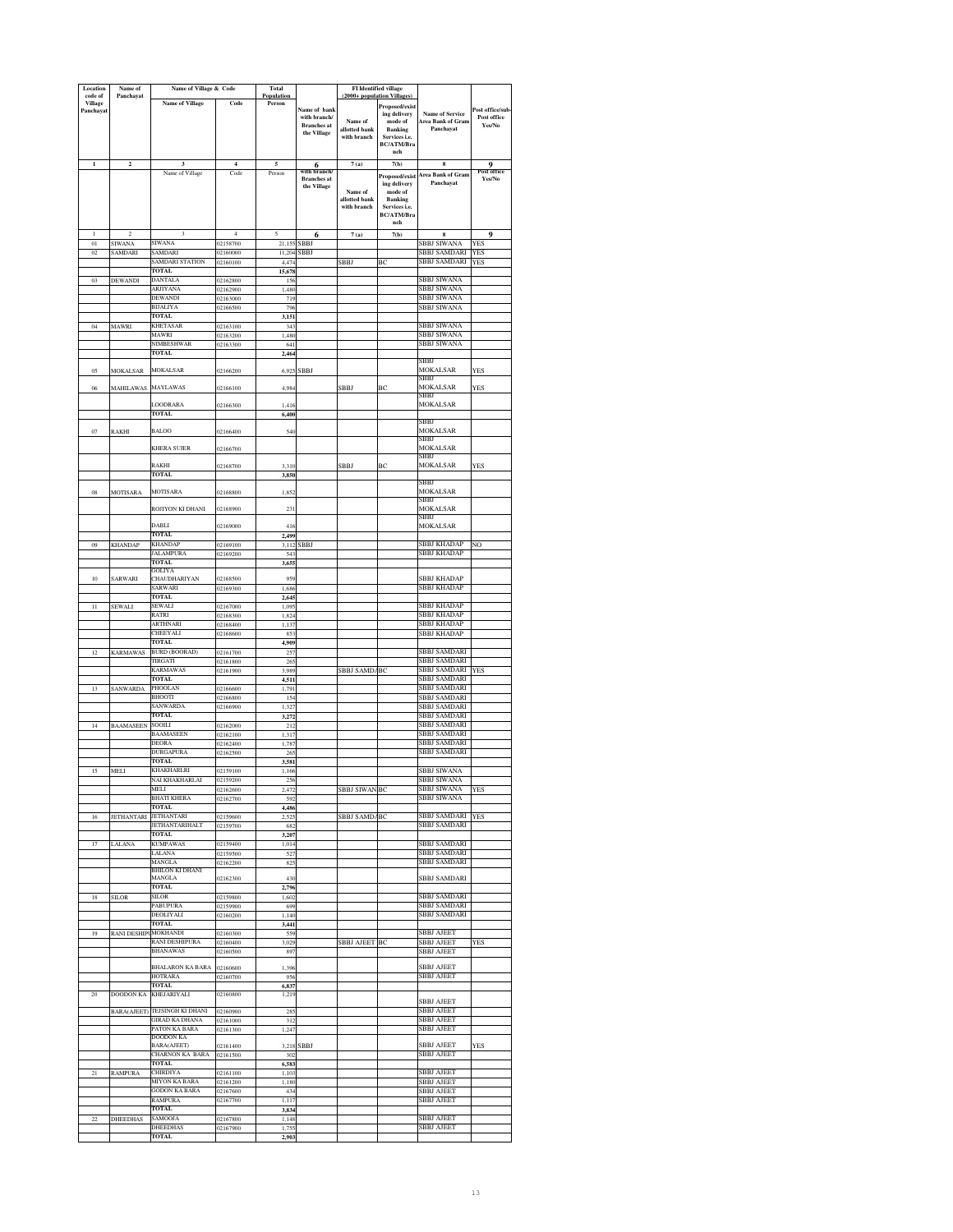| Location                  | Name of                         | Name of Village & Code              |                      | Total                |                              | <b>FI</b> Identified village |                                 |                                        |                               |
|---------------------------|---------------------------------|-------------------------------------|----------------------|----------------------|------------------------------|------------------------------|---------------------------------|----------------------------------------|-------------------------------|
| code of<br><b>Village</b> | Panchayat                       | <b>Name of Village</b>              | Code                 | Population<br>Person |                              | (2000+ population Villages   | Proposed/exist                  |                                        |                               |
| Panchayat                 |                                 |                                     |                      |                      | Name of bank<br>with branch/ |                              | ing delivery                    | <b>Name of Service</b>                 | ost office/sub<br>Post office |
|                           |                                 |                                     |                      |                      | <b>Branches</b> at           | Name of<br>allotted bank     | mode of<br><b>Banking</b>       | Area Bank of Gram<br>Panchavat         | Yes/No                        |
|                           |                                 |                                     |                      |                      | the Village                  | with branch                  | Services i.e.                   |                                        |                               |
|                           |                                 |                                     |                      |                      |                              |                              | <b>BC/ATM/Bra</b>               |                                        |                               |
| $\mathbf{1}$              | $\mathbf 2$                     | 3                                   | $\overline{4}$       | 5                    |                              | 7(a)                         | nch<br>7(b)                     | s                                      |                               |
|                           |                                 | Name of Village                     | Code                 | Person               | 6                            |                              |                                 |                                        | 9<br>г опте                   |
|                           |                                 |                                     |                      |                      | <b>Branches</b> at           |                              | Proposed/exist<br>ing delivery  | <b>Area Bank of Gram</b><br>Panchavat  | Yes/No                        |
|                           |                                 |                                     |                      |                      | the Village                  | Name of                      | mode of                         |                                        |                               |
|                           |                                 |                                     |                      |                      |                              | allotted bank<br>with branch | <b>Banking</b><br>Services i.e. |                                        |                               |
|                           |                                 |                                     |                      |                      |                              |                              | <b>BC/ATM/Bra</b>               |                                        |                               |
|                           |                                 |                                     |                      |                      |                              |                              | nch                             |                                        |                               |
| L                         | $\mathfrak{D}$                  | 3<br>SIWANA                         | 4                    | 5                    | 6                            | 7(a)                         | 7(b)                            | s<br>SBBJ SIWANA                       | $\mathbf{o}$                  |
| 01<br>02                  | <b>SIWANA</b><br><b>SAMDARI</b> | SAMDARI                             | 02158700<br>02160000 | 21,155<br>11,204     | <b>SBBJ</b><br><b>SBBJ</b>   |                              |                                 | SBBJ SAMDARI                           | <b>YES</b><br><b>YES</b>      |
|                           |                                 | SAMDARI STATION                     | 02160100             | 4,474                |                              | SBBJ                         | ВC                              | SBBJ SAMDARI                           | <b>YES</b>                    |
|                           |                                 | TOTAL                               |                      | 15,678               |                              |                              |                                 |                                        |                               |
| 0 <sub>3</sub>            | <b>DEWANDI</b>                  | DANTALA                             | 02162800             | 156                  |                              |                              |                                 | SBBJ SIWANA                            |                               |
|                           |                                 | ARJIYANA<br>DEWANDI                 | 02162900<br>02163000 | 1,480<br>719         |                              |                              |                                 | <b>SBBJ SIWANA</b><br>SBBJ SIWANA      |                               |
|                           |                                 | BIJALIYA                            | 02166500             | 79                   |                              |                              |                                 | SBBJ SIWANA                            |                               |
|                           |                                 | TOTAL                               |                      | 3,151                |                              |                              |                                 |                                        |                               |
| $04\,$                    | MAWRI                           | <b>KHETASAR</b>                     | 02163100             | 343                  |                              |                              |                                 | SBBJ SIWANA                            |                               |
|                           |                                 | MAWRI<br>NIMBESHWAR                 | 02163200             | 1,480                |                              |                              |                                 | SBBJ SIWANA                            |                               |
|                           |                                 | TOTAL                               | 02163300             | 641<br>2,464         |                              |                              |                                 | SBBJ SIWANA                            |                               |
|                           |                                 |                                     |                      |                      |                              |                              |                                 | SBB.                                   |                               |
| 05                        | <b>MOKALSAR</b>                 | MOKALSAR                            | 02166200             | 6,925                | SBBJ                         |                              |                                 | MOKALSAR                               | <b>YES</b>                    |
| 06                        |                                 | <b>MAYLAWAS</b>                     |                      | 4,984                |                              | <b>SBBJ</b>                  | BC                              | SBBJ<br><b>MOKALSAR</b>                | YES                           |
|                           | <b>MAHILAWAS</b>                |                                     | 02166100             |                      |                              |                              |                                 | SBBJ                                   |                               |
|                           |                                 | LOODRARA                            | 02166300             | 1,416                |                              |                              |                                 | MOKALSAR                               |                               |
|                           |                                 | TOTAL                               |                      | 6,400                |                              |                              |                                 |                                        |                               |
| 07                        | RAKHI                           | <b>BALOO</b>                        | 02166400             | 540                  |                              |                              |                                 | SBBJ<br>MOKALSAR                       |                               |
|                           |                                 |                                     |                      |                      |                              |                              |                                 | SBBJ                                   |                               |
|                           |                                 | KHERA SUJER                         | 02166700             |                      |                              |                              |                                 | <b>MOKALSAR</b>                        |                               |
|                           |                                 |                                     |                      |                      |                              |                              |                                 | SBBJ                                   |                               |
|                           |                                 | RAKHI<br><b>TOTAL</b>               | 02168700             | 3,310<br>3,850       |                              | SBBJ                         | BC                              | MOKALSAR                               | YES                           |
|                           |                                 |                                     |                      |                      |                              |                              |                                 | SBB.                                   |                               |
| 08                        | <b>MOTISARA</b>                 | <b>MOTISARA</b>                     | 02168800             | 1,852                |                              |                              |                                 | MOKALSAR                               |                               |
|                           |                                 |                                     |                      |                      |                              |                              |                                 | SBBJ                                   |                               |
|                           |                                 | ROJIYON KI DHANI                    | 02168900             | 23                   |                              |                              |                                 | <b>MOKALSAR</b>                        |                               |
|                           |                                 | <b>DABLI</b>                        | 02169000             | 416                  |                              |                              |                                 | SBBJ<br>MOKALSAR                       |                               |
|                           |                                 | <b>TOTAL</b>                        |                      | 2,499                |                              |                              |                                 |                                        |                               |
| 09                        | <b>KHANDAP</b>                  | KHANDAP                             | 02169100             | 3,112                | SBBJ                         |                              |                                 | SBBJ KHADAP                            | NO                            |
|                           |                                 | <b>ALAMPURA</b>                     | 02169200             | 543                  |                              |                              |                                 | <b>SBBJ KHADAP</b>                     |                               |
|                           |                                 | <b>TOTAL</b><br>GOLIYA              |                      | 3,655                |                              |                              |                                 |                                        |                               |
| 10                        | SARWARI                         | <b>CHAUDHARIYAN</b>                 | 02168500             | 959                  |                              |                              |                                 | <b>SBBJ KHADAP</b>                     |                               |
|                           |                                 | SARWARI                             | 02169300             | 1,686                |                              |                              |                                 | <b>SBBJ KHADAP</b>                     |                               |
|                           |                                 | <b>TOTAL</b>                        |                      | 2.64:                |                              |                              |                                 |                                        |                               |
| $\bar{1}$                 | SEWALI                          | SEWALI<br>RATRI                     | 02167000             | 1,09                 |                              |                              |                                 | SBBJ KHADAP                            |                               |
|                           |                                 | ARTHNARI                            | 02168300<br>02168400 | 1,824<br>1,137       |                              |                              |                                 | SBBJ KHADAP<br>SBBJ KHADAP             |                               |
|                           |                                 | CHEEYALI                            | 02168600             | 853                  |                              |                              |                                 | SBBJ KHADAP                            |                               |
|                           |                                 | TOTAL                               |                      | 4,909                |                              |                              |                                 |                                        |                               |
| 12                        | <b>KARMAWAS</b>                 | <b>BURD (BOORAD)</b>                | 02161700             | 25                   |                              |                              |                                 | <b>SBBJ SAMDARI</b>                    |                               |
|                           |                                 | TIRGATI                             | 02161800             | 26:                  |                              |                              |                                 | <b>SBBJ SAMDARI</b>                    |                               |
|                           |                                 | KARMAWAS<br><b>TOTAL</b>            | 02161900             | 3,989<br>4,511       |                              | SBBJ SAMD/                   | BC                              | <b>SBBJ SAMDARI</b><br>SBBJ SAMDARI    | YES                           |
| 13                        | SANWARDA                        | PHOOLAN                             | 02166600             | 1,791                |                              |                              |                                 | SBBJ SAMDARI                           |                               |
|                           |                                 | <b>BHOOTI</b>                       | 02166800             | 154                  |                              |                              |                                 | <b>SBBJ SAMDARI</b>                    |                               |
|                           |                                 | SANWARDA                            | 02166900             | 1,327                |                              |                              |                                 | SBBJ SAMDARI                           |                               |
|                           |                                 | <b>TOTAL</b>                        |                      | 3,272                |                              |                              |                                 | <b>SBBJ SAMDARI</b>                    |                               |
| 14                        | <b>BAAMASEEN</b>                | SOOILI<br>BAAMASEEN                 | 02162000<br>02162100 | 212<br>1,317         |                              |                              |                                 | <b>SBBJ SAMDARI</b><br>SBBJ SAMDARI    |                               |
|                           |                                 | DEORA                               | 02162400             | 1,787                |                              |                              |                                 | SBBJ SAMDARI                           |                               |
|                           |                                 | DURGAPURA                           | 2162500              | 265                  |                              |                              |                                 | SBBJ SAMDARI                           |                               |
|                           |                                 | <b>TOTAL</b>                        |                      | 3,581                |                              |                              |                                 |                                        |                               |
| 15                        | MELI                            | KHAKHARLRI                          | 02159100             | 1,166                |                              |                              |                                 | SBBJ SIWANA<br>BBI SIW                 |                               |
|                           |                                 | <b>JI KHAKHAR</b><br>MELI           | 02162600             | 2,472                |                              | SBBJ SIWAN                   | BC                              | SBBJ SIWANA                            | <b>YES</b>                    |
|                           |                                 | BHATI KHERA                         | 02162700             | 592                  |                              |                              |                                 | SBBJ SIWANA                            |                               |
|                           |                                 | <b>TOTAL</b>                        |                      | 4.486                |                              |                              |                                 |                                        |                               |
| 16                        | <b>JETHANTARI</b>               | <b>JETHANTARI</b>                   | 02159600             | 2,52                 |                              | <b>SBBJ SAMD/BC</b>          |                                 | SBBJ SAMDARI                           | <b>YES</b>                    |
|                           |                                 | JETHANTARIHALT<br><b>TOTAL</b>      | 02159700             | 682                  |                              |                              |                                 | <b>SBBJ SAMDARI</b>                    |                               |
| 17                        | LALANA                          | <b>KUMPAWAS</b>                     | 02159400             | 3,207<br>1,014       |                              |                              |                                 | SBBJ SAMDARI                           |                               |
|                           |                                 | LALANA                              | 02159500             | 527                  |                              |                              |                                 | <b>SBBJ SAMDARI</b>                    |                               |
|                           |                                 | MANGLA                              | 02162200             | 825                  |                              |                              |                                 | SBBJ SAMDARI                           |                               |
|                           |                                 | BHILON KI DHANI<br>MANGLA           | 02162300             | 430                  |                              |                              |                                 | <b>SBBJ SAMDARI</b>                    |                               |
|                           |                                 | TOTAL                               |                      | 2,796                |                              |                              |                                 |                                        |                               |
| 18                        | <b>SILOR</b>                    | SILOR                               | 02159800             | 1,602                |                              |                              |                                 | SBBJ SAMDARI                           |                               |
|                           |                                 | PABUPURA                            | 02159900             | 699                  |                              |                              |                                 | SBBJ SAMDARI                           |                               |
|                           |                                 | DEOLIYALI                           | 02160200             | 1,140                |                              |                              |                                 | <b>SBBJ SAMDARI</b>                    |                               |
| 19                        | RANI DESHIPUMOKHANDI            | <b>TOTAL</b>                        |                      | 3.441                |                              |                              |                                 | <b>SBBJ AJEET</b>                      |                               |
|                           |                                 | RANI DESHIPURA                      | 02160300<br>02160400 | 559<br>3,029         |                              | <b>SBBJ AJEET BC</b>         |                                 | SBBJ AJEET                             | <b>YES</b>                    |
|                           |                                 | <b>BHANAWAS</b>                     | 02160500             | 897                  |                              |                              |                                 | <b>SBBJ AJEET</b>                      |                               |
|                           |                                 |                                     |                      |                      |                              |                              |                                 |                                        |                               |
|                           |                                 | BHALARON KA BARA                    | 02160600             | 1,396                |                              |                              |                                 | <b>SBBJ AJEET</b><br><b>SBBJ AJEET</b> |                               |
|                           |                                 | HOTRARA<br><b>TOTAL</b>             | 02160700             | 956<br>6,837         |                              |                              |                                 |                                        |                               |
| 20                        | <b>DOODON KA</b>                | KHEJARIYALI                         | 02160800             | 1.219                |                              |                              |                                 |                                        |                               |
|                           |                                 |                                     |                      |                      |                              |                              |                                 | <b>SBBJ AJEET</b>                      |                               |
|                           | BARA(AJEET)                     | TEJSINGH KI DHANI<br>GIRAD KA DHANA | 02160900             | 285                  |                              |                              |                                 | SBBJ AJEET                             |                               |
|                           |                                 | PATON KA BARA                       | 02161000<br>02161300 | 312<br>1,247         |                              |                              |                                 | SBBJ AJEET<br>SBBJ AJEET               |                               |
|                           |                                 | DOODON KA                           |                      |                      |                              |                              |                                 |                                        |                               |
|                           |                                 | BARA(AJEET)                         | 02161400             |                      | 3,218 SBBJ                   |                              |                                 | <b>SBBJ AJEET</b>                      | <b>YES</b>                    |
|                           |                                 | <b>CHARNON KA BARA</b>              | 02161500             | 302                  |                              |                              |                                 | <b>SBBJ AJEET</b>                      |                               |
| $^{21}$                   |                                 | <b>TOTAL</b><br><b>CHIRDIYA</b>     |                      | 6,583<br>1,103       |                              |                              |                                 | <b>SBBJ AJEET</b>                      |                               |
|                           | <b>RAMPURA</b>                  | <b>MIYON KA BARA</b>                | 02161100<br>02161200 | 1,180                |                              |                              |                                 | <b>SBBJ AJEET</b>                      |                               |
|                           |                                 | <b>GODON KA BARA</b>                | 02167600             | 434                  |                              |                              |                                 | SBBJ AJEET                             |                               |
|                           |                                 | RAMPURA                             | 02167700             | 1,117                |                              |                              |                                 | SBBJ AJEET                             |                               |
|                           |                                 | TOTAL                               |                      | 3,834                |                              |                              |                                 |                                        |                               |
| 22                        | <b>DHEEDHAS</b>                 | SAMOOJA<br>DHEEDHAS                 | 02167800             | 1,148                |                              |                              |                                 | SBBJ AJEET<br>SBBJ AJEET               |                               |
|                           |                                 | <b>TOTAL</b>                        | 02167900             | 1,75<br>2,903        |                              |                              |                                 |                                        |                               |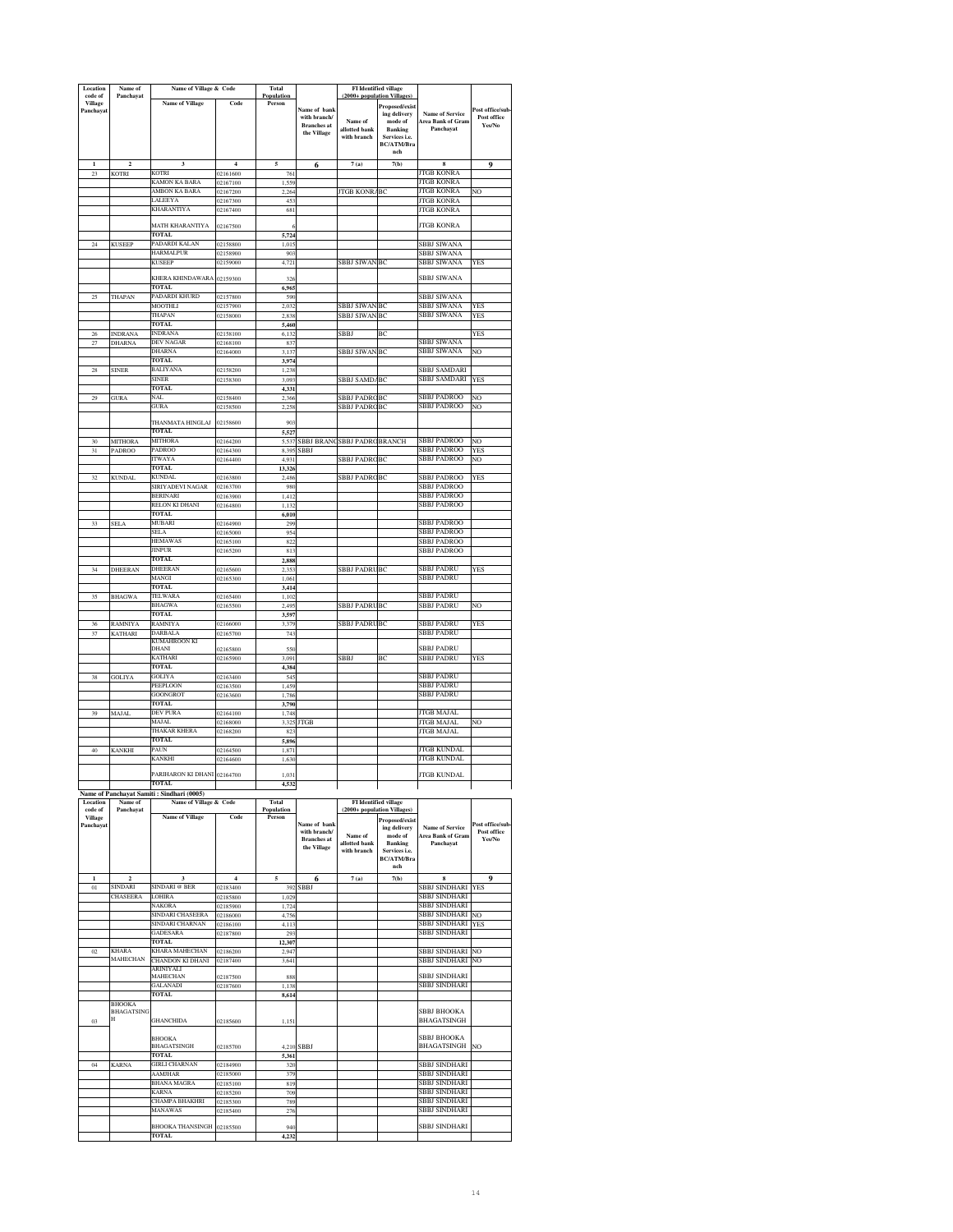| Location                        | Name of                            | Name of Village & Code                                    |                      | Total                    |                                   | (2000+ population Villages)     | FI Identified village                                |                                             |                                |
|---------------------------------|------------------------------------|-----------------------------------------------------------|----------------------|--------------------------|-----------------------------------|---------------------------------|------------------------------------------------------|---------------------------------------------|--------------------------------|
| code of<br>Village<br>Panchayat | Panchayat                          | <b>Name of Village</b>                                    | Code                 | Population<br>Person     | Name of bank<br>with branch/      | Name of                         | Proposed/exist<br>ing delivery<br>mode of            | <b>Name of Service</b><br>Area Bank of Gram | Post office/sub<br>Post office |
|                                 |                                    |                                                           |                      |                          | <b>Branches</b> at<br>the Village | allotted bank<br>with branch    | <b>Banking</b><br>Services i.e.<br><b>BC/ATM/Bra</b> | Panchavat                                   | Yes/No                         |
|                                 | $\overline{\mathbf{c}}$            | 3                                                         | $\overline{4}$       | 5                        | 6                                 | 7(a)                            | nch<br>7(b)                                          | 8                                           | 9                              |
| 23                              | <b>KOTRI</b>                       | KOTRI                                                     | 02161600             | 76                       |                                   |                                 |                                                      | JTGB KONRA                                  |                                |
|                                 |                                    | KAMON KA BARA<br>AMBON KA BARA                            | 02167100<br>02167200 | 1,559<br>2,264           |                                   | <b>JTGB KONR</b>                | BC                                                   | <b>JTGB KONRA</b><br><b>JTGB KONRA</b>      | NO                             |
|                                 |                                    | <b>ALEEYA</b>                                             | 02167300             | 453                      |                                   |                                 |                                                      | <b>JTGB KONRA</b>                           |                                |
|                                 |                                    | KHARANTIYA                                                | 02167400             | 681                      |                                   |                                 |                                                      | <b>JTGB KONRA</b>                           |                                |
|                                 |                                    | MATH KHARANTIYA<br>TOTAL                                  | 02167500             |                          |                                   |                                 |                                                      | <b>JTGB KONRA</b>                           |                                |
| $\sqrt{24}$                     | <b>KUSEEP</b>                      | PADARDI KALAN                                             | 02158800             | 5,72<br>1,015            |                                   |                                 |                                                      | SBBJ SIWANA                                 |                                |
|                                 |                                    | <b>HARMALPUR</b><br><b>KUSEEP</b>                         | 02158900             | 903                      |                                   | <b>SBBJ SIWAN BC</b>            |                                                      | SBBJ SIWANA                                 |                                |
|                                 |                                    |                                                           | 02159000             | 4,721                    |                                   |                                 |                                                      | SBBJ SIWANA                                 | YES                            |
|                                 |                                    | KHERA KHINDAWARA<br><b>TOTAL</b>                          | 02159300             | 32 <sub>0</sub><br>6,965 |                                   |                                 |                                                      | <b>SBBJ SIWANA</b>                          |                                |
| 25                              | THAPAN                             | PADARDI KHURD                                             | 02157800             | 590                      |                                   |                                 |                                                      | <b>SBBJ SIWANA</b>                          |                                |
|                                 |                                    | MOOTHLI<br>THAPAN                                         | 02157900<br>02158000 | 2.032<br>2.838           |                                   | <b>SBBJ SIWAN</b><br>SBBJ SIWAN | BC<br>BC                                             | SBBJ SIWANA<br>SBBJ SIWANA                  | <b>YES</b><br><b>YES</b>       |
|                                 |                                    | <b>TOTAL</b>                                              |                      | 5,460                    |                                   |                                 |                                                      |                                             |                                |
| 26<br>27                        | <b>INDRANA</b><br>DHARNA           | INDRANA<br>DEV NAGAR                                      | 02158100<br>02168100 | 6,132<br>83              |                                   | <b>SBBJ</b>                     | BC                                                   | SBBJ SIWANA                                 | <b>YES</b>                     |
|                                 |                                    | DHARNA                                                    | 02164000             | 3,137                    |                                   | SBBJ SIWAN                      | BC                                                   | SBBJ SIWANA                                 | NO                             |
| $\rm 28$                        | <b>SINER</b>                       | TOTAL<br><b>BALIYANA</b>                                  | 02158200             | 3,974<br>1,238           |                                   |                                 |                                                      | SBBJ SAMDARI                                |                                |
|                                 |                                    | SINER                                                     | 02158300             | 3,093                    |                                   | SBBJ SAMD/BC                    |                                                      | SBBJ SAMDARI                                | YES                            |
| 29                              | <b>GURA</b>                        | <b>TOTAL</b><br>NAL                                       | 02158400             | 4,331<br>2,366           |                                   | SBBJ PADRO                      | <b>BC</b>                                            | SBBJ PADROO                                 | NO.                            |
|                                 |                                    | GURA                                                      | 02158500             | 2,251                    |                                   | <b>SBBJ PADRO</b>               | BC                                                   | SBBJ PADROO                                 | NO                             |
|                                 |                                    | THANMATA HINGLAJ                                          | 02158600             | 903                      |                                   |                                 |                                                      |                                             |                                |
| 30                              | <b>MITHORA</b>                     | <b>TOTAL</b><br><b>MITHORA</b>                            | 02164200             | 5.527<br>5,537           | <b>SBBJ BRANG</b>                 | <b>SBBJ PADRC BRANCH</b>        |                                                      | <b>SBBJ PADROO</b>                          | NO                             |
| 31                              | PADROO                             | PADROO                                                    | 02164300             | 8.39                     | SBBJ                              |                                 |                                                      | <b>SBBJ PADROO</b>                          | YES                            |
|                                 |                                    | ITWAYA<br>TOTAL                                           | 02164400             | 4.93<br>13,326           |                                   | <b>SBBJ PADRC</b>               | BC                                                   | SBBJ PADROO                                 | NO                             |
| $32\,$                          | <b>KUNDAL</b>                      | <b>KUNDAL</b>                                             | 02163800             | 2,486                    |                                   | SBBJ PADRCBC                    |                                                      | SBBJ PADROO                                 | YES                            |
|                                 |                                    | SIRIYADEVI NAGAR<br>BERINARI                              | 02163700<br>02163900 | 980<br>1,412             |                                   |                                 |                                                      | SBBJ PADROO<br>SBBJ PADROO                  |                                |
|                                 |                                    | RELON KI DHANI                                            | 02164800             | 1,132                    |                                   |                                 |                                                      | SBBJ PADROO                                 |                                |
|                                 |                                    | <b>TOTAL</b><br>MUBARI                                    |                      | 6,010                    |                                   |                                 |                                                      | SBBJ PADROO                                 |                                |
| 33                              | SELA                               | SELA                                                      | 02164900<br>02165000 | 299<br>954               |                                   |                                 |                                                      | SBBJ PADROO                                 |                                |
|                                 |                                    | <b>HEMAWAS</b>                                            | 02165100             | 822                      |                                   |                                 |                                                      | SBBJ PADROO                                 |                                |
|                                 |                                    | INPUR<br><b>TOTAL</b>                                     | 02165200             | 813<br>2,888             |                                   |                                 |                                                      | SBBJ PADROO                                 |                                |
| 34                              | DHEERAN                            | DHEERAN                                                   | 02165600             | 2,35                     |                                   | <b>SBBJ PADRUBC</b>             |                                                      | SBBJ PADRU                                  | YES                            |
|                                 |                                    | MANGI<br>TOTAL                                            | 02165300             | 1,06<br>3,414            |                                   |                                 |                                                      | SBBJ PADRU                                  |                                |
| 35                              | <b>BHAGWA</b>                      | TELWARA                                                   | 02165400             | 1,102                    |                                   |                                 |                                                      | SBBJ PADRU                                  |                                |
|                                 |                                    | BHAGWA<br><b>TOTAL</b>                                    | 02165500             | 2,495<br>3,597           |                                   | SBBJ PADRI                      | BC                                                   | SBBJ PADRU                                  | NO                             |
| 36                              | <b>RAMNIYA</b>                     | <b>RAMNIYA</b>                                            | 02166000             | 3,379                    |                                   | SBBJ PADRUBC                    |                                                      | <b>SBBJ PADRU</b>                           | <b>YES</b>                     |
| 37                              | KATHARI                            | <b>DARBALA</b><br>KUMAHROON KI                            | 02165700             | 74                       |                                   |                                 |                                                      | SBBJ PADRU                                  |                                |
|                                 |                                    | DHANI<br>KATHARI                                          | 02165800<br>02165900 | 550<br>3,091             |                                   | SBBJ                            | BC                                                   | SBBJ PADRU<br>SBBJ PADRU                    | YES                            |
|                                 |                                    | <b>TOTAL</b>                                              |                      | 4,384                    |                                   |                                 |                                                      |                                             |                                |
| 38                              | <b>GOLIYA</b>                      | GOLIYA<br>PEEPLOON                                        | 02163400<br>02163500 | 54<br>1,459              |                                   |                                 |                                                      | <b>SBBJ PADRU</b><br>SBBJ PADRU             |                                |
|                                 |                                    | <b>GOONGROT</b>                                           | 02163600             | 1,786                    |                                   |                                 |                                                      | SBBJ PADRU                                  |                                |
| 39                              | MAJAL                              | TOTAL<br>DEV PURA                                         | 02164100             | 3,790<br>1,748           |                                   |                                 |                                                      | JTGB MAJAL                                  |                                |
|                                 |                                    | MAJAL                                                     | 02168000             | 3,325                    | <b>JTGB</b>                       |                                 |                                                      | JTGB MAJAL                                  | NO                             |
|                                 |                                    | <b>THAKAR KHERA</b><br>TOTAL.                             | 02168200             | 823<br>5,896             |                                   |                                 |                                                      | <b>JTGB MAJAL</b>                           |                                |
| 40                              | <b>KANKHI</b>                      | PAUN                                                      | 02164500             | 1.87                     |                                   |                                 |                                                      | ITGB KUNDAI                                 |                                |
|                                 |                                    | KANKHI                                                    | 02164600             | 1,630                    |                                   |                                 |                                                      | <b>JTGB KUNDAL</b>                          |                                |
|                                 |                                    | PARIHARON KI DHANI 02164700                               |                      | 1.031                    |                                   |                                 |                                                      | <b>JTGB KUNDAL</b>                          |                                |
|                                 |                                    | <b>TOTAL</b><br>Name of Panchayat Samiti: Sindhari (0005) |                      | 4,532                    |                                   |                                 |                                                      |                                             |                                |
| Location<br>code of             | Name of<br>Panchayat               | Name of Village & Code                                    |                      | Total<br>Population      |                                   |                                 | <b>FI</b> Identified village                         |                                             |                                |
| Village                         |                                    | <b>Name of Village</b>                                    | Code                 | Person                   | Name of bank                      | (2000+ population Villages)     | Proposed/exist                                       |                                             | Post office/sub                |
| Panchayat                       |                                    |                                                           |                      |                          | with hranch/                      | Name of                         | ing delivery<br>mode of                              | <b>Name of Service</b><br>Area Bank of Gram | Post office                    |
|                                 |                                    |                                                           |                      |                          | <b>Branches</b> at<br>the Village | allotted bank<br>with branch    | Banking<br>Services i.e.                             | Panchavat                                   | Yes/No                         |
|                                 |                                    |                                                           |                      |                          |                                   |                                 | BC/ATM/Bra                                           |                                             |                                |
| $\mathbf{1}$                    | $\overline{\mathbf{2}}$            | 3                                                         | $\overline{4}$       | 5                        | 6                                 | 7(a)                            | nch<br>7(b)                                          | $\bf{8}$                                    | 9                              |
| $_{01}$                         | <b>SINDARI</b>                     | SINDARI @ BER                                             | 02183400             | 392                      | SBBJ                              |                                 |                                                      | SBBJ SINDHARI                               | <b>YES</b>                     |
|                                 | CHASEERA                           | LOHIRA<br>VAKORA                                          | 02185800<br>02185900 | 1,02<br>1,724            |                                   |                                 |                                                      | SBBJ SINDHARI<br>SBBJ SINDHARI              |                                |
|                                 |                                    | SINDARI CHASEERA                                          | 02186000             | 4,756                    |                                   |                                 |                                                      | SBBJ SINDHARI                               | NO                             |
|                                 |                                    | SINDARI CHARNAN<br><b>GADESARA</b>                        | 02186100<br>02187800 | 4.113<br>29              |                                   |                                 |                                                      | SBBJ SINDHARI<br>SBBJ SINDHARI              | <b>YES</b>                     |
|                                 |                                    | <b>TOTAL</b>                                              |                      | 12,307                   |                                   |                                 |                                                      |                                             |                                |
| $_{02}$                         | KHARA<br>MAHECHAN                  | <b>KHARA MAHECHAN</b><br>CHANDON KI DHANI                 | 02186200<br>02187400 | 2,947<br>3,641           |                                   |                                 |                                                      | SBBJ SINDHARI<br><b>SBBJ SINDHARI</b>       | NO<br>NO                       |
|                                 |                                    | ARINIYALI                                                 |                      |                          |                                   |                                 |                                                      | <b>SBBJ SINDHARI</b>                        |                                |
|                                 |                                    | MAHECHAN<br>GALANADI                                      | 02187500<br>02187600 | 888<br>1,138             |                                   |                                 |                                                      | SBBJ SINDHARI                               |                                |
|                                 |                                    | <b>TOTAL</b>                                              |                      | 8,614                    |                                   |                                 |                                                      |                                             |                                |
|                                 | <b>BHOOKA</b><br><b>BHAGATSING</b> |                                                           |                      |                          |                                   |                                 |                                                      | SBBJ BHOOKA                                 |                                |
| 03                              | H                                  | <b>GHANCHIDA</b>                                          | 02185600             | 1,151                    |                                   |                                 |                                                      | <b>BHAGATSINGH</b>                          |                                |
|                                 |                                    | <b>BHOOKA</b>                                             |                      |                          |                                   |                                 |                                                      | SBBJ BHOOKA                                 |                                |
|                                 |                                    | <b>BHAGATSINGH</b><br>TOTAL                               | 02185700             | 5,361                    | 4,210 SBBJ                        |                                 |                                                      | <b>BHAGATSINGH</b>                          | NO                             |
| 04                              | <b>KARNA</b>                       | GIRLI CHARNAN                                             | 02184900             | 320                      |                                   |                                 |                                                      | SBBJ SINDHARI                               |                                |
|                                 |                                    | AAMJHAR<br>BHANA MAGRA                                    | 02185000<br>02185100 | 379<br>819               |                                   |                                 |                                                      | SBBJ SINDHARI<br>SBBJ SINDHARI              |                                |
|                                 |                                    | KARNA                                                     | 02185200             | 709                      |                                   |                                 |                                                      | SBBJ SINDHARI                               |                                |
|                                 |                                    | CHAMPA BHAKHRI<br>MANAWAS                                 | 02185300<br>02185400 | 789<br>276               |                                   |                                 |                                                      | SBBJ SINDHARI<br>SBBJ SINDHARI              |                                |
|                                 |                                    |                                                           |                      |                          |                                   |                                 |                                                      |                                             |                                |
|                                 |                                    | <b>BHOOKA THANSINGH</b><br>TOTAL                          | 02185500             | 940<br>4.23              |                                   |                                 |                                                      | SBBJ SINDHARI                               |                                |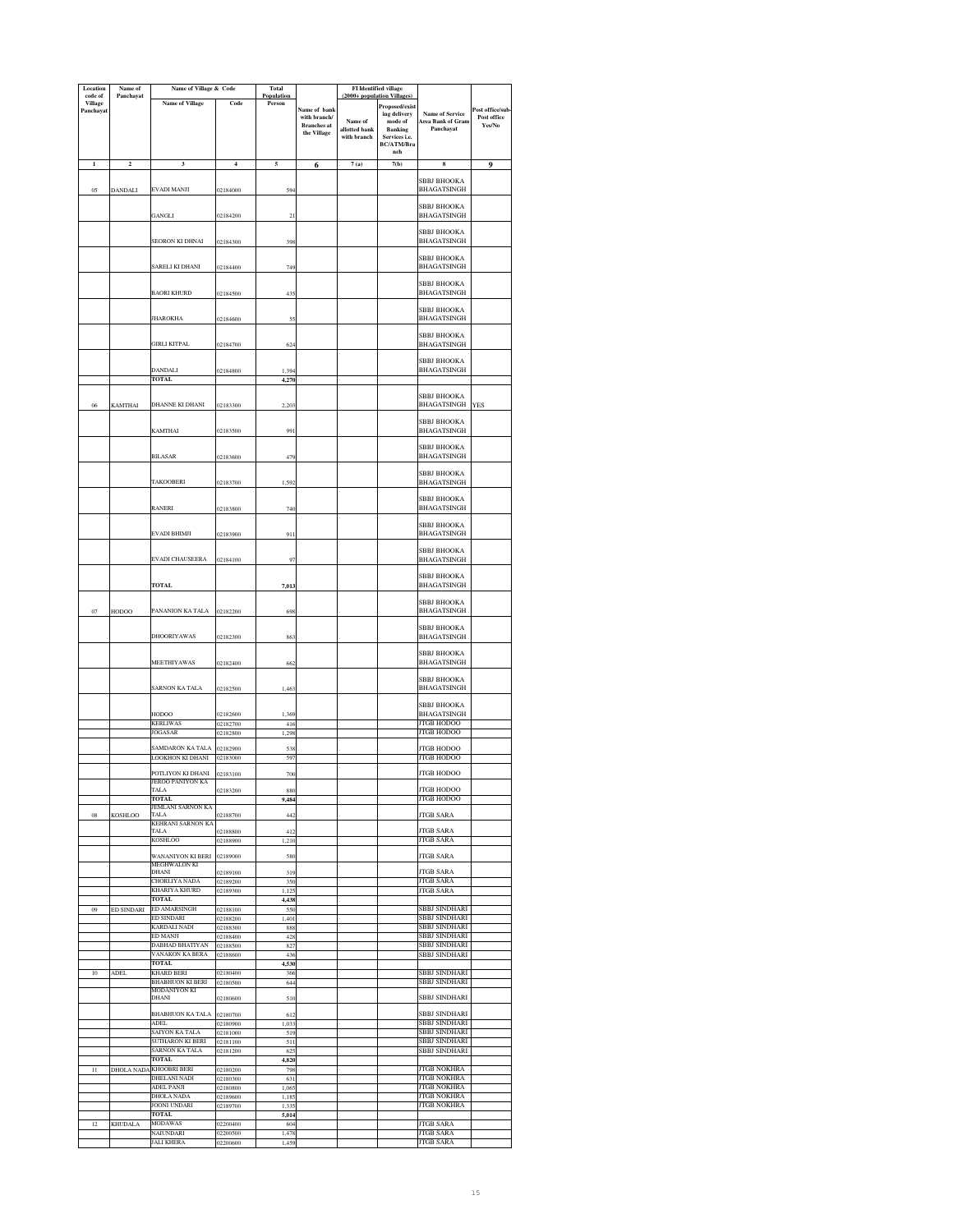| Location<br>code of         | Name of<br>Panchayat    | Name of Village & Code                     |                      | <b>Total</b><br>Population |                                                                   | FI Identified village<br>(2000+ population Villages |                                                                                            |                                                          |                                          |
|-----------------------------|-------------------------|--------------------------------------------|----------------------|----------------------------|-------------------------------------------------------------------|-----------------------------------------------------|--------------------------------------------------------------------------------------------|----------------------------------------------------------|------------------------------------------|
| <b>Village</b><br>Panchayat |                         | <b>Name of Village</b>                     | Code                 | Person                     | Name of bank<br>with branch/<br><b>Branches</b> at<br>the Village | Name of<br>allotted bank<br>with branch             | Proposed/exist<br>ing delivery<br>mode of<br>Banking<br>Services i.e.<br><b>BC/ATM/Bra</b> | <b>Name of Service</b><br>Area Bank of Gram<br>Panchavat | Post office/sub<br>Post office<br>Yes/No |
| $\mathbf{I}$                | $\overline{\mathbf{c}}$ | $\overline{\mathbf{3}}$                    | $\overline{4}$       | 5                          | 6                                                                 | 7(a)                                                | nch<br>7(b)                                                                                | $\bf{8}$                                                 | 9                                        |
| 05                          | DANDALI                 | EVADI MANJI                                | 02184000             | 594                        |                                                                   |                                                     |                                                                                            | SBBJ BHOOKA<br><b>BHAGATSINGH</b>                        |                                          |
|                             |                         | GANGLI                                     | 02184200             | 21                         |                                                                   |                                                     |                                                                                            | <b>SBBJ BHOOKA</b><br>BHAGATSINGH                        |                                          |
|                             |                         | <b>SEORON KI DHNAI</b>                     | 02184300             | 398                        |                                                                   |                                                     |                                                                                            | SBBJ BHOOKA<br>BHAGATSINGH                               |                                          |
|                             |                         | SARELI KI DHANI                            | 02184400             | 749                        |                                                                   |                                                     |                                                                                            | SBBJ BHOOKA<br><b>BHAGATSINGH</b>                        |                                          |
|                             |                         | <b>BAORI KHURD</b>                         | 02184500             | 435                        |                                                                   |                                                     |                                                                                            | SBBJ BHOOKA<br><b>BHAGATSINGH</b>                        |                                          |
|                             |                         | <b>JHAROKHA</b>                            | 02184600             | 55                         |                                                                   |                                                     |                                                                                            | <b>SBBJ BHOOKA</b><br><b>BHAGATSINGH</b>                 |                                          |
|                             |                         | <b>GIRLI KITPAL</b>                        | 02184700             | 624                        |                                                                   |                                                     |                                                                                            | SBBJ BHOOKA<br>BHAGATSINGH<br>SBBJ BHOOKA                |                                          |
|                             |                         | DANDALI                                    | 02184800             | 1,39                       |                                                                   |                                                     |                                                                                            | <b>BHAGATSINGH</b>                                       |                                          |
|                             |                         | <b>TOTAL</b>                               |                      | 4,270                      |                                                                   |                                                     |                                                                                            |                                                          |                                          |
| 06                          | <b>KAMTHAI</b>          | DHANNE KI DHANI                            | 02183300             | 2,203                      |                                                                   |                                                     |                                                                                            | <b>SBBJ BHOOKA</b><br><b>BHAGATSINGH</b>                 | YES                                      |
|                             |                         | KAMTHAI                                    | 02183500             | 99                         |                                                                   |                                                     |                                                                                            | SBBJ BHOOKA<br><b>BHAGATSINGH</b><br>SBBJ BHOOKA         |                                          |
|                             |                         | <b>BILASAR</b>                             | 02183600             | 479                        |                                                                   |                                                     |                                                                                            | BHAGATSINGH<br>SBBJ BHOOKA                               |                                          |
|                             |                         | <b>TAKOOBERI</b>                           | 02183700             | 1,592                      |                                                                   |                                                     |                                                                                            | BHAGATSINGH<br><b>SBBJ BHOOKA</b>                        |                                          |
|                             |                         | RANERI                                     | 02183800             | 740                        |                                                                   |                                                     |                                                                                            | <b>BHAGATSINGH</b><br>SBBJ BHOOKA                        |                                          |
|                             |                         | EVADI BHIMJI                               | 02183900             | 911                        |                                                                   |                                                     |                                                                                            | BHAGATSINGH                                              |                                          |
|                             |                         | EVADI CHAUSEERA                            | 02184100             | 97                         |                                                                   |                                                     |                                                                                            | SBBJ BHOOKA<br>BHAGATSINGH                               |                                          |
|                             |                         | <b>TOTAL</b>                               |                      | 7,013                      |                                                                   |                                                     |                                                                                            | SBBJ BHOOKA<br>BHAGATSINGH                               |                                          |
| 07                          | HODOO                   | PANANION KA TALA                           | 02182200             | 698                        |                                                                   |                                                     |                                                                                            | <b>SBBJ BHOOKA</b><br><b>BHAGATSINGH</b>                 |                                          |
|                             |                         | DHOORIYAWAS                                | 02182300             | 863                        |                                                                   |                                                     |                                                                                            | <b>SBBJ BHOOKA</b><br>BHAGATSINGH                        |                                          |
|                             |                         | MEETHIYAWAS                                | 02182400             | 662                        |                                                                   |                                                     |                                                                                            | <b>SBBJ BHOOKA</b><br><b>BHAGATSINGH</b>                 |                                          |
|                             |                         | SARNON KA TALA                             | 02182500             | 1.463                      |                                                                   |                                                     |                                                                                            | <b>SBBJ BHOOKA</b><br>BHAGATSINGH<br><b>SBBJ BHOOKA</b>  |                                          |
|                             |                         | HODOO                                      | 02182600             | 1,369                      |                                                                   |                                                     |                                                                                            | BHAGATSINGH                                              |                                          |
|                             |                         | <b>KERLIWAS</b><br>JOGASAR                 | 02182700<br>02182800 | 416<br>1,298               |                                                                   |                                                     |                                                                                            | <b>JTGB HODOO</b><br><b>JTGB HODOO</b>                   |                                          |
|                             |                         | AMDARON KA TALA                            | 2182900              | 538                        |                                                                   |                                                     |                                                                                            | <b>ITGB HODOO</b>                                        |                                          |
|                             |                         | LOOKHON KI DHANI                           | 02183000             | 597                        |                                                                   |                                                     |                                                                                            | <b>JTGB HODOO</b>                                        |                                          |
|                             |                         | POTLIYON KI DHANI<br>JEROO PANIYON KA      | 02183100             | 700                        |                                                                   |                                                     |                                                                                            | <b>JTGB HODOO</b>                                        |                                          |
|                             |                         | TALA<br>TOTAL                              | 02183200             | 880<br>9,484               |                                                                   |                                                     |                                                                                            | <b>JTGB HODOO</b><br><b>JTGB HODOO</b>                   |                                          |
| 08                          | <b>KOSHLOO</b>          | JEMLANI SARNON KA<br>TALA                  | 02188700             | 442                        |                                                                   |                                                     |                                                                                            | <b>JTGB SARA</b>                                         |                                          |
|                             |                         | KEHRANI SARNON KA<br><b>TALA</b>           | 02188800             | 412                        |                                                                   |                                                     |                                                                                            | <b>JTGB SARA</b>                                         |                                          |
|                             |                         | <b>KOSHLOO</b><br><b>WANANIYON KI BERI</b> | 02188900<br>02189000 | 1,210<br>580               |                                                                   |                                                     |                                                                                            | <b>JTGB SARA</b><br><b>JTGB SARA</b>                     |                                          |
|                             |                         | <b>MEGHWALON KL</b><br>DHANI               | 02189100             | 319                        |                                                                   |                                                     |                                                                                            | <b>JTGB SARA</b>                                         |                                          |
|                             |                         | CHORLIYA NADA<br>KHARIYA KHURD             | 02189200<br>02189300 | 350<br>1,125               |                                                                   |                                                     |                                                                                            | <b>JTGB SARA</b><br><b>JTGB SARA</b>                     |                                          |
|                             |                         | TOTAL<br><b>ED AMARSINGH</b>               |                      | 4,438                      |                                                                   |                                                     |                                                                                            | <b>SBBJ SINDHARI</b>                                     |                                          |
| 09                          | ED SINDARI              | <b>ED SINDARI</b>                          | 02188100<br>02188200 | 550<br>1,401               |                                                                   |                                                     |                                                                                            | <b>SBBJ SINDHARI</b>                                     |                                          |
|                             |                         | <b>KARDALI NADI</b><br>ED MANJI            | 02188300<br>02188400 | 888<br>428                 |                                                                   |                                                     |                                                                                            | SBBJ SINDHARI<br>SBBJ SINDHARI                           |                                          |
|                             |                         | DABHAD BHATIYAN<br>VANAKON KA BERA         | 02188500<br>02188600 | 827<br>436                 |                                                                   |                                                     |                                                                                            | SBBJ SINDHARI<br>SBBJ SINDHARI                           |                                          |
|                             |                         | <b>TOTAL</b>                               |                      | 4,530                      |                                                                   |                                                     |                                                                                            |                                                          |                                          |
| 10                          | ADEL                    | KHARD BERI<br><b>BHABHUON KI BERI</b>      | 02180400<br>02180500 | 366<br>644                 |                                                                   |                                                     |                                                                                            | SBBJ SINDHARI<br>SBBJ SINDHARI                           |                                          |
|                             |                         | MODANIYON KI<br>DHANI                      | 02180600             | 510                        |                                                                   |                                                     |                                                                                            | SBBJ SINDHARI                                            |                                          |
|                             |                         | BHABHUON KA TALA<br><b>ADEL</b>            | 02180700<br>02180900 | 612<br>1,033               |                                                                   |                                                     |                                                                                            | SBBJ SINDHARI<br>SBBJ SINDHARI                           |                                          |
|                             |                         | SAIYON KA TALA<br><b>SUTHARON KI BERI</b>  | 02181000             | 519<br>511                 |                                                                   |                                                     |                                                                                            | SBBJ SINDHARI<br>SBBJ SINDHARI                           |                                          |
|                             |                         | SARNON KA TALA                             | 02181100<br>02181200 | 62:                        |                                                                   |                                                     |                                                                                            | SBBJ SINDHARI                                            |                                          |
| $_{11}$                     | DHOLA NADA              | TOTAL<br><b>KHOOBRI BERI</b>               | 02180200             | 4,820<br>798               |                                                                   |                                                     |                                                                                            | JTGB NOKHRA                                              |                                          |
|                             |                         | <b>DHELANI NADI</b>                        | 02180300             | 631                        |                                                                   |                                                     |                                                                                            | JTGB NOKHRA                                              |                                          |
|                             |                         | ADEL PANJI<br>DHOLA NADA                   | 02180800<br>02189600 | 1.065<br>1,18              |                                                                   |                                                     |                                                                                            | <b>JTGB NOKHRA</b><br><b>JTGB NOKHRA</b>                 |                                          |
|                             |                         | JOONI UNDARI<br><b>TOTAL</b>               | 02189700             | 1,33<br>5,014              |                                                                   |                                                     |                                                                                            | <b>JTGB NOKHRA</b>                                       |                                          |
| $12 \,$                     | <b>KHUDALA</b>          | <b>MODAWAS</b>                             | 02200400             | 604                        |                                                                   |                                                     |                                                                                            | <b>JTGB SARA</b>                                         |                                          |
|                             |                         | NAIUNDARI<br><b>JALI KHERA</b>             | 02200500<br>02200600 | 1,478<br>1,459             |                                                                   |                                                     |                                                                                            | JTGB SARA<br><b>JTGB SARA</b>                            |                                          |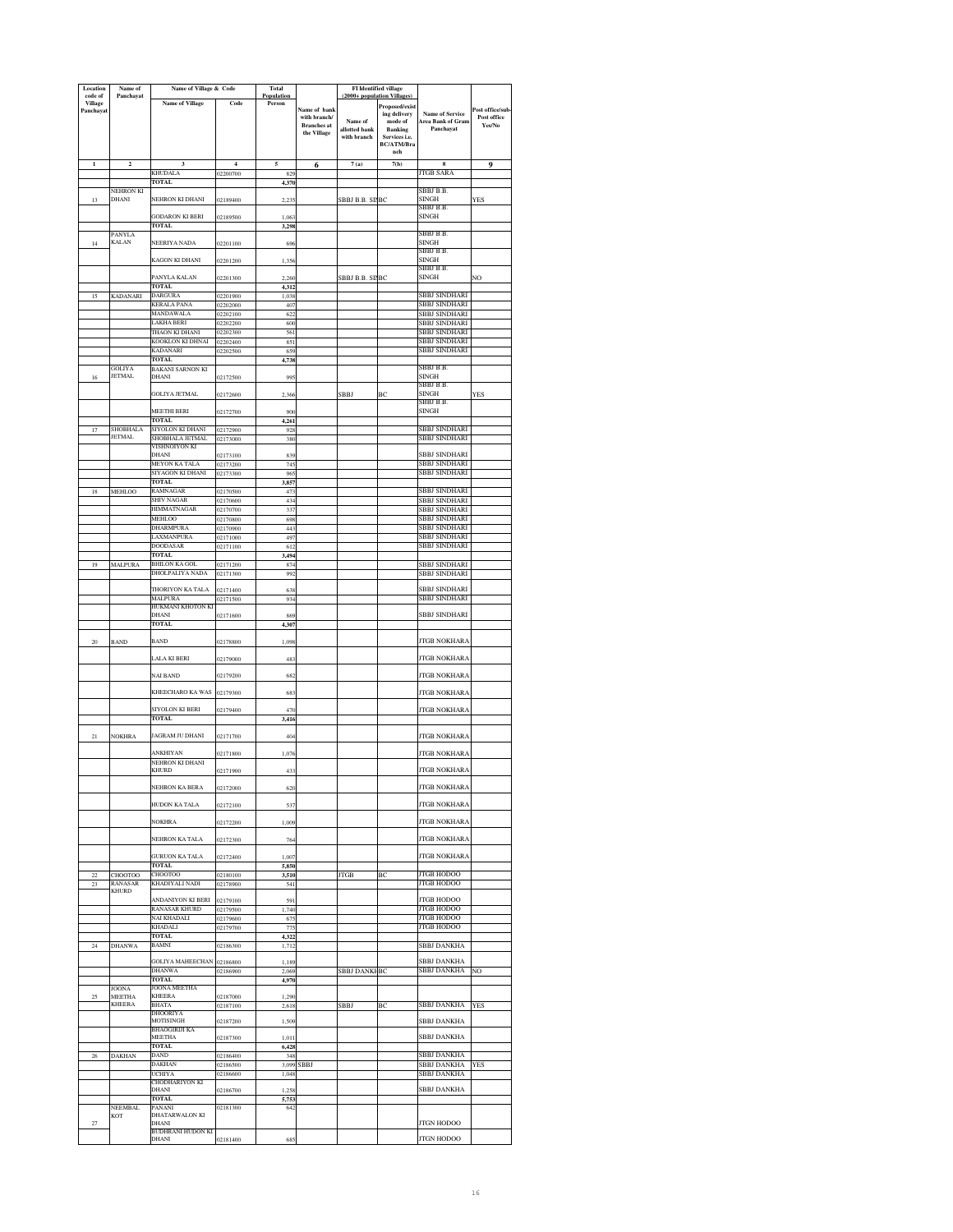| Location<br>code of | Name of<br>Panchayat      | Name of Village & Code                |                      | Total<br>Population |                                   | (2000+ population Villages | <b>FI</b> Identified village |                                             |                  |
|---------------------|---------------------------|---------------------------------------|----------------------|---------------------|-----------------------------------|----------------------------|------------------------------|---------------------------------------------|------------------|
| Village             |                           | <b>Name of Village</b>                | Code                 | Person              |                                   |                            | Proposed/exist               |                                             | Post office/sub- |
| Panchayat           |                           |                                       |                      |                     | Name of bank<br>with branch/      | Name of                    | ing delivery<br>mode of      | <b>Name of Service</b><br>Area Bank of Gram | Post office      |
|                     |                           |                                       |                      |                     | <b>Branches</b> at<br>the Village | allotted bank              | Banking                      | Panchavat                                   | Yes/No           |
|                     |                           |                                       |                      |                     |                                   | with branch                | Services i.e.<br>BC/ATM/Bra  |                                             |                  |
|                     |                           |                                       |                      |                     |                                   |                            | nch                          |                                             |                  |
| $\mathbf 1$         | $\mathbf 2$               | 3                                     | $\overline{4}$       | 5                   | 6                                 | 7(a)                       | 7(b)                         | 8                                           | 9                |
|                     |                           | KHUDALA<br><b>TOTAL</b>               | 02200700             | 829<br>4,370        |                                   |                            |                              | <b>JTGB SARA</b>                            |                  |
|                     | NEHRON KI                 |                                       |                      |                     |                                   |                            |                              | SBBJ B.B.                                   |                  |
| 13                  | <b>DHANI</b>              | NEHRON KI DHANI                       | 02189400             | 2,235               |                                   | SBBJ B.B. SIIBC            |                              | SINGH<br>SBBJ B.B.                          | YES              |
|                     |                           | <b>GODARON KI BERI</b>                | 02189500             | 1,063               |                                   |                            |                              | SINGH                                       |                  |
|                     | PANYLA                    | <b>TOTAL</b>                          |                      | 3,298               |                                   |                            |                              | SBBJ B.B.                                   |                  |
| 14                  | <b>KALAN</b>              | NEERIYA NADA                          | 02201100             | 696                 |                                   |                            |                              | SINGH                                       |                  |
|                     |                           | KAGON KI DHANI                        | 02201200             | 1,356               |                                   |                            |                              | SBBJ B.B.<br><b>SINGH</b>                   |                  |
|                     |                           |                                       |                      |                     |                                   |                            |                              | SBBJ B.B.                                   |                  |
|                     |                           | PANYLA KALAN<br>TOTAL.                | 02201300             | 2,260               |                                   | SBBJ B.B. SI BC            |                              | SINGH                                       | NO               |
|                     | <b>KADANARI</b>           | <b>DARGURA</b>                        | 02201900             | 4,312<br>1,038      |                                   |                            |                              | <b>SBBJ SINDHARI</b>                        |                  |
|                     |                           | KERALA PANA                           | 02202000             | 407                 |                                   |                            |                              | SBBJ SINDHARI                               |                  |
|                     |                           | MANDAWALA<br>AKHA BERI                | 02202100<br>02202200 | 622<br>600          |                                   |                            |                              | SBBJ SINDHARI<br>SBBJ SINDHARI              |                  |
|                     |                           | THAON KI DHANI                        | 02202300             | 561                 |                                   |                            |                              | SBBJ SINDHARI                               |                  |
|                     |                           | KOOKLON KI DHNAI<br>KADANARI          | 02202400<br>02202500 | 851<br>659          |                                   |                            |                              | SBBJ SINDHARI<br>SBBJ SINDHARI              |                  |
|                     |                           | <b>TOTAL</b>                          |                      | 4.738               |                                   |                            |                              |                                             |                  |
|                     | GOLIYA                    | BAKANI SARNON KI                      |                      |                     |                                   |                            |                              | SBBJ B.B.                                   |                  |
| 16                  | <b>JETMAL</b>             | DHANI                                 | 02172500             | 995                 |                                   |                            |                              | <b>SINGH</b><br>SBBJ B.B.                   |                  |
|                     |                           | <b>GOLIYA JETMAL</b>                  | 02172600             | 2,366               |                                   | SBBJ                       | BC                           | <b>SINGH</b>                                | YES              |
|                     |                           | MEETHI BERI                           | 02172700             | 900                 |                                   |                            |                              | SBBI B B<br><b>SINGH</b>                    |                  |
|                     |                           | <b>TOTAL</b>                          |                      | 4.261               |                                   |                            |                              |                                             |                  |
| 17                  | SHOBHALA<br><b>JETMAL</b> | SIYOLON KI DHANI                      | 02172900             | 928                 |                                   |                            |                              | SBBJ SINDHARI                               |                  |
|                     |                           | SHOBHALA JETMAL<br>VISHNOIYON KI      | 02173000             | 380                 |                                   |                            |                              | SBBJ SINDHARI                               |                  |
|                     |                           | DHANI                                 | 02173100             | 839                 |                                   |                            |                              | <b>SBBJ SINDHARI</b>                        |                  |
|                     |                           | MEYON KA TALA<br>SIYAGON KI DHANI     | 02173200<br>02173300 | 74<br>96:           |                                   |                            |                              | SBBJ SINDHARI<br><b>SBBJ SINDHARI</b>       |                  |
|                     |                           | TOTAL.                                |                      | 3,857               |                                   |                            |                              |                                             |                  |
| 18                  | <b>MEHLOO</b>             | RAMNAGAR<br>SHIV NAGAR                | 02170500             | 473                 |                                   |                            |                              | SBBJ SINDHARI<br>SBBJ SINDHARI              |                  |
|                     |                           | HIMMATNAGAR                           | 02170600<br>02170700 | 434<br>331          |                                   |                            |                              | SBBJ SINDHARI                               |                  |
|                     |                           | MEHLOO                                | 02170800             | 698                 |                                   |                            |                              | SBBJ SINDHARI                               |                  |
|                     |                           | DHARMPI IR A<br>LAXMANPURA            | 02170900<br>02171000 | 44.<br>497          |                                   |                            |                              | SBBJ SINDHARI<br>SBBJ SINDHARI              |                  |
|                     |                           | <b>DOODASAR</b>                       | 02171100             | 612                 |                                   |                            |                              | SBBJ SINDHARI                               |                  |
| 19                  |                           | <b>TOTAL</b><br>BHILON KA GOL         |                      | 3.494               |                                   |                            |                              |                                             |                  |
|                     | MALPURA                   | DHOLPALIYA NADA                       | 02171200<br>02171300 | 874<br>99.          |                                   |                            |                              | SBBJ SINDHARI<br>SBBJ SINDHARI              |                  |
|                     |                           |                                       |                      |                     |                                   |                            |                              |                                             |                  |
|                     |                           | THORIYON KA TALA<br>MALPURA           | 02171400<br>02171500 | 638<br>934          |                                   |                            |                              | <b>SBBJ SINDHARI</b><br>SBBJ SINDHARI       |                  |
|                     |                           | HUKMANI KHOTON KI                     |                      |                     |                                   |                            |                              |                                             |                  |
|                     |                           | DHANI<br><b>TOTAL</b>                 | 02171600             | 869<br>4,307        |                                   |                            |                              | SBBJ SINDHARI                               |                  |
|                     |                           |                                       |                      |                     |                                   |                            |                              |                                             |                  |
| 20                  | <b>BAND</b>               | BAND                                  | 02178800             | 1,098               |                                   |                            |                              | <b>TGB NOKHARA</b>                          |                  |
|                     |                           | LALA KI BERI                          | 02179000             | 483                 |                                   |                            |                              | <b>JTGB NOKHARA</b>                         |                  |
|                     |                           | NAI BAND                              | 02179200             | 682                 |                                   |                            |                              | <b>JTGB NOKHARA</b>                         |                  |
|                     |                           |                                       |                      |                     |                                   |                            |                              |                                             |                  |
|                     |                           | KHEECHARO KA WAS                      | 02179300             | 683                 |                                   |                            |                              | <b>JTGB NOKHARA</b>                         |                  |
|                     |                           | SIYOLON KI BERI                       | 02179400             | 470                 |                                   |                            |                              | <b>JTGB NOKHARA</b>                         |                  |
|                     |                           | <b>TOTAL</b>                          |                      | 3,416               |                                   |                            |                              |                                             |                  |
| 21                  | <b>NOKHRA</b>             | JAGRAM JU DHANI                       | 02171700             | 404                 |                                   |                            |                              | <b>JTGB NOKHARA</b>                         |                  |
|                     |                           |                                       |                      |                     |                                   |                            |                              |                                             |                  |
|                     |                           | ANKHIYAN<br>NEHRON KI DHANI           | 02171800             | 1,076               |                                   |                            |                              | <b>JTGB NOKHARA</b>                         |                  |
|                     |                           | KHURD                                 | 02171900             | 433                 |                                   |                            |                              | <b>JTGB NOKHARA</b>                         |                  |
|                     |                           | NEHRON KA BERA                        | 02172000             | 620                 |                                   |                            |                              | JTGB NOKHARA                                |                  |
|                     |                           |                                       |                      |                     |                                   |                            |                              |                                             |                  |
|                     |                           | HUDON KA TALA                         | 02172100             | 537                 |                                   |                            |                              | <b>JTGB NOKHARA</b>                         |                  |
|                     |                           | <b>NOKHRA</b>                         | 02172200             | 1,009               |                                   |                            |                              | <b>JTGB NOKHARA</b>                         |                  |
|                     |                           | NEHRON KA TALA                        | 02172300             | 764                 |                                   |                            |                              | JTGB NOKHARA                                |                  |
|                     |                           |                                       |                      |                     |                                   |                            |                              |                                             |                  |
|                     |                           | <b>GURUON KA TALA</b><br><b>TOTAL</b> | 02172400             | 1.007               |                                   |                            |                              | <b>JTGB NOKHARA</b>                         |                  |
| $_{22}$             | CHOOTOO                   | CHOOTOO                               | 02180100             | 5,850<br>3,510      |                                   | <b>JTGB</b>                | BC                           | <b>JTGB HODOO</b>                           |                  |
| 23                  | RANASAR                   | KHADIYALI NADI                        | 02178900             | 541                 |                                   |                            |                              | <b>JTGB HODOO</b>                           |                  |
|                     | <b>KHURD</b>              | ANDANIYON KI BERI                     | 02179100             | 591                 |                                   |                            |                              | <b>JTGB HODOO</b>                           |                  |
|                     |                           | RANASAR KHURD                         | 02179500             | 1,740               |                                   |                            |                              | <b>JTGB HODOO</b>                           |                  |
|                     |                           | NAI KHADALI<br>KHADALI                | 02179600<br>02179700 | 675<br>775          |                                   |                            |                              | <b>JTGB HODOO</b><br><b>JTGB HODOO</b>      |                  |
|                     |                           | <b>TOTAL</b>                          |                      | 4,322               |                                   |                            |                              |                                             |                  |
| 24                  | <b>DHANWA</b>             | BAMNI                                 | 02186300             | 1,712               |                                   |                            |                              | SBBJ DANKHA                                 |                  |
|                     |                           | <b>GOLIYA MAHEECHAN</b>               | 02186800             | 1,189               |                                   |                            |                              | SBBJ DANKHA                                 |                  |
|                     |                           | <b>DHANWA</b><br>TOTAL                | 02186900             | 2.069               |                                   | <b>SBBJ DANKI BC</b>       |                              | SBBJ DANKHA                                 | NO               |
|                     | JOONA                     | JOONA MEETHA                          |                      | 4.970               |                                   |                            |                              |                                             |                  |
| 25                  | MEETHA<br><b>KHEERA</b>   | KHEERA                                | 02187000             | 1,290               |                                   |                            |                              |                                             |                  |
|                     |                           | BHATA<br>DHOORIYA                     | 02187100             | 2,618               |                                   | SBBJ                       | BC                           | SBBJ DANKHA                                 | YES              |
|                     |                           | MOTISINGH                             | 02187200             | 1,509               |                                   |                            |                              | SBBJ DANKHA                                 |                  |
|                     |                           | BHAOGIRIJI KA<br>MEETHA               | 02187300             | 1,011               |                                   |                            |                              | SBBJ DANKHA                                 |                  |
|                     |                           | <b>TOTAL</b>                          |                      | 6,428               |                                   |                            |                              |                                             |                  |
| 26                  | DAKHAN                    | <b>DAND</b><br><b>DAKHAN</b>          | 02186400<br>02186500 | 348<br>3,099        | <b>SBBJ</b>                       |                            |                              | SBBJ DANKHA<br>SBBJ DANKHA                  | <b>YES</b>       |
|                     |                           | UCHIYA                                | 02186600             | 1.048               |                                   |                            |                              | SBBJ DANKHA                                 |                  |
|                     |                           | CHODHARIYON KI<br>DHANI               | 02186700             | 1,258               |                                   |                            |                              | SBBJ DANKHA                                 |                  |
|                     |                           | <b>TOTAL</b>                          |                      | 5,753               |                                   |                            |                              |                                             |                  |
|                     | NEEMBAL<br>KOT            | PANANI<br>DHATARWALON KI              | 02181300             | 642                 |                                   |                            |                              |                                             |                  |
| $27\,$              |                           | DHANI                                 |                      |                     |                                   |                            |                              | <b>JTGN HODOO</b>                           |                  |
|                     |                           | BUDHRANI HUDON KI<br>DHANI            | 02181400             | 68:                 |                                   |                            |                              | <b>JTGN HODOO</b>                           |                  |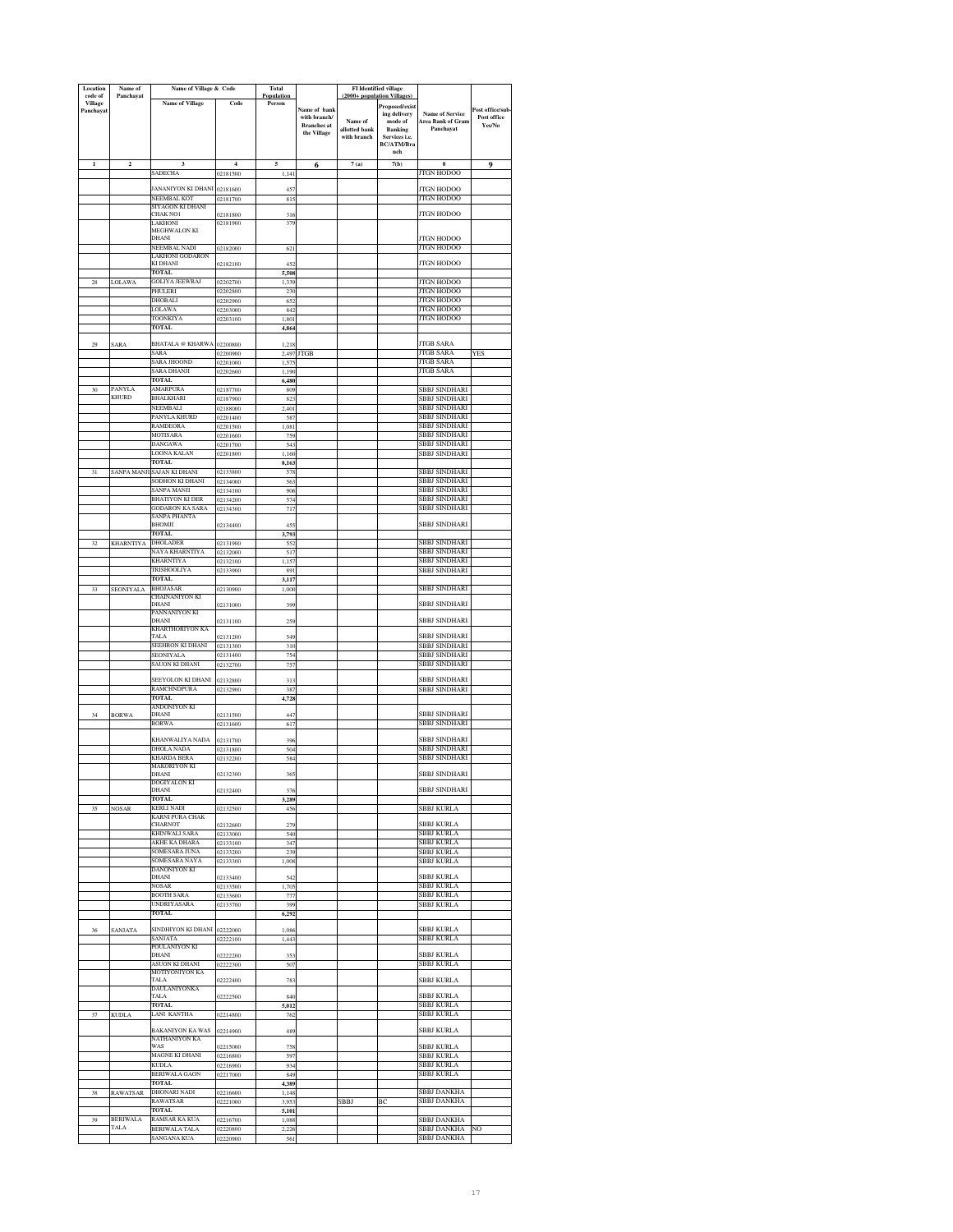| Location<br>code of | Name of<br>Panchayat | Name of Village & Code                    |                      | Total<br>Population |                                     | (2000+ population Villages) | FI Identified village              |                                             |                                |
|---------------------|----------------------|-------------------------------------------|----------------------|---------------------|-------------------------------------|-----------------------------|------------------------------------|---------------------------------------------|--------------------------------|
| <b>Village</b>      |                      | <b>Name of Village</b>                    | Code                 | Person              |                                     |                             | Proposed/exist                     |                                             |                                |
| Panchayat           |                      |                                           |                      |                     | <b>Name of bank</b><br>with branch/ | Name of                     | ing delivery<br>mode of            | <b>Name of Service</b><br>Area Bank of Gram | ost office/sub-<br>Post office |
|                     |                      |                                           |                      |                     | <b>Branches</b> at<br>the Village   | allotted bank               | <b>Banking</b>                     | Panchavat                                   | Yes/No                         |
|                     |                      |                                           |                      |                     |                                     | with branch                 | Services i.e.<br><b>BC/ATM/Bra</b> |                                             |                                |
|                     |                      |                                           |                      |                     |                                     |                             | nch                                |                                             |                                |
| $\mathbf{1}$        | $\mathbf 2$          | 3                                         | $\overline{4}$       | 5                   | 6                                   | 7(a)                        | 7(b)                               | 8                                           | 9                              |
|                     |                      | SADECHA                                   | 02181500             | 1,141               |                                     |                             |                                    | JTGN HODOO                                  |                                |
|                     |                      | ANANIYON KI DHANI                         | 02181600             | 45                  |                                     |                             |                                    | TGN HODOO                                   |                                |
|                     |                      | <b>NEEMBAL KOT</b><br>SIYAGON KI DHANI    | 02181700             | 815                 |                                     |                             |                                    | <b>JTGN HODOO</b>                           |                                |
|                     |                      | CHAK NO1                                  | 02181800             | 31 <sub>0</sub>     |                                     |                             |                                    | <b>JTGN HODOO</b>                           |                                |
|                     |                      | <b>LAKHONI</b><br>MEGHWALON KI            | 02181900             | 379                 |                                     |                             |                                    |                                             |                                |
|                     |                      | DHANI                                     |                      |                     |                                     |                             |                                    | <b>ITGN HODOO</b>                           |                                |
|                     |                      | NEEMBAL NADI<br>AKHONI GODARON            | 02182000             | 621                 |                                     |                             |                                    | <b>JTGN HODOO</b>                           |                                |
|                     |                      | KI DHANI                                  | 02182100             | 45.                 |                                     |                             |                                    | <b>ITGN HODOO</b>                           |                                |
| 28                  | LOLAWA               | <b>TOTAL</b><br><b>GOLIYA JEEWRAJ</b>     | 02202700             | 5,508<br>1,339      |                                     |                             |                                    | <b>TGN HODOO</b>                            |                                |
|                     |                      | HULERI                                    | 02202800             | 230                 |                                     |                             |                                    | TGN HODOO                                   |                                |
|                     |                      | <b>DHOBALI</b>                            | 02202900             | 652                 |                                     |                             |                                    | <b>TGN HODOO</b>                            |                                |
|                     |                      | OLAWA.<br>TOONKIYA                        | 02203000<br>02203100 | 842<br>1,801        |                                     |                             |                                    | ITGN HODOO<br>ITGN HODOO                    |                                |
|                     |                      | <b>TOTAL</b>                              |                      | 4,864               |                                     |                             |                                    |                                             |                                |
| 29                  | SARA                 | <b>BHATALA</b> @ KHARWA                   | 02200800             | 1,213               |                                     |                             |                                    | <b>ITGB SARA</b>                            |                                |
|                     |                      | <b>SARA</b>                               | 02200900             | 2,497               | <b>JTGB</b>                         |                             |                                    | <b>JTGB SARA</b>                            | <b>YES</b>                     |
|                     |                      | ARA JHOOND                                | 02201000             | 1,575               |                                     |                             |                                    | <b>ITGB SARA</b>                            |                                |
|                     |                      | <b>SARA DHANJI</b><br>TOTAL               | 02202600             | 1,190<br>6,480      |                                     |                             |                                    | <b>JTGB SARA</b>                            |                                |
| 30                  | PANYLA<br>KHURD      | <b>MARPURA</b>                            | 02187700             | 809                 |                                     |                             |                                    | <b>SBBJ SINDHARI</b>                        |                                |
|                     |                      | BHALKHARI<br>REMBALI                      | 02187900<br>2188000  | 823                 |                                     |                             |                                    | SBBJ SINDHARI<br><b>SBBJ SINDHARI</b>       |                                |
|                     |                      | PANYLA KHURD                              | 2201400              | ,40<br>587          |                                     |                             |                                    | <b>BBJ SINDHARI</b>                         |                                |
|                     |                      | RAMDEORA                                  | 02201500             | 1,081               |                                     |                             |                                    | SBBJ SINDHARI                               |                                |
|                     |                      | MOTISARA<br>DANGAWA                       | 02201600<br>02201700 | 759<br>543          |                                     |                             |                                    | SBBJ SINDHARI<br>SBBJ SINDHARI              |                                |
|                     |                      | LOONA KALAN                               | 02201800             | 1,160               |                                     |                             |                                    | SBBJ SINDHARI                               |                                |
|                     |                      | TOTAL                                     |                      | 8,163               |                                     |                             |                                    |                                             |                                |
| 31                  | <b>SANPA MANJ</b>    | AJAN KI DHANI<br>SODHON KI DHANI          | 02133800<br>02134000 | 57<br>563           |                                     |                             |                                    | SBBJ SINDHARI<br>SBBJ SINDHARI              |                                |
|                     |                      | SANPA MANII                               | 02134100             | 906                 |                                     |                             |                                    | SBBJ SINDHARI                               |                                |
|                     |                      | BHATIYON KI DER<br><b>GODARON KA SARA</b> | 02134200             | 574                 |                                     |                             |                                    | SBBJ SINDHARI<br>SBBJ SINDHARI              |                                |
|                     |                      | SANPA PHANTA                              | 02134300             | 717                 |                                     |                             |                                    |                                             |                                |
|                     |                      | BHOMJI                                    | 02134400             | 45.                 |                                     |                             |                                    | SBBJ SINDHARI                               |                                |
| 32                  | <b>KHARNTIYA</b>     | TOTAL<br><b>DHOLADER</b>                  | 02131900             | 3,793<br>552        |                                     |                             |                                    | SBBJ SINDHARI                               |                                |
|                     |                      | <b>VAYA KHARNTIYA</b>                     | 02132000             | 517                 |                                     |                             |                                    | SBBJ SINDHARI                               |                                |
|                     |                      | KHARNTIYA<br>TRISHOOLIYA                  | 02132100<br>02133900 | 1,157<br>891        |                                     |                             |                                    | SBBJ SINDHARI<br>SBBJ SINDHARI              |                                |
|                     |                      | TOTAL                                     |                      | 3,117               |                                     |                             |                                    |                                             |                                |
|                     | SEONIYALA            | <b>BHOJASAR</b>                           | 02130900             | 1,000               |                                     |                             |                                    | SBBJ SINDHARI                               |                                |
|                     |                      | CHAINANIYON KI<br>DHANI                   | 02131000             | 399                 |                                     |                             |                                    | SBBJ SINDHARI                               |                                |
|                     |                      | PANNANIYON KI                             |                      |                     |                                     |                             |                                    |                                             |                                |
|                     |                      | DHANI<br><b>KHARTHORIYON KA</b>           | 02131100             | 259                 |                                     |                             |                                    | SBBJ SINDHARI                               |                                |
|                     |                      | TALA                                      | 02131200             | 549                 |                                     |                             |                                    | SBBJ SINDHARI                               |                                |
|                     |                      | EEHRON KI DHANI<br>SEONIYALA              | 02131300<br>02131400 | 310<br>754          |                                     |                             |                                    | SBBJ SINDHARI<br><b>SBBJ SINDHARI</b>       |                                |
|                     |                      | SAUON KI DHANI                            | 02132700             | 757                 |                                     |                             |                                    | SBBJ SINDHARI                               |                                |
|                     |                      | SEEYOLON KI DHANI                         | 02132800             | 313                 |                                     |                             |                                    | SBBJ SINDHARI                               |                                |
|                     |                      | <b>RAMCHNDPURA</b>                        | 02132900             | 387                 |                                     |                             |                                    | SBBJ SINDHARI                               |                                |
|                     |                      | <b>TOTAL</b><br>NDONIYON KI.              |                      | 4,728               |                                     |                             |                                    |                                             |                                |
| 34                  | <b>BORWA</b>         | DHANI                                     | 02131500             | 447                 |                                     |                             |                                    | <b>SBBJ SINDHARI</b>                        |                                |
|                     |                      | <b>BORWA</b>                              | 02131600             | 617                 |                                     |                             |                                    | SBBJ SINDHARI                               |                                |
|                     |                      | KHANWALIYA NADA                           | 02131700             | 39                  |                                     |                             |                                    | <b>SBBI SINDHARI</b>                        |                                |
|                     |                      | DHOLA NADA                                | 02131800             | 504                 |                                     |                             |                                    | <b>SBBJ SINDHARI</b>                        |                                |
|                     |                      | KHARDA BERA<br>MAKORIYON KI               | 02132200             | 584                 |                                     |                             |                                    | SBBJ SINDHARI                               |                                |
|                     |                      | DHANI                                     | 02132300             | 365                 |                                     |                             |                                    | SBBJ SINDHARI                               |                                |
|                     |                      | DOGIYALON KI<br>DHANI                     | 02132400             | 37 <sub>6</sub>     |                                     |                             |                                    | SBBJ SINDHARI                               |                                |
|                     |                      | <b>TOTAL</b>                              |                      | 3,289               |                                     |                             |                                    |                                             |                                |
| 35                  | <b>NOSAR</b>         | <b>KERLI NADI</b><br>KARNI PURA CHAK      | 02132500             | 456                 |                                     |                             |                                    | SBBJ KURLA                                  |                                |
|                     |                      | CHARNOT                                   | 02132600             | 279                 |                                     |                             |                                    | <b>SBBJ KURLA</b>                           |                                |
|                     |                      | KHINWALI SARA<br>AKHE KA DHARA            | 02133000<br>02133100 | 540<br>347          |                                     |                             |                                    | SBBJ KURLA<br>SBBJ KURLA                    |                                |
|                     |                      | SOMESARA JUNA                             | 02133200             | 239                 |                                     |                             |                                    | SBBJ KURLA                                  |                                |
|                     |                      | SOMESARA NAYA<br>DANONIYON KI             | 02133300             | 1.008               |                                     |                             |                                    | SBBJ KURLA                                  |                                |
|                     |                      | DHANI                                     | 02133400             | 542                 |                                     |                             |                                    | SBBJ KURLA                                  |                                |
|                     |                      | NOSAR                                     | 02133500             | 1,70                |                                     |                             |                                    | <b>SBBJ KURLA</b>                           |                                |
|                     |                      | <b>BOOTH SARA</b><br><b>UNDRIYASARA</b>   | 02133600<br>02133700 | 77<br>399           |                                     |                             |                                    | <b>SBBJ KURLA</b><br>SBBJ KURLA             |                                |
|                     |                      | TOTAL                                     |                      | 6,292               |                                     |                             |                                    |                                             |                                |
| 36                  | SANJATA              | SINDHIYON KI DHANI                        | 02222000             | 1,086               |                                     |                             |                                    | SBBJ KURLA                                  |                                |
|                     |                      | SANIATA                                   | 02222100             | 1,443               |                                     |                             |                                    | SBBJ KURLA                                  |                                |
|                     |                      | POULANIYON KI<br>DHANI                    | 02222200             | 353                 |                                     |                             |                                    | <b>SBBJ KURLA</b>                           |                                |
|                     |                      | ASUON KI DHANI                            | 02222300             | 507                 |                                     |                             |                                    | SBBJ KURLA                                  |                                |
|                     |                      | MOTIYONIYON KA<br>TALA                    | 02222400             | 783                 |                                     |                             |                                    | SBBJ KURLA                                  |                                |
|                     |                      | DAULANIYONKA                              |                      |                     |                                     |                             |                                    |                                             |                                |
|                     |                      | TALA<br><b>TOTAL</b>                      | 02222500             | 840<br>5,012        |                                     |                             |                                    | <b>SBBJ KURLA</b><br>SBBJ KURLA             |                                |
| 37                  | <b>KUDLA</b>         | LANI KANTHA                               | 02214800             | 762                 |                                     |                             |                                    | SBBJ KURLA                                  |                                |
|                     |                      | BAKANIYON KA WAS                          | 02214900             | 489                 |                                     |                             |                                    | SBBJ KURLA                                  |                                |
|                     |                      | NATHANIYON KA                             |                      |                     |                                     |                             |                                    |                                             |                                |
|                     |                      | WAS<br>MAGNE KI DHANI                     | 02215000<br>02216800 | 758<br>597          |                                     |                             |                                    | SBBJ KURLA<br>SBBJ KURLA                    |                                |
|                     |                      | <b>KUDLA</b>                              | 02216900             | 934                 |                                     |                             |                                    | SBBJ KURLA                                  |                                |
|                     |                      | <b>BERIWALA GAON</b><br>TOTAL             | 02217000             | 849                 |                                     |                             |                                    | SBBJ KURLA                                  |                                |
| 38                  | <b>RAWATSAR</b>      | DHONARI NADI                              | 02216600             | 4,389<br>1,148      |                                     |                             |                                    | SBBJ DANKHA                                 |                                |
|                     |                      | RAWATSAR                                  | 02221000             | 3.953               |                                     | <b>SBBJ</b>                 | BC                                 | SBBJ DANKHA                                 |                                |
|                     | <b>BERIWALA</b>      | TOTAL<br>RAMSAR KA KUA                    |                      | 5,101               |                                     |                             |                                    | <b>SBBJ DANKHA</b>                          |                                |
| 39                  | <b>TALA</b>          | <b>BERIWALA TALA</b>                      | 02216700<br>02220800 | 1,088<br>2,220      |                                     |                             |                                    | <b>SBBJ DANKHA</b>                          | NO                             |
|                     |                      | SANGANA KUA                               | 02220900             | 561                 |                                     |                             |                                    | SBBJ DANKHA                                 |                                |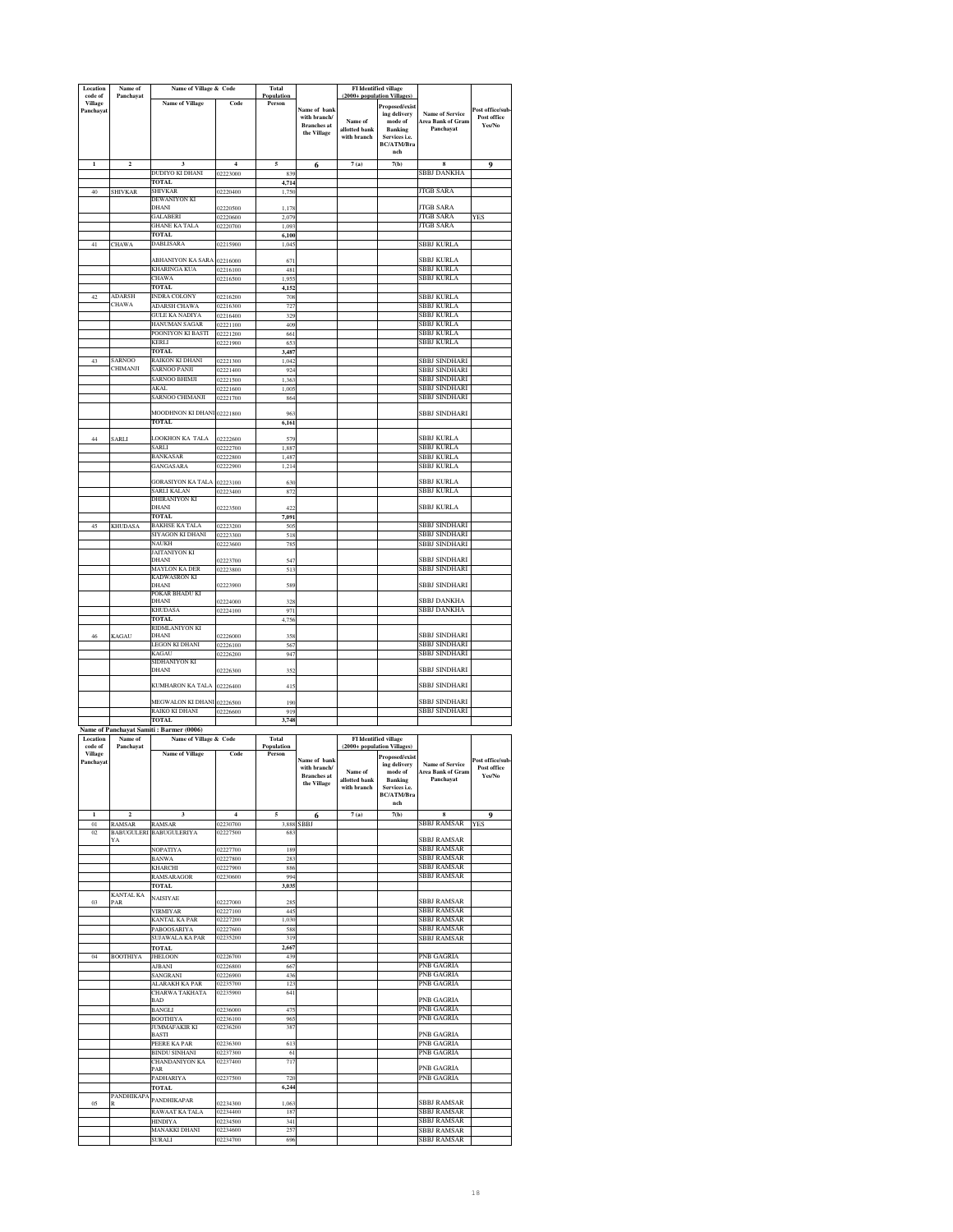| Location                        | Name of                                  | Name of Village & Code                                            |                            | Total                |                                                                   | FI Identified village                                                  |                                                                                            |                                                          |                                           |
|---------------------------------|------------------------------------------|-------------------------------------------------------------------|----------------------------|----------------------|-------------------------------------------------------------------|------------------------------------------------------------------------|--------------------------------------------------------------------------------------------|----------------------------------------------------------|-------------------------------------------|
| code of<br>Village<br>Panchayat | Panchayat                                | <b>Name of Village</b>                                            | Code                       | Population<br>Person | Name of bank<br>with branch/<br><b>Branches</b> at<br>the Village | (2000+ population Villages)<br>Name of<br>allotted bank<br>with branch | Proposed/exist<br>ing delivery<br>mode of<br><b>Banking</b><br>Services i.e.<br>BC/ATM/Bra | <b>Name of Service</b><br>Area Bank of Gram<br>Panchavat | Post office/sub-<br>Post office<br>Yes/No |
| $\mathbf{1}$                    | $\overline{\mathbf{c}}$                  | $\overline{\mathbf{3}}$                                           | $\overline{4}$             | 5                    |                                                                   | 7(a)                                                                   | nch<br>7(b)                                                                                | 8                                                        | 9                                         |
|                                 |                                          | DUDIYO KI DHANI                                                   | 02223000                   | 839                  | 6                                                                 |                                                                        |                                                                                            | SBBJ DANKHA                                              |                                           |
| 40                              | <b>SHIVKAR</b>                           | <b>TOTAL</b><br>SHIVKAR                                           | 02220400                   | 4,714<br>1,750       |                                                                   |                                                                        |                                                                                            | <b>JTGB SARA</b>                                         |                                           |
|                                 |                                          | DEWANIYON KI<br>DHANI                                             | 02220500                   | 1.178                |                                                                   |                                                                        |                                                                                            | <b>ITGB SARA</b>                                         |                                           |
|                                 |                                          | <b>GALABERI</b>                                                   | 02220600                   | 2,079                |                                                                   |                                                                        |                                                                                            | <b>JTGB SARA</b>                                         | YES                                       |
|                                 |                                          | <b>GHANE KA TALA</b><br>TOTAL                                     | 02220700                   | 1,093<br>6,100       |                                                                   |                                                                        |                                                                                            | <b>JTGB SARA</b>                                         |                                           |
| 41                              | <b>CHAWA</b>                             | DABLISARA                                                         | 02215900                   | 1,045                |                                                                   |                                                                        |                                                                                            | SBBJ KURLA                                               |                                           |
|                                 |                                          | ABHANIYON KA SARA                                                 | 02216000                   | 67                   |                                                                   |                                                                        |                                                                                            | SBBJ KURLA                                               |                                           |
|                                 |                                          | KHARINGA KUA<br><b>CHAWA</b>                                      | 02216100<br>02216500       | 481<br>1,955         |                                                                   |                                                                        |                                                                                            | SBBJ KURLA<br>SBBJ KURLA                                 |                                           |
|                                 |                                          | <b>TOTAL</b>                                                      |                            | 4,152                |                                                                   |                                                                        |                                                                                            |                                                          |                                           |
| 42                              | <b>ADARSH</b><br><b>CHAWA</b>            | <b>INDRA COLONY</b><br><b>ADARSH CHAWA</b>                        | 02216200<br>02216300       | 708<br>727           |                                                                   |                                                                        |                                                                                            | SBBJ KURLA<br>SBBJ KURLA                                 |                                           |
|                                 |                                          | <b>GULE KA NADIYA</b>                                             | 02216400                   | 329                  |                                                                   |                                                                        |                                                                                            | <b>SBBJ KURLA</b>                                        |                                           |
|                                 |                                          | HANUMAN SAGAR<br>POONIYON KI BASTI                                | 02221100<br>02221200       | 409<br>661           |                                                                   |                                                                        |                                                                                            | <b>SBBJ KURLA</b><br>SBBJ KURLA                          |                                           |
|                                 |                                          | KERLI                                                             | 02221900                   | 65                   |                                                                   |                                                                        |                                                                                            | SBBJ KURLA                                               |                                           |
| 43                              | <b>SARNOO</b>                            | TOTAL<br>RAIKON KI DHANI                                          | 02221300                   | 3,487<br>1,042       |                                                                   |                                                                        |                                                                                            | SBBJ SINDHARI                                            |                                           |
|                                 | CHIMANJI                                 | <b>SARNOO PANJI</b>                                               | 02221400                   | 924                  |                                                                   |                                                                        |                                                                                            | SBBJ SINDHARI                                            |                                           |
|                                 |                                          | <b>SARNOO BHIMJI</b><br>AKAL                                      | 02221500<br>02221600       | 1,363<br>1,005       |                                                                   |                                                                        |                                                                                            | SBBJ SINDHARI<br>SBBJ SINDHARI                           |                                           |
|                                 |                                          | SARNOO CHIMANJI                                                   | 02221700                   | 864                  |                                                                   |                                                                        |                                                                                            | SBBJ SINDHARI                                            |                                           |
|                                 |                                          | MOODHNON KI DHANI 02221800                                        |                            | 963                  |                                                                   |                                                                        |                                                                                            | SBBJ SINDHARI                                            |                                           |
|                                 |                                          | <b>TOTAL</b>                                                      |                            | 6,161                |                                                                   |                                                                        |                                                                                            |                                                          |                                           |
| 44                              | <b>SARLI</b>                             | LOOKHON KA TALA<br>SARLI                                          | 02222600<br>02222700       | 579<br>1,887         |                                                                   |                                                                        |                                                                                            | SBBJ KURLA<br>SBBJ KURLA                                 |                                           |
|                                 |                                          | BANKASAR                                                          | 02222800                   | 1,487                |                                                                   |                                                                        |                                                                                            | SBBJ KURLA                                               |                                           |
|                                 |                                          | GANGASARA                                                         | 02222900                   | 1,214                |                                                                   |                                                                        |                                                                                            | SBBJ KURLA                                               |                                           |
|                                 |                                          | <b>GORASIYON KA TALA</b>                                          | 02223100                   | 630                  |                                                                   |                                                                        |                                                                                            | SBBI KURLA                                               |                                           |
|                                 |                                          | <b>SARLI KALAN</b><br>DHIRANIYON KI                               | 02223400                   | 872                  |                                                                   |                                                                        |                                                                                            | SBBJ KURLA                                               |                                           |
|                                 |                                          | DHANI<br><b>TOTAL</b>                                             | 02223500                   | 422<br>7,091         |                                                                   |                                                                        |                                                                                            | SBBJ KURLA                                               |                                           |
| 45                              | <b>KHUDASA</b>                           | <b>BAKHSE KA TALA</b>                                             | 02223200                   | 50                   |                                                                   |                                                                        |                                                                                            | <b>SBBJ SINDHARI</b>                                     |                                           |
|                                 |                                          | SIYAGON KI DHANI<br>NAUKH                                         | 02223300<br>02223600       | 518<br>785           |                                                                   |                                                                        |                                                                                            | <b>SBBJ SINDHARI</b><br>SBBJ SINDHARI                    |                                           |
|                                 |                                          | JAITANIYON KI<br>DHANI                                            | 2223700                    | 547                  |                                                                   |                                                                        |                                                                                            | <b>SBBJ SINDHARI</b>                                     |                                           |
|                                 |                                          | MAYLON KA DER                                                     | 02223800                   | 513                  |                                                                   |                                                                        |                                                                                            | SBBJ SINDHARI                                            |                                           |
|                                 |                                          | <b>KADWASRON KI</b><br>DHANI                                      | 02223900                   | 589                  |                                                                   |                                                                        |                                                                                            | SBBJ SINDHARI                                            |                                           |
|                                 |                                          | POKAR BHADU KI<br>DHANI                                           | 2224000                    | 32 <sub>2</sub>      |                                                                   |                                                                        |                                                                                            | SBBJ DANKHA                                              |                                           |
|                                 |                                          | KHUDASA                                                           | 02224100                   | 971                  |                                                                   |                                                                        |                                                                                            | SBBJ DANKHA                                              |                                           |
|                                 |                                          | <b>TOTAL</b><br>RIDMLANIYON KI                                    |                            | 4,756                |                                                                   |                                                                        |                                                                                            |                                                          |                                           |
| 46                              | KAGAU                                    | DHANI                                                             | 02226000                   | 358                  |                                                                   |                                                                        |                                                                                            | <b>SBBJ SINDHARI</b><br><b>SBBJ SINDHARI</b>             |                                           |
|                                 |                                          | LEGON KI DHANI<br>KAGAU                                           | 02226100<br>02226200       | 567<br>947           |                                                                   |                                                                        |                                                                                            | SBBJ SINDHARI                                            |                                           |
|                                 |                                          | SIDHANIYON KI<br>DHANI                                            | 02226300                   | 352                  |                                                                   |                                                                        |                                                                                            | SBBJ SINDHARI                                            |                                           |
|                                 |                                          | KUMHARON KA TALA                                                  |                            |                      |                                                                   |                                                                        |                                                                                            |                                                          |                                           |
|                                 |                                          |                                                                   | 02226400                   | 415                  |                                                                   |                                                                        |                                                                                            | SBBJ SINDHARI                                            |                                           |
|                                 |                                          | MEGWALON KI DHANI<br>RAIKO KI DHANI                               | 02226500<br>02226600       | 190<br>919           |                                                                   |                                                                        |                                                                                            | SBBJ SINDHARI<br>SBBJ SINDHARI                           |                                           |
|                                 |                                          | <b>TOTAL</b>                                                      |                            | 3,748                |                                                                   |                                                                        |                                                                                            |                                                          |                                           |
| Location                        | Name of                                  | Name of Panchayat Samiti: Barmer (0006)<br>Name of Village & Code |                            | Total                |                                                                   |                                                                        | <b>FI</b> Identified village                                                               |                                                          |                                           |
| code of<br><b>Village</b>       | Panchayat                                | <b>Name of Village</b>                                            | Code                       | Population<br>Person |                                                                   | (2000+ population Villages                                             | <b>Proposed/exist</b>                                                                      |                                                          |                                           |
| Panchayat                       |                                          |                                                                   |                            |                      | Name of bank<br>with branch/<br><b>Branches</b> at<br>the Village | Name of<br>allotted bank<br>with branch                                | ing delivery<br>mode of<br>Banking<br>Services i.e.<br><b>BC/ATM/Bra</b><br>nch            | <b>Name of Service</b><br>Area Bank of Gram<br>Panchavat | Post office/sub-<br>Post office<br>Yes/No |
| $\mathbf{1}$<br>$_{01}$         | $\overline{\mathbf{c}}$<br><b>RAMSAR</b> | 3<br><b>RAMSAR</b>                                                | $\overline{4}$<br>02230700 | 5<br>3.888           | 6<br><b>SBBJ</b>                                                  | 7(a)                                                                   | 7(b)                                                                                       | 8<br>SBBJ RAMSAR                                         | 9<br><b>YES</b>                           |
| 02                              | YA                                       | BABUGULERI BABUGULERIYA                                           | 02227500                   | 683                  |                                                                   |                                                                        |                                                                                            | SBBJ RAMSAR                                              |                                           |
|                                 |                                          | NOPATIYA                                                          | 02227700                   | 189                  |                                                                   |                                                                        |                                                                                            | SBBJ RAMSAR<br><b>SBBJ RAMSAR</b>                        |                                           |
|                                 |                                          | <b>BANWA</b><br>KHARCHI                                           | 02227800<br>02227900       | 283<br>886           |                                                                   |                                                                        |                                                                                            | <b>SBBJ RAMSAR</b>                                       |                                           |
|                                 |                                          | RAMSARAGOR<br>TOTAL                                               | 02230600                   | 994                  |                                                                   |                                                                        |                                                                                            | SBBJ RAMSAR                                              |                                           |
|                                 | <b>KANTAL KA</b>                         | NAISIYAE                                                          |                            | 3,035                |                                                                   |                                                                        |                                                                                            |                                                          |                                           |
| 03                              | PAR                                      | <b>VIRMIYAR</b>                                                   | 02227000<br>02227100       | 285<br>445           |                                                                   |                                                                        |                                                                                            | <b>SBBJ RAMSAR</b><br>SBBJ RAMSAR                        |                                           |
|                                 |                                          | KANTAL KA PAR                                                     | 02227200                   | 1,030                |                                                                   |                                                                        |                                                                                            | <b>SBBJ RAMSAR</b><br>SBBJ RAMSAR                        |                                           |
|                                 |                                          | PABOOSARIYA<br>SUJAWALA KA PAR                                    | 02227600<br>02235200       | 588<br>319           |                                                                   |                                                                        |                                                                                            | SBBJ RAMSAR                                              |                                           |
| 04                              | <b>BOOTHIYA</b>                          | <b>TOTAL</b><br><b>JHELOON</b>                                    | 02226700                   | 2.667<br>439         |                                                                   |                                                                        |                                                                                            | PNB GAGRIA                                               |                                           |
|                                 |                                          | <b>AJBANI</b>                                                     | 02226800                   | 667                  |                                                                   |                                                                        |                                                                                            | PNB GAGRIA                                               |                                           |
|                                 |                                          | SANGRANI<br>ALARAKH KA PAR                                        | 02226900<br>02235700       | 436<br>123           |                                                                   |                                                                        |                                                                                            | PNB GAGRIA<br>PNB GAGRIA                                 |                                           |
|                                 |                                          | <b>CHARWA TAKHATA</b>                                             | 02235900                   | 641                  |                                                                   |                                                                        |                                                                                            |                                                          |                                           |
|                                 |                                          | BAD                                                               | 02236000                   | 475                  |                                                                   |                                                                        |                                                                                            | PNB GAGRIA<br>PNB GAGRIA                                 |                                           |
|                                 |                                          | BANGLI                                                            |                            |                      |                                                                   |                                                                        |                                                                                            | PNB GAGRIA                                               |                                           |
|                                 |                                          | <b>BOOTHIYA</b>                                                   | 02236100                   | 965                  |                                                                   |                                                                        |                                                                                            |                                                          |                                           |
|                                 |                                          | JUMMAFAKIR KI<br>BASTI                                            | 02236200                   | 387                  |                                                                   |                                                                        |                                                                                            | PNB GAGRIA                                               |                                           |
|                                 |                                          | PEERE KA PAR                                                      | 02236300                   | 613                  |                                                                   |                                                                        |                                                                                            | PNB GAGRIA                                               |                                           |
|                                 |                                          | <b>BINDU SINHANI</b><br>CHANDANIYON KA                            | 02237300<br>02237400       | 61<br>717            |                                                                   |                                                                        |                                                                                            | PNB GAGRIA                                               |                                           |
|                                 |                                          | PAR<br>PADHARIYA                                                  | 02237500                   | 720                  |                                                                   |                                                                        |                                                                                            | PNB GAGRIA<br>PNB GAGRIA                                 |                                           |
|                                 |                                          | <b>TOTAL</b>                                                      |                            | 6,244                |                                                                   |                                                                        |                                                                                            |                                                          |                                           |
| $05\,$                          | PANDHIKAPA                               | PANDHIKAPAR                                                       | 02234300                   | 1,063                |                                                                   |                                                                        |                                                                                            | SBBJ RAMSAR                                              |                                           |
|                                 |                                          | RAWAAT KA TALA<br>HINDIYA                                         | 02234400<br>02234500       | 187<br>341           |                                                                   |                                                                        |                                                                                            | SBBJ RAMSAR<br>SBBJ RAMSAR                               |                                           |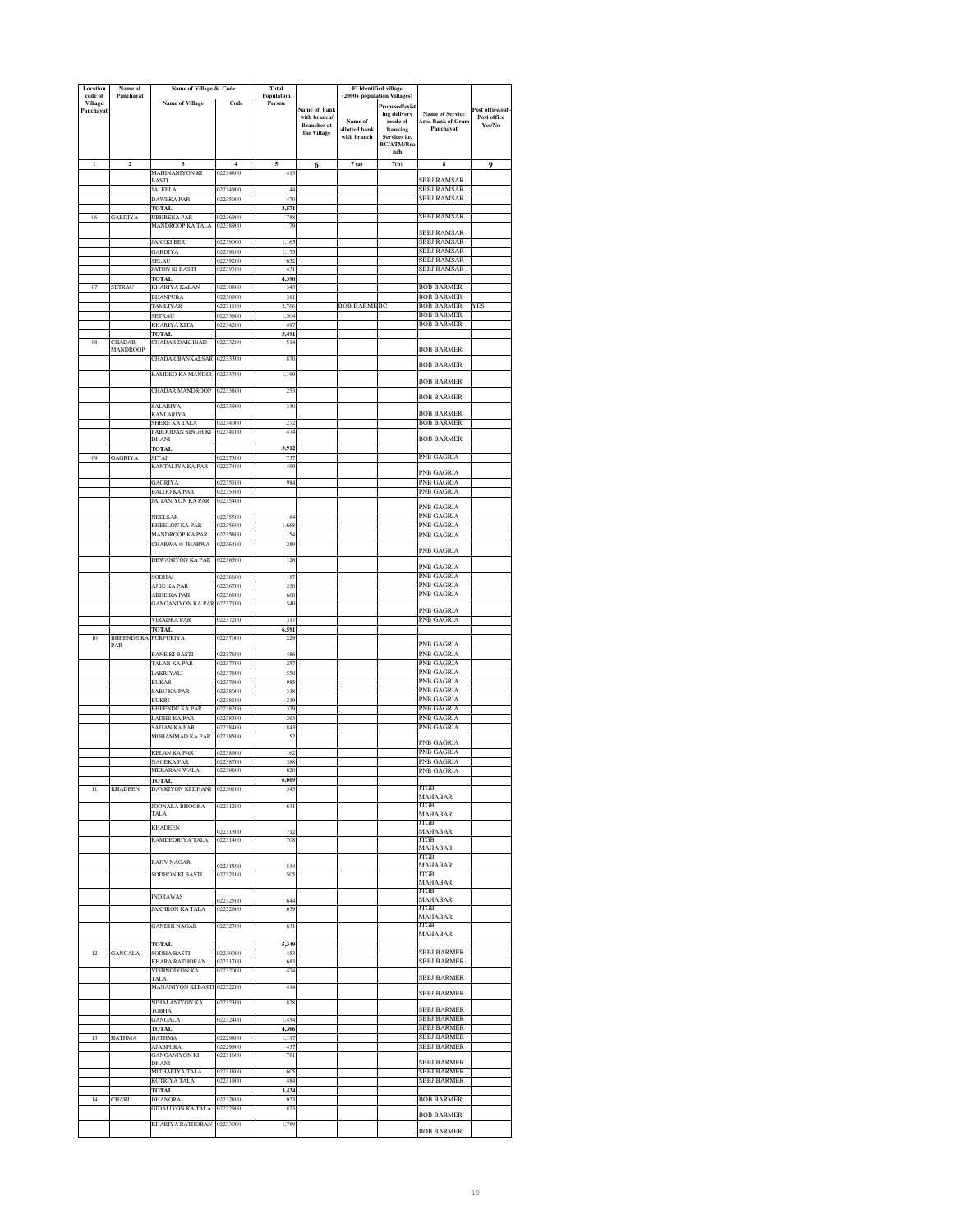| Location<br>code of         | Name of<br>Panchayat             | Name of Village & Code                   |                      | Total<br>Population |                                    | (2000+ population Villages   | <b>FI</b> Identified village    |                                             |                       |
|-----------------------------|----------------------------------|------------------------------------------|----------------------|---------------------|------------------------------------|------------------------------|---------------------------------|---------------------------------------------|-----------------------|
| <b>Village</b><br>Panchayat |                                  | <b>Name of Village</b>                   | Code                 | Person              | Name of bank                       |                              | Proposed/exist                  |                                             | Post office/sub       |
|                             |                                  |                                          |                      |                     | with branch/<br><b>Branches</b> at | Name of                      | ing delivery<br>mode of         | <b>Name of Service</b><br>Area Bank of Gram | Post office<br>Yes/No |
|                             |                                  |                                          |                      |                     | the Village                        | allotted bank<br>with branch | <b>Banking</b><br>Services i.e. | Panchayat                                   |                       |
|                             |                                  |                                          |                      |                     |                                    |                              | BC/ATM/Bra<br>nch               |                                             |                       |
| $\mathbf{I}$                | $\overline{\mathbf{c}}$          | $\overline{\mathbf{3}}$                  | $\overline{4}$       | 5                   | 6                                  | 7(a)                         | 7(b)                            | 8                                           | 9                     |
|                             |                                  | MAHINANIYON KI                           | 02234800             | 41                  |                                    |                              |                                 |                                             |                       |
|                             |                                  | <b>BASTI</b><br><b>JALEELA</b>           | 02234900             | 144                 |                                    |                              |                                 | <b>SBBJ RAMSAR</b><br>SBBJ RAMSAR           |                       |
|                             |                                  | DAWEKA PAR                               | 02235000             | 470                 |                                    |                              |                                 | <b>SBBJ RAMSAR</b>                          |                       |
| 06                          | <b>GARDIYA</b>                   | <b>TOTAL</b><br><b>UBHREKA PAR</b>       | 02236900             | 3,571<br>788        |                                    |                              |                                 | SBBJ RAMSAR                                 |                       |
|                             |                                  | <b>MANDROOP KA TALA</b>                  | 02238900             | 179                 |                                    |                              |                                 | SBBJ RAMSAR                                 |                       |
|                             |                                  | <b>JANEKI BERI</b>                       | 02239000             | 1,165               |                                    |                              |                                 | <b>SBBJ RAMSAR</b>                          |                       |
|                             |                                  | GARDIYA                                  | 02239100             | 1,175               |                                    |                              |                                 | SBBJ RAMSAR<br>SBBJ RAMSAR                  |                       |
|                             |                                  | SELAU<br>JATON KI BASTI                  | 02239200<br>02239300 | 65<br>431           |                                    |                              |                                 | SBBJ RAMSAR                                 |                       |
|                             |                                  | TOTAL<br>KHARIYA KALAN                   |                      | 4,390               |                                    |                              |                                 |                                             |                       |
| 07                          | <b>SETRAU</b>                    | <b>BHANPURA</b>                          | 02230800<br>02230900 | 343<br>381          |                                    |                              |                                 | <b>BOB BARMER</b><br><b>BOB BARMER</b>      |                       |
|                             |                                  | TAMLIYAR                                 | 02231100             | 2,766               |                                    | <b>BOB BARMEBC</b>           |                                 | <b>BOB BARMER</b>                           | <b>YES</b>            |
|                             |                                  | SETRAU<br>KHARIYA KITA                   | )2233600<br>)2234200 | 1,50<br>497         |                                    |                              |                                 | <b>BOB BARMER</b><br><b>BOB BARMER</b>      |                       |
|                             |                                  | TOTAL                                    |                      | 5,491               |                                    |                              |                                 |                                             |                       |
| 08                          | <b>CHADAR</b><br><b>MANDROOP</b> | CHADAR DAKHNAD                           | 02233200             | 514                 |                                    |                              |                                 | <b>BOB BARMER</b>                           |                       |
|                             |                                  | <b>CHADAR BANKALSAR</b>                  | 02233300             | 870                 |                                    |                              |                                 | <b>BOB BARMER</b>                           |                       |
|                             |                                  | RAMDEO KA MANDIR                         | 02233700             | 1,199               |                                    |                              |                                 |                                             |                       |
|                             |                                  | <b>CHADAR MANDROOP</b>                   | 02233800             | 253                 |                                    |                              |                                 | <b>BOB BARMER</b>                           |                       |
|                             |                                  | SALARIYA                                 | 02233900             | 330                 |                                    |                              |                                 | <b>BOB BARMER</b>                           |                       |
|                             |                                  | KANLARIYA                                |                      |                     |                                    |                              |                                 | <b>BOB BARMER</b>                           |                       |
|                             |                                  | SHERE KA TALA<br>PABOODAN SINGH KI       | 02234000<br>02234100 | 272<br>474          |                                    |                              |                                 | <b>BOB BARMER</b>                           |                       |
|                             |                                  | DHANI                                    |                      |                     |                                    |                              |                                 | <b>BOB BARMER</b>                           |                       |
| $_{09}$                     | <b>GAGRIYA</b>                   | <b>TOTAL</b><br>SIYAI                    | 02227300             | 3,912<br>737        |                                    |                              |                                 | PNB GAGRIA                                  |                       |
|                             |                                  | KANTALIYA KA PAR                         | 02227400             | 499                 |                                    |                              |                                 | PNB GAGRIA                                  |                       |
|                             |                                  | GAGRIYA                                  | 02235100             | 984                 |                                    |                              |                                 | PNB GAGRIA                                  |                       |
|                             |                                  | <b>BALOO KA PAR</b><br>JAITANIYON KA PAR | 02235300<br>02235400 |                     |                                    |                              |                                 | PNB GAGRIA                                  |                       |
|                             |                                  |                                          |                      |                     |                                    |                              |                                 | PNB GAGRIA                                  |                       |
|                             |                                  | NEELSAR<br><b>BHEELON KA PAR</b>         | 02235500<br>02235600 | 184<br>1,668        |                                    |                              |                                 | PNB GAGRIA<br>PNB GAGRIA                    |                       |
|                             |                                  | MANDROOP KA PAR                          | 02235800             | 154                 |                                    |                              |                                 | PNB GAGRIA                                  |                       |
|                             |                                  | CHARWA @ JHARWA                          | 02236400             | 289                 |                                    |                              |                                 | PNB GAGRIA                                  |                       |
|                             |                                  | DEWANIYON KA PAR                         | 02236500             | 126                 |                                    |                              |                                 | PNB GAGRIA                                  |                       |
|                             |                                  | SODHAI                                   | )2236600             | 187                 |                                    |                              |                                 | PNB GAGRIA                                  |                       |
|                             |                                  | AJBE KA PAR<br>ABHE KA PAR               | 02236700<br>02236800 | 238<br>668          |                                    |                              |                                 | PNB GAGRIA<br>PNB GAGRIA                    |                       |
|                             |                                  | <b>GANGANIYON KA PAR</b>                 | 02237100             | 540                 |                                    |                              |                                 |                                             |                       |
|                             |                                  | VIRADKA PAR                              | 02237200             | 317                 |                                    |                              |                                 | PNB GAGRIA<br>PNB GAGRIA                    |                       |
|                             |                                  | TOTAL                                    |                      | 6,591               |                                    |                              |                                 |                                             |                       |
| 10                          | <b>BHEENDE KA</b><br>PAR         | PURPURIYA                                | 02237000             | 229                 |                                    |                              |                                 | PNB GAGRIA                                  |                       |
|                             |                                  | <b>BANE KI BASTI</b>                     | 02237600             | 486                 |                                    |                              |                                 | PNB GAGRIA                                  |                       |
|                             |                                  | TALAB KA PAR<br>LAKRIYALI                | 02237700<br>02237800 | 257<br>558          |                                    |                              |                                 | PNB GAGRIA<br>PNB GAGRIA                    |                       |
|                             |                                  | <b>BUKAR</b>                             | 02237900             | 985                 |                                    |                              |                                 | PNB GAGRIA                                  |                       |
|                             |                                  | <b>SABU KA PAR</b><br>BUKRI              | 02238000<br>02238100 | 338<br>219          |                                    |                              |                                 | PNB GAGRIA<br>PNB GAGRIA                    |                       |
|                             |                                  | <b>BHEENDE KA PAR</b>                    | 02238200             | 379                 |                                    |                              |                                 | PNB GAGRIA                                  |                       |
|                             |                                  | LADHE KA PAR<br>SAJJAN KA PAR            | 02238300<br>02238400 | 293<br>843          |                                    |                              |                                 | PNB GAGRIA<br>PNB GAGRIA                    |                       |
|                             |                                  | MOHAMMAD KA PAR                          | 02238500             | 52                  |                                    |                              |                                 | PNB GAGRIA                                  |                       |
|                             |                                  | <b>KELAN KA PAR</b>                      | 02238600             | 162                 |                                    |                              |                                 | PNB GAGRIA                                  |                       |
|                             |                                  | NAGEKA PAR<br>MEKARAN WALA               | 02238700<br>02238800 | 388<br>820          |                                    |                              |                                 | PNB GAGRIA<br>PNB GAGRIA                    |                       |
|                             |                                  |                                          |                      | 005                 |                                    |                              |                                 |                                             |                       |
| Π                           | <b>KHADEEN</b>                   | DAVKIYON KI DHANI                        | 02230100             | 345                 |                                    |                              |                                 | JTGB<br><b>MAHABAR</b>                      |                       |
|                             |                                  | <b>JOONALA BHOOKA</b>                    | 02231200             | 631                 |                                    |                              |                                 | JTGB                                        |                       |
|                             |                                  | TALA                                     |                      |                     |                                    |                              |                                 | <b>MAHABAR</b><br>JTGB                      |                       |
|                             |                                  | <b>KHADEEN</b>                           | 02231300             | 712                 |                                    |                              |                                 | MAHABAR                                     |                       |
|                             |                                  | RAMDEORIYA TALA                          | 02231400             | 708                 |                                    |                              |                                 | JTGB<br>MAHABAR                             |                       |
|                             |                                  | <b>RAJIV NAGAR</b>                       |                      |                     |                                    |                              |                                 | JTGB                                        |                       |
|                             |                                  | <b>SODHON KI BASTI</b>                   | 2231500<br>02232100  | 53<br>505           |                                    |                              |                                 | MAHABAR<br>ITGB                             |                       |
|                             |                                  |                                          |                      |                     |                                    |                              |                                 | <b>MAHABAR</b><br>JTGB                      |                       |
|                             |                                  | <b>INDRAWAS</b>                          | 02232500             | 644                 |                                    |                              |                                 | <b>MAHABAR</b>                              |                       |
|                             |                                  | <b>JAKHRON KA TALA</b>                   | 02232600             | 639                 |                                    |                              |                                 | JTGB<br><b>MAHABAR</b>                      |                       |
|                             |                                  | <b>GANDHI NAGAR</b>                      | 02232700             | 63                  |                                    |                              |                                 | JTGB                                        |                       |
|                             |                                  | TOTAL                                    |                      | 5,349               |                                    |                              |                                 | MAHABAR                                     |                       |
| 12                          | <b>GANGALA</b>                   | SODHA BASTI                              | 02230000             | 453                 |                                    |                              |                                 | SBBJ BARMER                                 |                       |
|                             |                                  | KHARA RATHORAN<br>VISHNOIYON KA          | 02231700<br>02232000 | 683<br>474          |                                    |                              |                                 | <b>SBBJ BARMER</b>                          |                       |
|                             |                                  | TALA                                     |                      |                     |                                    |                              |                                 | <b>SBBJ BARMER</b>                          |                       |
|                             |                                  | MANANIYON KI BASTI 02232200              |                      | 414                 |                                    |                              |                                 | <b>SBBJ BARMER</b>                          |                       |
|                             |                                  | NIHALANIYON KA<br>TOBHA                  | 02232300             | 828                 |                                    |                              |                                 | SBBJ BARMER                                 |                       |
|                             |                                  | <b>GANGALA</b>                           | 02232400             | 1,454               |                                    |                              |                                 | SBBJ BARMER                                 |                       |
| 13                          | <b>HATHMA</b>                    | TOTAL<br><b>HATHMA</b>                   | 02229800             | 4,306<br>1,117      |                                    |                              |                                 | <b>SBBJ BARMER</b><br>SBBJ BARMER           |                       |
|                             |                                  | <b>AJABPURA</b>                          | 02229900             | 437                 |                                    |                              |                                 | <b>SBBJ BARMER</b>                          |                       |
|                             |                                  | GANGANIYON KI<br>DHANI                   | 02231600             | 781                 |                                    |                              |                                 | <b>SBBJ BARMER</b>                          |                       |
|                             |                                  | MITHARIYA TALA                           | 02231800             | 605                 |                                    |                              |                                 | SBBJ BARMER                                 |                       |
|                             |                                  | KOTRIYA TALA<br>TOTAL                    | 02231900             | 484<br>3,424        |                                    |                              |                                 | SBBJ BARMER                                 |                       |
| 14                          | <b>CHARI</b>                     | <b>DHANORA</b>                           | 02232800             | 923                 |                                    |                              |                                 | <b>BOB BARMER</b>                           |                       |
|                             |                                  | GIDALIYON KA TALA                        | 02232900             | 823                 |                                    |                              |                                 | <b>BOB BARMER</b>                           |                       |
|                             |                                  | KHARIYA RATHORAN 02233000                |                      | 1,789               |                                    |                              |                                 | <b>BOB BARMER</b>                           |                       |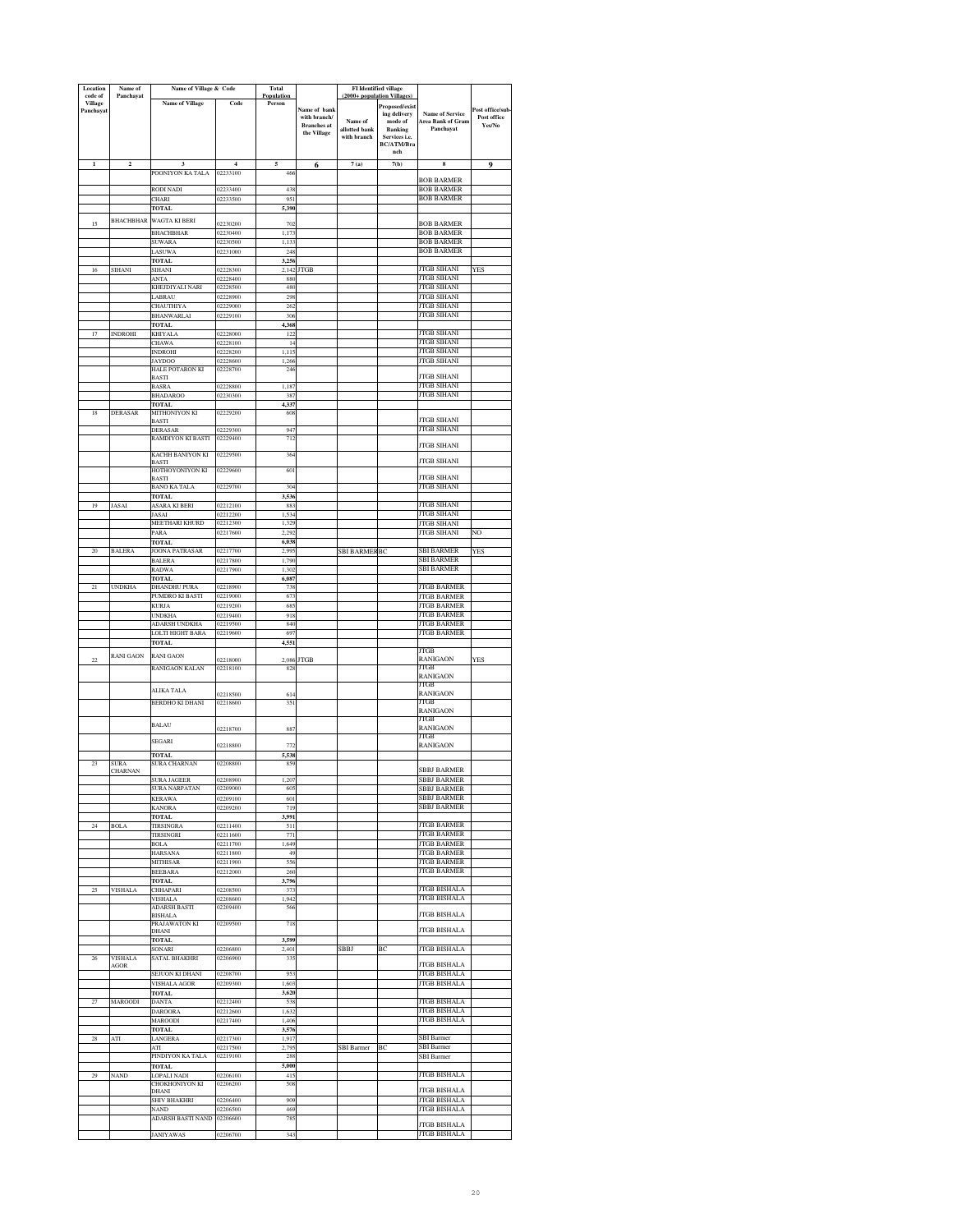| Location<br>code of         | Name of<br>Panchavat          | Name of Village & Code                  |                            | Total<br>Population |                                    | (2000+ population Villages   | <b>FI</b> Identified village             |                                          |                       |
|-----------------------------|-------------------------------|-----------------------------------------|----------------------------|---------------------|------------------------------------|------------------------------|------------------------------------------|------------------------------------------|-----------------------|
| <b>Village</b><br>Panchayat |                               | <b>Name of Village</b>                  | Code                       | Person              | Name of bank                       |                              | Proposed/exist                           | <b>Name of Service</b>                   | ost office/sub-       |
|                             |                               |                                         |                            |                     | with branch/<br><b>Branches</b> at | Name of                      | ing delivery<br>$\operatorname{mode}$ of | Area Bank of Gram                        | Post office<br>Yes/No |
|                             |                               |                                         |                            |                     | the Village                        | allotted bank<br>with branch | <b>Banking</b><br>Services i.e.          | Panchayat                                |                       |
|                             |                               |                                         |                            |                     |                                    |                              | BC/ATM/Bra<br>nch                        |                                          |                       |
| $\mathbf{1}$                | $\overline{\mathbf{c}}$       | 3                                       | $\overline{4}$<br>02233100 | 5                   | 6                                  | 7(a)                         | 7(b)                                     | 8                                        | 9                     |
|                             |                               | POONIYON KA TALA                        |                            | 466                 |                                    |                              |                                          | <b>BOB BARMER</b>                        |                       |
|                             |                               | RODI NADI<br>CHARI                      | 12233400<br>02233500       | 438<br>951          |                                    |                              |                                          | <b>BOB BARMER</b><br><b>BOB BARMER</b>   |                       |
|                             |                               | <b>TOTAL</b>                            |                            | 5,390               |                                    |                              |                                          |                                          |                       |
| 15                          |                               | BHACHBHAR WAGTA KI BERI                 | 02230200                   | 702                 |                                    |                              |                                          | <b>BOB BARMER</b>                        |                       |
|                             |                               | <b>BHACHBHAR</b><br><b>SUWARA</b>       | 02230400<br>02230500       | 1,173<br>1,133      |                                    |                              |                                          | <b>BOB BARMER</b><br><b>BOB BARMER</b>   |                       |
|                             |                               | LASUWA                                  | 02231000                   | 248                 |                                    |                              |                                          | <b>BOB BARMER</b>                        |                       |
| 16                          | SIHANI                        | <b>TOTAL</b><br>SIHANI                  | 02228300                   | 3,256<br>2,142      | <b>JTGB</b>                        |                              |                                          | <b>JTGB SIHANI</b>                       | YES                   |
|                             |                               | ANTA<br>KHEJDIYALI NARI                 | 02228400<br>02228500       | 880<br>480          |                                    |                              |                                          | <b>JTGB SIHANI</b><br><b>JTGB SIHANI</b> |                       |
|                             |                               | LABRAU                                  | 02228900                   | 298                 |                                    |                              |                                          | <b>ITGB SIHANI</b>                       |                       |
|                             |                               | CHAUTHIYA<br><b>BHANWARLAI</b>          | 02229000<br>02229100       | 262<br>306          |                                    |                              |                                          | <b>JTGB SIHANI</b><br><b>JTGB SIHANI</b> |                       |
|                             |                               | <b>TOTAL</b>                            |                            | 4,368               |                                    |                              |                                          |                                          |                       |
| 17                          | <b>INDROHI</b>                | KHIYALA<br>CHAWA                        | 02228000<br>02228100       | 122<br>$^{14}$      |                                    |                              |                                          | JTGB SIHANI<br>JTGB SIHANI               |                       |
|                             |                               | <b>INDROHI</b>                          | 02228200                   | 1,115               |                                    |                              |                                          | <b>JTGB SIHANI</b><br><b>JTGB SIHANI</b> |                       |
|                             |                               | <b>JAYDOO</b><br><b>HALE POTARON KI</b> | 02228600<br>02228700       | 1,266<br>246        |                                    |                              |                                          |                                          |                       |
|                             |                               | BASTI<br>BASRA                          | 02228800                   | 1,187               |                                    |                              |                                          | <b>ITGB SIHANI</b><br><b>JTGB SIHANI</b> |                       |
|                             |                               | <b>BHADAROO</b>                         | 02230300                   | 387                 |                                    |                              |                                          | <b>JTGB SIHANI</b>                       |                       |
| 18                          | <b>DERASAR</b>                | TOTAL<br>MITHONIYON KI                  | 02229200                   | 4,337<br>608        |                                    |                              |                                          |                                          |                       |
|                             |                               | <b>BASTI</b><br><b>DERASAR</b>          | 02229300                   | 947                 |                                    |                              |                                          | <b>JTGB SIHANI</b><br><b>JTGB SIHANI</b> |                       |
|                             |                               | RAMDIYON KI BASTI                       | 02229400                   | 712                 |                                    |                              |                                          | <b>JTGB SIHANI</b>                       |                       |
|                             |                               | KACHH BANIYON KI                        | 02229500                   | 364                 |                                    |                              |                                          | <b>JTGB SIHANI</b>                       |                       |
|                             |                               | <b>BASTI</b><br>HOTHOYONIYON KI         | 02229600                   | 601                 |                                    |                              |                                          |                                          |                       |
|                             |                               | <b>BASTI</b><br>BANO KA TALA            | 02229700                   | 304                 |                                    |                              |                                          | <b>JTGB SIHANI</b><br><b>JTGB SIHANI</b> |                       |
| 19                          |                               | TOTAL                                   |                            | 3,536               |                                    |                              |                                          | <b>JTGB SIHANI</b>                       |                       |
|                             | <b>JASAI</b>                  | <b>ASARA KI BERI</b><br>JASAI           | 02212100<br>02212200       | 883<br>1,534        |                                    |                              |                                          | <b>JTGB SIHANI</b>                       |                       |
|                             |                               | MEETHARI KHURD<br>PARA                  | 02212300<br>02217600       | 1,329<br>2.292      |                                    |                              |                                          | <b>JTGB SIHANI</b><br><b>JTGB SIHANI</b> | NO                    |
|                             |                               | <b>TOTAL</b>                            |                            | 6,038               |                                    |                              |                                          |                                          |                       |
| 20                          | <b>BALERA</b>                 | JOONA PATRASAR<br><b>BALERA</b>         | 02217700<br>02217800       | 2,995<br>1,790      |                                    | <b>SBI BARMER BC</b>         |                                          | SBI BARMER<br>SBI BARMER                 | YES                   |
|                             |                               | RADWA                                   | 02217900                   | 1,302               |                                    |                              |                                          | <b>SBI BARMER</b>                        |                       |
| 21                          | <b>UNDKHA</b>                 | <b>TOTAL</b><br><b>DHANDHU PURA</b>     | 02218900                   | 6,087<br>738        |                                    |                              |                                          | <b>JTGB BARMER</b>                       |                       |
|                             |                               | PUMDRO KI BASTI                         | 02219000                   | 673<br>685          |                                    |                              |                                          | <b>JTGB BARMER</b><br><b>JTGB BARMER</b> |                       |
|                             |                               | <b>KURJA</b><br><b>UNDKHA</b>           | 02219200<br>02219400       | 918                 |                                    |                              |                                          | JTGB BARMER                              |                       |
|                             |                               | ADARSH UNDKHA<br>LOLTI HIGHT BARA       | 02219500<br>02219600       | 840<br>697          |                                    |                              |                                          | <b>JTGB BARMER</b><br>JTGB BARMER        |                       |
|                             |                               | TOTAL                                   |                            | 4,551               |                                    |                              |                                          |                                          |                       |
| $\mathfrak{D}$              | <b>RANI GAON</b>              | <b>RANI GAON</b>                        | 02218000                   | 2,086               | <b>JTGB</b>                        |                              |                                          | JTGB<br><b>RANIGAON</b>                  | YES                   |
|                             |                               | RANIGAON KALAN                          | 02218100                   | 828                 |                                    |                              |                                          | JTGB<br>RANIGAON                         |                       |
|                             |                               | ALIKA TALA                              |                            |                     |                                    |                              |                                          | JTGB                                     |                       |
|                             |                               | BERDHO KI DHANI                         | 02218500<br>02218600       | 614<br>351          |                                    |                              |                                          | <b>RANIGAON</b><br>JTGB                  |                       |
|                             |                               |                                         |                            |                     |                                    |                              |                                          | RANIGAON<br>JTGB                         |                       |
|                             |                               | <b>BALAU</b>                            | 02218700                   | 887                 |                                    |                              |                                          | RANIGAON                                 |                       |
|                             |                               | SEGARI                                  | 02218800                   | 77.                 |                                    |                              |                                          | JTGB<br>RANIGAON                         |                       |
| 23                          | <b>SURA</b>                   | TOTAL<br><b>SURA CHARNAN</b>            | 02208800                   | 5,538<br>859        |                                    |                              |                                          |                                          |                       |
|                             | CHARNAN                       |                                         |                            |                     |                                    |                              |                                          | <b>SBBJ BARMER</b>                       |                       |
|                             |                               | <b>SURA JAGEER</b><br>SURA NARPATAN     | 208900<br>02209000         | 605                 |                                    |                              |                                          | SBBJ BARMER<br>SBBJ BARMER               |                       |
|                             |                               | <b>KERAWA</b><br><b>KANORA</b>          | 02209100<br>02209200       | 601<br>719          |                                    |                              |                                          | SBBJ BARMER<br><b>SBBJ BARMER</b>        |                       |
|                             |                               | <b>TOTAL</b>                            |                            | 3,991               |                                    |                              |                                          |                                          |                       |
| $\sqrt{24}$                 | <b>BOLA</b>                   | <b>TIRSINGRA</b><br><b>TIRSINGRI</b>    | 02211400<br>02211600       | 511<br>771          |                                    |                              |                                          | <b>ITGB BARMER</b><br><b>JTGB BARMER</b> |                       |
|                             |                               | BOLA                                    | 02211700                   | 1,649               |                                    |                              |                                          | <b>JTGB BARMER</b>                       |                       |
|                             |                               | HARSANA<br>MITHISAR                     | 02211800<br>02211900       | 49<br>556           |                                    |                              |                                          | <b>JTGB BARMER</b><br><b>JTGB BARMER</b> |                       |
|                             |                               | <b>BEEBARA</b><br>TOTAL                 | 02212000                   | 260<br>3,796        |                                    |                              |                                          | <b>JTGB BARMER</b>                       |                       |
| 25                          | <b>VISHALA</b>                | CHHAPARI                                | 02208500                   | 373                 |                                    |                              |                                          | <b>JTGB BISHALA</b>                      |                       |
|                             |                               | VISHALA<br><b>ADARSH BASTI</b>          | 02208600<br>02209400       | 1,942<br>566        |                                    |                              |                                          | <b>JTGB BISHALA</b>                      |                       |
|                             |                               | <b>BISHALA</b><br>PRAJAWATON KI         | 02209500                   | 718                 |                                    |                              |                                          | <b>JTGB BISHALA</b>                      |                       |
|                             |                               | DHANI                                   |                            |                     |                                    |                              |                                          | <b>JTGB BISHALA</b>                      |                       |
|                             |                               | <b>TOTAL</b><br>SONARI                  | 02206800                   | 3,599<br>2,401      |                                    | SBBJ                         | BC                                       | <b>JTGB BISHALA</b>                      |                       |
| 26                          | <b>VISHALA</b><br><b>AGOR</b> | <b>SATAL BHAKHRI</b>                    | 02206900                   | 33:                 |                                    |                              |                                          | <b>JTGB BISHALA</b>                      |                       |
|                             |                               | <b>SEJUON KI DHANI</b>                  | 02208700                   | 953                 |                                    |                              |                                          | <b>JTGB BISHALA</b>                      |                       |
|                             |                               | VISHALA AGOR<br>TOTAL                   | 02209300                   | 1,603<br>3,620      |                                    |                              |                                          | <b>JTGB BISHALA</b>                      |                       |
| 27                          | <b>MAROODI</b>                | <b>DANTA</b>                            | 02212400                   | 538                 |                                    |                              |                                          | JTGB BISHALA<br><b>JTGB BISHALA</b>      |                       |
|                             |                               | <b>DAROORA</b><br>MAROODI               | 02212600<br>02217400       | 1,632<br>1,406      |                                    |                              |                                          | <b>JTGB BISHALA</b>                      |                       |
| 28                          | ATI                           | <b>TOTAL</b><br>LANGERA                 | 02217300                   | 3,576<br>1,917      |                                    |                              |                                          | <b>SBI</b> Barmer                        |                       |
|                             |                               | ATI                                     | 02217500                   | 2,795               |                                    | SBI Barmer                   | BC                                       | <b>SBI</b> Barmer                        |                       |
|                             |                               | PINDIYON KA TALA<br><b>TOTAL</b>        | 02219100                   | 288<br>5,000        |                                    |                              |                                          | <b>SBI</b> Barmer                        |                       |
| 29                          | <b>NAND</b>                   | LOPALI NADI<br>CHOKHONIYON KI           | 02206100<br>02206200       | 41:                 |                                    |                              |                                          | <b>JTGB BISHALA</b>                      |                       |
|                             |                               | DHANI                                   |                            | 508                 |                                    |                              |                                          | <b>JTGB BISHALA</b>                      |                       |
|                             |                               | SHIV BHAKHRI<br>NAND                    | 02206400<br>02206500       | 909<br>469          |                                    |                              |                                          | <b>JTGB BISHALA</b><br>JTGB BISHALA      |                       |
|                             |                               | <b>ADARSH BASTI NAND</b>                | 02206600                   | 785                 |                                    |                              |                                          | <b>JTGB BISHALA</b>                      |                       |
|                             |                               | <b>JANIYAWAS</b>                        | 02206700                   | 343                 |                                    |                              |                                          | <b>JTGB BISHALA</b>                      |                       |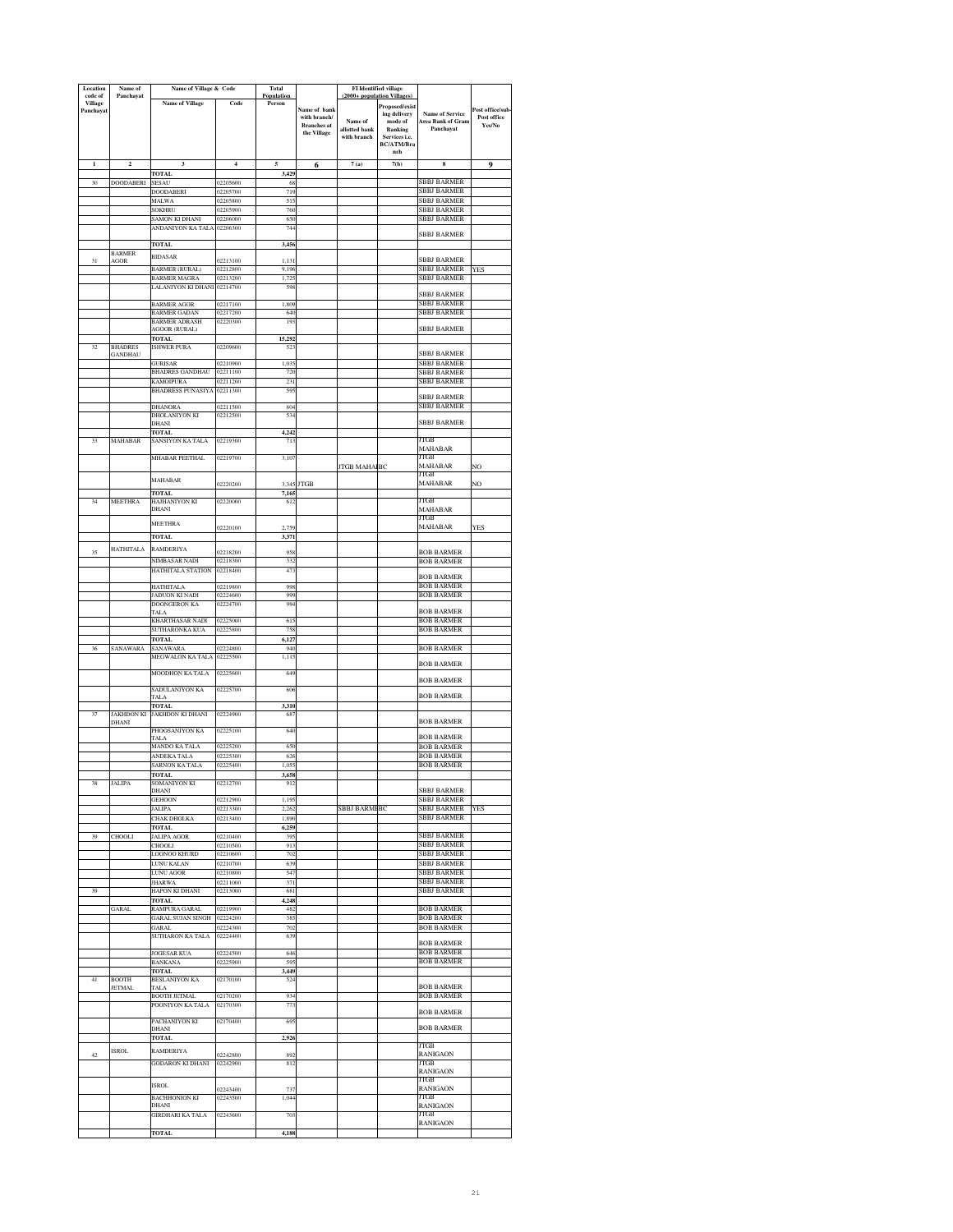| Location<br>code of         | Name of<br>Panchayat             | Name of Village & Code                           |                         | Total<br>Population |                                   | (2000+ population Villages)  | FI Identified village           |                                             |                 |
|-----------------------------|----------------------------------|--------------------------------------------------|-------------------------|---------------------|-----------------------------------|------------------------------|---------------------------------|---------------------------------------------|-----------------|
| <b>Village</b><br>Panchayat |                                  | <b>Name of Village</b>                           | Code                    | Person              | Name of bank                      |                              | Proposed/exist                  |                                             | Post office/sub |
|                             |                                  |                                                  |                         |                     | with branch/                      | Name of                      | ing delivery<br>mode of         | <b>Name of Service</b><br>Area Bank of Gram | Post office     |
|                             |                                  |                                                  |                         |                     | <b>Branches</b> at<br>the Village | allotted bank<br>with branch | <b>Banking</b><br>Services i.e. | Panchavat                                   | Yes/No          |
|                             |                                  |                                                  |                         |                     |                                   |                              | BC/ATM/Bra                      |                                             |                 |
| $\mathbf{I}$                | $\overline{\mathbf{c}}$          | $\overline{\mathbf{3}}$                          | $\overline{\mathbf{4}}$ | 5                   | 6                                 | 7(a)                         | nch<br>7(b)                     | 8                                           | 9               |
|                             |                                  | <b>TOTAL</b>                                     |                         | 3,429               |                                   |                              |                                 |                                             |                 |
| $30^{\circ}$                | <b>DOODABERI</b>                 | SESAU<br>DOODABERI                               | 02205600<br>02205700    | 68<br>719           |                                   |                              |                                 | <b>SBBJ BARMER</b><br>SBBJ BARMER           |                 |
|                             |                                  | MALWA                                            | 02205800                | 515                 |                                   |                              |                                 | <b>SBBJ BARMER</b>                          |                 |
|                             |                                  | SOKHRU<br>SAMON KI DHANI                         | 02205900<br>02206000    | 760<br>650          |                                   |                              |                                 | <b>SBBJ BARMER</b><br>SBBJ BARMER           |                 |
|                             |                                  | ANDANIYON KA TALA                                | 02206300                | 744                 |                                   |                              |                                 | SBBJ BARMER                                 |                 |
|                             |                                  | TOTAL                                            |                         | 3,456               |                                   |                              |                                 |                                             |                 |
| 31                          | <b>BARMER</b><br>AGOR            | <b>BIDASAR</b>                                   | 02213100                | 1,131               |                                   |                              |                                 | <b>SBBJ BARMER</b>                          |                 |
|                             |                                  | <b>BARMER (RURAL)</b>                            | 02212800                | 9,196               |                                   |                              |                                 | SBBJ BARMER<br>SBBJ BARMER                  | YES             |
|                             |                                  | <b>BARMER MAGRA</b><br><b>LALANIYON KI DHANI</b> | 02213200<br>02214700    | 1,72<br>598         |                                   |                              |                                 |                                             |                 |
|                             |                                  | <b>BARMER AGOR</b>                               | 02217100                | 1,809               |                                   |                              |                                 | <b>SBBJ BARMER</b><br>SBBJ BARMER           |                 |
|                             |                                  | <b>BARMER GADAN</b>                              | 02217200                | 640                 |                                   |                              |                                 | SBBJ BARMER                                 |                 |
|                             |                                  | <b>BARMER ADRASH</b><br><b>AGOOR (RURAL)</b>     | 02220300                | 193                 |                                   |                              |                                 | <b>SBBJ BARMER</b>                          |                 |
|                             |                                  | <b>TOTAL</b>                                     |                         | 15,292              |                                   |                              |                                 |                                             |                 |
| 32                          | <b>BHADRES</b><br><b>GANDHAU</b> | <b>ISHWER PURA</b>                               | 02209600                | 52                  |                                   |                              |                                 | <b>SBBJ BARMER</b>                          |                 |
|                             |                                  | <b>GURISAR</b><br><b>BHADRES GANDHAU</b>         | 02210900<br>02211100    | 1,035<br>720        |                                   |                              |                                 | <b>SBBJ BARMER</b><br>SBBJ BARMER           |                 |
|                             |                                  | <b>KAMOIPURA</b>                                 | 02211200                | 231                 |                                   |                              |                                 | SBBJ BARMER                                 |                 |
|                             |                                  | <b>BHADRESS PUNASIYA</b>                         | 02211300                | 595                 |                                   |                              |                                 | <b>SBBJ BARMER</b>                          |                 |
|                             |                                  | <b>DHANORA</b><br>DHOLANIYON KI                  | 02211500<br>02212500    | 604<br>53           |                                   |                              |                                 | SBBJ BARMER                                 |                 |
|                             |                                  | DHANI                                            |                         |                     |                                   |                              |                                 | <b>SBBJ BARMER</b>                          |                 |
| 33                          | MAHABAR                          | TOTAL<br>SANSIYON KA TALA                        | 02219300                | 4,242<br>713        |                                   |                              |                                 | JTGB                                        |                 |
|                             |                                  |                                                  |                         |                     |                                   |                              |                                 | MAHABAR                                     |                 |
|                             |                                  | MHABAR PEETHAL                                   | 02219700                | 3.107               |                                   | <b>JTGB MAHA BC</b>          |                                 | <b>ITGB</b><br><b>MAHABAR</b>               | NO              |
|                             |                                  | MAHABAR                                          |                         |                     |                                   |                              |                                 | JTGB<br>MAHABAR                             |                 |
|                             |                                  | TOTAL                                            | 02220200                | 3,345<br>7,165      | <b>JTGB</b>                       |                              |                                 |                                             | NO              |
| 34                          | <b>MEETHRA</b>                   | HAJHANIYON KI<br>DHANI                           | 02220000                | 612                 |                                   |                              |                                 | JTGB<br>MAHABAR                             |                 |
|                             |                                  | <b>MEETHRA</b>                                   |                         |                     |                                   |                              |                                 | JTGB                                        |                 |
|                             |                                  | <b>TOTAL</b>                                     | 02220100                | 2,759<br>3,371      |                                   |                              |                                 | <b>MAHABAR</b>                              | YES             |
|                             | <b>HATHITALA</b>                 | RAMDERIYA                                        |                         |                     |                                   |                              |                                 |                                             |                 |
| 35                          |                                  | NIMBASAR NADI                                    | 02218200<br>02218300    | 958<br>332          |                                   |                              |                                 | <b>BOB BARMER</b><br><b>BOB BARMER</b>      |                 |
|                             |                                  | HATHITALA STATION                                | 02218400                | 473                 |                                   |                              |                                 | <b>BOB BARMER</b>                           |                 |
|                             |                                  | <b>HATHITALA</b>                                 | 02219800                | 995                 |                                   |                              |                                 | <b>BOB BARMER</b>                           |                 |
|                             |                                  | <b>JADUON KI NADI</b><br>DOONGERON KA            | 02224600<br>02224700    | 999<br>994          |                                   |                              |                                 | <b>BOB BARMER</b>                           |                 |
|                             |                                  | <b>TALA</b>                                      | 02225000                |                     |                                   |                              |                                 | <b>BOB BARMER</b><br><b>BOB BARMER</b>      |                 |
|                             |                                  | KHARTHASAR NADI<br>SUTHARONKA KUA                | 02225800                | 61<br>758           |                                   |                              |                                 | <b>BOB BARMER</b>                           |                 |
| 36                          |                                  | TOTAL<br>SANAWARA                                | 02224800                | 6,127<br>940        |                                   |                              |                                 | <b>BOB BARMER</b>                           |                 |
|                             | SANAWARA                         | MEGWALON KA TALA                                 | 02225500                | 1,115               |                                   |                              |                                 |                                             |                 |
|                             |                                  | MOODHON KA TALA                                  | 02225600                | 649                 |                                   |                              |                                 | <b>BOB BARMER</b>                           |                 |
|                             |                                  |                                                  | 02225700                | 606                 |                                   |                              |                                 | <b>BOB BARMER</b>                           |                 |
|                             |                                  | SADULANIYON KA<br>TALA                           |                         |                     |                                   |                              |                                 | <b>BOB BARMER</b>                           |                 |
| 37                          | <b>JAKHDON KI</b>                | <b>TOTAL</b><br>JAKHDON KI DHANI                 | 02224900                | 3,310<br>68         |                                   |                              |                                 |                                             |                 |
|                             | DHANI                            | PHOOSANIYON KA                                   | 02225100                | 640                 |                                   |                              |                                 | <b>BOB BARMER</b>                           |                 |
|                             |                                  | TALA                                             |                         |                     |                                   |                              |                                 | <b>BOB BARMER</b>                           |                 |
|                             |                                  | MANDO KA TALA<br><b>ANDEKA TALA</b>              | 02225200<br>02225300    | 650<br>626          |                                   |                              |                                 | <b>BOB BARMER</b><br><b>BOB BARMER</b>      |                 |
|                             |                                  | SARNON KA TALA                                   | 02225400                | 1,055               |                                   |                              |                                 | <b>BOB BARMER</b>                           |                 |
| 38                          | JALIPA                           | <b>TOTAL</b><br><b>SOMANIYON KI</b>              | 02212700                | 3,658<br>912        |                                   |                              |                                 |                                             |                 |
|                             |                                  | DHANI<br><b>GEHOON</b>                           | 02212900                | 1,195               |                                   |                              |                                 | <b>SBBJ BARMER</b><br>SBBJ BARMER           |                 |
|                             |                                  | <b>ALIPA</b>                                     | 02213300                | 2,262               |                                   | SBBJ BARMI BC                |                                 | SBBJ BARMER                                 | YES             |
|                             |                                  | <b>CHAK DHOLKA</b><br>TOTAL                      | 02213400                | 1,890<br>6,259      |                                   |                              |                                 | SBBJ BARMER                                 |                 |
| 39                          | <b>CHOOLI</b>                    | JALIPA AGOR                                      | 02210400                | 395                 |                                   |                              |                                 | <b>SBBJ BARMER</b>                          |                 |
|                             |                                  | CHOOLI<br>LOONOO KHURD                           | 02210500<br>02210600    | 913<br>702          |                                   |                              |                                 | <b>SBBJ BARMER</b><br><b>SBBJ BARMER</b>    |                 |
|                             |                                  | LUNU KALAN                                       | 02210700                | 639                 |                                   |                              |                                 | <b>SBBJ BARMER</b>                          |                 |
|                             |                                  | LUNU AGOR<br><b>JHARWA</b>                       | 02210800<br>02211000    | 547<br>371          |                                   |                              |                                 | <b>SBBJ BARMER</b><br><b>SBBJ BARMER</b>    |                 |
| 39                          |                                  | HAPON KI DHANI                                   | 02213000                | 681                 |                                   |                              |                                 | <b>SBBJ BARMER</b>                          |                 |
|                             | <b>GARAL</b>                     | <b>TOTAL</b><br>RAMPURA GARAL                    | 02219900                | 4,248<br>482        |                                   |                              |                                 | <b>BOB BARMER</b>                           |                 |
|                             |                                  | <b>GARAL SUJAN SINGH</b>                         | 02224200                | 385                 |                                   |                              |                                 | <b>BOB BARMER</b>                           |                 |
|                             |                                  | GARAL<br>SUTHARON KA TALA                        | 02224300<br>02224400    | 702<br>639          |                                   |                              |                                 | <b>BOB BARMER</b>                           |                 |
|                             |                                  | <b>JOGESAR KUA</b>                               | 02224500                | 646                 |                                   |                              |                                 | <b>BOB BARMER</b><br><b>BOB BARMER</b>      |                 |
|                             |                                  | <b>BANKANA</b>                                   | 02225900                | 59                  |                                   |                              |                                 | <b>BOB BARMER</b>                           |                 |
| 41                          | <b>BOOTH</b>                     | TOTAL<br><b>BESLANIYON KA</b>                    | 02170100                | 3.449<br>524        |                                   |                              |                                 |                                             |                 |
|                             | <b>JETMAL</b>                    | TALA<br><b>BOOTH JETMAL</b>                      | 02170200                | 934                 |                                   |                              |                                 | <b>BOB BARMER</b><br><b>BOB BARMER</b>      |                 |
|                             |                                  | POONIYON KA TALA                                 | 02170300                | 77                  |                                   |                              |                                 |                                             |                 |
|                             |                                  | PACHANIYON KI                                    | 02170400                | 695                 |                                   |                              |                                 | <b>BOB BARMER</b>                           |                 |
|                             |                                  | DHANI                                            |                         |                     |                                   |                              |                                 | <b>BOB BARMER</b>                           |                 |
|                             | <b>ISROL</b>                     | TOTAL                                            |                         | 2,926               |                                   |                              |                                 | JTGB                                        |                 |
| 42                          |                                  | RAMDERIYA<br><b>GODARON KI DHANI</b>             | 02242800<br>02242900    | 892<br>812          |                                   |                              |                                 | <b>RANIGAON</b><br>JTGB                     |                 |
|                             |                                  |                                                  |                         |                     |                                   |                              |                                 | <b>RANIGAON</b>                             |                 |
|                             |                                  | <b>ISROL</b>                                     | 02243400                | 737                 |                                   |                              |                                 | JTGB<br>RANIGAON                            |                 |
|                             |                                  | <b>BACHHONION KI</b><br>DHANI                    | 02243500                | 1,044               |                                   |                              |                                 | JTGB<br><b>RANIGAON</b>                     |                 |
|                             |                                  | GIRDHARI KA TALA                                 | 02243600                | 703                 |                                   |                              |                                 | JTGB                                        |                 |
|                             |                                  | <b>TOTAL</b>                                     |                         | 4,188               |                                   |                              |                                 | RANIGAON                                    |                 |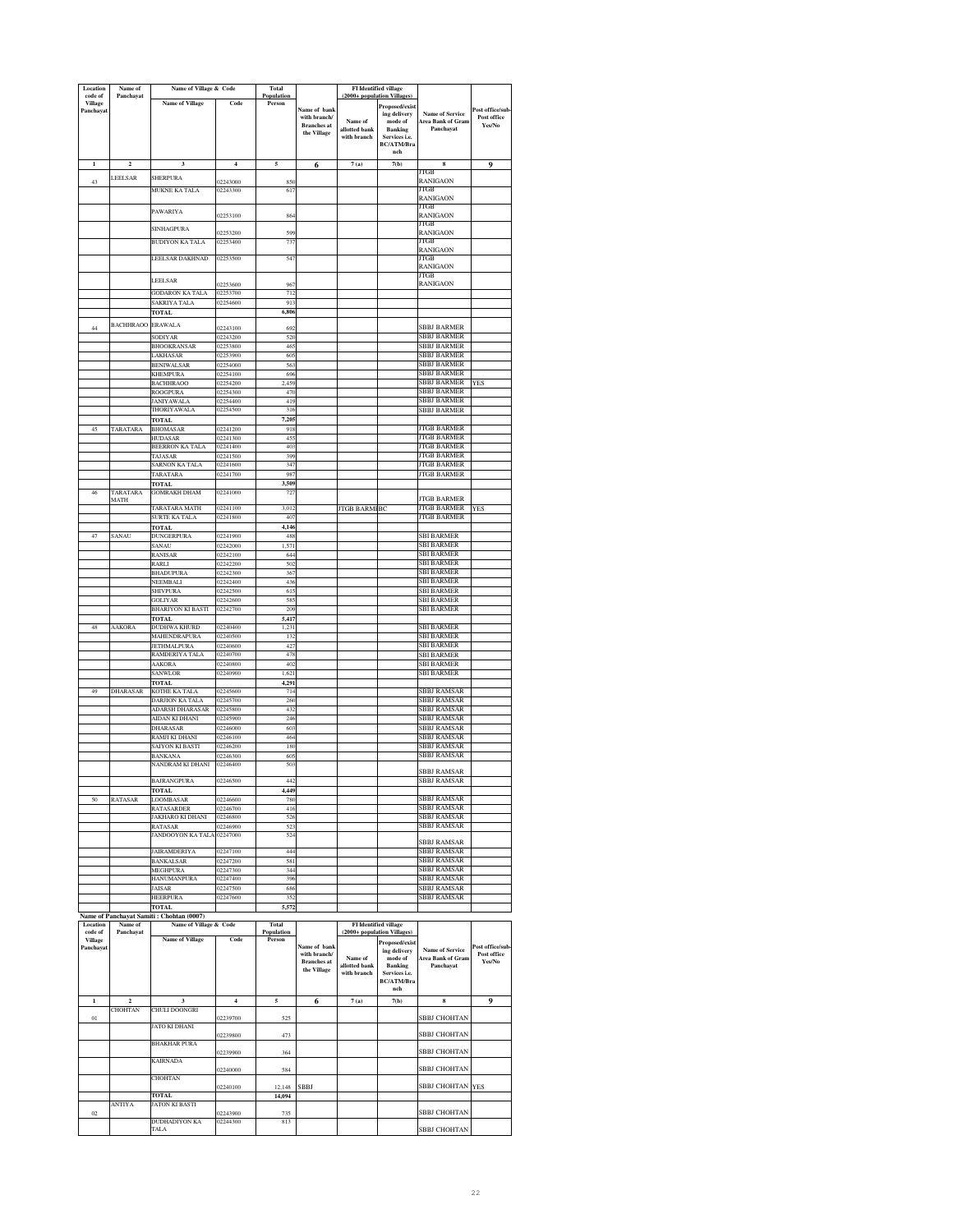| Location<br>code of         | Name of<br>Panchayat               | Name of Village & Code                    |                         | Total<br>Population |                                    |                              | <b>FI</b> Identified village<br>(2000+ population Villages) |                                                    |                       |
|-----------------------------|------------------------------------|-------------------------------------------|-------------------------|---------------------|------------------------------------|------------------------------|-------------------------------------------------------------|----------------------------------------------------|-----------------------|
| Village<br>Panchayat        |                                    | <b>Name of Village</b>                    | Code                    | Person              | Name of bank                       |                              | Proposed/exist                                              |                                                    | Post office/sub       |
|                             |                                    |                                           |                         |                     | with branch/<br><b>Branches</b> at | Name of                      | ing delivery<br>mode of                                     | <b>Name of Service</b><br><b>Area Bank of Gram</b> | Post office<br>Yes/No |
|                             |                                    |                                           |                         |                     | the Village                        | allotted bank<br>with branch | <b>Banking</b><br>Services i.e.                             | Panchayat                                          |                       |
|                             |                                    |                                           |                         |                     |                                    |                              | <b>BC/ATM/Bra</b><br>nch                                    |                                                    |                       |
|                             | $\overline{2}$                     | $\overline{\mathbf{3}}$                   | $\overline{\mathbf{4}}$ | 5                   | 6                                  | 7(a)                         | 7(b)                                                        | 8<br>JTGB                                          | 9                     |
| 43                          | LEELSAR                            | <b>SHERPURA</b>                           | 02243000                | 850                 |                                    |                              |                                                             | <b>RANIGAON</b>                                    |                       |
|                             |                                    | MUKNE KA TALA                             | 02243300                | 617                 |                                    |                              |                                                             | JTGB<br>RANIGAON                                   |                       |
|                             |                                    | PAWARIYA                                  | 02253100                | 864                 |                                    |                              |                                                             | JTGB<br>RANIGAON                                   |                       |
|                             |                                    | SINHAGPURA                                | 02253200                | 599                 |                                    |                              |                                                             | JTGB<br>RANIGAON                                   |                       |
|                             |                                    | BUDIYON KA TALA                           | 02253400                | 737                 |                                    |                              |                                                             | ITGB                                               |                       |
|                             |                                    | LEELSAR DAKHNAD                           | 02253500                | 54                  |                                    |                              |                                                             | <b>RANIGAON</b><br>JTGB                            |                       |
|                             |                                    |                                           |                         |                     |                                    |                              |                                                             | <b>RANIGAON</b><br>JTGB                            |                       |
|                             |                                    | LEELSAR<br><b>GODARON KA TALA</b>         | 02253600<br>02253700    | 967<br>712          |                                    |                              |                                                             | <b>RANIGAON</b>                                    |                       |
|                             |                                    | SAKRIYA TALA                              | 02254600                | 913                 |                                    |                              |                                                             |                                                    |                       |
|                             |                                    | TOTAL                                     |                         | 6,806               |                                    |                              |                                                             |                                                    |                       |
| 44                          | <b>BACHHRAOO</b>                   | <b>ERAWALA</b><br>SODIYAR                 | 02243100<br>02243200    | 692<br>520          |                                    |                              |                                                             | <b>SBBJ BARMER</b><br>SBBJ BARMER                  |                       |
|                             |                                    | <b>BHOOKRANSAR</b>                        | 02253800                | 465                 |                                    |                              |                                                             | SBBJ BARMER                                        |                       |
|                             |                                    | AKHASAR<br><b>BENIWALSAR</b>              | 02253900<br>02254000    | 605<br>563          |                                    |                              |                                                             | SBBJ BARMER<br>SBBJ BARMER                         |                       |
|                             |                                    | <b>KHEMPURA</b>                           | 02254100                | 696<br>2.459        |                                    |                              |                                                             | SBBJ BARMER<br>SBBJ BARMER                         | <b>YES</b>            |
|                             |                                    | <b>BACHHRAOO</b><br>ROOGPURA              | 02254200<br>02254300    | 470                 |                                    |                              |                                                             | <b>SBBJ BARMER</b>                                 |                       |
|                             |                                    | <b>JANIYAWALA</b><br>THORIYAWALA          | 02254400<br>02254500    | 419<br>316          |                                    |                              |                                                             | SBBJ BARMER<br>SBBJ BARMER                         |                       |
|                             |                                    | <b>TOTAL</b>                              | 02241200                | 7,205               |                                    |                              |                                                             | <b>JTGB BARMER</b>                                 |                       |
|                             | TARATARA                           | <b>BHOMASAR</b><br>HUDASAR                | 02241300                | 918<br>45           |                                    |                              |                                                             | <b>JTGB BARMER</b>                                 |                       |
|                             |                                    | <b>BEERRON KA TALA</b><br>TAJASAR         | 02241400<br>02241500    | 403<br>399          |                                    |                              |                                                             | <b>JTGB BARMER</b><br>JTGB BARMER                  |                       |
|                             |                                    | SARNON KA TALA                            | 02241600                | 347                 |                                    |                              |                                                             | JTGB BARMER                                        |                       |
|                             |                                    | TARATARA<br>TOTAL                         | 02241700                | 987<br>3.509        |                                    |                              |                                                             | <b>JTGB BARMER</b>                                 |                       |
| 46                          | TARATARA<br>MATH                   | <b>GOMRAKH DHAM</b>                       | 02241000                | 72                  |                                    |                              |                                                             | <b>JTGB BARMER</b>                                 |                       |
|                             |                                    | TARATARA MATH<br>SURTE KA TALA            | 02241100                | 3,012               |                                    | <b>JTGB BARMI</b>            | BC                                                          | <b>JTGB BARMER</b><br><b>JTGB BARMER</b>           | <b>YES</b>            |
|                             |                                    | <b>TOTAL</b>                              | 02241800                | 407<br>4.146        |                                    |                              |                                                             |                                                    |                       |
| 47                          | SANAU                              | DUNGERPURA<br>SANAU                       | 02241900<br>02242000    | 488<br>1,571        |                                    |                              |                                                             | <b>SBI BARMER</b><br><b>SBI BARMER</b>             |                       |
|                             |                                    | RANISAR                                   | 02242100                | 644                 |                                    |                              |                                                             | SBI BARMER                                         |                       |
|                             |                                    | RARLI<br><b>BHADUPURA</b>                 | 02242200<br>02242300    | 502<br>367          |                                    |                              |                                                             | <b>SBI BARMER</b><br><b>SBI BARMER</b>             |                       |
|                             |                                    | NEEMBALI<br><b>SHIVPURA</b>               | 02242400<br>02242500    | 436<br>615          |                                    |                              |                                                             | <b>SBI BARMER</b><br><b>SBI BARMER</b>             |                       |
|                             |                                    | <b>GOLIYAR</b>                            | 02242600                | 58:                 |                                    |                              |                                                             | <b>SBI BARMER</b>                                  |                       |
|                             |                                    | <b>BHARIYON KI BASTI</b><br>TOTAL         | 02242700                | 209<br>5,417        |                                    |                              |                                                             | <b>SBI BARMER</b>                                  |                       |
| 48                          | AAKORA                             | DUDHWA KHURD<br>MAHENDRAPURA              | 02240400<br>02240500    | 1,231<br>132        |                                    |                              |                                                             | <b>BI BARMER</b><br><b>BI BARMER</b>               |                       |
|                             |                                    | <b>JETHMALPURA</b>                        | 02240600                | 427                 |                                    |                              |                                                             | <b>SBI BARMER</b>                                  |                       |
|                             |                                    | RAMDERIYA TALA<br>AAKORA                  | 02240700<br>02240800    | 478<br>402          |                                    |                              |                                                             | SBI BARMER<br>SBI BARMER                           |                       |
|                             |                                    | SANWLOR                                   | 02240900                | 1,621               |                                    |                              |                                                             | SBI BARMER                                         |                       |
| 49                          | DHARASAR                           | <b>FOTAL</b><br>KOTHE KA TALA             | 02245600                | 4,291<br>714        |                                    |                              |                                                             | SBBJ RAMSAR                                        |                       |
|                             |                                    | DARJION KA TALA<br><b>ADARSH DHARASAR</b> | 02245700<br>02245800    | 260<br>432          |                                    |                              |                                                             | SBBJ RAMSAR<br>SBBJ RAMSAR                         |                       |
|                             |                                    | AIDAN KI DHANI                            | 02245900                | 246                 |                                    |                              |                                                             | SBBJ RAMSAR                                        |                       |
|                             |                                    | DHARASAR<br>RAMJI KI DHANI                | 02246000<br>02246100    | 60.7<br>464         |                                    |                              |                                                             | SBBJ RAMSAR<br><b>SBBJ RAMSAR</b>                  |                       |
|                             |                                    | SAIYON KI BASTI<br><b>BANKANA</b>         | 02246200<br>02246300    | 180<br>605          |                                    |                              |                                                             | SBBJ RAMSAR<br><b>SBBJ RAMSAR</b>                  |                       |
|                             |                                    | NANDRAM KI DHANI                          | 02246400                | 503                 |                                    |                              |                                                             | <b>SBBJ RAMSAR</b>                                 |                       |
|                             |                                    | 3AJ RANGPURA                              | 246500                  | 44.                 |                                    |                              |                                                             | ьвы камэак                                         |                       |
| 50                          | RATASAR                            | <b>FOTAL</b><br><b>JOOMBASAR</b>          | 02246600                | 4,449<br>780        |                                    |                              |                                                             | <b>SBBJ RAMSAR</b>                                 |                       |
|                             |                                    | <b>ATASARDER</b>                          | 02246700<br>02246800    | 416                 |                                    |                              |                                                             | SBBJ RAMSAR                                        |                       |
|                             |                                    | JAKHARO KI DHANI<br><b>RATASAR</b>        | 02246900                | 526<br>523          |                                    |                              |                                                             | <b>SBBJ RAMSAR</b><br>SBBJ RAMSAR                  |                       |
|                             |                                    | JANDOOYON KA TALA                         | 02247000                | 524                 |                                    |                              |                                                             | SBBJ RAMSAR                                        |                       |
|                             |                                    | <b>JAIRAMDERIYA</b><br><b>BANKALSAR</b>   | 02247100<br>02247200    | 444<br>581          |                                    |                              |                                                             | <b>SBBJ RAMSAR</b><br>SBBJ RAMSAR                  |                       |
|                             |                                    | MEGHPURA                                  | 02247300                | 344                 |                                    |                              |                                                             | SBBJ RAMSAR                                        |                       |
|                             |                                    | HANUMANPURA<br><b>JAISAR</b>              | 02247400<br>02247500    | 396<br>686          |                                    |                              |                                                             | <b>SBBJ RAMSAR</b><br>SBBJ RAMSAR                  |                       |
|                             |                                    | HEERPURA<br><b>TOTAL</b>                  | 02247600                | 352                 |                                    |                              |                                                             | SBBJ RAMSAR                                        |                       |
|                             |                                    | Name of Panchayat Samiti: Chohtan (0007)  |                         | 5,572               |                                    |                              |                                                             |                                                    |                       |
| Location<br>code of         | Name of<br>Panchayat               | Name of Village & Code                    |                         | Total<br>Population |                                    |                              | <b>FI</b> Identified village<br>(2000+ population Villages) |                                                    |                       |
| <b>Village</b><br>Panchayat |                                    | <b>Name of Village</b>                    | Code                    | Person              | Name of bank                       |                              | Proposed/exist<br>ing delivery                              | <b>Name of Service</b>                             | Post office/sub       |
|                             |                                    |                                           |                         |                     | with branch/<br><b>Branches</b> at | Name of<br>allotted bank     | mode of<br><b>Banking</b>                                   | Area Bank of Gran<br>Panchayat                     | Post office<br>Yes/No |
|                             |                                    |                                           |                         |                     | the Village                        | with branch                  | Services i.e.<br>BC/ATM/Bra                                 |                                                    |                       |
|                             |                                    |                                           |                         |                     |                                    |                              | ${\bf nch}$                                                 |                                                    |                       |
| $\mathbf{1}$                | $\overline{\mathbf{c}}$<br>CHOHTAN | 3<br>CHULI DOONGRI                        | 4                       | 5                   | 6                                  | 7(a)                         | 7(b)                                                        | 8                                                  | 9                     |
| $_{01}$                     |                                    | <b>JATO KI DHANI</b>                      | 02239700                | 525                 |                                    |                              |                                                             | SBBJ CHOHTAN                                       |                       |
|                             |                                    |                                           | 02239800                | 473                 |                                    |                              |                                                             | SBBJ CHOHTAN                                       |                       |
|                             |                                    | <b>BHAKHAR PURA</b>                       | 02239900                | 364                 |                                    |                              |                                                             | SBBJ CHOHTAN                                       |                       |
|                             |                                    | KAIRNADA                                  | 02240000                | 584                 |                                    |                              |                                                             | SBBJ CHOHTAN                                       |                       |
|                             |                                    | <b>CHOHTAN</b>                            | 02240100                | 12.148              | <b>SBBJ</b>                        |                              |                                                             | SBBJ CHOHTAN YES                                   |                       |
|                             |                                    | <b>TOTAL</b>                              |                         | 14,094              |                                    |                              |                                                             |                                                    |                       |
| $02\,$                      | ANTIYA                             | JATON KI BASTI                            | 02243900                | 735                 |                                    |                              |                                                             | SBBJ CHOHTAN                                       |                       |
|                             |                                    | DUDHADIYON KA<br>TALA                     | 02244300                | 813                 |                                    |                              |                                                             | SBBJ CHOHTAN                                       |                       |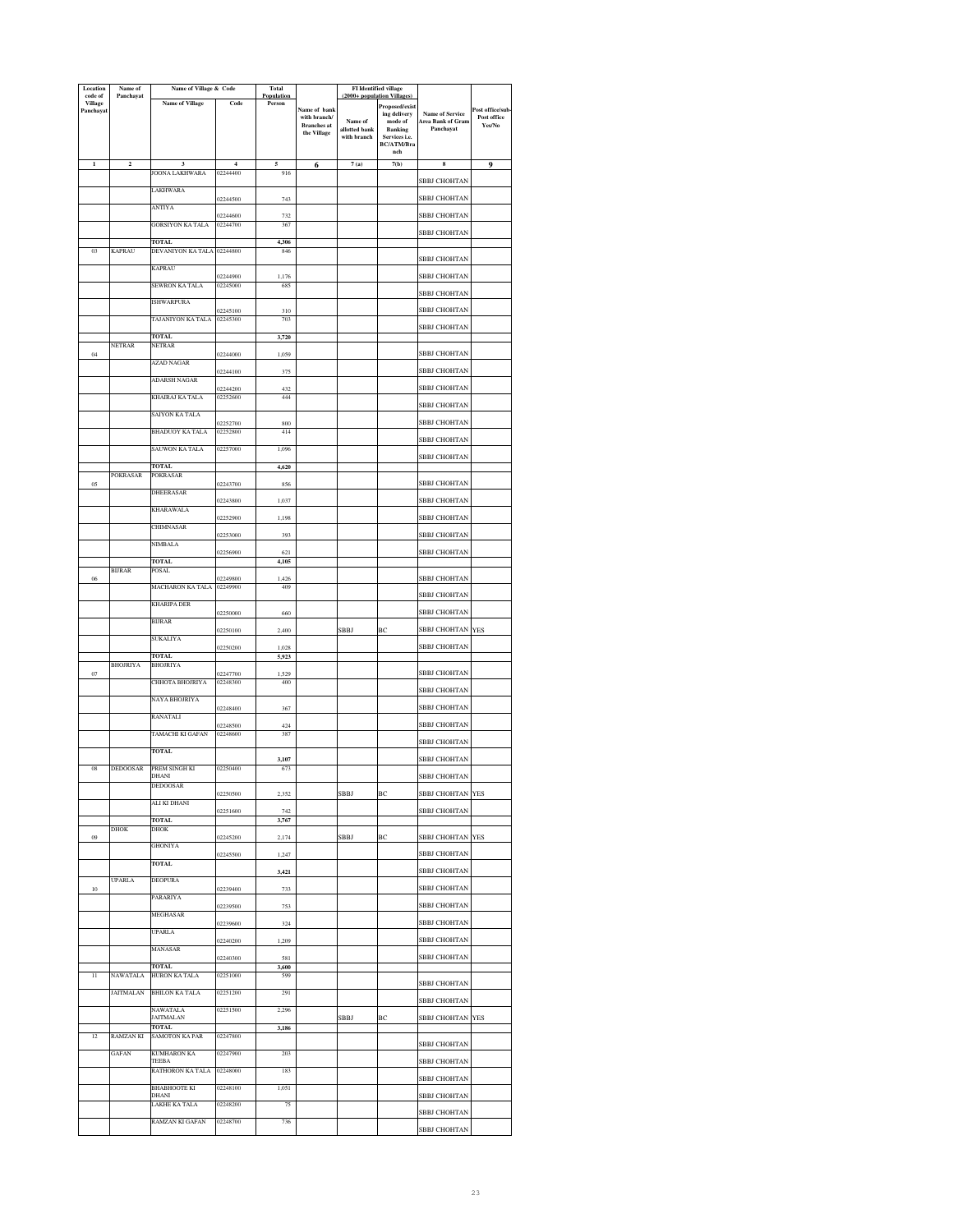| Location<br>code of         | Name of<br>Panchayat | Name of Village & Code                |                      | Total<br>Population |                                    | (2000+ population Villages   | FI Identified village           |                                             |                       |
|-----------------------------|----------------------|---------------------------------------|----------------------|---------------------|------------------------------------|------------------------------|---------------------------------|---------------------------------------------|-----------------------|
| <b>Village</b><br>Panchayat |                      | <b>Name of Village</b>                | Code                 | Person              | Name of bank                       |                              | Proposed/exist                  |                                             | Post office/sub-      |
|                             |                      |                                       |                      |                     | with branch/<br><b>Branches</b> at | Name of                      | ing delivery<br>mode of         | <b>Name of Service</b><br>Area Bank of Gram | Post office<br>Yes/No |
|                             |                      |                                       |                      |                     | the Village                        | allotted bank<br>with branch | <b>Banking</b><br>Services i.e. | Panchayat                                   |                       |
|                             |                      |                                       |                      |                     |                                    |                              | BC/ATM/Bra<br>nch               |                                             |                       |
| $\mathbf{I}$                | $\mathbf 2$          | 3                                     | $\overline{4}$       | 5                   | 6                                  | 7(a)                         | 7(b)                            | ${\bf 8}$                                   | 9                     |
|                             |                      | JOONA LAKHWARA                        | 02244400             | 916                 |                                    |                              |                                 | SBBJ CHOHTAN                                |                       |
|                             |                      | LAKHWARA                              | 02244500             | 743                 |                                    |                              |                                 | SBBJ CHOHTAN                                |                       |
|                             |                      | ANTIYA                                | 02244600             | 732                 |                                    |                              |                                 | SBBJ CHOHTAN                                |                       |
|                             |                      | <b>GORSIYON KA TALA</b>               | 02244700             | 367                 |                                    |                              |                                 | SBBJ CHOHTAN                                |                       |
|                             |                      | TOTAL                                 |                      | 4,306               |                                    |                              |                                 |                                             |                       |
| 03                          | <b>KAPRAU</b>        | DEVANIYON KA TALA 02244800            |                      | 846                 |                                    |                              |                                 | SBBJ CHOHTAN                                |                       |
|                             |                      | <b>KAPRAU</b>                         | 02244900             | 1,176               |                                    |                              |                                 | SBBJ CHOHTAN                                |                       |
|                             |                      | SEWRON KA TALA                        | 02245000             | 685                 |                                    |                              |                                 |                                             |                       |
|                             |                      | <b>ISHWARPURA</b>                     |                      |                     |                                    |                              |                                 | SBBJ CHOHTAN                                |                       |
|                             |                      | TAJANIYON KA TALA                     | 02245100<br>02245300 | 310<br>703          |                                    |                              |                                 | SBBJ CHOHTAN                                |                       |
|                             |                      | <b>TOTAL</b>                          |                      | 3,720               |                                    |                              |                                 | SBBJ CHOHTAN                                |                       |
|                             | NETRAR               | NETRAR                                |                      |                     |                                    |                              |                                 |                                             |                       |
| 04                          |                      | AZAD NAGAR                            | 02244000             | 1,059               |                                    |                              |                                 | SBBJ CHOHTAN                                |                       |
|                             |                      | ADARSH NAGAR                          | 02244100             | 375                 |                                    |                              |                                 | SBBJ CHOHTAN                                |                       |
|                             |                      | KHAIRAJ KA TALA                       | 02244200<br>02252600 | 432<br>444          |                                    |                              |                                 | SBBJ CHOHTAN                                |                       |
|                             |                      |                                       |                      |                     |                                    |                              |                                 | SBBJ CHOHTAN                                |                       |
|                             |                      | SAIYON KA TALA                        | 02252700             | 800                 |                                    |                              |                                 | SBBJ CHOHTAN                                |                       |
|                             |                      | BHADUOY KA TALA                       | 02252800             | 414                 |                                    |                              |                                 | SBBJ CHOHTAN                                |                       |
|                             |                      | SAUWON KA TALA                        | 02257000             | 1,096               |                                    |                              |                                 | SBBJ CHOHTAN                                |                       |
|                             |                      | <b>TOTAL</b>                          |                      | 4,620               |                                    |                              |                                 |                                             |                       |
| 05                          | POKRASAR             | POKRASAR                              | 02243700             | 856                 |                                    |                              |                                 | SBBJ CHOHTAN                                |                       |
|                             |                      | DHEERASAR                             | 02243800             | 1,037               |                                    |                              |                                 | SBBJ CHOHTAN                                |                       |
|                             |                      | KHARAWALA                             | 02252900             | 1,198               |                                    |                              |                                 | SBBJ CHOHTAN                                |                       |
|                             |                      | CHIMNASAR                             |                      |                     |                                    |                              |                                 |                                             |                       |
|                             |                      | NIMBALA                               | 02253000             | 393                 |                                    |                              |                                 | SBBJ CHOHTAN                                |                       |
|                             |                      | TOTAL                                 | )2256900             | 621<br>4,105        |                                    |                              |                                 | SBBJ CHOHTAN                                |                       |
| 06                          | <b>BURAR</b>         | POSAL                                 | 02249800             | 1,426               |                                    |                              |                                 | SBBJ CHOHTAN                                |                       |
|                             |                      | MACHARON KA TALA                      | 02249900             | 409                 |                                    |                              |                                 |                                             |                       |
|                             |                      | KHARIPA DER                           |                      |                     |                                    |                              |                                 | SBBJ CHOHTAN                                |                       |
|                             |                      | <b>BURAR</b>                          | 02250000             | 660                 |                                    |                              |                                 | SBBJ CHOHTAN                                |                       |
|                             |                      | SUKALIYA                              | 02250100             | 2,400               |                                    | SBBJ                         | BC                              | SBBJ CHOHTAN YES                            |                       |
|                             |                      |                                       | 02250200             | 1.028               |                                    |                              |                                 | SBBJ CHOHTAN                                |                       |
|                             | <b>BHOJRIYA</b>      | <b>TOTAL</b><br>BHOJRIYA              |                      | 5,923               |                                    |                              |                                 |                                             |                       |
| 07                          |                      | CHHOTA BHOJRIYA                       | 02247700<br>02248300 | 1,529<br>400        |                                    |                              |                                 | SBBJ CHOHTAN                                |                       |
|                             |                      | NAYA BHOJRIYA                         |                      |                     |                                    |                              |                                 | SBBJ CHOHTAN                                |                       |
|                             |                      |                                       | 02248400             | 367                 |                                    |                              |                                 | SBBJ CHOHTAN                                |                       |
|                             |                      | RANATALI                              | 02248500             | 424                 |                                    |                              |                                 | SBBJ CHOHTAN                                |                       |
|                             |                      | TAMACHI KI GAFAN                      | 02248600             | 387                 |                                    |                              |                                 | SBBJ CHOHTAN                                |                       |
|                             |                      | <b>TOTAL</b>                          |                      | 3,107               |                                    |                              |                                 | SBBJ CHOHTAN                                |                       |
| 08                          | <b>DEDOOSAR</b>      | PREM SINGH KI<br>DHANI                | 02250400             | 673                 |                                    |                              |                                 | SBBJ CHOHTAN                                |                       |
|                             |                      | DEDOOSAR                              |                      |                     |                                    |                              |                                 |                                             |                       |
|                             |                      | ALI KI DHANI                          | 02250500             | 2,352               |                                    | SBBJ                         | BC                              | SBBJ CHOHTAN YES                            |                       |
|                             |                      | <b>TOTAL</b>                          | 02251600             | 742<br>3,767        |                                    |                              |                                 | SBBJ CHOHTAN                                |                       |
| 09                          | <b>DHOK</b>          | <b>DHOK</b>                           | 02245200             | 2,174               |                                    | SBBJ                         | ВC                              | SBBJ CHOHTAN                                | <b>YES</b>            |
|                             |                      | <b>GHONIYA</b>                        |                      |                     |                                    |                              |                                 | SBBJ CHOHTAN                                |                       |
|                             |                      | TOTAL                                 | 02245500             | 1,247               |                                    |                              |                                 |                                             |                       |
|                             | <b>UPARLA</b>        | <b>DEOPURA</b>                        |                      | 3,421               |                                    |                              |                                 | SBBJ CHOHTAN                                |                       |
| $10\,$                      |                      | PARARIYA                              | 02239400             | 733                 |                                    |                              |                                 | SBBJ CHOHTAN                                |                       |
|                             |                      | MEGHASAR                              | 02239500             | 753                 |                                    |                              |                                 | SBBJ CHOHTAN                                |                       |
|                             |                      |                                       | 02239600             | 324                 |                                    |                              |                                 | SBBJ CHOHTAN                                |                       |
|                             |                      | UPARLA                                | 02240200             | 1,209               |                                    |                              |                                 | SBBJ CHOHTAN                                |                       |
|                             |                      | MANASAR                               | 02240300             | 581                 |                                    |                              |                                 | SBBJ CHOHTAN                                |                       |
| Π                           | NAWATALA             | <b>TOTAL</b><br>HURON KA TALA         | 02251000             | 3,600<br>599        |                                    |                              |                                 |                                             |                       |
|                             |                      |                                       |                      |                     |                                    |                              |                                 | SBBJ CHOHTAN                                |                       |
|                             | <b>JAITMALAN</b>     | <b>BHILON KA TALA</b>                 | 02251200             | 291                 |                                    |                              |                                 | SBBJ CHOHTAN                                |                       |
|                             |                      | NAWATALA<br><b>JAITMALAN</b>          | 02251500             | 2,296               |                                    | SBBJ                         | BC                              | SBBJ CHOHTAN YES                            |                       |
| 12                          | RAMZAN KI            | <b>TOTAL</b><br><b>SAMOTON KA PAR</b> | 02247800             | 3,186               |                                    |                              |                                 |                                             |                       |
|                             |                      |                                       |                      |                     |                                    |                              |                                 | SBBJ CHOHTAN                                |                       |
|                             | <b>GAFAN</b>         | KUMHARON KA<br>TEEBA                  | 02247900             | 203                 |                                    |                              |                                 | SBBJ CHOHTAN                                |                       |
|                             |                      | RATHORON KA TALA                      | 02248000             | 183                 |                                    |                              |                                 | SBBJ CHOHTAN                                |                       |
|                             |                      | <b>BHABHOOTE KI</b><br>DHANI          | 02248100             | 1,051               |                                    |                              |                                 | SBBJ CHOHTAN                                |                       |
|                             |                      | LAKHE KA TALA                         | 02248200             | 75                  |                                    |                              |                                 | SBBJ CHOHTAN                                |                       |
|                             |                      | RAMZAN KI GAFAN                       | 02248700             | 736                 |                                    |                              |                                 | SBBJ CHOHTAN                                |                       |
|                             |                      |                                       |                      |                     |                                    |                              |                                 |                                             |                       |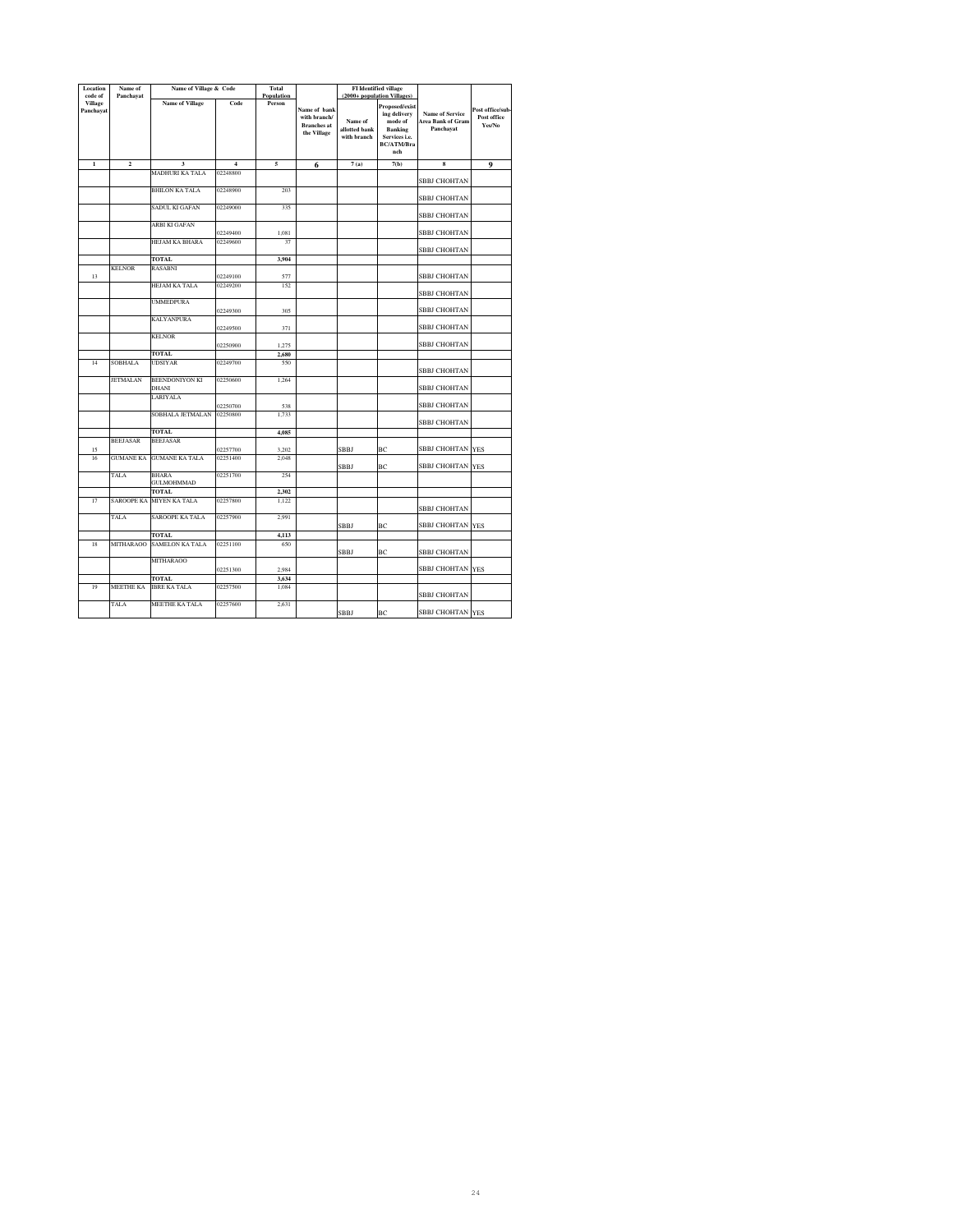| Location                               | Name of           | Name of Village & Code            |                      | Total<br>Population |                                                                   |                                         | <b>FI</b> Identified village                                                                         |                                                                 |                                           |
|----------------------------------------|-------------------|-----------------------------------|----------------------|---------------------|-------------------------------------------------------------------|-----------------------------------------|------------------------------------------------------------------------------------------------------|-----------------------------------------------------------------|-------------------------------------------|
| code of<br><b>Village</b><br>Panchayat | Panchayat         | <b>Name of Village</b>            | Code                 |                     | Name of bank<br>with branch/<br><b>Branches</b> at<br>the Village | Name of<br>allotted bank<br>with branch | (2000+ population Villages)<br>Proposed/exist<br>ing delivery<br>mode of<br>Banking<br>Services i.e. | <b>Name of Service</b><br><b>Area Bank of Gram</b><br>Panchavat | Post office/sub-<br>Post office<br>Yes/No |
|                                        |                   |                                   |                      |                     |                                                                   |                                         | <b>BC/ATM/Bra</b><br>nch                                                                             |                                                                 |                                           |
| $\mathbf{1}$                           | $\overline{a}$    | $\overline{\mathbf{3}}$           | $\overline{4}$       | 5                   | 6                                                                 | 7(a)                                    | 7(b)                                                                                                 | 8                                                               | 9                                         |
|                                        |                   | MADHURI KA TALA                   | 02248800             |                     |                                                                   |                                         |                                                                                                      | SBBJ CHOHTAN                                                    |                                           |
|                                        |                   | <b>BHILON KA TALA</b>             | 02248900             | 203                 |                                                                   |                                         |                                                                                                      | SBBJ CHOHTAN                                                    |                                           |
|                                        |                   | SADUL KI GAFAN                    | 02249000             | 335                 |                                                                   |                                         |                                                                                                      | <b>SBBJ CHOHTAN</b>                                             |                                           |
|                                        |                   | ARBI KI GAFAN                     |                      |                     |                                                                   |                                         |                                                                                                      | <b>SBBJ CHOHTAN</b>                                             |                                           |
|                                        |                   | HEJAM KA BHARA                    | 02249400<br>02249600 | 1.081<br>37         |                                                                   |                                         |                                                                                                      |                                                                 |                                           |
|                                        |                   |                                   |                      |                     |                                                                   |                                         |                                                                                                      | <b>SBBJ CHOHTAN</b>                                             |                                           |
|                                        |                   | <b>TOTAL</b>                      |                      | 3,904               |                                                                   |                                         |                                                                                                      |                                                                 |                                           |
| 13                                     | <b>KELNOR</b>     | RASABNI                           | 02249100             | 577                 |                                                                   |                                         |                                                                                                      | <b>SBBJ CHOHTAN</b>                                             |                                           |
|                                        |                   | HEJAM KA TALA                     | 02249200             | 152                 |                                                                   |                                         |                                                                                                      |                                                                 |                                           |
|                                        |                   | <b>UMMEDPURA</b>                  |                      |                     |                                                                   |                                         |                                                                                                      | <b>SBBJ CHOHTAN</b>                                             |                                           |
|                                        |                   |                                   | 02249300             | 305                 |                                                                   |                                         |                                                                                                      | SBBJ CHOHTAN                                                    |                                           |
|                                        |                   | <b>KALYANPURA</b>                 | 02249500             | 371                 |                                                                   |                                         |                                                                                                      | <b>SBBJ CHOHTAN</b>                                             |                                           |
|                                        |                   | <b>KELNOR</b>                     | 02250900             | 1,275               |                                                                   |                                         |                                                                                                      | <b>SBBJ CHOHTAN</b>                                             |                                           |
|                                        |                   | <b>TOTAL</b>                      |                      | 2,680               |                                                                   |                                         |                                                                                                      |                                                                 |                                           |
| $\overline{14}$                        | <b>SOBHALA</b>    | <b>UDSIYAR</b>                    | 02249700             | 550                 |                                                                   |                                         |                                                                                                      | SBBJ CHOHTAN                                                    |                                           |
|                                        | <b>JETMALAN</b>   | <b>BEENDONIYON KI</b><br>DHANI    | 02250600             | 1.264               |                                                                   |                                         |                                                                                                      | <b>SBBJ CHOHTAN</b>                                             |                                           |
|                                        |                   | LARIYALA                          | 02250700             | 538                 |                                                                   |                                         |                                                                                                      | SBBJ CHOHTAN                                                    |                                           |
|                                        |                   | SOBHALA JETMALAN                  | 02250800             | 1,733               |                                                                   |                                         |                                                                                                      | SBBJ CHOHTAN                                                    |                                           |
|                                        |                   | <b>TOTAL</b>                      |                      | 4,085               |                                                                   |                                         |                                                                                                      |                                                                 |                                           |
|                                        | <b>BEEJASAR</b>   | <b>BEEJASAR</b>                   |                      |                     |                                                                   |                                         |                                                                                                      |                                                                 |                                           |
| 15<br>16                               | <b>GUMANE KA</b>  | <b>GUMANE KA TALA</b>             | 02257700<br>02251400 | 3,202<br>2,048      |                                                                   | SBBJ                                    | ВC                                                                                                   | SBBJ CHOHTAN YES                                                |                                           |
|                                        |                   |                                   |                      |                     |                                                                   | SBBJ                                    | BC                                                                                                   | SBBJ CHOHTAN YES                                                |                                           |
|                                        | TALA              | <b>BHARA</b><br><b>GULMOHMMAD</b> | 02251700             | 254                 |                                                                   |                                         |                                                                                                      |                                                                 |                                           |
|                                        |                   | <b>TOTAL</b>                      |                      | 2,302               |                                                                   |                                         |                                                                                                      |                                                                 |                                           |
| 17                                     | <b>SAROOPE KA</b> | <b>MIYEN KA TALA</b>              | 02257800             | 1.122               |                                                                   |                                         |                                                                                                      | <b>SBBJ CHOHTAN</b>                                             |                                           |
|                                        | TALA              | <b>SAROOPE KA TALA</b>            | 02257900             | 2,991               |                                                                   | <b>SBBJ</b>                             | BC                                                                                                   | <b>SBBJ CHOHTAN YES</b>                                         |                                           |
|                                        |                   | <b>TOTAL</b>                      |                      | 4,113               |                                                                   |                                         |                                                                                                      |                                                                 |                                           |
| 18                                     | <b>MITHARAOO</b>  | <b>SAMELON KA TALA</b>            | 02251100             | 650                 |                                                                   | <b>SBBJ</b>                             | BC                                                                                                   | <b>SBBJ CHOHTAN</b>                                             |                                           |
|                                        |                   | <b>MITHARAOO</b>                  | 02251300             | 2.984               |                                                                   |                                         |                                                                                                      | SBBJ CHOHTAN YES                                                |                                           |
|                                        |                   | TOTAL                             |                      | 3,634               |                                                                   |                                         |                                                                                                      |                                                                 |                                           |
| 19                                     | <b>MEETHE KA</b>  | <b>IBRE KA TALA</b>               | 02257500             | 1,084               |                                                                   |                                         |                                                                                                      | <b>SBBJ CHOHTAN</b>                                             |                                           |
|                                        | TALA              | MEETHE KA TALA                    | 02257600             | 2.631               |                                                                   | <b>SBBJ</b>                             | BC                                                                                                   | SBBJ CHOHTAN YES                                                |                                           |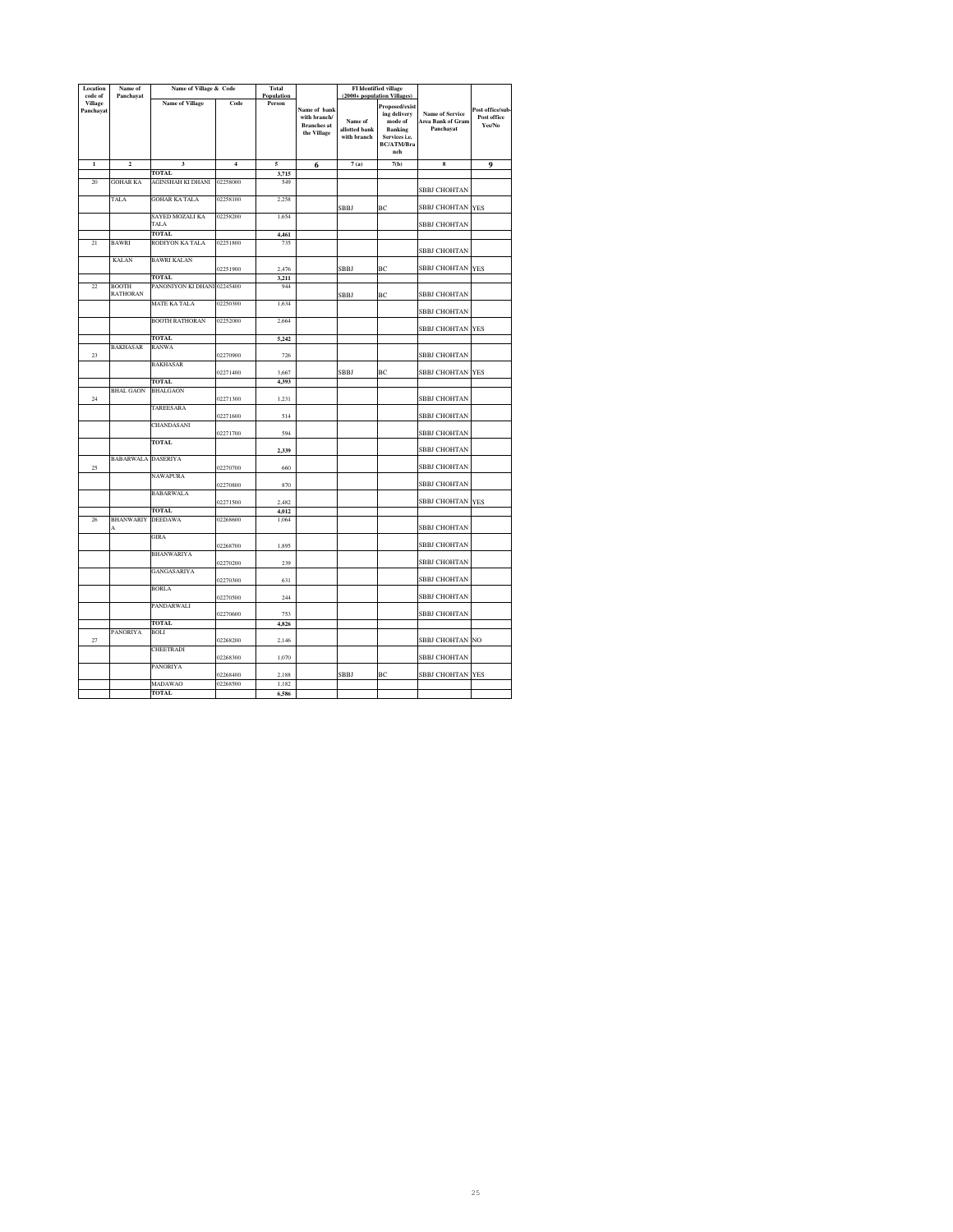| Location                    | Name of                   | Name of Village & Code      |                | Total      |                    |                              | <b>FI</b> Identified village    |                        |                 |
|-----------------------------|---------------------------|-----------------------------|----------------|------------|--------------------|------------------------------|---------------------------------|------------------------|-----------------|
| code of                     | Panchayat                 |                             |                | Population |                    |                              | (2000+ population Villages)     |                        |                 |
| <b>Village</b><br>Panchayat |                           | <b>Name of Village</b>      | Code           | Person     | Name of bank       |                              | Proposed/exist                  |                        | Post office/sub |
|                             |                           |                             |                |            | with branch/       |                              | ing delivery                    | <b>Name of Service</b> | Post office     |
|                             |                           |                             |                |            | <b>Branches</b> at | Name of                      | mode of                         | Area Bank of Gram      | Yes/No          |
|                             |                           |                             |                |            | the Village        | allotted bank<br>with branch | <b>Banking</b><br>Services i.e. | Panchayat              |                 |
|                             |                           |                             |                |            |                    |                              | <b>BC/ATM/Bra</b>               |                        |                 |
|                             |                           |                             |                |            |                    |                              | nch                             |                        |                 |
| $\mathbf{1}$                | $\mathbf 2$               | 3                           | $\overline{4}$ | 5          | 6                  | 7(a)                         | 7(b)                            | 8                      | 9               |
|                             |                           | <b>TOTAL</b>                |                | 3,715      |                    |                              |                                 |                        |                 |
| 20                          | GOHAR KA                  | AGINSHAH KI DHANI           | 02258000       | 549        |                    |                              |                                 |                        |                 |
|                             |                           |                             |                |            |                    |                              |                                 | <b>SBBJ CHOHTAN</b>    |                 |
|                             | TALA                      | <b>GOHAR KA TALA</b>        | 02258100       | 2,258      |                    |                              |                                 |                        |                 |
|                             |                           |                             |                |            |                    | SBBJ                         | BC                              | SBBJ CHOHTAN           | <b>YES</b>      |
|                             |                           | SAYED MOZALI KA             | 02258200       | 1,654      |                    |                              |                                 |                        |                 |
|                             |                           | TALA                        |                |            |                    |                              |                                 | <b>SBBJ CHOHTAN</b>    |                 |
| $\overline{21}$             |                           | <b>TOTAL</b>                |                | 4,461      |                    |                              |                                 |                        |                 |
|                             | BAWRI                     | RODIYON KA TALA             | 02251800       | 735        |                    |                              |                                 | <b>SBBJ CHOHTAN</b>    |                 |
|                             | <b>KALAN</b>              | <b>BAWRI KALAN</b>          |                |            |                    |                              |                                 |                        |                 |
|                             |                           |                             | 02251900       | 2,476      |                    | SBBJ                         | ВC                              | SBBJ CHOHTAN           | <b>YES</b>      |
|                             |                           | <b>TOTAL</b>                |                | 3,211      |                    |                              |                                 |                        |                 |
| $\overline{22}$             | <b>BOOTH</b>              | PANONIYON KI DHANI 02245400 |                | 944        |                    |                              |                                 |                        |                 |
|                             | RATHORAN                  |                             |                |            |                    | SBBJ                         | BC                              | SBBJ CHOHTAN           |                 |
|                             |                           | <b>MATE KA TALA</b>         | 02250300       | 1,634      |                    |                              |                                 |                        |                 |
|                             |                           |                             |                |            |                    |                              |                                 | SBBJ CHOHTAN           |                 |
|                             |                           | <b>BOOTH RATHORAN</b>       | 02252000       | 2,664      |                    |                              |                                 | SBBJ CHOHTAN           | <b>YES</b>      |
|                             |                           | <b>TOTAL</b>                |                | 5,242      |                    |                              |                                 |                        |                 |
|                             | <b>BAKHASAR</b>           | <b>RANWA</b>                |                |            |                    |                              |                                 |                        |                 |
| 23                          |                           |                             | 02270900       | 726        |                    |                              |                                 | SBBJ CHOHTAN           |                 |
|                             |                           | <b>BAKHASAR</b>             |                |            |                    |                              |                                 |                        |                 |
|                             |                           |                             | 02271400       | 3,667      |                    | SBBJ                         | BC                              | SBBJ CHOHTAN           | <b>YES</b>      |
|                             |                           | <b>TOTAL</b>                |                | 4,393      |                    |                              |                                 |                        |                 |
|                             | <b>BHAL GAON</b>          | <b>BHALGAON</b>             |                |            |                    |                              |                                 |                        |                 |
| 24                          |                           |                             | 02271300       | 1,231      |                    |                              |                                 | <b>SBBJ CHOHTAN</b>    |                 |
|                             |                           | TAREESARA                   |                |            |                    |                              |                                 | <b>SBBJ CHOHTAN</b>    |                 |
|                             |                           | CHANDASANI                  | 02271600       | 514        |                    |                              |                                 |                        |                 |
|                             |                           |                             | 02271700       | 594        |                    |                              |                                 | SBBJ CHOHTAN           |                 |
|                             |                           | <b>TOTAL</b>                |                |            |                    |                              |                                 |                        |                 |
|                             |                           |                             |                | 2,339      |                    |                              |                                 | <b>SBBJ CHOHTAN</b>    |                 |
|                             | <b>BABARWALA DASERIYA</b> |                             |                |            |                    |                              |                                 |                        |                 |
| 25                          |                           |                             | 02270700       | 660        |                    |                              |                                 | SBBJ CHOHTAN           |                 |
|                             |                           | NAWAPURA                    |                |            |                    |                              |                                 |                        |                 |
|                             |                           |                             | 02270800       | 870        |                    |                              |                                 | <b>SBBJ CHOHTAN</b>    |                 |
|                             |                           | <b>BABARWALA</b>            | 02271500       | 2,482      |                    |                              |                                 | SBBJ CHOHTAN           | <b>YES</b>      |
|                             |                           | <b>TOTAL</b>                |                | 4,012      |                    |                              |                                 |                        |                 |
| 26                          | <b>BHANWARIY DEEDAWA</b>  |                             | 02268600       | 1,064      |                    |                              |                                 |                        |                 |
|                             | A                         |                             |                |            |                    |                              |                                 | <b>SBBJ CHOHTAN</b>    |                 |
|                             |                           | GIRA                        |                |            |                    |                              |                                 |                        |                 |
|                             |                           |                             | 02268700       | 1,895      |                    |                              |                                 | SBBJ CHOHTAN           |                 |
|                             |                           | <b>BHANWARIYA</b>           |                |            |                    |                              |                                 |                        |                 |
|                             |                           |                             | 02270200       | 239        |                    |                              |                                 | SBBJ CHOHTAN           |                 |
|                             |                           | GANGASARIYA                 | 02270300       | 631        |                    |                              |                                 | <b>SBBJ CHOHTAN</b>    |                 |
|                             |                           | BORLA                       |                |            |                    |                              |                                 |                        |                 |
|                             |                           |                             | 02270500       | 244        |                    |                              |                                 | <b>SBBJ CHOHTAN</b>    |                 |
|                             |                           | PANDARWALI                  |                |            |                    |                              |                                 |                        |                 |
|                             |                           |                             | 02270600       | 753        |                    |                              |                                 | SBBJ CHOHTAN           |                 |
|                             |                           | <b>TOTAL</b>                |                | 4,826      |                    |                              |                                 |                        |                 |
|                             | PANORIYA                  | <b>BOLI</b>                 |                |            |                    |                              |                                 |                        |                 |
| 27                          |                           |                             | 02268200       | 2,146      |                    |                              |                                 | SBBJ CHOHTAN           | NO.             |
|                             |                           | CHEETRADI                   | 02268300       | 1,070      |                    |                              |                                 | SBBJ CHOHTAN           |                 |
|                             |                           | PANORIYA                    |                |            |                    |                              |                                 |                        |                 |
|                             |                           |                             | 02268400       | 2,188      |                    | <b>SBBJ</b>                  | BC                              | SBBJ CHOHTAN           | <b>YES</b>      |
|                             |                           | MADAWAO                     | 02268500       | 1,182      |                    |                              |                                 |                        |                 |
|                             |                           | <b>TOTAL</b>                |                | 6,586      |                    |                              |                                 |                        |                 |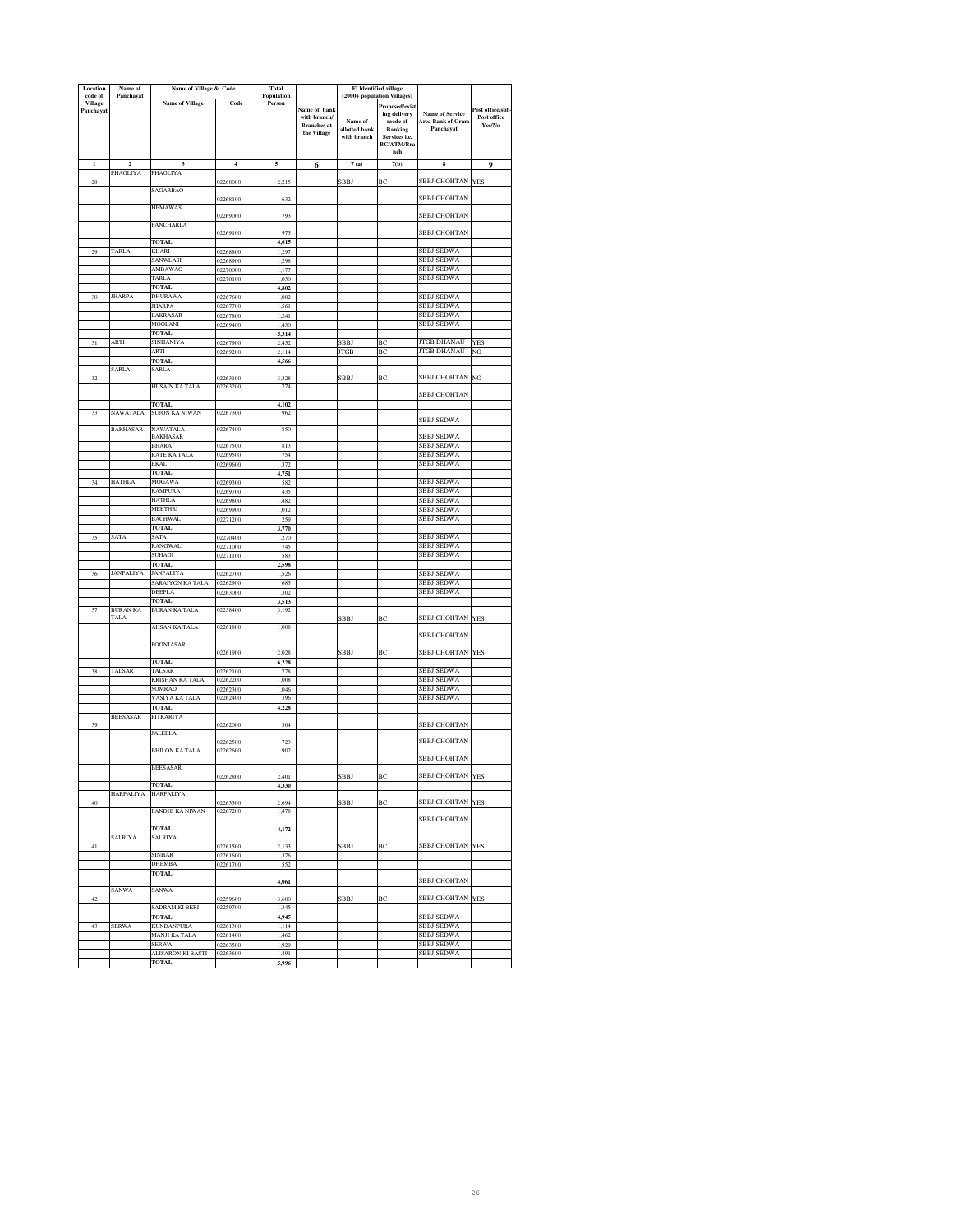| Location<br>code of         | Name of<br>Panchayat                | Name of Village & Code          |                      | <b>Total</b><br>Population |                                                                          |                                         | <b>FI</b> Identified village<br>(2000+ population Villages)                                              |                                                                 |                                          |
|-----------------------------|-------------------------------------|---------------------------------|----------------------|----------------------------|--------------------------------------------------------------------------|-----------------------------------------|----------------------------------------------------------------------------------------------------------|-----------------------------------------------------------------|------------------------------------------|
| <b>Village</b><br>Panchayat |                                     | <b>Name of Village</b>          | Code                 | Person                     | <b>Name of bank</b><br>with branch/<br><b>Branches</b> at<br>the Village | Name of<br>allotted bank<br>with branch | Proposed/exist<br>ing delivery<br>mode of<br><b>Banking</b><br>Services i.e.<br><b>BC/ATM/Bra</b><br>nch | <b>Name of Service</b><br><b>Area Bank of Gram</b><br>Panchayat | Post office/sub<br>Post office<br>Yes/No |
| $\mathbf{1}$                | $\overline{\mathbf{c}}$<br>PHAGLIYA | 3<br><b>PHAGLIYA</b>            | $\overline{4}$       | 5                          | 6                                                                        | 7(a)                                    | 7(b)                                                                                                     | 8                                                               | 9                                        |
| 28                          |                                     |                                 | 12268000             | 2.215                      |                                                                          | SBBJ                                    | ВC                                                                                                       | SBBJ CHOHTAN YES                                                |                                          |
|                             |                                     | <b>SAGARBAO</b>                 |                      |                            |                                                                          |                                         |                                                                                                          | <b>SBBJ CHOHTAN</b>                                             |                                          |
|                             |                                     | <b>HEMAWAS</b>                  | 02268100             | 632                        |                                                                          |                                         |                                                                                                          |                                                                 |                                          |
|                             |                                     |                                 | 02269000             | 793                        |                                                                          |                                         |                                                                                                          | SBBJ CHOHTAN                                                    |                                          |
|                             |                                     | PANCHARLA                       | 02269100             | 975                        |                                                                          |                                         |                                                                                                          | SBBJ CHOHTAN                                                    |                                          |
|                             |                                     | <b>TOTAL</b>                    |                      | 4,615                      |                                                                          |                                         |                                                                                                          |                                                                 |                                          |
| 29                          | TARLA                               | KHARI                           | 02268800             | 1,297                      |                                                                          |                                         |                                                                                                          | SBBJ SEDWA                                                      |                                          |
|                             |                                     | SANWLASI                        | 02268900             | 1,298                      |                                                                          |                                         |                                                                                                          | <b>BBJ SEDWA</b>                                                |                                          |
|                             |                                     | AMBAWAO<br>TARLA                | 02270000<br>02270100 | 1,177<br>1,030             |                                                                          |                                         |                                                                                                          | SBBJ SEDWA<br>SBBJ SEDWA                                        |                                          |
|                             |                                     | TOTAL                           |                      | 4,802                      |                                                                          |                                         |                                                                                                          |                                                                 |                                          |
| 30                          | <b>JHARPA</b>                       | DHURAWA                         | 02267600             | 1,082                      |                                                                          |                                         |                                                                                                          | <b>SBBJ SEDWA</b>                                               |                                          |
|                             |                                     | <b>JHARPA</b><br>LAKRASAR       | 02267700<br>02267800 | 1.561<br>1.241             |                                                                          |                                         |                                                                                                          | <b>SBBJ SEDWA</b><br>SBBJ SEDWA                                 |                                          |
|                             |                                     | MOOLANI                         | 02269400             | 1,430                      |                                                                          |                                         |                                                                                                          | <b>SBBJ SEDWA</b>                                               |                                          |
|                             |                                     | <b>TOTAL</b>                    |                      | 5.314                      |                                                                          |                                         |                                                                                                          |                                                                 |                                          |
| 31                          | ARTI                                | SINHANIYA                       | 02267900             | 2.452                      |                                                                          | <b>SBBJ</b>                             | BC                                                                                                       | <b>JTGB DHANAU</b>                                              | <b>YES</b>                               |
|                             |                                     | ARTI<br><b>TOTAL</b>            | 02269200             | 2.114<br>4,566             |                                                                          | <b>JTGB</b>                             | BC                                                                                                       | <b>JTGB DHANAU</b>                                              | NO                                       |
|                             | SARLA                               | SARLA                           |                      |                            |                                                                          |                                         |                                                                                                          |                                                                 |                                          |
| 32                          |                                     |                                 | 02263100             | 3,328                      |                                                                          | SBBJ                                    | ВC                                                                                                       | SBBJ CHOHTAN NO                                                 |                                          |
|                             |                                     | HUSAIN KA TALA                  | 02263200             | 774                        |                                                                          |                                         |                                                                                                          | SBBJ CHOHTAN                                                    |                                          |
|                             |                                     | TOTAL                           |                      | 4,102                      |                                                                          |                                         |                                                                                                          |                                                                 |                                          |
| 33                          | NAWATALA                            | SUJON KA NIWAN                  | 02267300             | 962                        |                                                                          |                                         |                                                                                                          | <b>SBBJ SEDWA</b>                                               |                                          |
|                             | <b>BAKHASAR</b>                     | <b>NAWATALA</b>                 | 02267400             | 850                        |                                                                          |                                         |                                                                                                          |                                                                 |                                          |
|                             |                                     | BAKHASAR                        |                      |                            |                                                                          |                                         |                                                                                                          | <b>SBBJ SEDWA</b>                                               |                                          |
|                             |                                     | BHARA<br>RATE KA TALA           | 02267500<br>02269500 | 813<br>754                 |                                                                          |                                         |                                                                                                          | <b>SBBJ SEDWA</b><br><b>SBBJ SEDWA</b>                          |                                          |
|                             |                                     | <b>EKAL</b>                     | 02269600             | 1.372                      |                                                                          |                                         |                                                                                                          | <b>SBBJ SEDWA</b>                                               |                                          |
|                             |                                     | <b>TOTAL</b>                    |                      | 4,751                      |                                                                          |                                         |                                                                                                          |                                                                 |                                          |
| 34                          | <b>HATHLA</b>                       | MOGAWA                          | 02269300             | 582                        |                                                                          |                                         |                                                                                                          | SBBJ SEDWA                                                      |                                          |
|                             |                                     | <b>RAMPURA</b><br><b>HATHLA</b> | 02269700<br>02269800 | 435<br>1,482               |                                                                          |                                         |                                                                                                          | <b>SBBJ SEDWA</b><br><b>SBBJ SEDWA</b>                          |                                          |
|                             |                                     | MEETHRI                         | 02269900             | 1,012                      |                                                                          |                                         |                                                                                                          | <b>SBBJ SEDWA</b>                                               |                                          |
|                             |                                     | <b>BACHWAL</b>                  | 02271200             | 259                        |                                                                          |                                         |                                                                                                          | <b>SBBJ SEDWA</b>                                               |                                          |
|                             |                                     | TOTAL                           |                      | 3,770                      |                                                                          |                                         |                                                                                                          | <b>SBBJ SEDWA</b>                                               |                                          |
| 35                          | SATA                                | SATA<br>RANGWALI                | 02270400<br>02271000 | 1,270<br>745               |                                                                          |                                         |                                                                                                          | <b>SBBJ SEDWA</b>                                               |                                          |
|                             |                                     | SUHAGI                          | 02271100             | 583                        |                                                                          |                                         |                                                                                                          | SBBJ SEDWA                                                      |                                          |
|                             |                                     | <b>TOTAL</b>                    |                      | 2,598                      |                                                                          |                                         |                                                                                                          |                                                                 |                                          |
| 36                          | JANPALIYA                           | JANPALIYA                       | 02262700             | 1,526                      |                                                                          |                                         |                                                                                                          | SBBJ SEDWA                                                      |                                          |
|                             |                                     | SARAIYON KA TALA<br>DEEPLA      | 02262900<br>02263000 | 685<br>1,302               |                                                                          |                                         |                                                                                                          | SBBJ SEDWA<br><b>SBBJ SEDWA</b>                                 |                                          |
|                             |                                     | <b>TOTAL</b>                    |                      | 3,513                      |                                                                          |                                         |                                                                                                          |                                                                 |                                          |
| 37                          | BURAN KA                            | BURAN KA TALA                   | 02258400             | 3,192                      |                                                                          |                                         |                                                                                                          |                                                                 |                                          |
|                             | <b>TALA</b>                         | AHSAN KA TALA                   | 02261800             | 1,008                      |                                                                          | SBBJ                                    | BC                                                                                                       | SBBJ CHOHTAN YES                                                |                                          |
|                             |                                     |                                 |                      |                            |                                                                          |                                         |                                                                                                          | SBBJ CHOHTAN                                                    |                                          |
|                             |                                     | POONJASAR                       |                      |                            |                                                                          |                                         |                                                                                                          | SBBJ CHOHTAN YES                                                |                                          |
|                             |                                     | <b>TOTAL</b>                    | 02261900             | 2.028<br>6,228             |                                                                          | SBBJ                                    | BC                                                                                                       |                                                                 |                                          |
| 38                          | TALSAR                              | <b>TALSAR</b>                   | 02262100             | 1,778                      |                                                                          |                                         |                                                                                                          | SBBJ SEDWA                                                      |                                          |
|                             |                                     | KRISHAN KA TALA                 | 02262200             | 1.008                      |                                                                          |                                         |                                                                                                          | SBBJ SEDWA                                                      |                                          |
|                             |                                     | <b>OMRAD</b><br>VASIYA KA TALA  | 02262300<br>02262400 | 1,046<br>396               |                                                                          |                                         |                                                                                                          | SBBJ SEDWA<br>SBBJ SEDWA                                        |                                          |
|                             |                                     | TOTAL                           |                      | 4,228                      |                                                                          |                                         |                                                                                                          |                                                                 |                                          |
|                             | <b>BEESASAR</b>                     | <b>FITKARIYA</b>                |                      |                            |                                                                          |                                         |                                                                                                          | <b>SBBJ CHOHTAN</b>                                             |                                          |
| 39                          |                                     | <b>JALEELA</b>                  | 02262000             | 304                        |                                                                          |                                         |                                                                                                          |                                                                 |                                          |
|                             |                                     |                                 | 02262500             | 723                        |                                                                          |                                         |                                                                                                          | SBBJ CHOHTAN                                                    |                                          |
|                             |                                     | BHILON KA TALA                  | 02262600             | 902                        |                                                                          |                                         |                                                                                                          |                                                                 |                                          |
|                             |                                     | <b>BEESASAR</b>                 |                      |                            |                                                                          |                                         |                                                                                                          | SBBJ CHOHTAN                                                    |                                          |
|                             |                                     |                                 | 02262800             | 2,401                      |                                                                          | SBBJ                                    | ВC                                                                                                       | SBBJ CHOHTAN YES                                                |                                          |
|                             | HARPALIYA                           | TOTAL<br>HARPALIYA              |                      | 4,330                      |                                                                          |                                         |                                                                                                          |                                                                 |                                          |
| 40                          |                                     |                                 | 02263300             | 2.694                      |                                                                          | SBBJ                                    | ВC                                                                                                       | SBBJ CHOHTAN YES                                                |                                          |
|                             |                                     | PANDHI KA NIWAN                 | 02267200             | 1,478                      |                                                                          |                                         |                                                                                                          |                                                                 |                                          |
|                             |                                     | <b>TOTAL</b>                    |                      |                            |                                                                          |                                         |                                                                                                          | SBBJ CHOHTAN                                                    |                                          |
|                             | <b>SALRIYA</b>                      | SALRIYA                         |                      | 4,172                      |                                                                          |                                         |                                                                                                          |                                                                 |                                          |
| 41                          |                                     |                                 | 02261500             | 2,133                      |                                                                          | SBBJ                                    | BC                                                                                                       | <b>SBBJ CHOHTAN YES</b>                                         |                                          |
|                             |                                     | <b>SINHAR</b><br><b>DHEMBA</b>  | 02261600<br>02261700 | 1,376<br>552               |                                                                          |                                         |                                                                                                          |                                                                 |                                          |
|                             |                                     | TOTAL                           |                      |                            |                                                                          |                                         |                                                                                                          |                                                                 |                                          |
|                             |                                     |                                 |                      | 4,061                      |                                                                          |                                         |                                                                                                          | SBBJ CHOHTAN                                                    |                                          |
| 42                          | SANWA                               | SANWA                           | 02259600             | 3.600                      |                                                                          | SBBJ                                    | BC                                                                                                       | SBBJ CHOHTAN YES                                                |                                          |
|                             |                                     | SADRAM KI BERI                  | 02259700             | 1,345                      |                                                                          |                                         |                                                                                                          |                                                                 |                                          |
|                             |                                     | <b>TOTAL</b>                    |                      | 4,945                      |                                                                          |                                         |                                                                                                          | <b>SBBJ SEDWA</b>                                               |                                          |
| 43                          | SERWA                               | <b>KUNDANPURA</b>               | 02261300             | 1,114                      |                                                                          |                                         |                                                                                                          | <b>SBBJ SEDWA</b><br><b>SBBJ SEDWA</b>                          |                                          |
|                             |                                     | MANJI KA TALA<br><b>SERWA</b>   | 02261400<br>02263500 | 1,462<br>1.929             |                                                                          |                                         |                                                                                                          | <b>SBBJ SEDWA</b>                                               |                                          |
|                             |                                     |                                 |                      |                            |                                                                          |                                         |                                                                                                          |                                                                 |                                          |
|                             |                                     | ALISARON KI BASTI               | 02263600             | 1,491                      |                                                                          |                                         |                                                                                                          | <b>SBBJ SEDWA</b>                                               |                                          |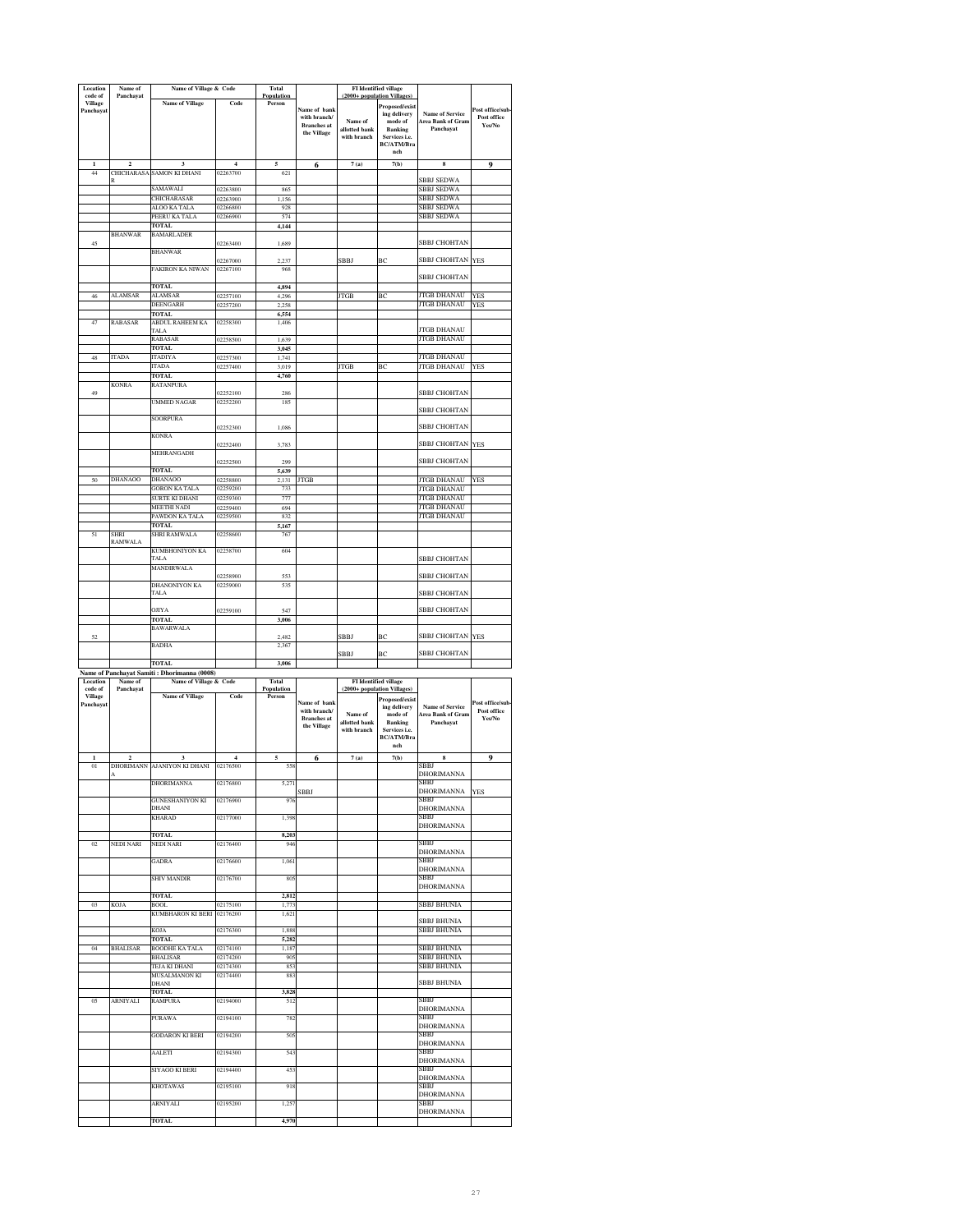| Location                               | Name of              | Name of Village & Code                       |                      | Total                |                                                                   |                                         | FI Identified village                                                                                       |                                                          |                                           |
|----------------------------------------|----------------------|----------------------------------------------|----------------------|----------------------|-------------------------------------------------------------------|-----------------------------------------|-------------------------------------------------------------------------------------------------------------|----------------------------------------------------------|-------------------------------------------|
| code of<br><b>Village</b><br>Panchayat | Panchayat            | <b>Name of Village</b>                       | Code                 | Population<br>Person | Name of bank<br>with branch/<br><b>Branches</b> at<br>the Village | Name of<br>allotted bank<br>with branch | (2000+ population Villages)<br>Proposed/exist<br>ing delivery<br>mode of<br><b>Banking</b><br>Services i.e. | Name of Service<br>Area Bank of Gram<br>Panchayat        | Post office/sub<br>Post office<br>Yes/No  |
|                                        |                      |                                              |                      |                      |                                                                   |                                         | <b>BC/ATM/Bra</b><br>nch                                                                                    |                                                          |                                           |
| ī                                      | $\overline{2}$       | 3                                            | $\overline{4}$       | 5                    | 6                                                                 | 7(a)                                    | 7(b)                                                                                                        | 8                                                        | 9                                         |
| 44                                     |                      | CHICHARASA SAMON KI DHANI                    | 02263700             | 621                  |                                                                   |                                         |                                                                                                             | <b>SBBJ SEDWA</b>                                        |                                           |
|                                        |                      | SAMAWALI                                     | 02263800             | 865                  |                                                                   |                                         |                                                                                                             | <b>SBBJ SEDWA</b>                                        |                                           |
|                                        |                      | CHICHARASAR                                  | 02263900             | 1,156                |                                                                   |                                         |                                                                                                             | SBBJ SEDWA                                               |                                           |
|                                        |                      | ALOO KA TALA                                 | 02266800             | 928                  |                                                                   |                                         |                                                                                                             | <b>SBBJ SEDWA</b>                                        |                                           |
|                                        |                      | PEERU KA TALA                                | 02266900             | 574                  |                                                                   |                                         |                                                                                                             | SBBJ SEDWA                                               |                                           |
|                                        |                      | <b>TOTAL</b>                                 |                      | 4,144                |                                                                   |                                         |                                                                                                             |                                                          |                                           |
| 45                                     | <b>BHANWAR</b>       | <b>BAMARLADER</b>                            | 02263400             | 1.689                |                                                                   |                                         |                                                                                                             | <b>SBBJ CHOHTAN</b>                                      |                                           |
|                                        |                      | <b>BHANWAR</b>                               | 02267000             | 2.237                |                                                                   | SBBJ                                    | ВC                                                                                                          | SBBJ CHOHTAN                                             | <b>YES</b>                                |
|                                        |                      | FAKIRON KA NIWAN                             | 02267100             | 968                  |                                                                   |                                         |                                                                                                             | SBBJ CHOHTAN                                             |                                           |
|                                        |                      | <b>TOTAL</b>                                 |                      | 4,894                |                                                                   |                                         |                                                                                                             |                                                          |                                           |
| 46                                     | <b>ALAMSAR</b>       | <b>ALAMSAR</b>                               | 02257100             | 4,296                |                                                                   | <b>JTGB</b>                             | BC                                                                                                          | <b>JTGB DHANAU</b>                                       | YES                                       |
|                                        |                      | DEENGARH                                     | 02257200             | 2.258                |                                                                   |                                         |                                                                                                             | JTGB DHANAU                                              | YES                                       |
|                                        |                      | <b>TOTAL</b>                                 |                      | 6.554                |                                                                   |                                         |                                                                                                             |                                                          |                                           |
| 47                                     | <b>RABASAR</b>       | ABDUL RAHEEM KA<br>TALA                      | 02258300             | 1406                 |                                                                   |                                         |                                                                                                             | <b>JTGB DHANAU</b>                                       |                                           |
|                                        |                      | RABASAR                                      | 02258500             | 1,639                |                                                                   |                                         |                                                                                                             | JTGB DHANAU                                              |                                           |
| 48                                     | <b>ITADA</b>         | <b>TOTAL</b><br><b>TADIYA</b>                |                      | 3,045<br>1,741       |                                                                   |                                         |                                                                                                             | <b>JTGB DHANAU</b>                                       |                                           |
|                                        |                      | <b>TADA</b>                                  | 02257300<br>02257400 | 3,019                |                                                                   | <b>JTGB</b>                             | ВC                                                                                                          | JTGB DHANAU                                              | YES                                       |
|                                        |                      | <b>TOTAL</b>                                 |                      | 4,760                |                                                                   |                                         |                                                                                                             |                                                          |                                           |
|                                        | <b>KONRA</b>         | <b>RATANPURA</b>                             |                      |                      |                                                                   |                                         |                                                                                                             |                                                          |                                           |
| 49                                     |                      | UMMED NAGAR                                  | 02252100<br>02252200 | 286<br>185           |                                                                   |                                         |                                                                                                             | <b>SBBJ CHOHTAN</b>                                      |                                           |
|                                        |                      |                                              |                      |                      |                                                                   |                                         |                                                                                                             | SBBJ CHOHTAN                                             |                                           |
|                                        |                      | SOORPURA                                     | 02252300             | 1,086                |                                                                   |                                         |                                                                                                             | SBBJ CHOHTAN                                             |                                           |
|                                        |                      | KONRA                                        | 02252400             | 3,783                |                                                                   |                                         |                                                                                                             | SBBJ CHOHTAN                                             | <b>YES</b>                                |
|                                        |                      | MEHRANGADH                                   |                      |                      |                                                                   |                                         |                                                                                                             |                                                          |                                           |
|                                        |                      | <b>TOTAL</b>                                 | 02252500             | 299<br>5,639         |                                                                   |                                         |                                                                                                             | SBBJ CHOHTAN                                             |                                           |
| 50                                     | DHANAOO              | DHANAOO                                      | 02258800             | 2,131                | <b>JTGB</b>                                                       |                                         |                                                                                                             | JTGB DHANAU                                              | <b>YES</b>                                |
|                                        |                      | <b>GORON KA TALA</b>                         | 02259200             | 733                  |                                                                   |                                         |                                                                                                             | <b>JTGB DHANAU</b>                                       |                                           |
|                                        |                      | SURTE KI DHANI                               | 02259300             | 777                  |                                                                   |                                         |                                                                                                             | JTGB DHANAU                                              |                                           |
|                                        |                      | <b>MEETHI NADI</b>                           | 02259400             | 694                  |                                                                   |                                         |                                                                                                             | <b>JTGB DHANAU</b>                                       |                                           |
|                                        |                      | PAWDON KA TALA                               | 02259500             | 832                  |                                                                   |                                         |                                                                                                             | JTGB DHANAU                                              |                                           |
|                                        |                      | TOTAL.                                       |                      | 5.167                |                                                                   |                                         |                                                                                                             |                                                          |                                           |
| 51                                     | SHRI<br>RAMWALA      | SHRI RAMWALA                                 | 02258600             | 767                  |                                                                   |                                         |                                                                                                             |                                                          |                                           |
|                                        |                      | KUMBHONIYON KA<br>TALA                       | 02258700             | 604                  |                                                                   |                                         |                                                                                                             | SBBJ CHOHTAN                                             |                                           |
|                                        |                      | MANDIRWALA                                   | 02258900             | 553                  |                                                                   |                                         |                                                                                                             | <b>SBBJ CHOHTAN</b>                                      |                                           |
|                                        |                      | DHANONIYON KA<br>TALA                        | 02259000             | 535                  |                                                                   |                                         |                                                                                                             | <b>SBBJ CHOHTAN</b>                                      |                                           |
|                                        |                      | <b>OJIYA</b>                                 | 02259100             | 547                  |                                                                   |                                         |                                                                                                             | SBBJ CHOHTAN                                             |                                           |
|                                        |                      | <b>TOTAL</b>                                 |                      | 3,006                |                                                                   |                                         |                                                                                                             |                                                          |                                           |
|                                        |                      | BAWARWALA                                    |                      |                      |                                                                   |                                         |                                                                                                             |                                                          |                                           |
| 52                                     |                      |                                              |                      | 2.482                |                                                                   | SBBJ                                    | ВC                                                                                                          | SBBJ CHOHTAN                                             | <b>YES</b>                                |
|                                        |                      | <b>BADHA</b>                                 |                      | 2,367                |                                                                   | SBBJ                                    | ВC                                                                                                          | <b>SBBJ CHOHTAN</b>                                      |                                           |
|                                        |                      | <b>TOTAL</b>                                 |                      | 3,006                |                                                                   |                                         |                                                                                                             |                                                          |                                           |
|                                        |                      | Name of Panchayat Samiti : Dhorimanna (0008) |                      |                      |                                                                   |                                         |                                                                                                             |                                                          |                                           |
| Location<br>code of                    | Name of<br>Panchavat | Name of Village & Code                       |                      | Total<br>Population  |                                                                   |                                         | <b>FI</b> Identified village<br>(2000+ population Villages)                                                 |                                                          |                                           |
| <b>Village</b><br>Panchayat            |                      | <b>Name of Village</b>                       | Code                 | Person               | Vame of bank<br>with branch/<br><b>Branches</b> at<br>the Village | Name of<br>allotted bank<br>with branch | Proposed/exist<br>ing delivery<br>mode of<br><b>Banking</b><br>Services i.e.<br><b>BC/ATM/Bra</b>           | <b>Name of Service</b><br>Area Bank of Gram<br>Panchayat | Post office/sub-<br>Post office<br>Yes/No |

| Panchayat    |                 |                                 |                |       | Name of bank<br>with branch/<br><b>Branches</b> at<br>the Village | Name of<br>allotted bank<br>with branch | ing delivery<br>mode of<br><b>Banking</b><br>Services i.e.<br><b>BC/ATM/Bra</b><br>nch | <b>Name of Service</b><br><b>Area Bank of Gram</b><br>Panchayat | Post office/sub<br>Post office<br>Yes/No |
|--------------|-----------------|---------------------------------|----------------|-------|-------------------------------------------------------------------|-----------------------------------------|----------------------------------------------------------------------------------------|-----------------------------------------------------------------|------------------------------------------|
| $\mathbf{1}$ | $\overline{2}$  | $\overline{\mathbf{3}}$         | $\overline{4}$ | 5     | 6                                                                 | 7(a)                                    | 7(b)                                                                                   | $\bf{8}$                                                        | $\boldsymbol{9}$                         |
| 01           |                 | DHORIMANN AJANIYON KI DHANI     | 02176500       | 558   |                                                                   |                                         |                                                                                        | SBBJ                                                            |                                          |
|              | A               |                                 |                |       |                                                                   |                                         |                                                                                        | <b>DHORIMANNA</b>                                               |                                          |
|              |                 | <b>DHORIMANNA</b>               | 02176800       | 5.271 |                                                                   |                                         |                                                                                        | SBBJ                                                            |                                          |
|              |                 |                                 |                |       | <b>SBBJ</b>                                                       |                                         |                                                                                        | DHORIMANNA<br><b>SBBJ</b>                                       | <b>YES</b>                               |
|              |                 | <b>GUNESHANIYON KI</b><br>DHANI | 02176900       | 976   |                                                                   |                                         |                                                                                        | <b>DHORIMANNA</b>                                               |                                          |
|              |                 |                                 | 02177000       |       |                                                                   |                                         |                                                                                        | SBBJ                                                            |                                          |
|              |                 | <b>KHARAD</b>                   |                | 1.398 |                                                                   |                                         |                                                                                        | DHORIMANNA                                                      |                                          |
|              |                 | <b>TOTAL</b>                    |                | 8.203 |                                                                   |                                         |                                                                                        |                                                                 |                                          |
| 02           | NEDI NARI       | <b>NEDI NARI</b>                | 02176400       | 946   |                                                                   |                                         |                                                                                        | SBBJ                                                            |                                          |
|              |                 |                                 |                |       |                                                                   |                                         |                                                                                        | <b>DHORIMANNA</b>                                               |                                          |
|              |                 | <b>GADRA</b>                    | 02176600       | 1.061 |                                                                   |                                         |                                                                                        | SBBJ                                                            |                                          |
|              |                 |                                 |                |       |                                                                   |                                         |                                                                                        | <b>DHORIMANNA</b>                                               |                                          |
|              |                 | <b>SHIV MANDIR</b>              | 02176700       | 805   |                                                                   |                                         |                                                                                        | <b>SBBJ</b>                                                     |                                          |
|              |                 |                                 |                |       |                                                                   |                                         |                                                                                        | <b>DHORIMANNA</b>                                               |                                          |
|              |                 | <b>TOTAL</b>                    |                | 2.812 |                                                                   |                                         |                                                                                        |                                                                 |                                          |
| 03           | KOJA            | <b>BOOL</b>                     | 02175100       | 1.773 |                                                                   |                                         |                                                                                        | <b>SBBJ BHUNIA</b>                                              |                                          |
|              |                 | <b>KUMBHARON KI BERI</b>        | 02176200       | 1.621 |                                                                   |                                         |                                                                                        |                                                                 |                                          |
|              |                 |                                 |                |       |                                                                   |                                         |                                                                                        | <b>SBBJ BHUNIA</b>                                              |                                          |
|              |                 | KOJA                            | 02176300       | 1.888 |                                                                   |                                         |                                                                                        | SBBJ BHUNIA                                                     |                                          |
|              |                 | TOTAL                           |                | 5,282 |                                                                   |                                         |                                                                                        |                                                                 |                                          |
| 04           | <b>BHALISAR</b> | <b>BOODHE KA TALA</b>           | 02174100       | 1.187 |                                                                   |                                         |                                                                                        | SBBJ BHUNIA                                                     |                                          |
|              |                 | <b>BHALISAR</b>                 | 02174200       | 905   |                                                                   |                                         |                                                                                        | <b>SBBJ BHUNIA</b>                                              |                                          |
|              |                 | TEJA KI DHANI                   | 02174300       | 853   |                                                                   |                                         |                                                                                        | <b>SBBJ BHUNIA</b>                                              |                                          |
|              |                 | MUSALMANON KI                   | 02174400       | 883   |                                                                   |                                         |                                                                                        | <b>SBBJ BHUNIA</b>                                              |                                          |
|              |                 | DHANI<br><b>TOTAL</b>           |                | 3.828 |                                                                   |                                         |                                                                                        |                                                                 |                                          |
| 05           | <b>ARNIYALI</b> |                                 | 02194000       |       |                                                                   |                                         |                                                                                        | SBBJ                                                            |                                          |
|              |                 | <b>RAMPURA</b>                  |                | 512   |                                                                   |                                         |                                                                                        | <b>DHORIMANNA</b>                                               |                                          |
|              |                 | <b>PURAWA</b>                   | 02194100       | 782   |                                                                   |                                         |                                                                                        | SBBJ                                                            |                                          |
|              |                 |                                 |                |       |                                                                   |                                         |                                                                                        | <b>DHORIMANNA</b>                                               |                                          |
|              |                 | <b>GODARON KI BERI</b>          | 02194200       | 505   |                                                                   |                                         |                                                                                        | SBBI                                                            |                                          |
|              |                 |                                 |                |       |                                                                   |                                         |                                                                                        | <b>DHORIMANNA</b>                                               |                                          |
|              |                 | <b>AALETI</b>                   | 02194300       | 543   |                                                                   |                                         |                                                                                        | SBBJ                                                            |                                          |
|              |                 |                                 |                |       |                                                                   |                                         |                                                                                        | <b>DHORIMANNA</b>                                               |                                          |
|              |                 | SIYAGO KI BERI                  | 02194400       | 453   |                                                                   |                                         |                                                                                        | SBBJ                                                            |                                          |
|              |                 |                                 |                |       |                                                                   |                                         |                                                                                        | <b>DHORIMANNA</b>                                               |                                          |
|              |                 | <b>KHOTAWAS</b>                 | 02195100       | 918   |                                                                   |                                         |                                                                                        | SBBJ                                                            |                                          |
|              |                 |                                 |                |       |                                                                   |                                         |                                                                                        | DHORIMANNA                                                      |                                          |
|              |                 | <b>ARNIYALI</b>                 | 02195200       | 1,257 |                                                                   |                                         |                                                                                        | SBBJ                                                            |                                          |
|              |                 |                                 |                |       |                                                                   |                                         |                                                                                        | <b>DHORIMANNA</b>                                               |                                          |
|              |                 | <b>TOTAL</b>                    |                | 4.970 |                                                                   |                                         |                                                                                        |                                                                 |                                          |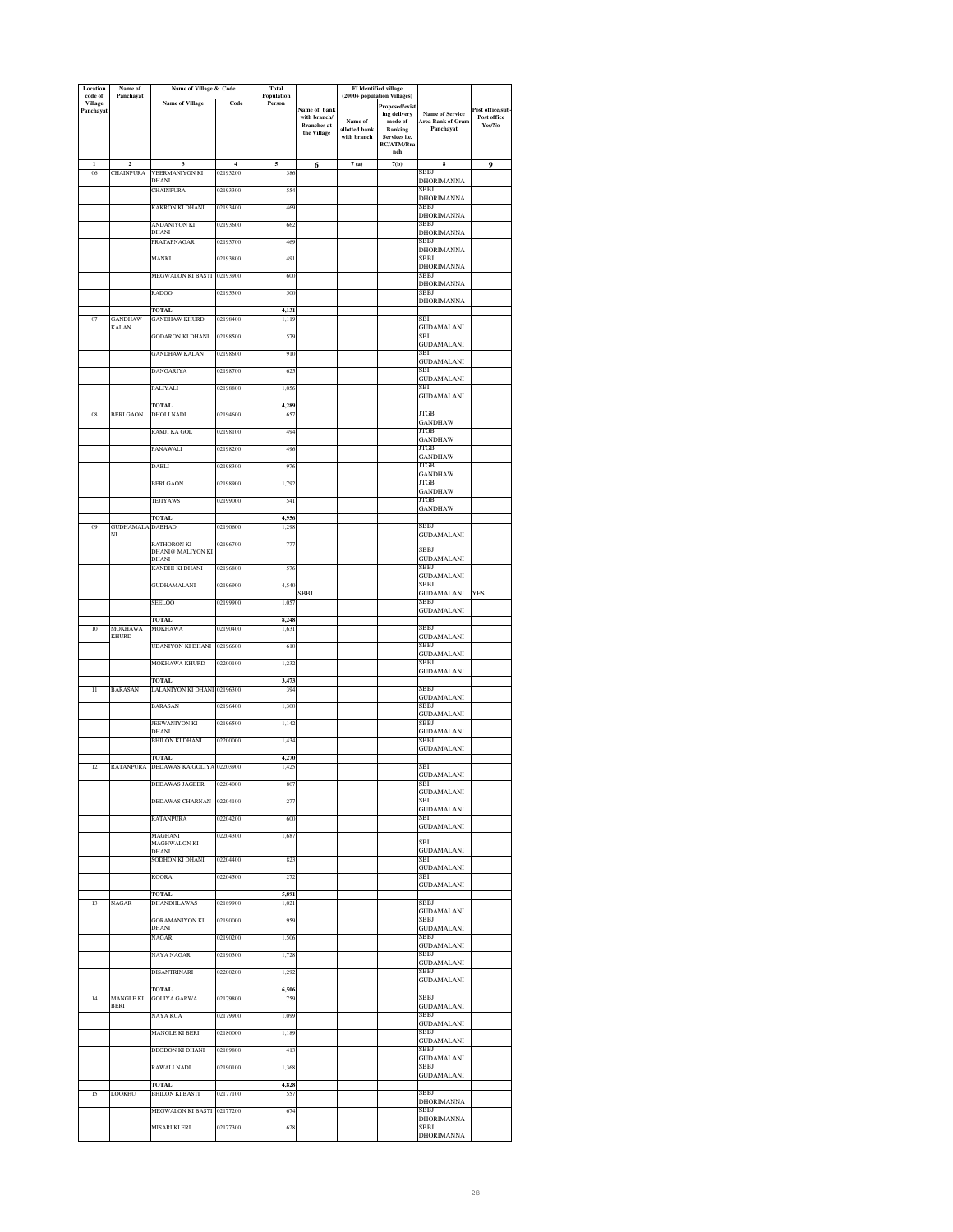| Location<br>code of | Name of<br>Panchayat                 | Name of Village & Code              |                            | <b>Total</b><br>Population |                                   | (2000+ population Villages) | <b>FI</b> Identified village       |                                                    |                                |
|---------------------|--------------------------------------|-------------------------------------|----------------------------|----------------------------|-----------------------------------|-----------------------------|------------------------------------|----------------------------------------------------|--------------------------------|
| <b>Village</b>      |                                      | <b>Name of Village</b>              | Code                       | Person                     |                                   |                             | Proposed/exist                     |                                                    |                                |
| Panchayat           |                                      |                                     |                            |                            | Name of bank<br>with branch/      | Name of                     | ing delivery<br>mode of            | <b>Name of Service</b><br><b>Area Bank of Gram</b> | Post office/sub<br>Post office |
|                     |                                      |                                     |                            |                            | <b>Branches</b> at<br>the Village | allotted bank               | <b>Banking</b>                     | Panchavat                                          | Yes/No                         |
|                     |                                      |                                     |                            |                            |                                   | with branch                 | Services i.e.<br><b>BC/ATM/Bra</b> |                                                    |                                |
|                     |                                      |                                     |                            |                            |                                   |                             | nch                                |                                                    |                                |
| $\mathbf{1}$<br>06  | $\overline{\mathbf{c}}$<br>CHAINPURA | 3<br>VEERMANIYON KI                 | $\overline{4}$<br>02193200 | 5<br>386                   | 6                                 | 7(a)                        | 7(b)                               | $\bf{8}$<br>SBBJ                                   | 9                              |
|                     |                                      | DHANI                               |                            |                            |                                   |                             |                                    | DHORIMANNA                                         |                                |
|                     |                                      | <b>CHAINPURA</b>                    | 02193300                   | 554                        |                                   |                             |                                    | SBBJ<br><b>DHORIMANNA</b>                          |                                |
|                     |                                      | KAKRON KI DHANI                     | 02193400                   | 469                        |                                   |                             |                                    | SBBJ                                               |                                |
|                     |                                      | ANDANIYON KI                        | 02193600                   | 662                        |                                   |                             |                                    | <b>DHORIMANNA</b><br>SBBJ                          |                                |
|                     |                                      | DHANI                               |                            |                            |                                   |                             |                                    | DHORIMANNA                                         |                                |
|                     |                                      | PRATAPNAGAR                         | 02193700                   | 469                        |                                   |                             |                                    | SBBJ<br>DHORIMANNA                                 |                                |
|                     |                                      | MANKI                               | 02193800                   | 491                        |                                   |                             |                                    | SBBJ                                               |                                |
|                     |                                      | <b>MEGWALON KI BASTI</b>            | 02193900                   | 600                        |                                   |                             |                                    | DHORIMANNA<br>SBBJ                                 |                                |
|                     |                                      |                                     |                            |                            |                                   |                             |                                    | <b>DHORIMANNA</b>                                  |                                |
|                     |                                      | RADOO                               | 02195300                   | 500                        |                                   |                             |                                    | SBBJ<br>DHORIMANNA                                 |                                |
|                     |                                      | <b>TOTAL</b>                        |                            | 4,131                      |                                   |                             |                                    |                                                    |                                |
| $_{07}$             | GANDHAW<br><b>KALAN</b>              | <b>GANDHAW KHURD</b>                | 02198400                   | 1,119                      |                                   |                             |                                    | SBI                                                |                                |
|                     |                                      | <b>GODARON KI DHANI</b>             | 02198500                   | 579                        |                                   |                             |                                    | GUDAMALANI<br>SBI                                  |                                |
|                     |                                      |                                     |                            |                            |                                   |                             |                                    | GUDAMALANI<br>SBI                                  |                                |
|                     |                                      | <b>GANDHAW KALAN</b>                | 02198600                   | 910                        |                                   |                             |                                    | GUDAMALANI                                         |                                |
|                     |                                      | DANGARIYA                           | 02198700                   | 62:                        |                                   |                             |                                    | SBI                                                |                                |
|                     |                                      | PALIYALI                            | 02198800                   | 1,056                      |                                   |                             |                                    | GUDAMALANI<br>SВI                                  |                                |
|                     |                                      |                                     |                            |                            |                                   |                             |                                    | <b>GUDAMALANI</b>                                  |                                |
| 08                  | <b>BERI GAON</b>                     | <b>TOTAL</b><br><b>DHOLI NADI</b>   | 02194600                   | 4,289<br>65                |                                   |                             |                                    | JTGB                                               |                                |
|                     |                                      |                                     |                            |                            |                                   |                             |                                    | <b>GANDHAW</b>                                     |                                |
|                     |                                      | RAMJI KA GOL                        | 02198100                   | 494                        |                                   |                             |                                    | JTGB<br><b>GANDHAW</b>                             |                                |
|                     |                                      | PANAWALI                            | 02198200                   | 496                        |                                   |                             |                                    | ЛGВ                                                |                                |
|                     |                                      | DABLI                               | 02198300                   | 976                        |                                   |                             |                                    | <b>GANDHAW</b><br>JTGB                             |                                |
|                     |                                      |                                     |                            |                            |                                   |                             |                                    | <b>GANDHAW</b><br>JTGB                             |                                |
|                     |                                      | <b>BERI GAON</b>                    | 02198900                   | 1,792                      |                                   |                             |                                    | <b>GANDHAW</b>                                     |                                |
|                     |                                      | TEJIYAWS                            | 02199000                   | 541                        |                                   |                             |                                    | <b>ITGB</b><br><b>GANDHAW</b>                      |                                |
|                     |                                      | <b>TOTAL</b>                        |                            | 4,956                      |                                   |                             |                                    |                                                    |                                |
| 09                  | <b>GUDHAMALA</b><br>NI               | <b>DABHAD</b>                       | 02190600                   | 1,298                      |                                   |                             |                                    | SBBJ                                               |                                |
|                     |                                      | RATHORON KI                         | 02196700                   | 77                         |                                   |                             |                                    | GUDAMALANI                                         |                                |
|                     |                                      | <b>DHANI@ MALIYON KI</b><br>DHANI   |                            |                            |                                   |                             |                                    | SBBJ<br><b>GUDAMALANI</b>                          |                                |
|                     |                                      | KANDHI KI DHANI                     | 02196800                   | 576                        |                                   |                             |                                    | SBBJ                                               |                                |
|                     |                                      | <b>GUDHAMALANI</b>                  | 02196900                   | 4,540                      |                                   |                             |                                    | <b>GUDAMALANI</b><br>SBBJ                          |                                |
|                     |                                      |                                     |                            |                            | SBBJ                              |                             |                                    | <b>GUDAMALANI</b>                                  | YES                            |
|                     |                                      | SEELOO                              | 02199900                   | 1,05                       |                                   |                             |                                    | SBBJ<br><b>GUDAMALANI</b>                          |                                |
|                     |                                      | TOTAL                               |                            | 8,248                      |                                   |                             |                                    |                                                    |                                |
| 10                  | MOKHAWA<br><b>KHURD</b>              | <b>MOKHAWA</b>                      | 02190400                   | 1,631                      |                                   |                             |                                    | SBBJ<br><b>GUDAMALANI</b>                          |                                |
|                     |                                      | UDANIYON KI DHANI                   | 02196600                   | 610                        |                                   |                             |                                    | SBBJ                                               |                                |
|                     |                                      | MOKHAWA KHURD                       | 02200100                   | 1,23                       |                                   |                             |                                    | <b>GUDAMALANI</b><br>SBBJ                          |                                |
|                     |                                      |                                     |                            |                            |                                   |                             |                                    | GUDAMALANI                                         |                                |
|                     |                                      | TOTAL.                              |                            | 3.473                      |                                   |                             |                                    | SBBJ                                               |                                |
| 11                  | <b>BARASAN</b>                       | LALANIYON KI DHANI 02196300         |                            | 394                        |                                   |                             |                                    | <b>GUDAMALANI</b>                                  |                                |
|                     |                                      | <b>BARASAN</b>                      | 02196400                   | 1,300                      |                                   |                             |                                    | SBBJ<br><b>GUDAMALANI</b>                          |                                |
|                     |                                      | JEEWANIYON KI                       | 02196500                   | 1,142                      |                                   |                             |                                    | SBBJ                                               |                                |
|                     |                                      | DHANI<br><b>BHILON KI DHANI</b>     |                            |                            |                                   |                             |                                    | GUDAMALANI<br>SBBJ                                 |                                |
|                     |                                      |                                     | 02200000                   | 1,434                      |                                   |                             |                                    | <b>GUDAMALANI</b>                                  |                                |
|                     |                                      | TOTAL                               |                            | 4,270                      |                                   |                             |                                    | SBI                                                |                                |
| 12                  | RATANPURA                            | DEDAWAS KA GOLIYA 02203900          |                            | 1,425                      |                                   |                             |                                    | <b>GUDAMALANI</b>                                  |                                |
|                     |                                      | <b>DEDAWAS JAGEER</b>               | 02204000                   | 807                        |                                   |                             |                                    | SBI                                                |                                |
|                     |                                      | DEDAWAS CHARNAN 02204100            |                            | 277                        |                                   |                             |                                    | GUDAMALANI<br>SBI                                  |                                |
|                     |                                      |                                     | 02204200                   |                            |                                   |                             |                                    | <b>GUDAMALANI</b><br>SBI                           |                                |
|                     |                                      | RATANPURA                           |                            | 600                        |                                   |                             |                                    | <b>GUDAMALANI</b>                                  |                                |
|                     |                                      | MAGHANI<br><b>MAGHWALON KI</b>      | 02204300                   | 1,687                      |                                   |                             |                                    | <b>SBI</b>                                         |                                |
|                     |                                      | DHANI                               |                            |                            |                                   |                             |                                    | GUDAMALANI                                         |                                |
|                     |                                      | SODHON KI DHANI                     | 02204400                   | 823                        |                                   |                             |                                    | SBI<br><b>GUDAMALANI</b>                           |                                |
|                     |                                      | KOORA                               | 02204500                   | 272                        |                                   |                             |                                    | SBI                                                |                                |
|                     |                                      | TOTAL.                              |                            | 5,891                      |                                   |                             |                                    | GUDAMALANI                                         |                                |
| 13                  | <b>NAGAR</b>                         | DHANDHI AWAS                        | 02189900                   | 1,021                      |                                   |                             |                                    | SBBJ                                               |                                |
|                     |                                      | <b>GORAMANIYON KI</b>               | 02190000                   | 959                        |                                   |                             |                                    | GUDAMALANI<br>SBBJ                                 |                                |
|                     |                                      | DHANI                               |                            |                            |                                   |                             |                                    | <b>GUDAMALANI</b>                                  |                                |
|                     |                                      | NAGAR                               | 02190200                   | 1,506                      |                                   |                             |                                    | SBBJ<br><b>GUDAMALANI</b>                          |                                |
|                     |                                      | NAYA NAGAR                          | 02190300                   | 1.728                      |                                   |                             |                                    | SBBJ                                               |                                |
|                     |                                      | <b>DISANTRINARI</b>                 | 02200200                   | 1,292                      |                                   |                             |                                    | <b>GUDAMALANI</b><br>SBBJ                          |                                |
|                     |                                      |                                     |                            |                            |                                   |                             |                                    | <b>GUDAMALANI</b>                                  |                                |
| 14                  | <b>MANGLE KI</b>                     | <b>TOTAL</b><br><b>GOLIYA GARWA</b> | 02179800                   | 6,506<br>759               |                                   |                             |                                    | SBBJ                                               |                                |
|                     | <b>BERI</b>                          |                                     |                            |                            |                                   |                             |                                    | <b>GUDAMALANI</b>                                  |                                |
|                     |                                      | NAYA KUA                            | 02179900                   | 1,099                      |                                   |                             |                                    | SBBJ<br><b>GUDAMALANI</b>                          |                                |
|                     |                                      | <b>MANGLE KI BERI</b>               | 02180000                   | 1,189                      |                                   |                             |                                    | SBBJ                                               |                                |
|                     |                                      | DEODON KI DHANI                     | 02189800                   | 413                        |                                   |                             |                                    | <b>GUDAMALANI</b><br>SBBJ                          |                                |
|                     |                                      |                                     |                            |                            |                                   |                             |                                    | <b>GUDAMALANI</b>                                  |                                |
|                     |                                      | RAWALI NADI                         | 02190100                   | 1,368                      |                                   |                             |                                    | SBBJ<br><b>GUDAMALANI</b>                          |                                |
|                     |                                      | <b>TOTAL</b>                        |                            | 4,828                      |                                   |                             |                                    |                                                    |                                |
| 15                  | LOOKHU                               | <b>BHILON KI BASTI</b>              | 02177100                   | 55                         |                                   |                             |                                    | SBBJ<br><b>DHORIMANNA</b>                          |                                |
|                     |                                      | <b>MEGWALON KI BASTI</b>            | 02177200                   | 674                        |                                   |                             |                                    | SBBJ                                               |                                |
|                     |                                      | MISARI KI ERI                       | 02177300                   | 628                        |                                   |                             |                                    | <b>DHORIMANNA</b><br>SBBJ                          |                                |
|                     |                                      |                                     |                            |                            |                                   |                             |                                    | <b>DHORIMANNA</b>                                  |                                |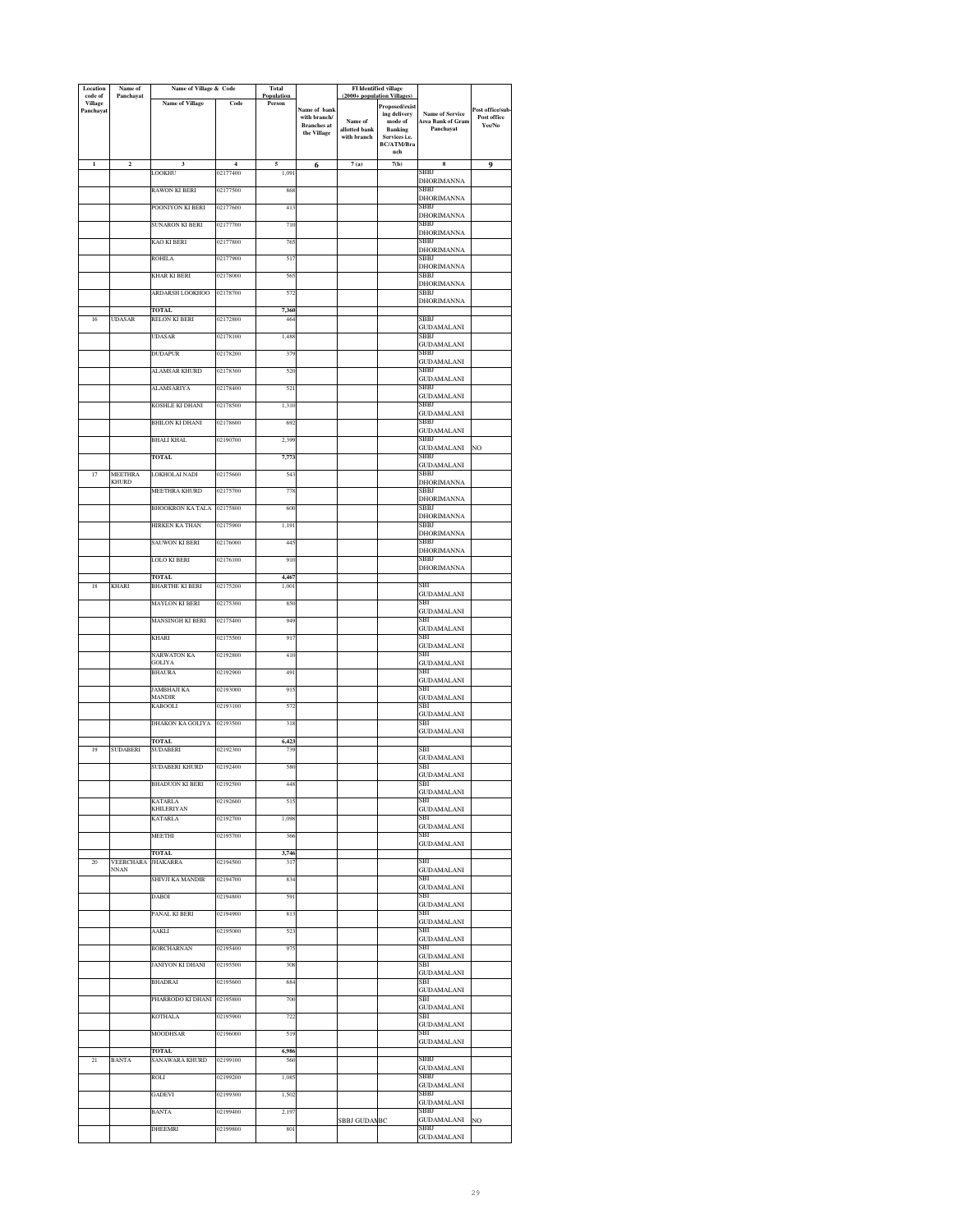| Location<br>code of | Name of<br>Panchayat            | Name of Village & Code        |                | <b>Total</b><br>Population |                                   | <b>FI</b> Identified village<br>(2000+ population Villages) |                                 |                                             |                       |
|---------------------|---------------------------------|-------------------------------|----------------|----------------------------|-----------------------------------|-------------------------------------------------------------|---------------------------------|---------------------------------------------|-----------------------|
| <b>Village</b>      |                                 | <b>Name of Village</b>        | Code           | Person                     | Name of bank                      |                                                             | Proposed/exist                  |                                             | Post office/sub-      |
| Panchayat           |                                 |                               |                |                            | with branch/                      | Name of                                                     | ing delivery<br>mode of         | <b>Name of Service</b><br>Area Bank of Gram | Post office<br>Yes/No |
|                     |                                 |                               |                |                            | <b>Branches</b> at<br>the Village | allotted bank<br>with branch                                | <b>Banking</b><br>Services i.e. | Panchayat                                   |                       |
|                     |                                 |                               |                |                            |                                   |                                                             | BC/ATM/Bra<br>nch               |                                             |                       |
| $\mathbf{I}$        | $\mathbf 2$                     | 3                             | $\overline{4}$ | 5                          | 6                                 | 7(a)                                                        | 7(b)                            | 8                                           | 9                     |
|                     |                                 | LOOKHU                        | 02177400       | 1,09                       |                                   |                                                             |                                 | SBBJ                                        |                       |
|                     |                                 | RAWON KI BERI                 | 02177500       | 868                        |                                   |                                                             |                                 | DHORIMANNA<br>SBBJ                          |                       |
|                     |                                 | POONIYON KI BERI              | 02177600       | 41                         |                                   |                                                             |                                 | <b>DHORIMANNA</b><br>SBBJ                   |                       |
|                     |                                 |                               |                |                            |                                   |                                                             |                                 | <b>DHORIMANNA</b>                           |                       |
|                     |                                 | SUNARON KI BERI               | 02177700       | 710                        |                                   |                                                             |                                 | SBBJ<br>DHORIMANNA                          |                       |
|                     |                                 | KAO KI BERI                   | 02177800       | 765                        |                                   |                                                             |                                 | SBBJ<br><b>DHORIMANNA</b>                   |                       |
|                     |                                 | ROHILA                        | 02177900       | 517                        |                                   |                                                             |                                 | SBBJ                                        |                       |
|                     |                                 | <b>KHAR KI BERI</b>           | 02178000       | 56                         |                                   |                                                             |                                 | DHORIMANNA<br>SBBJ                          |                       |
|                     |                                 | ARDARSH LOOKHOO               | 02178700       | 572                        |                                   |                                                             |                                 | <b>DHORIMANNA</b><br>SBBJ                   |                       |
|                     |                                 |                               |                |                            |                                   |                                                             |                                 | <b>DHORIMANNA</b>                           |                       |
| 16                  | <b>UDASAR</b>                   | <b>TOTAL</b><br>RELON KI BERI | 02172800       | 7,360<br>46                |                                   |                                                             |                                 | SBBJ                                        |                       |
|                     |                                 | <b>UDASAR</b>                 | 02178100       | 1,488                      |                                   |                                                             |                                 | <b>GUDAMALANI</b><br>SBBJ                   |                       |
|                     |                                 |                               |                |                            |                                   |                                                             |                                 | <b>GUDAMALANI</b>                           |                       |
|                     |                                 | <b>DUDAPUR</b>                | 02178200       | 379                        |                                   |                                                             |                                 | SBBJ<br><b>GUDAMALANI</b>                   |                       |
|                     |                                 | ALAMSAR KHURD                 | 02178300       | 520                        |                                   |                                                             |                                 | SBBJ<br><b>GUDAMALANI</b>                   |                       |
|                     |                                 | <b>ALAMSARIYA</b>             | 02178400       | 521                        |                                   |                                                             |                                 | SBBJ                                        |                       |
|                     |                                 | KOSHLE KI DHANI               | 02178500       | 1,310                      |                                   |                                                             |                                 | <b>GUDAMALANI</b><br>SBBJ                   |                       |
|                     |                                 | BHILON KI DHANI               | 02178600       | 69                         |                                   |                                                             |                                 | <b>GUDAMALANI</b><br>SBBJ                   |                       |
|                     |                                 |                               |                |                            |                                   |                                                             |                                 | <b>GUDAMALANI</b>                           |                       |
|                     |                                 | <b>BHALI KHAL</b>             | 02190700       | 2,399                      |                                   |                                                             |                                 | SBBJ<br><b>GUDAMALANI</b>                   | NO                    |
|                     |                                 | <b>TOTAL</b>                  |                | 7,773                      |                                   |                                                             |                                 | SBBJ<br><b>GUDAMALANI</b>                   |                       |
| 17                  | MEETHRA                         | LOKHOLAI NADI                 | 02175600       | 54                         |                                   |                                                             |                                 | SBBJ                                        |                       |
|                     | <b>KHURD</b>                    | <b>MEETHRA KHURD</b>          | 02175700       | 778                        |                                   |                                                             |                                 | DHORIMANNA<br>SBBJ                          |                       |
|                     |                                 | BHOOKRON KA TALA              | 02175800       | 600                        |                                   |                                                             |                                 | DHORIMANNA<br>SBBJ                          |                       |
|                     |                                 |                               |                |                            |                                   |                                                             |                                 | DHORIMANNA                                  |                       |
|                     |                                 | HIRKEN KA THAN                | 02175900       | 1,19                       |                                   |                                                             |                                 | SBBJ<br>DHORIMANNA                          |                       |
|                     |                                 | SAUWON KI BERI                | 02176000       | 44:                        |                                   |                                                             |                                 | SBBJ<br><b>DHORIMANNA</b>                   |                       |
|                     |                                 | LOLO KI BERI                  | 02176100       | 910                        |                                   |                                                             |                                 | SBBJ                                        |                       |
|                     |                                 | <b>TOTAL</b>                  |                | 4.467                      |                                   |                                                             |                                 | DHORIMANNA                                  |                       |
| 18                  | <b>KHARI</b>                    | <b>BHARTHE KI BERI</b>        | 02175200       | 1.00                       |                                   |                                                             |                                 | sВI<br>GUDAMALANI                           |                       |
|                     |                                 | <b>MAYLON KI BERI</b>         | 02175300       | 850                        |                                   |                                                             |                                 | SBI<br><b>GUDAMALANI</b>                    |                       |
|                     |                                 | MANSINGH KI BERI              | 02175400       | 949                        |                                   |                                                             |                                 | SBI                                         |                       |
|                     |                                 | KHARI                         | 02175500       | 917                        |                                   |                                                             |                                 | <b>GUDAMALANI</b><br>SBI                    |                       |
|                     |                                 | NARWATON KA                   | 02192800       | 410                        |                                   |                                                             |                                 | <b>GUDAMALANI</b><br>SBI                    |                       |
|                     |                                 | GOLIYA                        |                |                            |                                   |                                                             |                                 | <b>GUDAMALANI</b>                           |                       |
|                     |                                 | BHAURA                        | 02192900       | 491                        |                                   |                                                             |                                 | SBI<br>GUDAMALANI                           |                       |
|                     |                                 | JAMBHAJI KA<br><b>MANDIR</b>  | 02193000       | 915                        |                                   |                                                             |                                 | SBI<br><b>GUDAMALANI</b>                    |                       |
|                     |                                 | KABOOLI                       | 02193100       | 572                        |                                   |                                                             |                                 | SBI                                         |                       |
|                     |                                 | DHAKON KA GOLIYA              | 02193500       | 315                        |                                   |                                                             |                                 | <b>GUDAMALANI</b><br>SBI                    |                       |
|                     |                                 | TOTAL                         |                | 6,423                      |                                   |                                                             |                                 | <b>GUDAMALANI</b>                           |                       |
| 19                  | <b>SUDABERI</b>                 | <b>SUDABERI</b>               | 02192300       | 739                        |                                   |                                                             |                                 | SBI                                         |                       |
|                     |                                 | SUDABERI KHURD                | 02192400       | 580                        |                                   |                                                             |                                 | <b>GUDAMALANI</b><br>SBI                    |                       |
|                     |                                 | <b>BHADUON KI BERI</b>        | 02192500       | 448                        |                                   |                                                             |                                 | <b>GUDAMALANI</b><br>SBI                    |                       |
|                     |                                 |                               |                |                            |                                   |                                                             |                                 | <b>GUDAMALANI</b><br>SBI                    |                       |
|                     |                                 | <b>KATARLA</b><br>KHILERIYAN  | 02192600       | 515                        |                                   |                                                             |                                 | <b>GUDAMALANI</b>                           |                       |
|                     |                                 | <b>KATARLA</b>                | 02192700       | 1,098                      |                                   |                                                             |                                 | SBI<br><b>GUDAMALANI</b>                    |                       |
|                     |                                 | MEETHI                        | 02195700       | 366                        |                                   |                                                             |                                 | SBI                                         |                       |
|                     |                                 | TOTAL                         |                | 3,746                      |                                   |                                                             |                                 | <b>GUDAMALANI</b>                           |                       |
| 20                  | <b>VEERCHARA</b><br><b>NNAN</b> | <b>JHAKARRA</b>               | 02194500       | 317                        |                                   |                                                             |                                 | SBI<br><b>GUDAMALANI</b>                    |                       |
|                     |                                 | SHIVJI KA MANDIR              | 02194700       | 834                        |                                   |                                                             |                                 | SBI<br><b>GUDAMALANI</b>                    |                       |
|                     |                                 | <b>DAROL</b>                  | 02194800       | 591                        |                                   |                                                             |                                 | SBI                                         |                       |
|                     |                                 | PANAL KI BERI                 | 02194900       | 813                        |                                   |                                                             |                                 | <b>GUDAMALANI</b><br>SBI                    |                       |
|                     |                                 | AAKLI                         | 02195000       | 523                        |                                   |                                                             |                                 | <b>GUDAMALANI</b><br>SBI                    |                       |
|                     |                                 |                               |                |                            |                                   |                                                             |                                 | GUDAMALANI                                  |                       |
|                     |                                 | <b>BORCHARNAN</b>             | 02195400       | 975                        |                                   |                                                             |                                 | SBI<br><b>GUDAMALANI</b>                    |                       |
|                     |                                 | JANIYON KI DHANI              | 02195500       | 308                        |                                   |                                                             |                                 | SBI<br><b>GUDAMALANI</b>                    |                       |
|                     |                                 | <b>BHADRAI</b>                | 02195600       | 684                        |                                   |                                                             |                                 | SBI                                         |                       |
|                     |                                 | PHARRODO KI DHANI 02195800    |                | 700                        |                                   |                                                             |                                 | GUDAMALANI<br>SBI                           |                       |
|                     |                                 | KOTHALA                       | 02195900       | 722                        |                                   |                                                             |                                 | <b>GUDAMALANI</b><br>SBI                    |                       |
|                     |                                 | MOODHSAR                      | 02196000       | 519                        |                                   |                                                             |                                 | <b>GUDAMALANI</b><br>SBI                    |                       |
|                     |                                 |                               |                |                            |                                   |                                                             |                                 | GUDAMALANI                                  |                       |
| 21                  | <b>BANTA</b>                    | TOTAL<br>SANAWARA KHURD       | 02199100       | 6,986<br>560               |                                   |                                                             |                                 | SBBJ                                        |                       |
|                     |                                 | ROLI                          | 02199200       | 1,08                       |                                   |                                                             |                                 | <b>GUDAMALANI</b><br>SBBJ                   |                       |
|                     |                                 |                               |                |                            |                                   |                                                             |                                 | <b>GUDAMALANI</b>                           |                       |
|                     |                                 | GADEVI                        | 02199300       | 1,502                      |                                   |                                                             |                                 | SBBJ<br>GUDAMALANI                          |                       |
|                     |                                 | <b>BANTA</b>                  | 02199400       | 2,197                      |                                   | SBBJ GUDANEC                                                |                                 | SBBJ<br><b>GUDAMALANI</b>                   | NO                    |
|                     |                                 | DHEEMRI                       | 02199800       | 801                        |                                   |                                                             |                                 | SBBJ<br><b>GUDAMALANI</b>                   |                       |
|                     |                                 |                               |                |                            |                                   |                                                             |                                 |                                             |                       |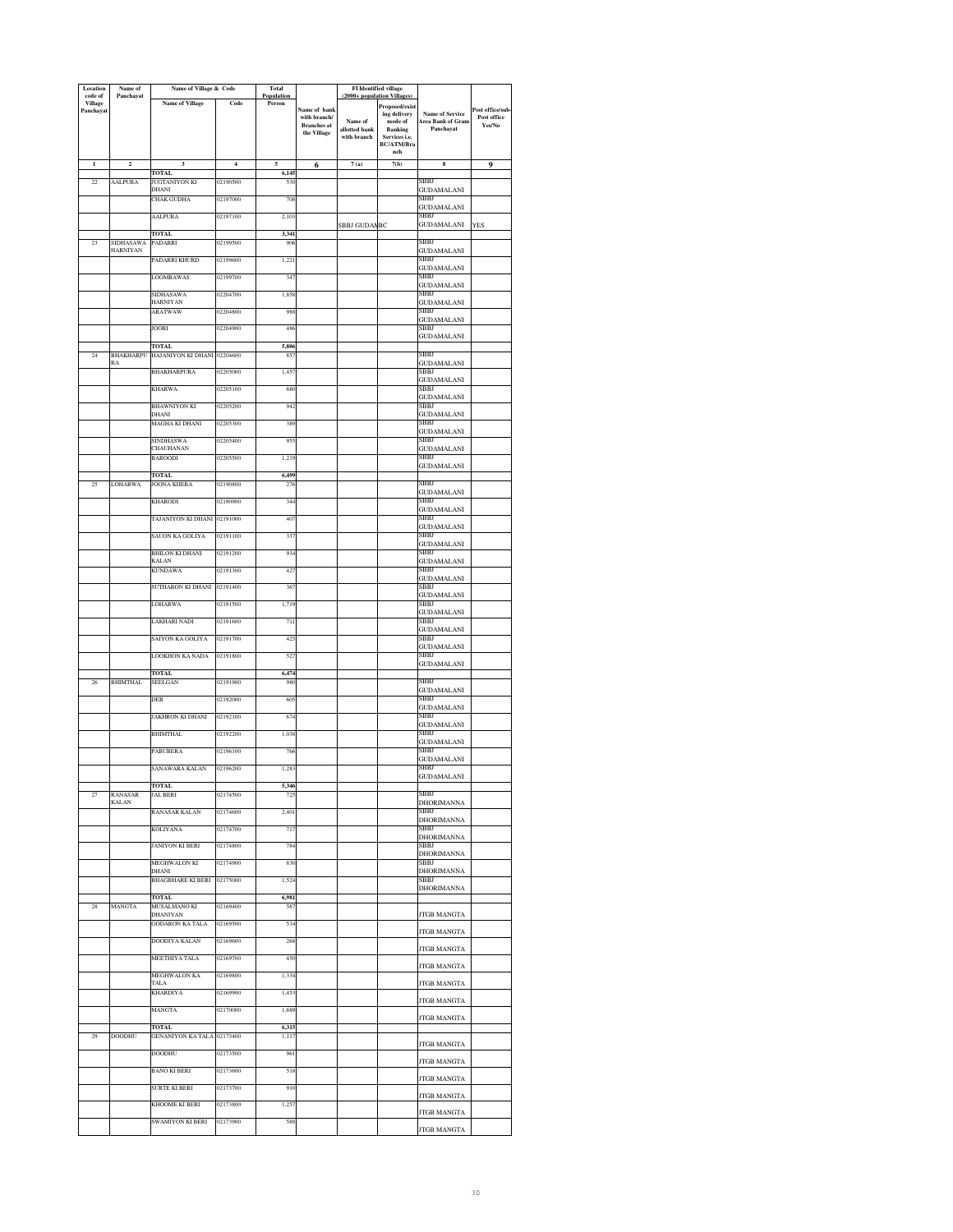| Location<br>code of         | Name of<br>Panchayat    | Name of Village & Code                      |                | Total<br>Population |                                    | (2000+ population Villages)  | FI Identified village           |                           |                       |
|-----------------------------|-------------------------|---------------------------------------------|----------------|---------------------|------------------------------------|------------------------------|---------------------------------|---------------------------|-----------------------|
| <b>Village</b><br>Panchayat |                         | <b>Name of Village</b>                      | Code           | Person              | Name of bank                       |                              | Proposed/exist                  | <b>Name of Service</b>    | Post office/sub       |
|                             |                         |                                             |                |                     | with branch/<br><b>Branches</b> at | Name of                      | ing delivery<br>mode of         | Area Bank of Gram         | Post office<br>Yes/No |
|                             |                         |                                             |                |                     | the Village                        | allotted bank<br>with branch | <b>Banking</b><br>Services i.e. | Panchayat                 |                       |
|                             |                         |                                             |                |                     |                                    |                              | BC/ATM/Bra<br>${\bf nch}$       |                           |                       |
| $\mathbf{1}$                | $\overline{\mathbf{c}}$ | 3                                           | $\overline{4}$ | $\overline{5}$      | 6                                  | 7(a)                         | 7(b)                            | 8                         | 9                     |
| 22                          | <b>AALPURA</b>          | <b>TOTAL</b><br>JUGTANIYON KI               | 02190500       | 6,145<br>530        |                                    |                              |                                 | SBBJ                      |                       |
|                             |                         | DHANI<br><b>CHAK GUDHA</b>                  | 02197000       | 708                 |                                    |                              |                                 | <b>GUDAMALANI</b><br>SBBJ |                       |
|                             |                         |                                             |                |                     |                                    |                              |                                 | <b>GUDAMALANI</b>         |                       |
|                             |                         | <b>AALPURA</b>                              | 02197100       | 2,103               |                                    | SBBJ GUDANBC                 |                                 | SBBJ<br><b>GUDAMALANI</b> | <b>YES</b>            |
| 23                          | SIDHASAWA               | <b>TOTAL</b><br>PADARRI                     | 02199500       | 3,341<br>906        |                                    |                              |                                 | SBBI                      |                       |
|                             | <b>HARNIYAN</b>         |                                             |                |                     |                                    |                              |                                 | <b>GUDAMALANI</b>         |                       |
|                             |                         | PADARRI KHURD                               | 02199600       | 1,221               |                                    |                              |                                 | SBBJ<br><b>GUDAMALANI</b> |                       |
|                             |                         | <b>LOOMBAWAS</b>                            | 02199700       | 347                 |                                    |                              |                                 | SBBJ<br><b>GUDAMALANI</b> |                       |
|                             |                         | SIDHASAWA                                   | 02204700       | 1,85                |                                    |                              |                                 | SBBJ                      |                       |
|                             |                         | <b>HARNIYAN</b><br><b>ARATWAW</b>           | 02204800       | 988                 |                                    |                              |                                 | <b>GUDAMALANI</b><br>SBBJ |                       |
|                             |                         | <b>JOORI</b>                                | 02204900       | 486                 |                                    |                              |                                 | <b>GUDAMALANI</b><br>SBBJ |                       |
|                             |                         |                                             |                |                     |                                    |                              |                                 | <b>GUDAMALANI</b>         |                       |
| 24                          | BHAKHARPU               | <b>TOTAL</b><br>HAJANIYON KI DHANI 02204600 |                | 5,806<br>85         |                                    |                              |                                 | SBBJ                      |                       |
|                             | RA                      | <b>BHAKHARPURA</b>                          | 02205000       | 1,457               |                                    |                              |                                 | <b>GUDAMALANI</b><br>SBBJ |                       |
|                             |                         | <b>KHARWA</b>                               |                |                     |                                    |                              |                                 | <b>GUDAMALANI</b><br>SBBJ |                       |
|                             |                         |                                             | 02205100       | 680                 |                                    |                              |                                 | <b>GUDAMALANI</b>         |                       |
|                             |                         | <b>BHAWNIYON KI</b><br>DHANI                | 02205200       | 942                 |                                    |                              |                                 | SBBJ<br><b>GUDAMALANI</b> |                       |
|                             |                         | MAGHA KI DHANI                              | 02205300       | 389                 |                                    |                              |                                 | SBBJ                      |                       |
|                             |                         | SINDHASWA                                   | 02205400       | 95:                 |                                    |                              |                                 | <b>GUDAMALANI</b><br>SBBJ |                       |
|                             |                         | CHAUHANAN<br><b>BAROODI</b>                 | 02205500       | 1,219               |                                    |                              |                                 | <b>GUDAMALANI</b><br>SBBJ |                       |
|                             |                         |                                             |                |                     |                                    |                              |                                 | <b>GUDAMALANI</b>         |                       |
| 25                          | <b>LOHARWA</b>          | TOTAL.<br>JOONA KHERA                       | 02190800       | 6,499<br>276        |                                    |                              |                                 | SBBJ                      |                       |
|                             |                         | <b>KHARODI</b>                              | 02190900       | 344                 |                                    |                              |                                 | <b>GUDAMALANI</b><br>SBBJ |                       |
|                             |                         |                                             |                |                     |                                    |                              |                                 | <b>GUDAMALANI</b>         |                       |
|                             |                         | TAJANIYON KI DHANI                          | 02191000       | 407                 |                                    |                              |                                 | SBBJ<br><b>GUDAMALANI</b> |                       |
|                             |                         | SAUON KA GOLIYA                             | 02191100       | 337                 |                                    |                              |                                 | SBBJ<br><b>GUDAMALANI</b> |                       |
|                             |                         | <b>BHILON KI DHANI</b><br>KALAN             | 02191200       | 934                 |                                    |                              |                                 | SBBJ<br><b>GUDAMALANI</b> |                       |
|                             |                         | <b>KUNDAWA</b>                              | 02191300       | 42                  |                                    |                              |                                 | SBBJ                      |                       |
|                             |                         | SUTHARON KI DHANI 02191400                  |                | 367                 |                                    |                              |                                 | <b>GUDAMALANI</b><br>SBBJ |                       |
|                             |                         |                                             |                |                     |                                    |                              |                                 | <b>GUDAMALANI</b><br>SBBJ |                       |
|                             |                         | LOHARWA                                     | 02191500       | 1,719               |                                    |                              |                                 | <b>GUDAMALANI</b>         |                       |
|                             |                         | LAKHARI NADI                                | 02191600       | 711                 |                                    |                              |                                 | SBBJ<br>GUDAMALANI        |                       |
|                             |                         | SAIYON KA GOLIYA                            | 02191700       | 425                 |                                    |                              |                                 | SBBJ<br><b>GUDAMALANI</b> |                       |
|                             |                         | LOOKHON KA NADA                             | 02191800       | 527                 |                                    |                              |                                 | SBBJ                      |                       |
|                             |                         | <b>TOTAL</b>                                |                | 6,474               |                                    |                              |                                 | <b>GUDAMALANI</b>         |                       |
| 26                          | <b>BHIMTHAL</b>         | SEELGAN                                     | 02191900       | 980                 |                                    |                              |                                 | SBBJ                      |                       |
|                             |                         | <b>DER</b>                                  | 02192000       | 605                 |                                    |                              |                                 | <b>GUDAMALANI</b><br>SBBJ |                       |
|                             |                         | JAKHRON KI DHANI                            | 02192100       | 674                 |                                    |                              |                                 | <b>GUDAMALANI</b><br>SBBJ |                       |
|                             |                         | <b>BHIMTHAL</b>                             | 02192200       | 1.038               |                                    |                              |                                 | <b>GUDAMALANI</b><br>SBBJ |                       |
|                             |                         |                                             |                |                     |                                    |                              |                                 | <b>GUDAMALANI</b>         |                       |
|                             |                         | PABUBERA                                    | 02196100       | 766                 |                                    |                              |                                 | SBBJ<br><b>GUDAMALANI</b> |                       |
|                             |                         | SANAWARA KALAN                              | 02196200       | 1,283               |                                    |                              |                                 | SBBJ<br><b>GUDAMALANI</b> |                       |
|                             |                         | TOTAL                                       |                | 5,346               |                                    |                              |                                 |                           |                       |
| 27                          | RANASAR<br>KALAN        | <b>JAL BERI</b>                             | 02174500       | 72 <sup>5</sup>     |                                    |                              |                                 | SBBJ<br><b>DHORIMANNA</b> |                       |
|                             |                         | RANASAR KALAN                               | 02174600       | 2,401               |                                    |                              |                                 | SBBJ                      |                       |
|                             |                         | KOLIYANA                                    | 02174700       | 717                 |                                    |                              |                                 | DHORIMANNA<br>SBBJ        |                       |
|                             |                         | JANIYON KI BERI                             | 02174800       | 784                 |                                    |                              |                                 | DHORIMANNA<br>SBBJ        |                       |
|                             |                         |                                             | 02174900       |                     |                                    |                              |                                 | <b>DHORIMANNA</b><br>SBBJ |                       |
|                             |                         | MEGHWALON KI<br>DHANI                       |                | 830                 |                                    |                              |                                 | DHORIMANNA                |                       |
|                             |                         | BHAGBHARE KI BERI                           | 02175000       | 1,524               |                                    |                              |                                 | SBBJ<br><b>DHORIMANNA</b> |                       |
| 28                          | MANGTA                  | TOTAL<br>MUSALMANO KI                       | 02169400       | 6,981<br>58         |                                    |                              |                                 |                           |                       |
|                             |                         | <b>DHANIYAN</b>                             |                |                     |                                    |                              |                                 | <b>JTGB MANGTA</b>        |                       |
|                             |                         | <b>GODARON KA TALA</b>                      | 02169500       | 534                 |                                    |                              |                                 | JTGB MANGTA               |                       |
|                             |                         | DOODIYA KALAN                               | 02169600       | 268                 |                                    |                              |                                 | <b>JTGB MANGTA</b>        |                       |
|                             |                         | <b>MEETHIYA TALA</b>                        | 02169700       | 450                 |                                    |                              |                                 |                           |                       |
|                             |                         | MEGHWALON KA                                | 02169800       | 1,334               |                                    |                              |                                 | <b>JTGB MANGTA</b>        |                       |
|                             |                         | TALA<br><b>KHARDIYA</b>                     |                |                     |                                    |                              |                                 | <b>JTGB MANGTA</b>        |                       |
|                             |                         |                                             | 02169900       | 1.453               |                                    |                              |                                 | JTGB MANGTA               |                       |
|                             |                         | MANGTA                                      | 02170000       | 1,689               |                                    |                              |                                 | <b>JTGB MANGTA</b>        |                       |
|                             |                         | <b>TOTAL</b>                                |                | 6,315               |                                    |                              |                                 |                           |                       |
| 29                          | <b>DOODHU</b>           | GENANIYON KA TALA 02173400                  |                | 1,117               |                                    |                              |                                 | <b>JTGB MANGTA</b>        |                       |
|                             |                         | <b>DOODHU</b>                               | 02173500       | 961                 |                                    |                              |                                 | JTGB MANGTA               |                       |
|                             |                         | <b>BANO KI BERI</b>                         | 02173600       | 518                 |                                    |                              |                                 | <b>JTGB MANGTA</b>        |                       |
|                             |                         | SURTE KI BERI                               | 02173700       | 910                 |                                    |                              |                                 |                           |                       |
|                             |                         | KHOOME KI BERI                              | 02173800       | 1,257               |                                    |                              |                                 | JTGB MANGTA               |                       |
|                             |                         | <b>SWAMIYON KI BERI</b>                     | 02173900       | 588                 |                                    |                              |                                 | <b>JTGB MANGTA</b>        |                       |
|                             |                         |                                             |                |                     |                                    |                              |                                 | <b>JTGB MANGTA</b>        |                       |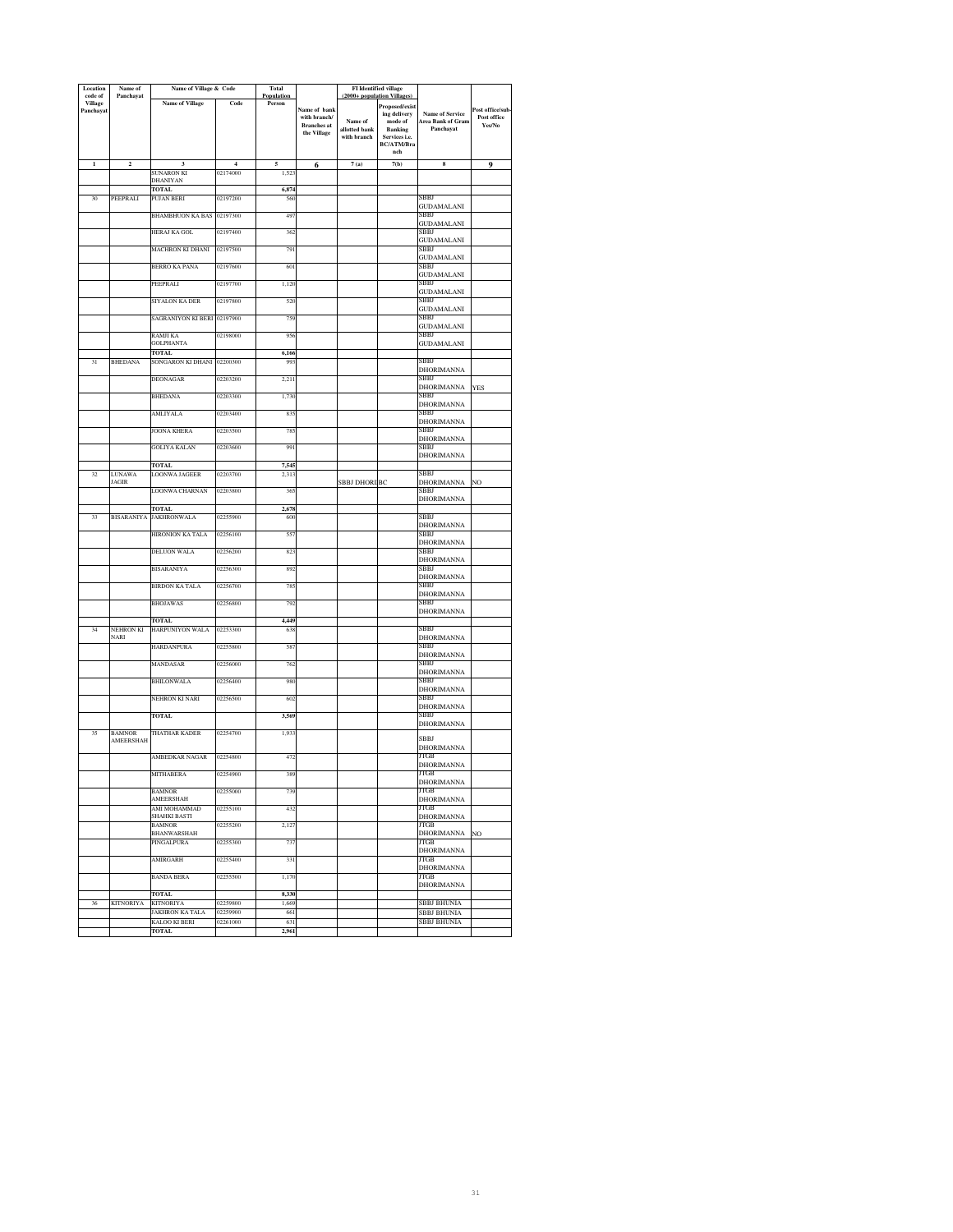| Location<br>code of | Name of<br>Panchayat          | Name of Village & Code                 |                | <b>Total</b><br>Population |                              | <b>FI</b> Identified village<br>(2000+ population Villages) |                           |                                  |                                |
|---------------------|-------------------------------|----------------------------------------|----------------|----------------------------|------------------------------|-------------------------------------------------------------|---------------------------|----------------------------------|--------------------------------|
| Village             |                               | <b>Name of Village</b>                 | Code           | Person                     |                              |                                                             | Proposed/exist            |                                  |                                |
| Panchayat           |                               |                                        |                |                            | Name of bank<br>with branch/ |                                                             | ing delivery              | <b>Name of Service</b>           | Post office/sub<br>Post office |
|                     |                               |                                        |                |                            | <b>Branches</b> at           | Name of<br>allotted bank                                    | mode of<br><b>Banking</b> | Area Bank of Gram<br>Panchavat   | Yes/No                         |
|                     |                               |                                        |                |                            | the Village                  | with branch                                                 | Services i.e.             |                                  |                                |
|                     |                               |                                        |                |                            |                              |                                                             | BC/ATM/Bra<br>nch         |                                  |                                |
| $\mathbf 1$         | $\mathbf 2$                   | 3                                      | $\overline{4}$ | 5                          | 6                            | 7(a)                                                        | 7(b)                      | ${\bf 8}$                        | 9                              |
|                     |                               | SUNARON KI                             | 02174000       | 1,52                       |                              |                                                             |                           |                                  |                                |
|                     |                               | DHANIYAN<br>TOTAL                      |                | 6,874                      |                              |                                                             |                           |                                  |                                |
| 30                  | PEEPRALI                      | PUJAN BERI                             | 02197200       | 560                        |                              |                                                             |                           | SBBJ                             |                                |
|                     |                               | <b>BHAMBHUON KA BAS</b>                | 02197300       | 49                         |                              |                                                             |                           | <b>GUDAMALANI</b><br>SBBJ        |                                |
|                     |                               |                                        |                |                            |                              |                                                             |                           | <b>GUDAMALANI</b>                |                                |
|                     |                               | HERAJ KA GOL                           | 02197400       | 362                        |                              |                                                             |                           | SBBJ                             |                                |
|                     |                               | MACHRON KI DHANI                       | 02197500       | 791                        |                              |                                                             |                           | <b>GUDAMALANI</b><br>SBBJ        |                                |
|                     |                               |                                        |                |                            |                              |                                                             |                           | GUDAMALANI                       |                                |
|                     |                               | <b>BERRO KA PANA</b>                   | 02197600       | 60                         |                              |                                                             |                           | SBBJ<br><b>GUDAMALANI</b>        |                                |
|                     |                               | PEEPRALI                               | 02197700       | 1,120                      |                              |                                                             |                           | SBBJ                             |                                |
|                     |                               | SIYALON KA DER                         | 02197800       | 520                        |                              |                                                             |                           | <b>GUDAMALANI</b><br>SBBJ        |                                |
|                     |                               |                                        |                |                            |                              |                                                             |                           | <b>GUDAMALANI</b>                |                                |
|                     |                               | SAGRANIYON KI BERI 02197900            |                | 759                        |                              |                                                             |                           | SBBJ                             |                                |
|                     |                               | RAMJI KA                               | 02198000       | 956                        |                              |                                                             |                           | <b>GUDAMALANI</b><br>SBBJ        |                                |
|                     |                               | <b>GOLPHANTA</b>                       |                |                            |                              |                                                             |                           | <b>GUDAMALANI</b>                |                                |
| 31                  |                               | TOTAL<br>SONGARON KI DHANI             | 02200300       | 6,166                      |                              |                                                             |                           | SBBJ                             |                                |
|                     | <b>BHEDANA</b>                |                                        |                | 993                        |                              |                                                             |                           | DHORIMANNA                       |                                |
|                     |                               | <b>DEONAGAR</b>                        | 02203200       | 2,211                      |                              |                                                             |                           | SBBJ                             |                                |
|                     |                               | <b>BHEDANA</b>                         | 02203300       | 1,730                      |                              |                                                             |                           | <b>DHORIMANNA</b><br>SBBJ        | <b>YES</b>                     |
|                     |                               |                                        |                |                            |                              |                                                             |                           | DHORIMANNA                       |                                |
|                     |                               | <b>AMLIYALA</b>                        | 02203400       | 835                        |                              |                                                             |                           | <b>SBBI</b>                      |                                |
|                     |                               | <b>JOONA KHERA</b>                     | 02203500       | 785                        |                              |                                                             |                           | DHORIMANNA<br>SBBJ               |                                |
|                     |                               |                                        |                |                            |                              |                                                             |                           | DHORIMANNA                       |                                |
|                     |                               | GOLIYA KALAN                           | 02203600       | 991                        |                              |                                                             |                           | SBBJ<br><b>DHORIMANNA</b>        |                                |
|                     |                               | TOTAL                                  |                | 7,54                       |                              |                                                             |                           |                                  |                                |
| 32                  | <b>LUNAWA</b><br><b>JAGIR</b> | <b>LOONWA JAGEER</b>                   | 02203700       | 2.31                       |                              |                                                             |                           | SBBJ                             |                                |
|                     |                               | <b>LOONWA CHARNAN</b>                  | 02203800       | 365                        |                              | <b>SBBJ DHORI BC</b>                                        |                           | DHORIMANNA<br>SBBJ               | NO                             |
|                     |                               |                                        |                |                            |                              |                                                             |                           | DHORIMANNA                       |                                |
| 33                  |                               | <b>TOTAL</b><br>BISARANIYA JAKHRONWALA | 02255900       | 2,678<br>600               |                              |                                                             |                           | SBBJ                             |                                |
|                     |                               |                                        |                |                            |                              |                                                             |                           | <b>DHORIMANNA</b>                |                                |
|                     |                               | HIRONION KA TALA                       | 02256100       | 557                        |                              |                                                             |                           | SBBJ                             |                                |
|                     |                               | <b>DELUON WALA</b>                     | 02256200       | 823                        |                              |                                                             |                           | DHORIMANNA<br>SBBJ               |                                |
|                     |                               |                                        |                |                            |                              |                                                             |                           | <b>DHORIMANNA</b>                |                                |
|                     |                               | BISARANIYA                             | 02256300       | 892                        |                              |                                                             |                           | SBBJ<br><b>DHORIMANNA</b>        |                                |
|                     |                               | <b>BIRDON KA TALA</b>                  | 02256700       | 78:                        |                              |                                                             |                           | SBBJ                             |                                |
|                     |                               | <b>BHOJAWAS</b>                        | 02256800       | 792                        |                              |                                                             |                           | DHORIMANNA<br>SBBJ               |                                |
|                     |                               |                                        |                |                            |                              |                                                             |                           | <b>DHORIMANNA</b>                |                                |
|                     |                               | <b>TOTAL</b>                           |                | 4,449                      |                              |                                                             |                           |                                  |                                |
| 34                  | NEHRON KI<br><b>NARI</b>      | HARPUNIYON WALA                        | 02253300       | 638                        |                              |                                                             |                           | SBBJ<br><b>DHORIMANNA</b>        |                                |
|                     |                               | <b>HARDANPURA</b>                      | 02255800       | 587                        |                              |                                                             |                           | SBBJ                             |                                |
|                     |                               | MANDASAR                               | 02256000       | 762                        |                              |                                                             |                           | DHORIMANNA<br>SBBJ               |                                |
|                     |                               |                                        |                |                            |                              |                                                             |                           | <b>DHORIMANNA</b>                |                                |
|                     |                               | BHILONWALA                             | 02256400       | 980                        |                              |                                                             |                           | SBBJ                             |                                |
|                     |                               | NEHRON KI NARI                         | 02256500       | 602                        |                              |                                                             |                           | DHORIMANNA<br>SBBJ               |                                |
|                     |                               |                                        |                |                            |                              |                                                             |                           | DHORIMANNA                       |                                |
|                     |                               | <b>TOTAL</b>                           |                | 3,569                      |                              |                                                             |                           | SBBJ<br>DHORIMANNA               |                                |
| 35                  | BAMNOR                        | THATHAR KADER                          | 02254700       | 1,933                      |                              |                                                             |                           |                                  |                                |
|                     | AMEERSHAH                     |                                        |                |                            |                              |                                                             |                           | <b>SBBJ</b><br><b>DHORIMANNA</b> |                                |
|                     |                               | AMBEDKAR NAGAR                         | 02254800       | 472                        |                              |                                                             |                           | ЛGВ                              |                                |
|                     |                               | MITHABERA                              | 02254900       | 389                        |                              |                                                             |                           | <b>DHORIMANNA</b><br>JTGB        |                                |
|                     |                               |                                        |                |                            |                              |                                                             |                           | <b>DHORIMANNA</b>                |                                |
|                     |                               | BAMNOR<br><b>AMEERSHAH</b>             | 02255000       | 739                        |                              |                                                             |                           | ITGB                             |                                |
|                     |                               | AMI MOHAMMAD                           | 02255100       | 432                        |                              |                                                             |                           | <b>DHORIMANNA</b><br>JTGB        |                                |
|                     |                               | SHAHKI BASTI                           |                |                            |                              |                                                             |                           | <b>DHORIMANNA</b>                |                                |
|                     |                               | <b>BAMNOR</b><br><b>BHANWARSHAH</b>    | 02255200       | 2,127                      |                              |                                                             |                           | <b>JTGB</b><br><b>DHORIMANNA</b> | NO                             |
|                     |                               | PINGALPURA                             | 02255300       | 737                        |                              |                                                             |                           | <b>ITGB</b>                      |                                |
|                     |                               |                                        |                |                            |                              |                                                             |                           | DHORIMANNA                       |                                |
|                     |                               | <b>AMIRGARH</b>                        | 02255400       | 331                        |                              |                                                             |                           | JTGB<br><b>DHORIMANNA</b>        |                                |
|                     |                               | <b>BANDA BERA</b>                      | 02255500       | 1,170                      |                              |                                                             |                           | JTGB                             |                                |
|                     |                               | <b>TOTAL</b>                           |                | 8,330                      |                              |                                                             |                           | <b>DHORIMANNA</b>                |                                |
| 36                  | <b>KITNORIYA</b>              | KITNORIYA                              | 02259800       | 1,669                      |                              |                                                             |                           | SBBJ BHUNIA                      |                                |
|                     |                               | JAKHRON KA TALA                        | 02259900       | 661                        |                              |                                                             |                           | <b>SBBJ BHUNIA</b>               |                                |
|                     |                               | KALOO KI BERI<br><b>TOTAL</b>          | 02261000       | 631<br>2,961               |                              |                                                             |                           | SBBJ BHUNIA                      |                                |
|                     |                               |                                        |                |                            |                              |                                                             |                           |                                  |                                |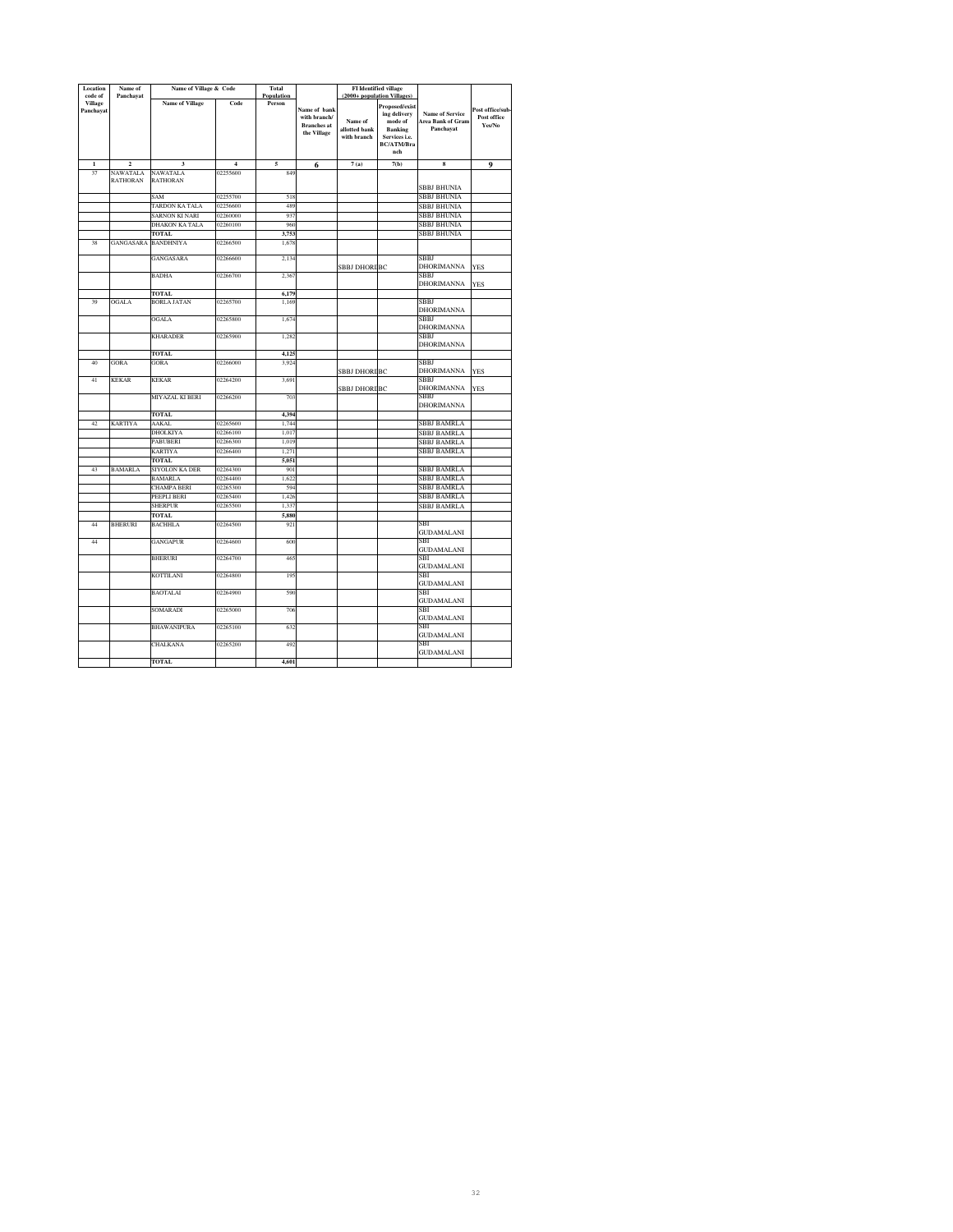| Location             | Name of                 | Name of Village & Code |                | <b>Total</b>         |                    |                          | <b>FI</b> Identified village |                           |                 |
|----------------------|-------------------------|------------------------|----------------|----------------------|--------------------|--------------------------|------------------------------|---------------------------|-----------------|
| code of              | Panchayat               |                        | Code           | Population<br>Person |                    |                          | (2000+ population Villages)  |                           |                 |
| Village<br>Panchayat |                         | <b>Name of Village</b> |                |                      | Name of bank       |                          | Proposed/exist               |                           | Post office/sub |
|                      |                         |                        |                |                      | with branch/       |                          | ing delivery                 | <b>Name of Service</b>    | Post office     |
|                      |                         |                        |                |                      | <b>Branches</b> at | Name of<br>allotted bank | mode of<br>Banking           | Area Bank of Gram         | Yes/No          |
|                      |                         |                        |                |                      | the Village        | with branch              | Services i.e.                | Panchayat                 |                 |
|                      |                         |                        |                |                      |                    |                          | <b>BC/ATM/Bra</b>            |                           |                 |
|                      |                         |                        |                |                      |                    |                          | nch                          |                           |                 |
| $\mathbf{1}$         | $\overline{\mathbf{c}}$ | 3                      | $\overline{4}$ | 5                    | 6                  | 7(a)                     | 7(b)                         | 8                         | 9               |
| 37                   | NAWATALA                | NAWATALA               | 02255600       | 849                  |                    |                          |                              |                           |                 |
|                      | <b>RATHORAN</b>         | <b>RATHORAN</b>        |                |                      |                    |                          |                              |                           |                 |
|                      |                         |                        |                |                      |                    |                          |                              | <b>SBBJ BHUNIA</b>        |                 |
|                      |                         | SAM                    | 02255700       | 518                  |                    |                          |                              | SBBJ BHUNIA               |                 |
|                      |                         | TARDON KA TALA         | 02256600       | 489                  |                    |                          |                              | SBBJ BHUNIA               |                 |
|                      |                         | SARNON KI NARI         | 02260000       | 937                  |                    |                          |                              | SBBJ BHUNIA               |                 |
|                      |                         | DHAKON KA TALA         | 02260100       | 960                  |                    |                          |                              | SBBJ BHUNIA               |                 |
|                      |                         | <b>TOTAL</b>           |                | 3,753                |                    |                          |                              | SBBJ BHUNIA               |                 |
| 38                   | GANGASARA BANDHNIYA     |                        | 02266500       | 1,678                |                    |                          |                              |                           |                 |
|                      |                         |                        |                |                      |                    |                          |                              |                           |                 |
|                      |                         | <b>GANGASARA</b>       | 02266600       | 2.134                |                    |                          |                              | SBBJ                      |                 |
|                      |                         | <b>BADHA</b>           | 02266700       | 2.36'                |                    | <b>SBBJ DHORI BC</b>     |                              | <b>DHORIMANNA</b><br>SBBJ | <b>YES</b>      |
|                      |                         |                        |                |                      |                    |                          |                              | <b>DHORIMANNA</b>         | <b>YES</b>      |
|                      |                         | <b>TOTAL</b>           |                | 6,179                |                    |                          |                              |                           |                 |
| 39                   | <b>OGALA</b>            | <b>BORLA JATAN</b>     | 02265700       | 1,169                |                    |                          |                              | SBBI                      |                 |
|                      |                         |                        |                |                      |                    |                          |                              | DHORIMANNA                |                 |
|                      |                         | <b>OGALA</b>           | 02265800       | 1,674                |                    |                          |                              | SBBJ                      |                 |
|                      |                         |                        |                |                      |                    |                          |                              | DHORIMANNA                |                 |
|                      |                         | <b>KHARADER</b>        | 02265900       | 1,282                |                    |                          |                              | SBBJ                      |                 |
|                      |                         |                        |                |                      |                    |                          |                              | <b>DHORIMANNA</b>         |                 |
|                      |                         | <b>TOTAL</b>           |                | 4,125                |                    |                          |                              |                           |                 |
| 40                   | GORA                    | GORA                   | 02266000       | 3,924                |                    |                          |                              | SBBJ                      |                 |
|                      |                         |                        |                |                      |                    | <b>SBBJ DHORI BC</b>     |                              | DHORIMANNA                | <b>YES</b>      |
| 41                   | <b>KEKAR</b>            | <b>KEKAR</b>           | 02264200       | 3,691                |                    |                          |                              | SBBI                      |                 |
|                      |                         |                        |                |                      |                    | <b>SBBJ DHORI BC</b>     |                              | <b>DHORIMANNA</b><br>SBBJ | <b>YES</b>      |
|                      |                         | MIYAZAL KI BERI        | 02266200       | 703                  |                    |                          |                              | DHORIMANNA                |                 |
|                      |                         |                        |                |                      |                    |                          |                              |                           |                 |
| 42                   | <b>KARTIYA</b>          | <b>TOTAL</b><br>AAKAL  | 02265600       | 4,394<br>1.744       |                    |                          |                              | <b>SBBJ BAMRLA</b>        |                 |
|                      |                         | DHOLKIYA               | 02266100       | 1,017                |                    |                          |                              | SBBJ BAMRLA               |                 |
|                      |                         | PABUBERI               | 02266300       | 1.019                |                    |                          |                              | <b>SBBJ BAMRLA</b>        |                 |
|                      |                         | <b>KARTIYA</b>         | 02266400       | 1.271                |                    |                          |                              | <b>SBBJ BAMRLA</b>        |                 |
|                      |                         | <b>TOTAL</b>           |                | 5.051                |                    |                          |                              |                           |                 |
| 43                   | <b>BAMARLA</b>          | SIYOLON KA DER         | 02264300       | 901                  |                    |                          |                              | SBBJ BAMRLA               |                 |
|                      |                         | <b>BAMARLA</b>         | 02264400       | 1,622                |                    |                          |                              | SBBJ BAMRLA               |                 |
|                      |                         | CHAMPA BERI            | 02265300       | 594                  |                    |                          |                              | SBBJ BAMRLA               |                 |
|                      |                         | PEEPLI BERI            | 02265400       | 1.426                |                    |                          |                              | SBBJ BAMRLA               |                 |
|                      |                         | SHERPUR                | 02265500       | 1,337                |                    |                          |                              | SBBJ BAMRLA               |                 |
|                      |                         | <b>TOTAL</b>           |                | 5,880                |                    |                          |                              |                           |                 |
| 44                   | BHERURI                 | <b>BACHHLA</b>         | 02264500       | 921                  |                    |                          |                              | SBI                       |                 |
|                      |                         |                        |                |                      |                    |                          |                              | GUDAMALANI                |                 |
| 44                   |                         | <b>GANGAPUR</b>        | 02264600       | 600                  |                    |                          |                              | SBI                       |                 |
|                      |                         |                        |                |                      |                    |                          |                              | GUDAMALANI                |                 |
|                      |                         | <b>BHERURI</b>         | 02264700       | 465                  |                    |                          |                              | SBI                       |                 |
|                      |                         |                        |                |                      |                    |                          |                              | <b>GUDAMALANI</b>         |                 |
|                      |                         | KOTTILANI              | 02264800       | 195                  |                    |                          |                              | SBI                       |                 |
|                      |                         |                        |                |                      |                    |                          |                              | GUDAMALANI                |                 |
|                      |                         | <b>BAOTALAI</b>        | 02264900       | 590                  |                    |                          |                              | SBI                       |                 |
|                      |                         |                        |                |                      |                    |                          |                              | GUDAMALANI<br>SBI         |                 |
|                      |                         | <b>SOMARADI</b>        | 02265000       | 706                  |                    |                          |                              |                           |                 |
|                      |                         | <b>BHAWANIPURA</b>     | 02265100       | 632                  |                    |                          |                              | GUDAMALANI<br>SBI         |                 |
|                      |                         |                        |                |                      |                    |                          |                              | <b>GUDAMALANI</b>         |                 |
|                      |                         | CHALKANA               | 02265200       | 492                  |                    |                          |                              | SBI                       |                 |
|                      |                         |                        |                |                      |                    |                          |                              | GUDAMALANI                |                 |
|                      |                         | TOTAL                  |                | 4,601                |                    |                          |                              |                           |                 |